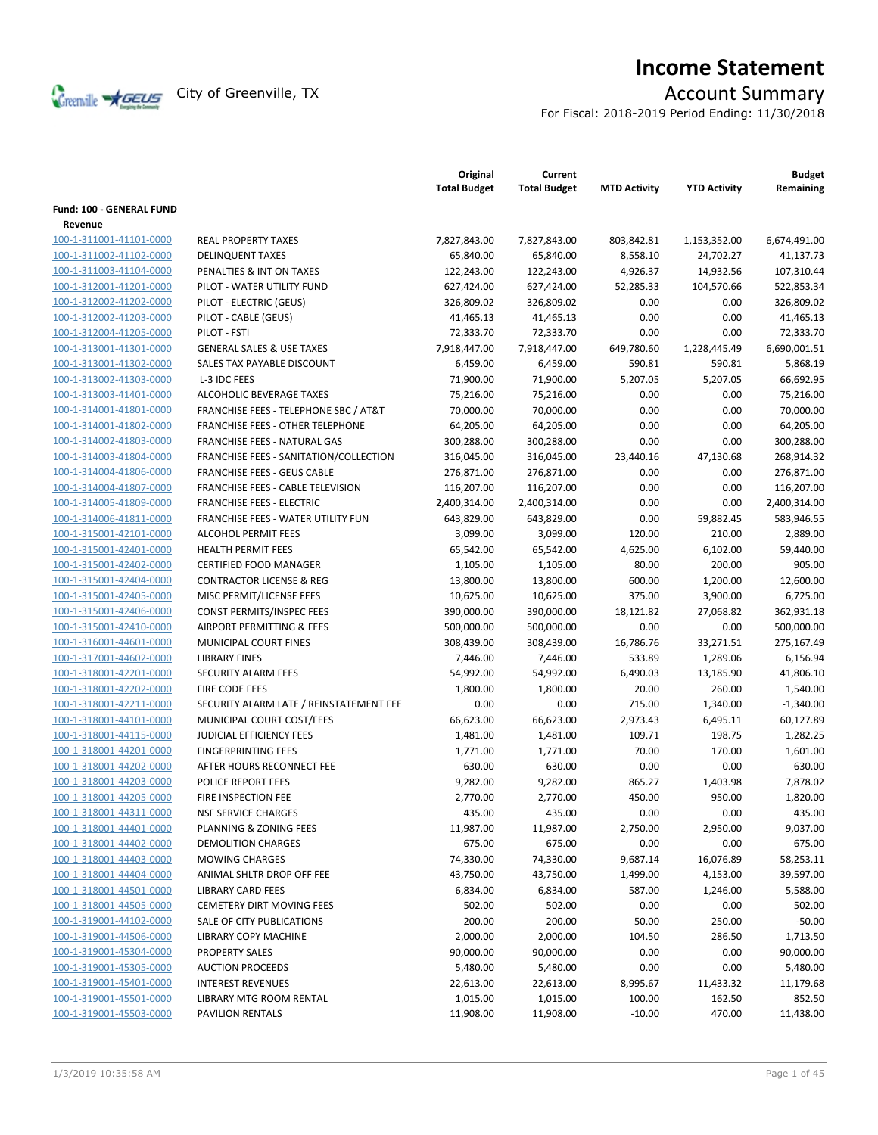

# **Income Statement**

For Fiscal: 2018-2019 Period Ending: 11/30/2018

|                                    |                                                       | Original<br><b>Total Budget</b> | Current<br><b>Total Budget</b> | <b>MTD Activity</b> | <b>YTD Activity</b> | <b>Budget</b><br>Remaining |
|------------------------------------|-------------------------------------------------------|---------------------------------|--------------------------------|---------------------|---------------------|----------------------------|
| Fund: 100 - GENERAL FUND           |                                                       |                                 |                                |                     |                     |                            |
| Revenue<br>100-1-311001-41101-0000 |                                                       |                                 |                                |                     |                     |                            |
|                                    | <b>REAL PROPERTY TAXES</b><br><b>DELINQUENT TAXES</b> | 7,827,843.00                    | 7,827,843.00                   | 803,842.81          | 1,153,352.00        | 6,674,491.00               |
| 100-1-311002-41102-0000            |                                                       | 65,840.00                       | 65,840.00                      | 8,558.10            | 24,702.27           | 41,137.73                  |
| 100-1-311003-41104-0000            | PENALTIES & INT ON TAXES                              | 122,243.00                      | 122,243.00                     | 4,926.37            | 14,932.56           | 107,310.44                 |
| 100-1-312001-41201-0000            | PILOT - WATER UTILITY FUND                            | 627,424.00                      | 627,424.00                     | 52,285.33           | 104,570.66          | 522,853.34                 |
| 100-1-312002-41202-0000            | PILOT - ELECTRIC (GEUS)                               | 326,809.02                      | 326,809.02                     | 0.00                | 0.00                | 326,809.02                 |
| 100-1-312002-41203-0000            | PILOT - CABLE (GEUS)                                  | 41,465.13<br>72,333.70          | 41,465.13                      | 0.00                | 0.00                | 41,465.13                  |
| 100-1-312004-41205-0000            | PILOT - FSTI                                          |                                 | 72,333.70                      | 0.00                | 0.00                | 72,333.70                  |
| 100-1-313001-41301-0000            | <b>GENERAL SALES &amp; USE TAXES</b>                  | 7,918,447.00                    | 7,918,447.00                   | 649,780.60          | 1,228,445.49        | 6,690,001.51               |
| 100-1-313001-41302-0000            | SALES TAX PAYABLE DISCOUNT                            | 6,459.00                        | 6,459.00                       | 590.81              | 590.81              | 5,868.19                   |
| 100-1-313002-41303-0000            | L-3 IDC FEES                                          | 71,900.00                       | 71,900.00                      | 5,207.05            | 5,207.05            | 66,692.95                  |
| 100-1-313003-41401-0000            | ALCOHOLIC BEVERAGE TAXES                              | 75,216.00                       | 75,216.00                      | 0.00                | 0.00                | 75,216.00                  |
| 100-1-314001-41801-0000            | FRANCHISE FEES - TELEPHONE SBC / AT&T                 | 70,000.00                       | 70,000.00                      | 0.00                | 0.00                | 70,000.00                  |
| 100-1-314001-41802-0000            | FRANCHISE FEES - OTHER TELEPHONE                      | 64,205.00                       | 64,205.00                      | 0.00                | 0.00                | 64,205.00                  |
| 100-1-314002-41803-0000            | <b>FRANCHISE FEES - NATURAL GAS</b>                   | 300,288.00                      | 300,288.00                     | 0.00                | 0.00                | 300,288.00                 |
| 100-1-314003-41804-0000            | FRANCHISE FEES - SANITATION/COLLECTION                | 316,045.00                      | 316,045.00                     | 23,440.16           | 47,130.68           | 268,914.32                 |
| 100-1-314004-41806-0000            | <b>FRANCHISE FEES - GEUS CABLE</b>                    | 276,871.00                      | 276,871.00                     | 0.00                | 0.00                | 276,871.00                 |
| 100-1-314004-41807-0000            | FRANCHISE FEES - CABLE TELEVISION                     | 116,207.00                      | 116,207.00                     | 0.00                | 0.00                | 116,207.00                 |
| 100-1-314005-41809-0000            | <b>FRANCHISE FEES - ELECTRIC</b>                      | 2,400,314.00                    | 2,400,314.00                   | 0.00                | 0.00                | 2,400,314.00               |
| 100-1-314006-41811-0000            | <b>FRANCHISE FEES - WATER UTILITY FUN</b>             | 643,829.00                      | 643,829.00                     | 0.00                | 59,882.45           | 583,946.55                 |
| 100-1-315001-42101-0000            | <b>ALCOHOL PERMIT FEES</b>                            | 3,099.00                        | 3,099.00                       | 120.00              | 210.00              | 2,889.00                   |
| 100-1-315001-42401-0000            | <b>HEALTH PERMIT FEES</b>                             | 65,542.00                       | 65,542.00                      | 4,625.00            | 6,102.00            | 59,440.00                  |
| 100-1-315001-42402-0000            | <b>CERTIFIED FOOD MANAGER</b>                         | 1,105.00                        | 1,105.00                       | 80.00               | 200.00              | 905.00                     |
| 100-1-315001-42404-0000            | <b>CONTRACTOR LICENSE &amp; REG</b>                   | 13,800.00                       | 13,800.00                      | 600.00              | 1,200.00            | 12,600.00                  |
| 100-1-315001-42405-0000            | MISC PERMIT/LICENSE FEES                              | 10,625.00                       | 10,625.00                      | 375.00              | 3,900.00            | 6,725.00                   |
| 100-1-315001-42406-0000            | CONST PERMITS/INSPEC FEES                             | 390,000.00                      | 390,000.00                     | 18,121.82           | 27,068.82           | 362,931.18                 |
| 100-1-315001-42410-0000            | AIRPORT PERMITTING & FEES                             | 500,000.00                      | 500,000.00                     | 0.00                | 0.00                | 500,000.00                 |
| 100-1-316001-44601-0000            | MUNICIPAL COURT FINES                                 | 308,439.00                      | 308,439.00                     | 16,786.76           | 33,271.51           | 275,167.49                 |
| 100-1-317001-44602-0000            | <b>LIBRARY FINES</b>                                  | 7,446.00                        | 7,446.00                       | 533.89              | 1,289.06            | 6,156.94                   |
| 100-1-318001-42201-0000            | <b>SECURITY ALARM FEES</b>                            | 54,992.00                       | 54,992.00                      | 6,490.03            | 13,185.90           | 41,806.10                  |
| 100-1-318001-42202-0000            | FIRE CODE FEES                                        | 1,800.00                        | 1,800.00                       | 20.00               | 260.00              | 1,540.00                   |
| 100-1-318001-42211-0000            | SECURITY ALARM LATE / REINSTATEMENT FEE               | 0.00                            | 0.00                           | 715.00              | 1,340.00            | $-1,340.00$                |
| 100-1-318001-44101-0000            | MUNICIPAL COURT COST/FEES                             | 66,623.00                       | 66,623.00                      | 2,973.43            | 6,495.11            | 60,127.89                  |
| 100-1-318001-44115-0000            | <b>JUDICIAL EFFICIENCY FEES</b>                       | 1,481.00                        | 1,481.00                       | 109.71              | 198.75              | 1,282.25                   |
| 100-1-318001-44201-0000            | <b>FINGERPRINTING FEES</b>                            | 1,771.00                        | 1,771.00                       | 70.00               | 170.00              | 1,601.00                   |
| 100-1-318001-44202-0000            | AFTER HOURS RECONNECT FEE                             | 630.00                          | 630.00                         | 0.00                | 0.00                | 630.00                     |
| 100-1-318001-44203-0000            | POLICE REPORT FEES                                    | 9,282.00                        | 9,282.00                       | 865.27              | 1,403.98            | 7,878.02                   |
| 100-1-318001-44205-0000            | FIRE INSPECTION FEE                                   | 2,770.00                        | 2,770.00                       | 450.00              | 950.00              | 1,820.00                   |
| 100-1-318001-44311-0000            | <b>NSF SERVICE CHARGES</b>                            | 435.00                          | 435.00                         | 0.00                | 0.00                | 435.00                     |
| 100-1-318001-44401-0000            | <b>PLANNING &amp; ZONING FEES</b>                     | 11,987.00                       | 11,987.00                      | 2,750.00            | 2,950.00            | 9,037.00                   |
| 100-1-318001-44402-0000            | <b>DEMOLITION CHARGES</b>                             | 675.00                          | 675.00                         | 0.00                | 0.00                | 675.00                     |
| 100-1-318001-44403-0000            | <b>MOWING CHARGES</b>                                 | 74,330.00                       | 74,330.00                      | 9,687.14            | 16,076.89           | 58,253.11                  |
| 100-1-318001-44404-0000            | ANIMAL SHLTR DROP OFF FEE                             | 43,750.00                       | 43,750.00                      | 1,499.00            | 4,153.00            | 39,597.00                  |
| 100-1-318001-44501-0000            | <b>LIBRARY CARD FEES</b>                              | 6,834.00                        | 6,834.00                       | 587.00              | 1,246.00            | 5,588.00                   |
| 100-1-318001-44505-0000            | <b>CEMETERY DIRT MOVING FEES</b>                      | 502.00                          | 502.00                         | 0.00                | 0.00                | 502.00                     |
| 100-1-319001-44102-0000            | SALE OF CITY PUBLICATIONS                             | 200.00                          | 200.00                         | 50.00               | 250.00              | $-50.00$                   |
| 100-1-319001-44506-0000            | LIBRARY COPY MACHINE                                  | 2,000.00                        | 2,000.00                       | 104.50              | 286.50              | 1,713.50                   |
| 100-1-319001-45304-0000            | PROPERTY SALES                                        | 90,000.00                       | 90,000.00                      | 0.00                | 0.00                | 90,000.00                  |
| 100-1-319001-45305-0000            | <b>AUCTION PROCEEDS</b>                               | 5,480.00                        | 5,480.00                       | 0.00                | 0.00                | 5,480.00                   |
| 100-1-319001-45401-0000            | <b>INTEREST REVENUES</b>                              | 22,613.00                       | 22,613.00                      | 8,995.67            | 11,433.32           | 11,179.68                  |
| 100-1-319001-45501-0000            | LIBRARY MTG ROOM RENTAL                               | 1,015.00                        | 1,015.00                       | 100.00              | 162.50              | 852.50                     |
| 100-1-319001-45503-0000            | PAVILION RENTALS                                      | 11,908.00                       | 11,908.00                      | $-10.00$            | 470.00              | 11,438.00                  |
|                                    |                                                       |                                 |                                |                     |                     |                            |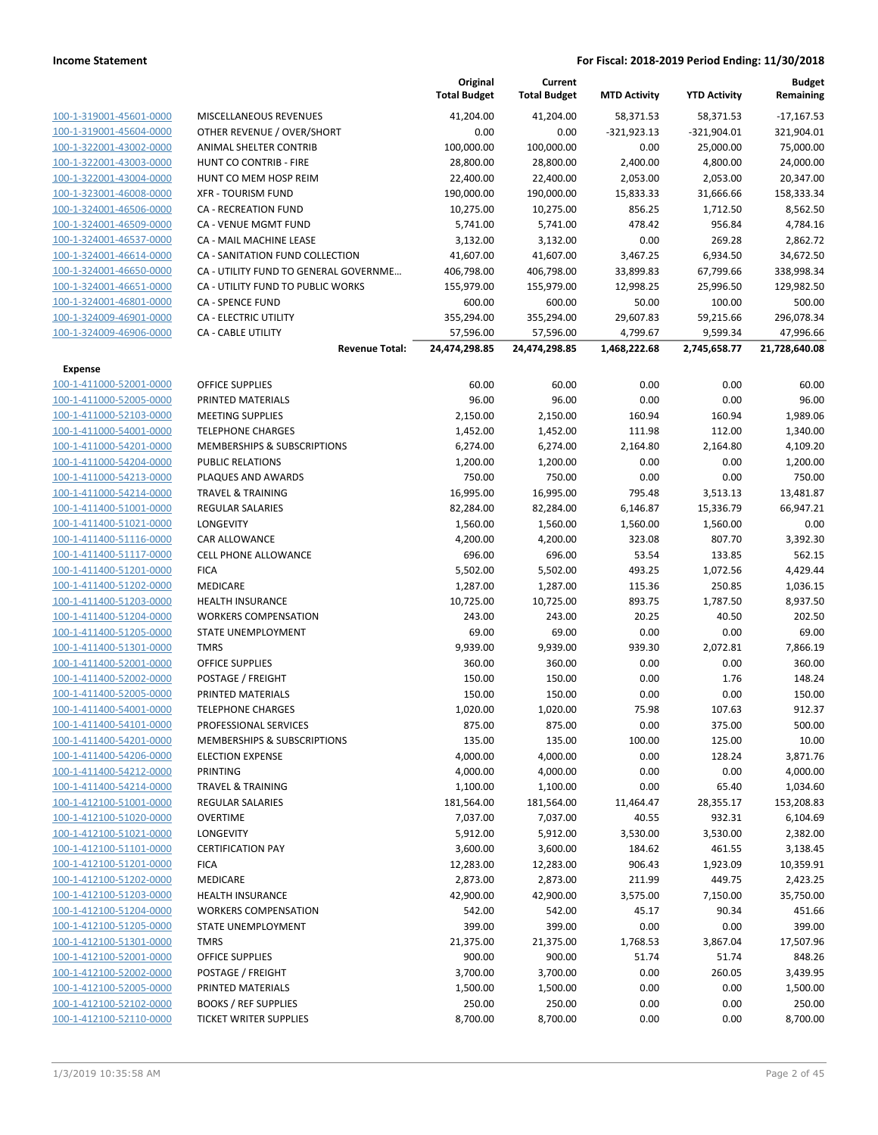|                                                    |                                        | Original<br><b>Total Budget</b> | Current<br><b>Total Budget</b> | <b>MTD Activity</b> | <b>YTD Activity</b> | <b>Budget</b><br>Remaining |
|----------------------------------------------------|----------------------------------------|---------------------------------|--------------------------------|---------------------|---------------------|----------------------------|
| 100-1-319001-45601-0000                            | MISCELLANEOUS REVENUES                 | 41,204.00                       | 41,204.00                      | 58,371.53           | 58,371.53           | $-17,167.53$               |
| 100-1-319001-45604-0000                            | OTHER REVENUE / OVER/SHORT             | 0.00                            | 0.00                           | $-321,923.13$       | $-321,904.01$       | 321,904.01                 |
| 100-1-322001-43002-0000                            | ANIMAL SHELTER CONTRIB                 | 100,000.00                      | 100,000.00                     | 0.00                | 25,000.00           | 75,000.00                  |
| 100-1-322001-43003-0000                            | HUNT CO CONTRIB - FIRE                 | 28,800.00                       | 28,800.00                      | 2,400.00            | 4,800.00            | 24,000.00                  |
| 100-1-322001-43004-0000                            | HUNT CO MEM HOSP REIM                  | 22,400.00                       | 22,400.00                      | 2,053.00            | 2,053.00            | 20,347.00                  |
| 100-1-323001-46008-0000                            | <b>XFR - TOURISM FUND</b>              | 190,000.00                      | 190,000.00                     | 15,833.33           | 31,666.66           | 158,333.34                 |
| 100-1-324001-46506-0000                            | <b>CA - RECREATION FUND</b>            | 10,275.00                       | 10,275.00                      | 856.25              | 1,712.50            | 8,562.50                   |
| 100-1-324001-46509-0000                            | CA - VENUE MGMT FUND                   | 5,741.00                        | 5,741.00                       | 478.42              | 956.84              | 4,784.16                   |
| 100-1-324001-46537-0000                            | CA - MAIL MACHINE LEASE                | 3,132.00                        | 3,132.00                       | 0.00                | 269.28              | 2,862.72                   |
| 100-1-324001-46614-0000                            | CA - SANITATION FUND COLLECTION        | 41,607.00                       | 41,607.00                      | 3,467.25            | 6,934.50            | 34,672.50                  |
| 100-1-324001-46650-0000                            | CA - UTILITY FUND TO GENERAL GOVERNME  | 406,798.00                      | 406,798.00                     | 33,899.83           | 67,799.66           | 338,998.34                 |
| 100-1-324001-46651-0000                            | CA - UTILITY FUND TO PUBLIC WORKS      | 155,979.00                      | 155,979.00                     | 12,998.25           | 25,996.50           | 129,982.50                 |
| 100-1-324001-46801-0000                            | <b>CA - SPENCE FUND</b>                | 600.00                          | 600.00                         | 50.00               | 100.00              | 500.00                     |
| 100-1-324009-46901-0000                            | <b>CA - ELECTRIC UTILITY</b>           | 355,294.00                      | 355,294.00                     | 29,607.83           | 59,215.66           | 296,078.34                 |
| 100-1-324009-46906-0000                            | <b>CA - CABLE UTILITY</b>              | 57,596.00                       | 57,596.00                      | 4,799.67            | 9,599.34            | 47,996.66                  |
|                                                    | <b>Revenue Total:</b>                  | 24,474,298.85                   | 24,474,298.85                  | 1,468,222.68        | 2,745,658.77        | 21,728,640.08              |
| <b>Expense</b>                                     |                                        |                                 |                                |                     |                     |                            |
| 100-1-411000-52001-0000                            | OFFICE SUPPLIES                        | 60.00                           | 60.00                          | 0.00                | 0.00                | 60.00                      |
| 100-1-411000-52005-0000                            | PRINTED MATERIALS                      | 96.00                           | 96.00                          | 0.00                | 0.00                | 96.00                      |
| 100-1-411000-52103-0000                            | <b>MEETING SUPPLIES</b>                | 2,150.00                        | 2,150.00                       | 160.94              | 160.94              | 1,989.06                   |
| 100-1-411000-54001-0000                            | <b>TELEPHONE CHARGES</b>               | 1,452.00                        | 1,452.00                       | 111.98              | 112.00              | 1,340.00                   |
| 100-1-411000-54201-0000                            | MEMBERSHIPS & SUBSCRIPTIONS            | 6,274.00                        | 6,274.00                       | 2,164.80            | 2,164.80            | 4,109.20                   |
| 100-1-411000-54204-0000                            | PUBLIC RELATIONS                       | 1,200.00                        | 1,200.00                       | 0.00                | 0.00                | 1,200.00                   |
| 100-1-411000-54213-0000                            | PLAQUES AND AWARDS                     | 750.00                          | 750.00                         | 0.00                | 0.00                | 750.00                     |
| 100-1-411000-54214-0000                            | <b>TRAVEL &amp; TRAINING</b>           | 16,995.00                       | 16,995.00                      | 795.48              | 3,513.13            | 13,481.87                  |
| 100-1-411400-51001-0000<br>100-1-411400-51021-0000 | <b>REGULAR SALARIES</b>                | 82,284.00                       | 82,284.00                      | 6,146.87            | 15,336.79           | 66,947.21                  |
| 100-1-411400-51116-0000                            | LONGEVITY<br>CAR ALLOWANCE             | 1,560.00                        | 1,560.00                       | 1,560.00<br>323.08  | 1,560.00<br>807.70  | 0.00<br>3,392.30           |
| 100-1-411400-51117-0000                            | <b>CELL PHONE ALLOWANCE</b>            | 4,200.00<br>696.00              | 4,200.00<br>696.00             | 53.54               | 133.85              | 562.15                     |
| 100-1-411400-51201-0000                            | <b>FICA</b>                            | 5,502.00                        | 5,502.00                       | 493.25              | 1,072.56            | 4,429.44                   |
| 100-1-411400-51202-0000                            | MEDICARE                               | 1,287.00                        | 1,287.00                       | 115.36              | 250.85              | 1,036.15                   |
| 100-1-411400-51203-0000                            | <b>HEALTH INSURANCE</b>                | 10,725.00                       | 10,725.00                      | 893.75              | 1,787.50            | 8,937.50                   |
| 100-1-411400-51204-0000                            | <b>WORKERS COMPENSATION</b>            | 243.00                          | 243.00                         | 20.25               | 40.50               | 202.50                     |
| 100-1-411400-51205-0000                            | <b>STATE UNEMPLOYMENT</b>              | 69.00                           | 69.00                          | 0.00                | 0.00                | 69.00                      |
| 100-1-411400-51301-0000                            | <b>TMRS</b>                            | 9,939.00                        | 9,939.00                       | 939.30              | 2,072.81            | 7,866.19                   |
| 100-1-411400-52001-0000                            | <b>OFFICE SUPPLIES</b>                 | 360.00                          | 360.00                         | 0.00                | 0.00                | 360.00                     |
| 100-1-411400-52002-0000                            | POSTAGE / FREIGHT                      | 150.00                          | 150.00                         | 0.00                | 1.76                | 148.24                     |
| 100-1-411400-52005-0000                            | PRINTED MATERIALS                      | 150.00                          | 150.00                         | 0.00                | 0.00                | 150.00                     |
| 100-1-411400-54001-0000                            | <b>TELEPHONE CHARGES</b>               | 1,020.00                        | 1,020.00                       | 75.98               | 107.63              | 912.37                     |
| 100-1-411400-54101-0000                            | PROFESSIONAL SERVICES                  | 875.00                          | 875.00                         | 0.00                | 375.00              | 500.00                     |
| 100-1-411400-54201-0000                            | <b>MEMBERSHIPS &amp; SUBSCRIPTIONS</b> | 135.00                          | 135.00                         | 100.00              | 125.00              | 10.00                      |
| 100-1-411400-54206-0000                            | <b>ELECTION EXPENSE</b>                | 4,000.00                        | 4,000.00                       | 0.00                | 128.24              | 3,871.76                   |
| 100-1-411400-54212-0000                            | PRINTING                               | 4,000.00                        | 4,000.00                       | 0.00                | 0.00                | 4,000.00                   |
| 100-1-411400-54214-0000                            | <b>TRAVEL &amp; TRAINING</b>           | 1,100.00                        | 1,100.00                       | 0.00                | 65.40               | 1,034.60                   |
| 100-1-412100-51001-0000                            | <b>REGULAR SALARIES</b>                | 181,564.00                      | 181,564.00                     | 11,464.47           | 28,355.17           | 153,208.83                 |
| 100-1-412100-51020-0000                            | <b>OVERTIME</b>                        | 7,037.00                        | 7,037.00                       | 40.55               | 932.31              | 6,104.69                   |
| 100-1-412100-51021-0000                            | LONGEVITY                              | 5,912.00                        | 5,912.00                       | 3,530.00            | 3,530.00            | 2,382.00                   |
| 100-1-412100-51101-0000                            | <b>CERTIFICATION PAY</b>               | 3,600.00                        | 3,600.00                       | 184.62              | 461.55              | 3,138.45                   |
| 100-1-412100-51201-0000                            | <b>FICA</b>                            | 12,283.00                       | 12,283.00                      | 906.43              | 1,923.09            | 10,359.91                  |
| 100-1-412100-51202-0000                            | MEDICARE                               | 2,873.00                        | 2,873.00                       | 211.99              | 449.75              | 2,423.25                   |
| 100-1-412100-51203-0000                            | <b>HEALTH INSURANCE</b>                | 42,900.00                       | 42,900.00                      | 3,575.00            | 7,150.00            | 35,750.00                  |
| 100-1-412100-51204-0000                            | <b>WORKERS COMPENSATION</b>            | 542.00                          | 542.00                         | 45.17               | 90.34               | 451.66                     |
| 100-1-412100-51205-0000                            | STATE UNEMPLOYMENT                     | 399.00                          | 399.00                         | 0.00                | 0.00                | 399.00                     |
| 100-1-412100-51301-0000                            | <b>TMRS</b>                            | 21,375.00                       | 21,375.00                      | 1,768.53            | 3,867.04            | 17,507.96                  |
| 100-1-412100-52001-0000                            | OFFICE SUPPLIES                        | 900.00                          | 900.00                         | 51.74               | 51.74               | 848.26                     |
| 100-1-412100-52002-0000                            | POSTAGE / FREIGHT                      | 3,700.00                        | 3,700.00                       | 0.00                | 260.05              | 3,439.95                   |
| 100-1-412100-52005-0000                            | PRINTED MATERIALS                      | 1,500.00                        | 1,500.00                       | 0.00                | 0.00                | 1,500.00                   |
| 100-1-412100-52102-0000                            | <b>BOOKS / REF SUPPLIES</b>            | 250.00                          | 250.00                         | 0.00                | 0.00                | 250.00                     |
| 100-1-412100-52110-0000                            | <b>TICKET WRITER SUPPLIES</b>          | 8,700.00                        | 8,700.00                       | 0.00                | 0.00                | 8,700.00                   |
|                                                    |                                        |                                 |                                |                     |                     |                            |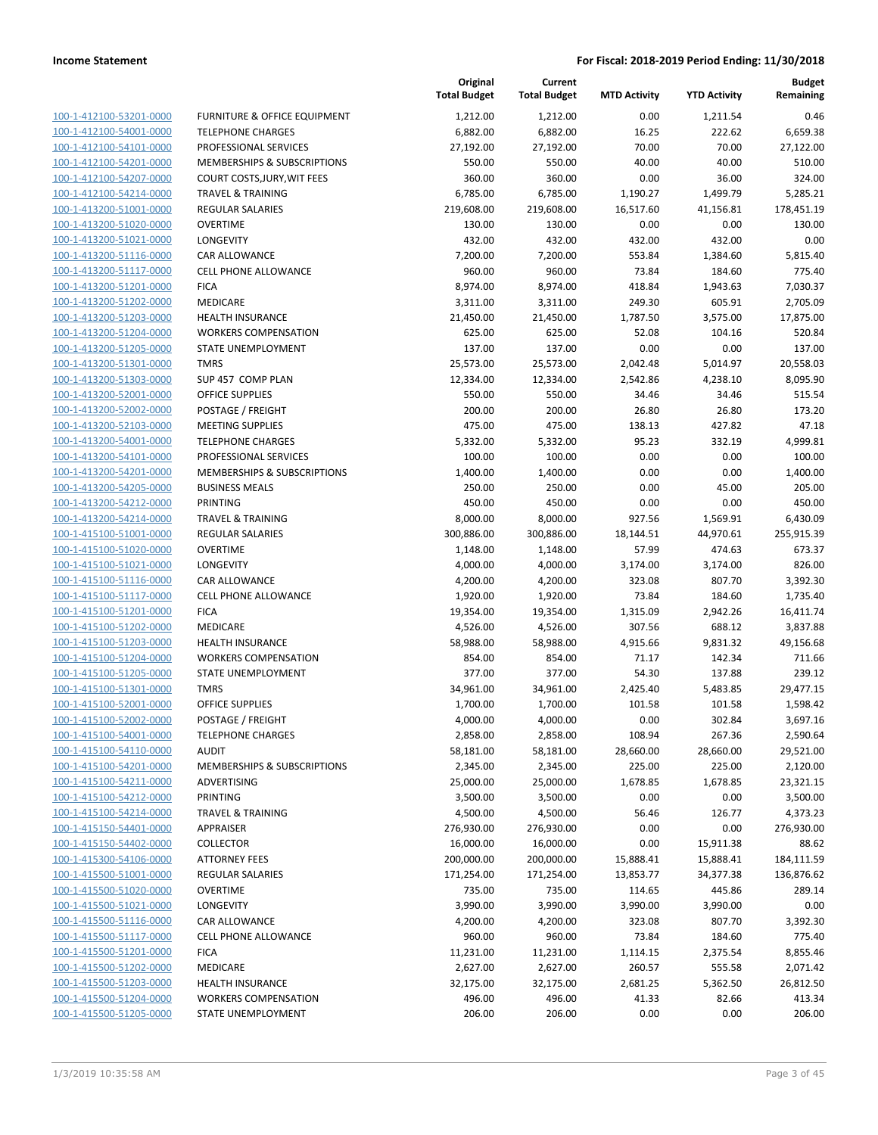| 100-1-412100-53201-0000        |
|--------------------------------|
| 100-1-412100-54001-0000        |
| 100-1-412100-54101-0000        |
| 100-1-412100-54201-0000        |
| 100-1-412100-54207-0000        |
| 100-1-412100-54214-0000        |
| 100-1-413200-51001-0000        |
| 100-1-413200-51020-0000        |
| 100-1-413200-51021-0000        |
| 100-1-413200-51116-0000        |
| 100-1-413200-51117-0000        |
| 100-1-413200-51201-0000        |
| 100-1-413200-51202-0000        |
| 100-1-413200-51203-0000        |
| <u>100-1-413200-51204-0000</u> |
| 100-1-413200-51205-0000        |
| 100-1-413200-51301-0000        |
| 100-1-413200-51303-0000        |
| 100-1-413200-52001-0000        |
| <u>100-1-413200-52002-0000</u> |
| 100-1-413200-52103-0000        |
| 100-1-413200-54001-0000        |
| 100-1-413200-54101-0000        |
| 100-1-413200-54201-0000        |
| 100-1-413200-54205-0000        |
| 100-1-413200-54212-0000        |
| 100-1-413200-54214-0000        |
| 100-1-415100-51001-0000        |
| 100-1-415100-51020-0000        |
| <u>100-1-415100-51021-0000</u> |
| 100-1-415100-51116-0000        |
| 100-1-415100-51117-0000        |
| 100-1-415100-51201-0000        |
| 100-1-415100-51202-0000        |
| 100-1-415100-51203-0000        |
| 100-1-415100-51204-0000        |
| 100-1-415100-51205-0000        |
| 100-1-415100-51301-0000        |
| 100-1-415100-52001-0000        |
| 100-1-415100-52002-0000        |
| 100-1-415100-54001-0000        |
| <u>100-1-415100-54110-0000</u> |
| 100-1-415100-54201-0000        |
| 100-1-415100-54211-0000        |
| <u>100-1-415100-54212-0000</u> |
| 100-1-415100-54214-0000        |
| 100-1-415150-54401-0000        |
| <u>100-1-415150-54402-0000</u> |
| 100-1-415300-54106-0000        |
| <u>100-1-415500-51001-0000</u> |
| <u>100-1-415500-51020-0000</u> |
| <u>100-1-415500-51021-0000</u> |
| <u>100-1-415500-51116-0000</u> |
| <u>100-1-415500-51117-0000</u> |
| <u>100-1-415500-51201-0000</u> |
| <u>100-1-415500-51202-0000</u> |
| 100-1-415500-51203-0000        |
| <u>100-1-415500-51204-0000</u> |
| <u>100-1-415500-51205-0000</u> |
|                                |

|                         |                              | Original<br><b>Total Budget</b> | Current<br><b>Total Budget</b> | <b>MTD Activity</b> | <b>YTD Activity</b> | <b>Budget</b><br>Remaining |
|-------------------------|------------------------------|---------------------------------|--------------------------------|---------------------|---------------------|----------------------------|
| 100-1-412100-53201-0000 | FURNITURE & OFFICE EQUIPMENT | 1,212.00                        | 1,212.00                       | 0.00                | 1,211.54            | 0.46                       |
| 100-1-412100-54001-0000 | <b>TELEPHONE CHARGES</b>     | 6,882.00                        | 6,882.00                       | 16.25               | 222.62              | 6,659.38                   |
| 100-1-412100-54101-0000 | PROFESSIONAL SERVICES        | 27,192.00                       | 27,192.00                      | 70.00               | 70.00               | 27,122.00                  |
| 100-1-412100-54201-0000 | MEMBERSHIPS & SUBSCRIPTIONS  | 550.00                          | 550.00                         | 40.00               | 40.00               | 510.00                     |
| 100-1-412100-54207-0000 | COURT COSTS, JURY, WIT FEES  | 360.00                          | 360.00                         | 0.00                | 36.00               | 324.00                     |
| 100-1-412100-54214-0000 | <b>TRAVEL &amp; TRAINING</b> | 6,785.00                        | 6,785.00                       | 1,190.27            | 1,499.79            | 5,285.21                   |
| 100-1-413200-51001-0000 | <b>REGULAR SALARIES</b>      | 219,608.00                      | 219,608.00                     | 16,517.60           | 41,156.81           | 178,451.19                 |
| 100-1-413200-51020-0000 | <b>OVERTIME</b>              | 130.00                          | 130.00                         | 0.00                | 0.00                | 130.00                     |
| 100-1-413200-51021-0000 | LONGEVITY                    | 432.00                          | 432.00                         | 432.00              | 432.00              | 0.00                       |
| 100-1-413200-51116-0000 | CAR ALLOWANCE                | 7,200.00                        | 7,200.00                       | 553.84              | 1,384.60            | 5,815.40                   |
| 100-1-413200-51117-0000 | CELL PHONE ALLOWANCE         | 960.00                          | 960.00                         | 73.84               | 184.60              | 775.40                     |
| 100-1-413200-51201-0000 | <b>FICA</b>                  | 8,974.00                        | 8,974.00                       | 418.84              | 1,943.63            | 7,030.37                   |
| 100-1-413200-51202-0000 | MEDICARE                     | 3,311.00                        | 3,311.00                       | 249.30              | 605.91              | 2,705.09                   |
| 100-1-413200-51203-0000 | <b>HEALTH INSURANCE</b>      | 21,450.00                       | 21,450.00                      | 1,787.50            | 3,575.00            | 17,875.00                  |
| 100-1-413200-51204-0000 | <b>WORKERS COMPENSATION</b>  | 625.00                          | 625.00                         | 52.08               | 104.16              | 520.84                     |
| 100-1-413200-51205-0000 | STATE UNEMPLOYMENT           | 137.00                          | 137.00                         | 0.00                | 0.00                | 137.00                     |
| 100-1-413200-51301-0000 | <b>TMRS</b>                  | 25,573.00                       | 25,573.00                      | 2,042.48            | 5,014.97            | 20,558.03                  |
| 100-1-413200-51303-0000 | SUP 457 COMP PLAN            | 12,334.00                       | 12,334.00                      | 2,542.86            | 4,238.10            | 8,095.90                   |
| 100-1-413200-52001-0000 | <b>OFFICE SUPPLIES</b>       | 550.00                          | 550.00                         | 34.46               | 34.46               | 515.54                     |
| 100-1-413200-52002-0000 | POSTAGE / FREIGHT            | 200.00                          | 200.00                         | 26.80               | 26.80               | 173.20                     |
| 100-1-413200-52103-0000 | <b>MEETING SUPPLIES</b>      | 475.00                          | 475.00                         | 138.13              | 427.82              | 47.18                      |
| 100-1-413200-54001-0000 | <b>TELEPHONE CHARGES</b>     | 5,332.00                        | 5,332.00                       | 95.23               | 332.19              | 4,999.81                   |
| 100-1-413200-54101-0000 | PROFESSIONAL SERVICES        | 100.00                          | 100.00                         | 0.00                | 0.00                | 100.00                     |
| 100-1-413200-54201-0000 | MEMBERSHIPS & SUBSCRIPTIONS  | 1,400.00                        | 1,400.00                       | 0.00                | 0.00                | 1,400.00                   |
| 100-1-413200-54205-0000 | <b>BUSINESS MEALS</b>        | 250.00                          | 250.00                         | 0.00                | 45.00               | 205.00                     |
| 100-1-413200-54212-0000 | PRINTING                     | 450.00                          | 450.00                         | 0.00                | 0.00                | 450.00                     |
| 100-1-413200-54214-0000 | <b>TRAVEL &amp; TRAINING</b> | 8,000.00                        | 8,000.00                       | 927.56              | 1,569.91            | 6,430.09                   |
| 100-1-415100-51001-0000 | <b>REGULAR SALARIES</b>      | 300,886.00                      | 300,886.00                     | 18,144.51           | 44,970.61           | 255,915.39                 |
| 100-1-415100-51020-0000 | <b>OVERTIME</b>              | 1,148.00                        | 1,148.00                       | 57.99               | 474.63              | 673.37                     |
| 100-1-415100-51021-0000 | LONGEVITY                    | 4,000.00                        | 4,000.00                       | 3,174.00            | 3,174.00            | 826.00                     |
| 100-1-415100-51116-0000 | <b>CAR ALLOWANCE</b>         | 4,200.00                        | 4,200.00                       | 323.08              | 807.70              | 3,392.30                   |
| 100-1-415100-51117-0000 | <b>CELL PHONE ALLOWANCE</b>  | 1,920.00                        | 1,920.00                       | 73.84               | 184.60              | 1,735.40                   |
| 100-1-415100-51201-0000 | <b>FICA</b>                  | 19,354.00                       | 19,354.00                      | 1,315.09            | 2,942.26            | 16,411.74                  |
| 100-1-415100-51202-0000 | MEDICARE                     | 4,526.00                        | 4,526.00                       | 307.56              | 688.12              | 3,837.88                   |
| 100-1-415100-51203-0000 | <b>HEALTH INSURANCE</b>      | 58,988.00                       | 58,988.00                      | 4,915.66            | 9,831.32            | 49,156.68                  |
| 100-1-415100-51204-0000 | <b>WORKERS COMPENSATION</b>  | 854.00                          | 854.00                         | 71.17               | 142.34              | 711.66                     |
| 100-1-415100-51205-0000 | STATE UNEMPLOYMENT           | 377.00                          | 377.00                         | 54.30               | 137.88              | 239.12                     |
| 100-1-415100-51301-0000 | <b>TMRS</b>                  | 34,961.00                       | 34,961.00                      | 2,425.40            | 5,483.85            | 29,477.15                  |
| 100-1-415100-52001-0000 | <b>OFFICE SUPPLIES</b>       | 1,700.00                        | 1,700.00                       | 101.58              | 101.58              | 1,598.42                   |
| 100-1-415100-52002-0000 | POSTAGE / FREIGHT            | 4,000.00                        | 4,000.00                       | 0.00                | 302.84              | 3,697.16                   |
| 100-1-415100-54001-0000 | <b>TELEPHONE CHARGES</b>     | 2,858.00                        | 2,858.00                       | 108.94              | 267.36              | 2,590.64                   |
| 100-1-415100-54110-0000 | <b>AUDIT</b>                 | 58,181.00                       | 58,181.00                      | 28,660.00           | 28,660.00           | 29,521.00                  |
| 100-1-415100-54201-0000 | MEMBERSHIPS & SUBSCRIPTIONS  | 2,345.00                        | 2,345.00                       | 225.00              | 225.00              | 2,120.00                   |
| 100-1-415100-54211-0000 | ADVERTISING                  | 25,000.00                       | 25,000.00                      | 1,678.85            | 1,678.85            | 23,321.15                  |
| 100-1-415100-54212-0000 | PRINTING                     | 3,500.00                        | 3,500.00                       | 0.00                | 0.00                | 3,500.00                   |
| 100-1-415100-54214-0000 | <b>TRAVEL &amp; TRAINING</b> | 4,500.00                        | 4,500.00                       | 56.46               | 126.77              | 4,373.23                   |
| 100-1-415150-54401-0000 | <b>APPRAISER</b>             | 276,930.00                      | 276,930.00                     | 0.00                | 0.00                | 276,930.00                 |
| 100-1-415150-54402-0000 | <b>COLLECTOR</b>             | 16,000.00                       | 16,000.00                      | 0.00                | 15,911.38           | 88.62                      |
| 100-1-415300-54106-0000 | <b>ATTORNEY FEES</b>         | 200,000.00                      | 200,000.00                     | 15,888.41           | 15,888.41           | 184,111.59                 |
| 100-1-415500-51001-0000 | <b>REGULAR SALARIES</b>      | 171,254.00                      | 171,254.00                     | 13,853.77           | 34,377.38           | 136,876.62                 |
| 100-1-415500-51020-0000 | <b>OVERTIME</b>              | 735.00                          | 735.00                         | 114.65              | 445.86              | 289.14                     |
| 100-1-415500-51021-0000 | LONGEVITY                    | 3,990.00                        | 3,990.00                       | 3,990.00            | 3,990.00            | 0.00                       |
| 100-1-415500-51116-0000 | CAR ALLOWANCE                | 4,200.00                        | 4,200.00                       | 323.08              | 807.70              | 3,392.30                   |
| 100-1-415500-51117-0000 | CELL PHONE ALLOWANCE         | 960.00                          | 960.00                         | 73.84               | 184.60              | 775.40                     |
| 100-1-415500-51201-0000 | <b>FICA</b>                  | 11,231.00                       | 11,231.00                      | 1,114.15            | 2,375.54            | 8,855.46                   |
| 100-1-415500-51202-0000 | MEDICARE                     | 2,627.00                        | 2,627.00                       | 260.57              | 555.58              | 2,071.42                   |
| 100-1-415500-51203-0000 | HEALTH INSURANCE             | 32,175.00                       | 32,175.00                      | 2,681.25            | 5,362.50            | 26,812.50                  |
| 100-1-415500-51204-0000 | <b>WORKERS COMPENSATION</b>  | 496.00                          | 496.00                         | 41.33               | 82.66               | 413.34                     |
| 100-1-415500-51205-0000 | STATE UNEMPLOYMENT           | 206.00                          | 206.00                         | 0.00                | 0.00                | 206.00                     |
|                         |                              |                                 |                                |                     |                     |                            |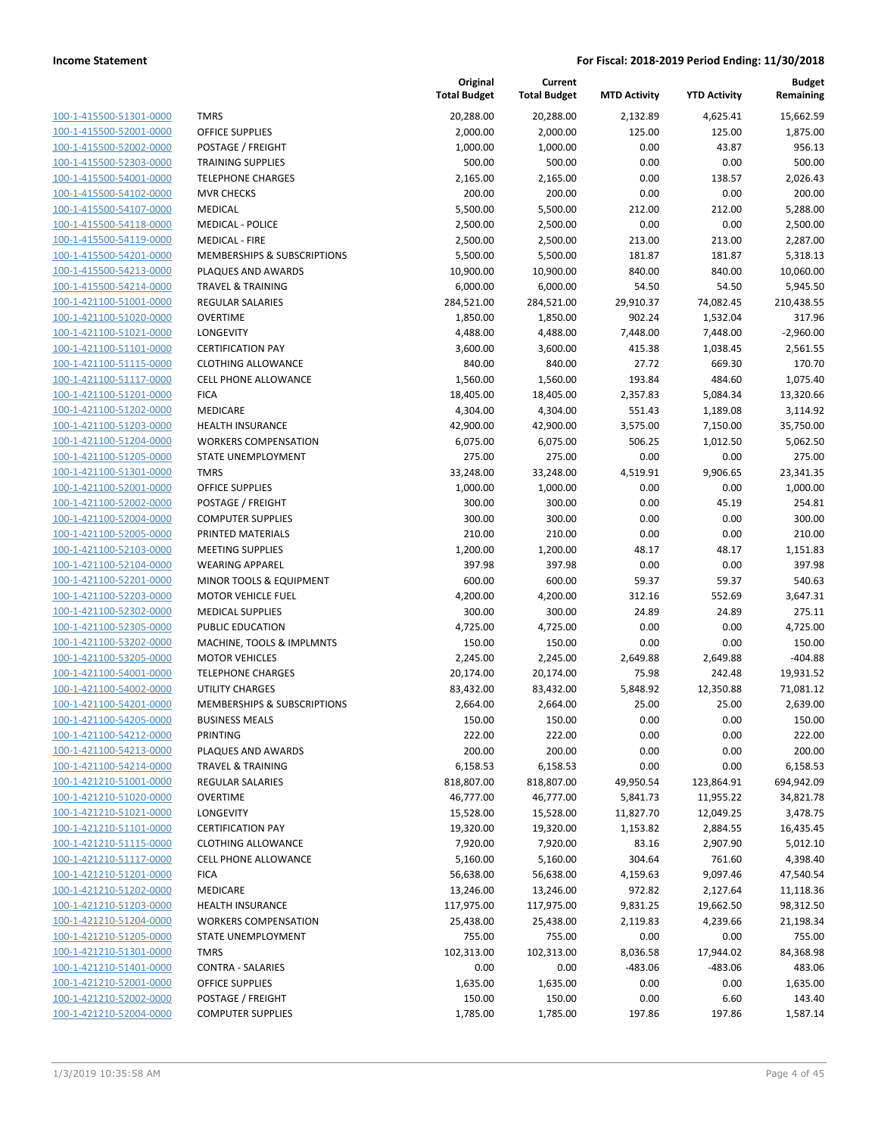| 100-1-415500-51301-0000        |
|--------------------------------|
| 100-1-415500-52001-0000        |
| 100-1-415500-52002-0000        |
| 100-1-415500-52303-0000        |
| 100-1-415500-54001-0000        |
| 100-1-415500-54102-0000        |
| 100-1-415500-54107-0000        |
| 100-1-415500-54118-0000        |
| 100-1-415500-54119-0000        |
| 100-1-415500-54201-0000        |
| 100-1-415500-54213-0000        |
| 100-1-415500-54214-0000        |
| 100-1-421100-51001-0000        |
| 100-1-421100-51020-0000        |
| 100-1-421100-51021-0000        |
| 100-1-421100-51101-0000        |
| 100-1-421100-51115-0000        |
| 100-1-421100-51117-0000        |
|                                |
| 100-1-421100-51201-0000        |
| 100-1-421100-51202-0000        |
| 100-1-421100-51203-0000        |
| 100-1-421100-51204-0000        |
| 100-1-421100-51205-0000        |
| 100-1-421100-51301-0000        |
| 100-1-421100-52001-0000        |
| 100-1-421100-52002-0000        |
| 100-1-421100-52004-0000        |
| 100-1-421100-52005-0000        |
| 100-1-421100-52103-0000        |
| 100-1-421100-52104-0000        |
| 100-1-421100-52201-0000        |
| 100-1-421100-52203-0000        |
| 100-1-421100-52302-0000        |
| 100-1-421100-52305-0000        |
| 100-1-421100-53202-0000        |
| 100-1-421100-53205-0000        |
| 100-1-421100-54001-0000        |
| 100-1-421100-54002-0000        |
| 100-1-421100-54201-0000        |
| 100-1-421100-54205-0000        |
| 100-1-421100-54212-0000        |
| 100-1-421100-54213-0000        |
|                                |
| <u>100-1-421100-54214-0000</u> |
| 100-1-421210-51001-0000        |
| <u>100-1-421210-51020-0000</u> |
| 100-1-421210-51021-0000        |
| 100-1-421210-51101-0000        |
| <u>100-1-421210-51115-0000</u> |
| 100-1-421210-51117-0000        |
| <u>100-1-421210-51201-0000</u> |
| 100-1-421210-51202-0000        |
| 100-1-421210-51203-0000        |
| 100-1-421210-51204-0000        |
| <u>100-1-421210-51205-0000</u> |
| 100-1-421210-51301-0000        |
| 100-1-421210-51401-0000        |
| 100-1-421210-52001-0000        |
| <u>100-1-421210-52002-0000</u> |
| 100-1-421210-52004-0000        |
|                                |

|                         |                                        | Original<br><b>Total Budget</b> | Current<br><b>Total Budget</b> | <b>MTD Activity</b> | <b>YTD Activity</b> | <b>Budget</b><br>Remaining |
|-------------------------|----------------------------------------|---------------------------------|--------------------------------|---------------------|---------------------|----------------------------|
| 100-1-415500-51301-0000 | <b>TMRS</b>                            | 20,288.00                       | 20,288.00                      | 2,132.89            | 4,625.41            | 15,662.59                  |
| 100-1-415500-52001-0000 | <b>OFFICE SUPPLIES</b>                 | 2,000.00                        | 2,000.00                       | 125.00              | 125.00              | 1,875.00                   |
| 100-1-415500-52002-0000 | POSTAGE / FREIGHT                      | 1,000.00                        | 1,000.00                       | 0.00                | 43.87               | 956.13                     |
| 100-1-415500-52303-0000 | <b>TRAINING SUPPLIES</b>               | 500.00                          | 500.00                         | 0.00                | 0.00                | 500.00                     |
| 100-1-415500-54001-0000 | <b>TELEPHONE CHARGES</b>               | 2,165.00                        | 2,165.00                       | 0.00                | 138.57              | 2,026.43                   |
| 100-1-415500-54102-0000 | <b>MVR CHECKS</b>                      | 200.00                          | 200.00                         | 0.00                | 0.00                | 200.00                     |
| 100-1-415500-54107-0000 | MEDICAL                                | 5,500.00                        | 5,500.00                       | 212.00              | 212.00              | 5,288.00                   |
| 100-1-415500-54118-0000 | <b>MEDICAL - POLICE</b>                | 2,500.00                        | 2,500.00                       | 0.00                | 0.00                | 2,500.00                   |
| 100-1-415500-54119-0000 | <b>MEDICAL - FIRE</b>                  | 2,500.00                        | 2,500.00                       | 213.00              | 213.00              | 2,287.00                   |
| 100-1-415500-54201-0000 | <b>MEMBERSHIPS &amp; SUBSCRIPTIONS</b> | 5,500.00                        | 5,500.00                       | 181.87              | 181.87              | 5,318.13                   |
| 100-1-415500-54213-0000 | PLAQUES AND AWARDS                     | 10,900.00                       | 10,900.00                      | 840.00              | 840.00              | 10,060.00                  |
| 100-1-415500-54214-0000 | <b>TRAVEL &amp; TRAINING</b>           | 6,000.00                        | 6,000.00                       | 54.50               | 54.50               | 5,945.50                   |
| 100-1-421100-51001-0000 | REGULAR SALARIES                       | 284,521.00                      | 284,521.00                     | 29,910.37           | 74,082.45           | 210,438.55                 |
| 100-1-421100-51020-0000 | <b>OVERTIME</b>                        | 1,850.00                        | 1,850.00                       | 902.24              | 1,532.04            | 317.96                     |
| 100-1-421100-51021-0000 | LONGEVITY                              | 4,488.00                        | 4,488.00                       | 7,448.00            | 7,448.00            | $-2,960.00$                |
| 100-1-421100-51101-0000 | <b>CERTIFICATION PAY</b>               | 3,600.00                        | 3,600.00                       | 415.38              | 1,038.45            | 2,561.55                   |
| 100-1-421100-51115-0000 | <b>CLOTHING ALLOWANCE</b>              | 840.00                          | 840.00                         | 27.72               | 669.30              | 170.70                     |
| 100-1-421100-51117-0000 | <b>CELL PHONE ALLOWANCE</b>            | 1,560.00                        | 1,560.00                       | 193.84              | 484.60              | 1,075.40                   |
| 100-1-421100-51201-0000 | <b>FICA</b>                            | 18,405.00                       | 18,405.00                      | 2,357.83            | 5,084.34            | 13,320.66                  |
| 100-1-421100-51202-0000 | MEDICARE                               | 4,304.00                        | 4,304.00                       | 551.43              | 1,189.08            | 3,114.92                   |
| 100-1-421100-51203-0000 | <b>HEALTH INSURANCE</b>                | 42,900.00                       | 42,900.00                      | 3,575.00            | 7,150.00            | 35,750.00                  |
| 100-1-421100-51204-0000 | <b>WORKERS COMPENSATION</b>            | 6,075.00                        | 6,075.00                       | 506.25              | 1,012.50            | 5,062.50                   |
| 100-1-421100-51205-0000 | STATE UNEMPLOYMENT                     | 275.00                          | 275.00                         | 0.00                | 0.00                | 275.00                     |
| 100-1-421100-51301-0000 | <b>TMRS</b>                            | 33,248.00                       | 33,248.00                      | 4,519.91            | 9,906.65            | 23,341.35                  |
| 100-1-421100-52001-0000 | <b>OFFICE SUPPLIES</b>                 | 1,000.00                        | 1,000.00                       | 0.00                | 0.00                | 1,000.00                   |
| 100-1-421100-52002-0000 | POSTAGE / FREIGHT                      | 300.00                          | 300.00                         | 0.00                | 45.19               | 254.81                     |
| 100-1-421100-52004-0000 | <b>COMPUTER SUPPLIES</b>               | 300.00                          | 300.00                         | 0.00                | 0.00                | 300.00                     |
| 100-1-421100-52005-0000 | PRINTED MATERIALS                      | 210.00                          | 210.00                         | 0.00                | 0.00                | 210.00                     |
| 100-1-421100-52103-0000 | <b>MEETING SUPPLIES</b>                | 1,200.00                        | 1,200.00                       | 48.17               | 48.17               | 1,151.83                   |
| 100-1-421100-52104-0000 | <b>WEARING APPAREL</b>                 | 397.98                          | 397.98                         | 0.00                | 0.00                | 397.98                     |
| 100-1-421100-52201-0000 | MINOR TOOLS & EQUIPMENT                | 600.00                          | 600.00                         | 59.37               | 59.37               | 540.63                     |
| 100-1-421100-52203-0000 | <b>MOTOR VEHICLE FUEL</b>              | 4,200.00                        | 4,200.00                       | 312.16              | 552.69              | 3,647.31                   |
| 100-1-421100-52302-0000 | <b>MEDICAL SUPPLIES</b>                | 300.00                          | 300.00                         | 24.89               | 24.89               | 275.11                     |
| 100-1-421100-52305-0000 | PUBLIC EDUCATION                       | 4,725.00                        | 4,725.00                       | 0.00                | 0.00                | 4,725.00                   |
| 100-1-421100-53202-0000 | MACHINE, TOOLS & IMPLMNTS              | 150.00                          | 150.00                         | 0.00                | 0.00                | 150.00                     |
| 100-1-421100-53205-0000 | <b>MOTOR VEHICLES</b>                  | 2,245.00                        | 2,245.00                       | 2,649.88            | 2,649.88            | $-404.88$                  |
| 100-1-421100-54001-0000 | <b>TELEPHONE CHARGES</b>               | 20,174.00                       | 20,174.00                      | 75.98               | 242.48              | 19,931.52                  |
| 100-1-421100-54002-0000 | <b>UTILITY CHARGES</b>                 | 83,432.00                       | 83,432.00                      | 5,848.92            | 12,350.88           | 71,081.12                  |
| 100-1-421100-54201-0000 | <b>MEMBERSHIPS &amp; SUBSCRIPTIONS</b> | 2,664.00                        | 2,664.00                       | 25.00               | 25.00               | 2,639.00                   |
| 100-1-421100-54205-0000 | <b>BUSINESS MEALS</b>                  | 150.00                          | 150.00                         | 0.00                | 0.00                | 150.00                     |
| 100-1-421100-54212-0000 | PRINTING                               | 222.00                          | 222.00                         | 0.00                | 0.00                | 222.00                     |
| 100-1-421100-54213-0000 | PLAQUES AND AWARDS                     | 200.00                          | 200.00                         | 0.00                | 0.00                | 200.00                     |
| 100-1-421100-54214-0000 | <b>TRAVEL &amp; TRAINING</b>           | 6,158.53                        | 6,158.53                       | 0.00                | 0.00                | 6,158.53                   |
| 100-1-421210-51001-0000 | REGULAR SALARIES                       | 818,807.00                      | 818,807.00                     | 49,950.54           | 123,864.91          | 694,942.09                 |
| 100-1-421210-51020-0000 | <b>OVERTIME</b>                        | 46,777.00                       | 46,777.00                      | 5,841.73            | 11,955.22           | 34,821.78                  |
| 100-1-421210-51021-0000 | LONGEVITY                              | 15,528.00                       | 15,528.00                      | 11,827.70           | 12,049.25           | 3,478.75                   |
| 100-1-421210-51101-0000 | <b>CERTIFICATION PAY</b>               | 19,320.00                       | 19,320.00                      | 1,153.82            | 2,884.55            | 16,435.45                  |
| 100-1-421210-51115-0000 | <b>CLOTHING ALLOWANCE</b>              | 7,920.00                        | 7,920.00                       | 83.16               | 2,907.90            | 5,012.10                   |
| 100-1-421210-51117-0000 | <b>CELL PHONE ALLOWANCE</b>            | 5,160.00                        | 5,160.00                       | 304.64              | 761.60              | 4,398.40                   |
| 100-1-421210-51201-0000 | <b>FICA</b>                            | 56,638.00                       | 56,638.00                      | 4,159.63            | 9,097.46            | 47,540.54                  |
| 100-1-421210-51202-0000 | MEDICARE                               | 13,246.00                       | 13,246.00                      | 972.82              | 2,127.64            | 11,118.36                  |
| 100-1-421210-51203-0000 | <b>HEALTH INSURANCE</b>                | 117,975.00                      | 117,975.00                     | 9,831.25            | 19,662.50           | 98,312.50                  |
| 100-1-421210-51204-0000 | <b>WORKERS COMPENSATION</b>            | 25,438.00                       | 25,438.00                      | 2,119.83            | 4,239.66            | 21,198.34                  |
| 100-1-421210-51205-0000 | STATE UNEMPLOYMENT                     | 755.00                          | 755.00                         | 0.00                | 0.00                | 755.00                     |
| 100-1-421210-51301-0000 | <b>TMRS</b>                            | 102,313.00                      | 102,313.00                     | 8,036.58            | 17,944.02           | 84,368.98                  |
| 100-1-421210-51401-0000 | <b>CONTRA - SALARIES</b>               | 0.00                            | 0.00                           | $-483.06$           | $-483.06$           | 483.06                     |
| 100-1-421210-52001-0000 | OFFICE SUPPLIES                        | 1,635.00                        | 1,635.00                       | 0.00                | 0.00                | 1,635.00                   |
| 100-1-421210-52002-0000 | POSTAGE / FREIGHT                      | 150.00                          | 150.00                         | 0.00                | 6.60                | 143.40                     |
| 100-1-421210-52004-0000 | <b>COMPUTER SUPPLIES</b>               | 1,785.00                        | 1,785.00                       | 197.86              | 197.86              | 1,587.14                   |
|                         |                                        |                                 |                                |                     |                     |                            |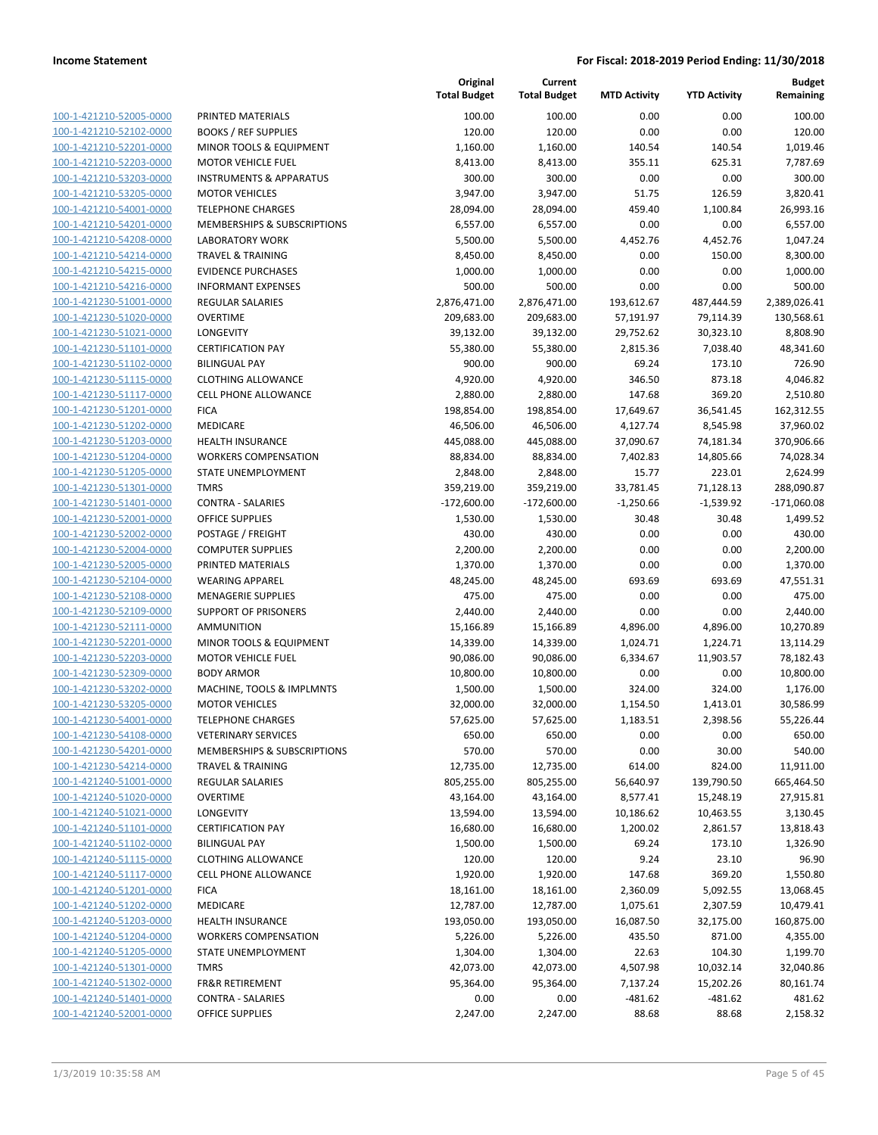| 100-1-421210-52005-0000        |
|--------------------------------|
| 100-1-421210-52102-0000        |
| 100-1-421210-52201-0000        |
| 100-1-421210-52203-0000        |
| 100-1-421210-53203-0000        |
| 100-1-421210-53205-0000        |
| 100-1-421210-54001-0000        |
|                                |
| 100-1-421210-54201-0000        |
| 100-1-421210-54208-0000        |
| 100-1-421210-54214-0000        |
| 100-1-421210-54215-0000        |
| 100-1-421210-54216-0000        |
| 100-1-421230-51001-0000        |
| 100-1-421230-51020-0000        |
| 100-1-421230-51021-0000        |
| 100-1-421230-51101-0000        |
| 100-1-421230-51102-0000        |
|                                |
| 100-1-421230-51115-0000        |
| 100-1-421230-51117-0000        |
| 100-1-421230-51201-0000        |
| 100-1-421230-51202-0000        |
| 100-1-421230-51203-0000        |
| 100-1-421230-51204-0000        |
| 100-1-421230-51205-0000        |
| 100-1-421230-51301-0000        |
| 100-1-421230-51401-0000        |
|                                |
| 100-1-421230-52001-0000        |
| 100-1-421230-52002-0000        |
| 100-1-421230-52004-0000        |
| 100-1-421230-52005-0000        |
| 100-1-421230-52104-0000        |
| 100-1-421230-52108-0000        |
| 100-1-421230-52109-0000        |
| 100-1-421230-52111-0000        |
| 100-1-421230-52201-0000        |
| 100-1-421230-52203-0000        |
|                                |
| 100-1-421230-52309-0000        |
| 100-1-421230-53202-0000        |
| 100-1-421230-53205-0000        |
| 100-1-421230-54001-0000        |
| 100-1-421230-54108-0000        |
| <u>100-1-421230-54201-0000</u> |
| 100-1-421230-54214-0000        |
| <u>100-1-421240-51001-0000</u> |
| 100-1-421240-51020-0000        |
| 100-1-421240-51021-0000        |
|                                |
| <u>100-1-421240-51101-0000</u> |
| <u>100-1-421240-51102-0000</u> |
| 100-1-421240-51115-0000        |
| 100-1-421240-51117-0000        |
| <u>100-1-421240-51201-0000</u> |
| 100-1-421240-51202-0000        |
| <u>100-1-421240-51203-0000</u> |
| 100-1-421240-51204-0000        |
| 100-1-421240-51205-0000        |
|                                |
| <u>100-1-421240-51301-0000</u> |
| <u>100-1-421240-51302-0000</u> |
| <u>100-1-421240-51401-0000</u> |
| 100-1-421240-52001-0000        |

|                                                    |                                              | Original<br><b>Total Budget</b> | Current<br><b>Total Budget</b> | <b>MTD Activity</b>  | <b>YTD Activity</b>  | <b>Budget</b><br>Remaining |
|----------------------------------------------------|----------------------------------------------|---------------------------------|--------------------------------|----------------------|----------------------|----------------------------|
| 100-1-421210-52005-0000                            | PRINTED MATERIALS                            | 100.00                          | 100.00                         | 0.00                 | 0.00                 | 100.00                     |
| 100-1-421210-52102-0000                            | <b>BOOKS / REF SUPPLIES</b>                  | 120.00                          | 120.00                         | 0.00                 | 0.00                 | 120.00                     |
| 100-1-421210-52201-0000                            | MINOR TOOLS & EQUIPMENT                      | 1,160.00                        | 1,160.00                       | 140.54               | 140.54               | 1,019.46                   |
| 100-1-421210-52203-0000                            | <b>MOTOR VEHICLE FUEL</b>                    | 8,413.00                        | 8,413.00                       | 355.11               | 625.31               | 7,787.69                   |
| 100-1-421210-53203-0000                            | <b>INSTRUMENTS &amp; APPARATUS</b>           | 300.00                          | 300.00                         | 0.00                 | 0.00                 | 300.00                     |
| 100-1-421210-53205-0000                            | <b>MOTOR VEHICLES</b>                        | 3,947.00                        | 3,947.00                       | 51.75                | 126.59               | 3,820.41                   |
| 100-1-421210-54001-0000                            | <b>TELEPHONE CHARGES</b>                     | 28,094.00                       | 28,094.00                      | 459.40               | 1,100.84             | 26,993.16                  |
| 100-1-421210-54201-0000                            | MEMBERSHIPS & SUBSCRIPTIONS                  | 6,557.00                        | 6,557.00                       | 0.00                 | 0.00                 | 6,557.00                   |
| 100-1-421210-54208-0000                            | <b>LABORATORY WORK</b>                       | 5,500.00                        | 5,500.00                       | 4,452.76             | 4,452.76             | 1,047.24                   |
| 100-1-421210-54214-0000                            | <b>TRAVEL &amp; TRAINING</b>                 | 8,450.00                        | 8,450.00                       | 0.00                 | 150.00               | 8,300.00                   |
| 100-1-421210-54215-0000                            | <b>EVIDENCE PURCHASES</b>                    | 1,000.00                        | 1,000.00                       | 0.00                 | 0.00                 | 1,000.00                   |
| 100-1-421210-54216-0000                            | <b>INFORMANT EXPENSES</b>                    | 500.00                          | 500.00                         | 0.00                 | 0.00                 | 500.00                     |
| 100-1-421230-51001-0000                            | <b>REGULAR SALARIES</b>                      | 2,876,471.00                    | 2,876,471.00                   | 193,612.67           | 487,444.59           | 2,389,026.41               |
| 100-1-421230-51020-0000                            | <b>OVERTIME</b>                              | 209,683.00                      | 209,683.00                     | 57,191.97            | 79,114.39            | 130,568.61                 |
| 100-1-421230-51021-0000                            | LONGEVITY                                    | 39,132.00                       | 39,132.00                      | 29,752.62            | 30,323.10            | 8,808.90                   |
| 100-1-421230-51101-0000                            | <b>CERTIFICATION PAY</b>                     | 55,380.00                       | 55,380.00                      | 2,815.36             | 7,038.40             | 48,341.60                  |
| 100-1-421230-51102-0000                            | <b>BILINGUAL PAY</b>                         | 900.00                          | 900.00                         | 69.24                | 173.10               | 726.90                     |
| 100-1-421230-51115-0000                            | <b>CLOTHING ALLOWANCE</b>                    | 4,920.00                        | 4,920.00                       | 346.50               | 873.18               | 4,046.82                   |
| 100-1-421230-51117-0000                            | CELL PHONE ALLOWANCE                         | 2,880.00                        | 2,880.00                       | 147.68               | 369.20               | 2,510.80                   |
| 100-1-421230-51201-0000                            | <b>FICA</b>                                  | 198,854.00                      | 198,854.00                     | 17,649.67            | 36,541.45            | 162,312.55                 |
| 100-1-421230-51202-0000                            | MEDICARE                                     | 46,506.00                       | 46,506.00                      | 4,127.74             | 8,545.98             | 37,960.02                  |
| 100-1-421230-51203-0000                            | <b>HEALTH INSURANCE</b>                      | 445,088.00                      | 445,088.00                     | 37,090.67            | 74,181.34            | 370,906.66                 |
| 100-1-421230-51204-0000                            | <b>WORKERS COMPENSATION</b>                  | 88,834.00                       | 88,834.00                      | 7,402.83             | 14,805.66            | 74,028.34                  |
| 100-1-421230-51205-0000                            | STATE UNEMPLOYMENT                           | 2,848.00                        | 2,848.00                       | 15.77                | 223.01               | 2,624.99                   |
| 100-1-421230-51301-0000                            | <b>TMRS</b>                                  | 359,219.00                      | 359,219.00                     | 33,781.45            | 71,128.13            | 288,090.87                 |
| 100-1-421230-51401-0000                            | <b>CONTRA - SALARIES</b>                     | $-172,600.00$                   | $-172,600.00$                  | $-1,250.66$          | $-1,539.92$          | $-171,060.08$              |
| 100-1-421230-52001-0000                            | <b>OFFICE SUPPLIES</b>                       | 1,530.00                        | 1,530.00                       | 30.48                | 30.48                | 1,499.52                   |
| 100-1-421230-52002-0000                            | POSTAGE / FREIGHT                            | 430.00                          | 430.00                         | 0.00                 | 0.00                 | 430.00                     |
| 100-1-421230-52004-0000                            | <b>COMPUTER SUPPLIES</b>                     | 2,200.00                        | 2,200.00                       | 0.00                 | 0.00                 | 2,200.00                   |
| 100-1-421230-52005-0000                            | PRINTED MATERIALS                            | 1,370.00                        | 1,370.00                       | 0.00                 | 0.00                 | 1,370.00                   |
| 100-1-421230-52104-0000                            | <b>WEARING APPAREL</b>                       | 48,245.00                       | 48,245.00                      | 693.69               | 693.69               | 47,551.31                  |
| 100-1-421230-52108-0000                            | <b>MENAGERIE SUPPLIES</b>                    | 475.00                          | 475.00                         | 0.00                 | 0.00                 | 475.00                     |
| 100-1-421230-52109-0000                            | <b>SUPPORT OF PRISONERS</b>                  | 2,440.00                        | 2,440.00                       | 0.00                 | 0.00                 | 2,440.00                   |
| 100-1-421230-52111-0000<br>100-1-421230-52201-0000 | <b>AMMUNITION</b><br>MINOR TOOLS & EQUIPMENT | 15,166.89                       | 15,166.89                      | 4,896.00             | 4,896.00<br>1,224.71 | 10,270.89                  |
| 100-1-421230-52203-0000                            | <b>MOTOR VEHICLE FUEL</b>                    | 14,339.00<br>90,086.00          | 14,339.00<br>90,086.00         | 1,024.71<br>6,334.67 | 11,903.57            | 13,114.29<br>78,182.43     |
| 100-1-421230-52309-0000                            | <b>BODY ARMOR</b>                            | 10,800.00                       | 10,800.00                      | 0.00                 | 0.00                 | 10,800.00                  |
| 100-1-421230-53202-0000                            | MACHINE, TOOLS & IMPLMNTS                    | 1,500.00                        | 1,500.00                       | 324.00               | 324.00               | 1,176.00                   |
| 100-1-421230-53205-0000                            | <b>MOTOR VEHICLES</b>                        | 32,000.00                       | 32,000.00                      | 1,154.50             | 1,413.01             | 30,586.99                  |
| 100-1-421230-54001-0000                            | <b>TELEPHONE CHARGES</b>                     | 57,625.00                       | 57,625.00                      | 1,183.51             | 2,398.56             | 55,226.44                  |
| 100-1-421230-54108-0000                            | <b>VETERINARY SERVICES</b>                   | 650.00                          | 650.00                         | 0.00                 | 0.00                 | 650.00                     |
| 100-1-421230-54201-0000                            | MEMBERSHIPS & SUBSCRIPTIONS                  | 570.00                          | 570.00                         | 0.00                 | 30.00                | 540.00                     |
| 100-1-421230-54214-0000                            | <b>TRAVEL &amp; TRAINING</b>                 | 12,735.00                       | 12,735.00                      | 614.00               | 824.00               | 11,911.00                  |
| 100-1-421240-51001-0000                            | <b>REGULAR SALARIES</b>                      | 805,255.00                      | 805,255.00                     | 56,640.97            | 139,790.50           | 665,464.50                 |
| 100-1-421240-51020-0000                            | <b>OVERTIME</b>                              | 43,164.00                       | 43,164.00                      | 8,577.41             | 15,248.19            | 27,915.81                  |
| 100-1-421240-51021-0000                            | LONGEVITY                                    | 13,594.00                       | 13,594.00                      | 10,186.62            | 10,463.55            | 3,130.45                   |
| 100-1-421240-51101-0000                            | <b>CERTIFICATION PAY</b>                     | 16,680.00                       | 16,680.00                      | 1,200.02             | 2,861.57             | 13,818.43                  |
| 100-1-421240-51102-0000                            | <b>BILINGUAL PAY</b>                         | 1,500.00                        | 1,500.00                       | 69.24                | 173.10               | 1,326.90                   |
| 100-1-421240-51115-0000                            | <b>CLOTHING ALLOWANCE</b>                    | 120.00                          | 120.00                         | 9.24                 | 23.10                | 96.90                      |
| 100-1-421240-51117-0000                            | CELL PHONE ALLOWANCE                         | 1,920.00                        | 1,920.00                       | 147.68               | 369.20               | 1,550.80                   |
| 100-1-421240-51201-0000                            | <b>FICA</b>                                  | 18,161.00                       | 18,161.00                      | 2,360.09             | 5,092.55             | 13,068.45                  |
| 100-1-421240-51202-0000                            | MEDICARE                                     | 12,787.00                       | 12,787.00                      | 1,075.61             | 2,307.59             | 10,479.41                  |
| 100-1-421240-51203-0000                            | <b>HEALTH INSURANCE</b>                      | 193,050.00                      | 193,050.00                     | 16,087.50            | 32,175.00            | 160,875.00                 |
| 100-1-421240-51204-0000                            | <b>WORKERS COMPENSATION</b>                  | 5,226.00                        | 5,226.00                       | 435.50               | 871.00               | 4,355.00                   |
| 100-1-421240-51205-0000                            | STATE UNEMPLOYMENT                           | 1,304.00                        | 1,304.00                       | 22.63                | 104.30               | 1,199.70                   |
| 100-1-421240-51301-0000                            | <b>TMRS</b>                                  | 42,073.00                       | 42,073.00                      | 4,507.98             | 10,032.14            | 32,040.86                  |
| 100-1-421240-51302-0000                            | <b>FR&amp;R RETIREMENT</b>                   | 95,364.00                       | 95,364.00                      | 7,137.24             | 15,202.26            | 80,161.74                  |
| 100-1-421240-51401-0000                            | <b>CONTRA - SALARIES</b>                     | 0.00                            | 0.00                           | $-481.62$            | $-481.62$            | 481.62                     |
| 100-1-421240-52001-0000                            | <b>OFFICE SUPPLIES</b>                       | 2,247.00                        | 2,247.00                       | 88.68                | 88.68                | 2,158.32                   |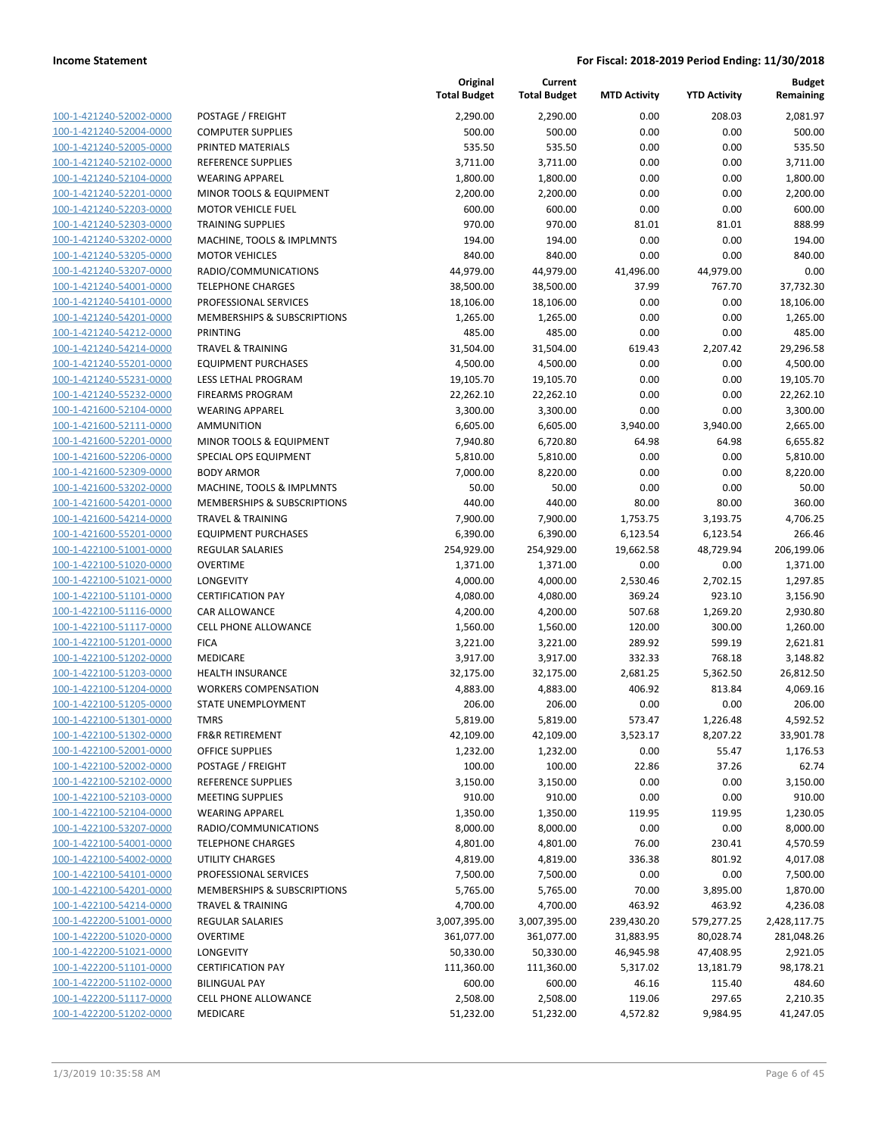| 100-1-421240-52002-0000        |
|--------------------------------|
|                                |
| 100-1-421240-52004-0000        |
| 100-1-421240-52005-0000        |
| 100-1-421240-52102-0000        |
| 100-1-421240-52104-0000        |
| 100-1-421240-52201-0000        |
| 100-1-421240-52203-0000        |
| <u>100-1-421240-52303-0000</u> |
| 100-1-421240-53202-0000        |
| 100-1-421240-53205-0000        |
| 100-1-421240-53207-0000        |
| 100-1-421240-54001-0000        |
| <u>100-1-421240-54101-0000</u> |
| 100-1-421240-54201-0000        |
| 100-1-421240-54212-0000        |
| 100-1-421240-54214-0000        |
| 100-1-421240-55201-0000        |
| 100-1-421240-55231-0000        |
| 100-1-421240-55232-0000        |
| 100-1-421600-52104-0000        |
| 100-1-421600-52111-0000        |
| 100-1-421600-52201-0000        |
| <u>100-1-421600-52206-0000</u> |
| 100-1-421600-52309-0000        |
| 100-1-421600-53202-0000        |
| 100-1-421600-54201-0000        |
|                                |
| 100-1-421600-54214-0000        |
| <u>100-1-421600-55201-0000</u> |
| <u>100-1-422100-51001-0000</u> |
| 100-1-422100-51020-0000        |
| 100-1-422100-51021-0000        |
| 100-1-422100-51101-0000        |
| <u>100-1-422100-51116-0000</u> |
| 100-1-422100-51117-0000        |
| 100-1-422100-51201-0000        |
| 100-1-422100-51202-0000        |
| 100-1-422100-51203-0000        |
| <u>100-1-422100-51204-0000</u> |
| 100-1-422100-51205-0000        |
| 100-1-422100-51301-0000        |
| 100-1-422100-51302-0000        |
| 100-1-422100-52001-0000        |
| <u>100-1-422100-52002-0000</u> |
| <u>100-1-422100-52102-0000</u> |
| 100-1-422100-52103-0000        |
| 100-1-422100-52104-0000        |
| <u>100-1-422100-53207-0000</u> |
| 100-1-422100-54001-0000        |
| <u>100-1-422100-54002-0000</u> |
| 100-1-422100-54101-0000        |
| 100-1-422100-54201-0000        |
| 100-1-422100-54214-0000        |
|                                |
| <u>100-1-422200-51001-0000</u> |
| <u>100-1-422200-51020-0000</u> |
| <u>100-1-422200-51021-0000</u> |
| <u>100-1-422200-51101-0000</u> |
| <u>100-1-422200-51102-0000</u> |
| 100-1-422200-51117-0000        |
| <u>100-1-422200-51202-0000</u> |

|                                                    |                                                  | Original<br><b>Total Budget</b> | Current<br><b>Total Budget</b> | <b>MTD Activity</b> | <b>YTD Activity</b> | <b>Budget</b><br>Remaining |
|----------------------------------------------------|--------------------------------------------------|---------------------------------|--------------------------------|---------------------|---------------------|----------------------------|
| 100-1-421240-52002-0000                            | POSTAGE / FREIGHT                                | 2,290.00                        | 2,290.00                       | 0.00                | 208.03              | 2,081.97                   |
| 100-1-421240-52004-0000                            | <b>COMPUTER SUPPLIES</b>                         | 500.00                          | 500.00                         | 0.00                | 0.00                | 500.00                     |
| 100-1-421240-52005-0000                            | PRINTED MATERIALS                                | 535.50                          | 535.50                         | 0.00                | 0.00                | 535.50                     |
| 100-1-421240-52102-0000                            | <b>REFERENCE SUPPLIES</b>                        | 3,711.00                        | 3,711.00                       | 0.00                | 0.00                | 3,711.00                   |
| 100-1-421240-52104-0000                            | <b>WEARING APPAREL</b>                           | 1,800.00                        | 1,800.00                       | 0.00                | 0.00                | 1,800.00                   |
| 100-1-421240-52201-0000                            | MINOR TOOLS & EQUIPMENT                          | 2,200.00                        | 2,200.00                       | 0.00                | 0.00                | 2,200.00                   |
| 100-1-421240-52203-0000                            | <b>MOTOR VEHICLE FUEL</b>                        | 600.00                          | 600.00                         | 0.00                | 0.00                | 600.00                     |
| 100-1-421240-52303-0000                            | <b>TRAINING SUPPLIES</b>                         | 970.00                          | 970.00                         | 81.01               | 81.01               | 888.99                     |
| 100-1-421240-53202-0000                            | MACHINE, TOOLS & IMPLMNTS                        | 194.00                          | 194.00                         | 0.00                | 0.00                | 194.00                     |
| 100-1-421240-53205-0000                            | <b>MOTOR VEHICLES</b>                            | 840.00                          | 840.00                         | 0.00                | 0.00                | 840.00                     |
| 100-1-421240-53207-0000                            | RADIO/COMMUNICATIONS                             | 44,979.00                       | 44,979.00                      | 41,496.00           | 44,979.00           | 0.00                       |
| 100-1-421240-54001-0000                            | <b>TELEPHONE CHARGES</b>                         | 38,500.00                       | 38,500.00                      | 37.99               | 767.70              | 37,732.30                  |
| 100-1-421240-54101-0000                            | PROFESSIONAL SERVICES                            | 18,106.00                       | 18,106.00                      | 0.00                | 0.00                | 18,106.00                  |
| 100-1-421240-54201-0000                            | MEMBERSHIPS & SUBSCRIPTIONS                      | 1,265.00                        | 1,265.00                       | 0.00                | 0.00                | 1,265.00                   |
| 100-1-421240-54212-0000                            | <b>PRINTING</b>                                  | 485.00                          | 485.00                         | 0.00                | 0.00                | 485.00                     |
| 100-1-421240-54214-0000                            | <b>TRAVEL &amp; TRAINING</b>                     | 31,504.00                       | 31,504.00                      | 619.43              | 2,207.42            | 29,296.58                  |
| 100-1-421240-55201-0000                            | <b>EQUIPMENT PURCHASES</b>                       | 4,500.00                        | 4,500.00                       | 0.00                | 0.00                | 4,500.00                   |
| 100-1-421240-55231-0000                            | <b>LESS LETHAL PROGRAM</b>                       | 19,105.70                       | 19,105.70                      | 0.00                | 0.00                | 19,105.70                  |
| 100-1-421240-55232-0000                            | <b>FIREARMS PROGRAM</b>                          | 22,262.10                       | 22,262.10                      | 0.00                | 0.00                | 22,262.10                  |
| 100-1-421600-52104-0000                            | <b>WEARING APPAREL</b>                           | 3,300.00                        | 3,300.00                       | 0.00                | 0.00                | 3,300.00                   |
| 100-1-421600-52111-0000                            | <b>AMMUNITION</b>                                | 6,605.00                        | 6,605.00                       | 3,940.00            | 3,940.00            | 2,665.00                   |
| 100-1-421600-52201-0000                            | MINOR TOOLS & EQUIPMENT                          | 7,940.80                        | 6,720.80                       | 64.98               | 64.98               | 6,655.82                   |
| 100-1-421600-52206-0000                            | SPECIAL OPS EQUIPMENT                            | 5,810.00                        | 5,810.00                       | 0.00                | 0.00                | 5,810.00                   |
| 100-1-421600-52309-0000                            | <b>BODY ARMOR</b>                                | 7,000.00                        | 8,220.00                       | 0.00                | 0.00                | 8,220.00                   |
| 100-1-421600-53202-0000                            | MACHINE, TOOLS & IMPLMNTS                        | 50.00                           | 50.00                          | 0.00                | 0.00                | 50.00                      |
| 100-1-421600-54201-0000                            | MEMBERSHIPS & SUBSCRIPTIONS                      | 440.00                          | 440.00                         | 80.00               | 80.00               | 360.00                     |
| 100-1-421600-54214-0000                            | <b>TRAVEL &amp; TRAINING</b>                     | 7,900.00                        | 7,900.00                       | 1,753.75            | 3,193.75            | 4,706.25                   |
| 100-1-421600-55201-0000                            | <b>EQUIPMENT PURCHASES</b>                       | 6,390.00                        | 6,390.00                       | 6,123.54            | 6,123.54            | 266.46                     |
| 100-1-422100-51001-0000                            | REGULAR SALARIES                                 | 254,929.00                      | 254,929.00                     | 19,662.58           | 48,729.94           | 206,199.06                 |
| 100-1-422100-51020-0000                            | <b>OVERTIME</b>                                  | 1,371.00                        | 1,371.00                       | 0.00                | 0.00                | 1,371.00                   |
| 100-1-422100-51021-0000                            | LONGEVITY                                        | 4,000.00                        | 4,000.00                       | 2,530.46            | 2,702.15            | 1,297.85                   |
| 100-1-422100-51101-0000                            | <b>CERTIFICATION PAY</b>                         | 4,080.00                        | 4,080.00                       | 369.24              | 923.10              | 3,156.90                   |
| 100-1-422100-51116-0000                            | CAR ALLOWANCE                                    | 4,200.00                        | 4,200.00                       | 507.68              | 1,269.20            | 2,930.80                   |
| 100-1-422100-51117-0000                            | <b>CELL PHONE ALLOWANCE</b>                      | 1,560.00                        | 1,560.00                       | 120.00              | 300.00              | 1,260.00                   |
| 100-1-422100-51201-0000                            | <b>FICA</b>                                      | 3,221.00                        | 3,221.00                       | 289.92              | 599.19              | 2,621.81                   |
| 100-1-422100-51202-0000                            | MEDICARE                                         | 3,917.00                        | 3,917.00                       | 332.33              | 768.18              | 3,148.82                   |
| 100-1-422100-51203-0000                            | <b>HEALTH INSURANCE</b>                          | 32,175.00                       | 32,175.00                      | 2,681.25            | 5,362.50            | 26,812.50                  |
| 100-1-422100-51204-0000                            | <b>WORKERS COMPENSATION</b>                      | 4,883.00                        | 4,883.00                       | 406.92              | 813.84              | 4,069.16                   |
| 100-1-422100-51205-0000                            | STATE UNEMPLOYMENT                               | 206.00                          | 206.00                         | 0.00                | 0.00                | 206.00                     |
| 100-1-422100-51301-0000                            | <b>TMRS</b>                                      | 5,819.00                        | 5,819.00                       | 573.47              | 1,226.48            | 4,592.52                   |
| 100-1-422100-51302-0000                            | FR&R RETIREMENT                                  | 42,109.00                       | 42,109.00                      | 3,523.17            | 8,207.22            | 33,901.78                  |
| 100-1-422100-52001-0000                            | OFFICE SUPPLIES                                  | 1,232.00                        | 1,232.00                       | 0.00                | 55.47               | 1,176.53                   |
| 100-1-422100-52002-0000                            | POSTAGE / FREIGHT                                | 100.00                          | 100.00                         | 22.86               | 37.26               | 62.74                      |
| 100-1-422100-52102-0000                            | <b>REFERENCE SUPPLIES</b>                        | 3,150.00                        | 3,150.00                       | 0.00                | 0.00                | 3,150.00                   |
| 100-1-422100-52103-0000<br>100-1-422100-52104-0000 | <b>MEETING SUPPLIES</b>                          | 910.00                          | 910.00                         | 0.00                | 0.00                | 910.00                     |
| 100-1-422100-53207-0000                            | <b>WEARING APPAREL</b>                           | 1,350.00                        | 1,350.00                       | 119.95              | 119.95              | 1,230.05<br>8,000.00       |
| 100-1-422100-54001-0000                            | RADIO/COMMUNICATIONS<br><b>TELEPHONE CHARGES</b> | 8,000.00<br>4,801.00            | 8,000.00<br>4,801.00           | 0.00<br>76.00       | 0.00<br>230.41      | 4,570.59                   |
| 100-1-422100-54002-0000                            | UTILITY CHARGES                                  | 4,819.00                        | 4,819.00                       | 336.38              | 801.92              | 4,017.08                   |
| 100-1-422100-54101-0000                            | PROFESSIONAL SERVICES                            | 7,500.00                        | 7,500.00                       | 0.00                | 0.00                | 7,500.00                   |
| 100-1-422100-54201-0000                            | MEMBERSHIPS & SUBSCRIPTIONS                      | 5,765.00                        | 5,765.00                       | 70.00               | 3,895.00            | 1,870.00                   |
| 100-1-422100-54214-0000                            | <b>TRAVEL &amp; TRAINING</b>                     | 4,700.00                        | 4,700.00                       | 463.92              | 463.92              | 4,236.08                   |
| 100-1-422200-51001-0000                            | <b>REGULAR SALARIES</b>                          | 3,007,395.00                    | 3,007,395.00                   | 239,430.20          | 579,277.25          | 2,428,117.75               |
| 100-1-422200-51020-0000                            | <b>OVERTIME</b>                                  | 361,077.00                      | 361,077.00                     | 31,883.95           | 80,028.74           | 281,048.26                 |
| 100-1-422200-51021-0000                            | LONGEVITY                                        | 50,330.00                       | 50,330.00                      | 46,945.98           | 47,408.95           | 2,921.05                   |
| 100-1-422200-51101-0000                            | <b>CERTIFICATION PAY</b>                         | 111,360.00                      | 111,360.00                     | 5,317.02            | 13,181.79           | 98,178.21                  |
| 100-1-422200-51102-0000                            | <b>BILINGUAL PAY</b>                             | 600.00                          | 600.00                         | 46.16               | 115.40              | 484.60                     |
| 100-1-422200-51117-0000                            | <b>CELL PHONE ALLOWANCE</b>                      | 2,508.00                        | 2,508.00                       | 119.06              | 297.65              | 2,210.35                   |
| 100-1-422200-51202-0000                            | MEDICARE                                         | 51,232.00                       | 51,232.00                      | 4,572.82            | 9,984.95            | 41,247.05                  |
|                                                    |                                                  |                                 |                                |                     |                     |                            |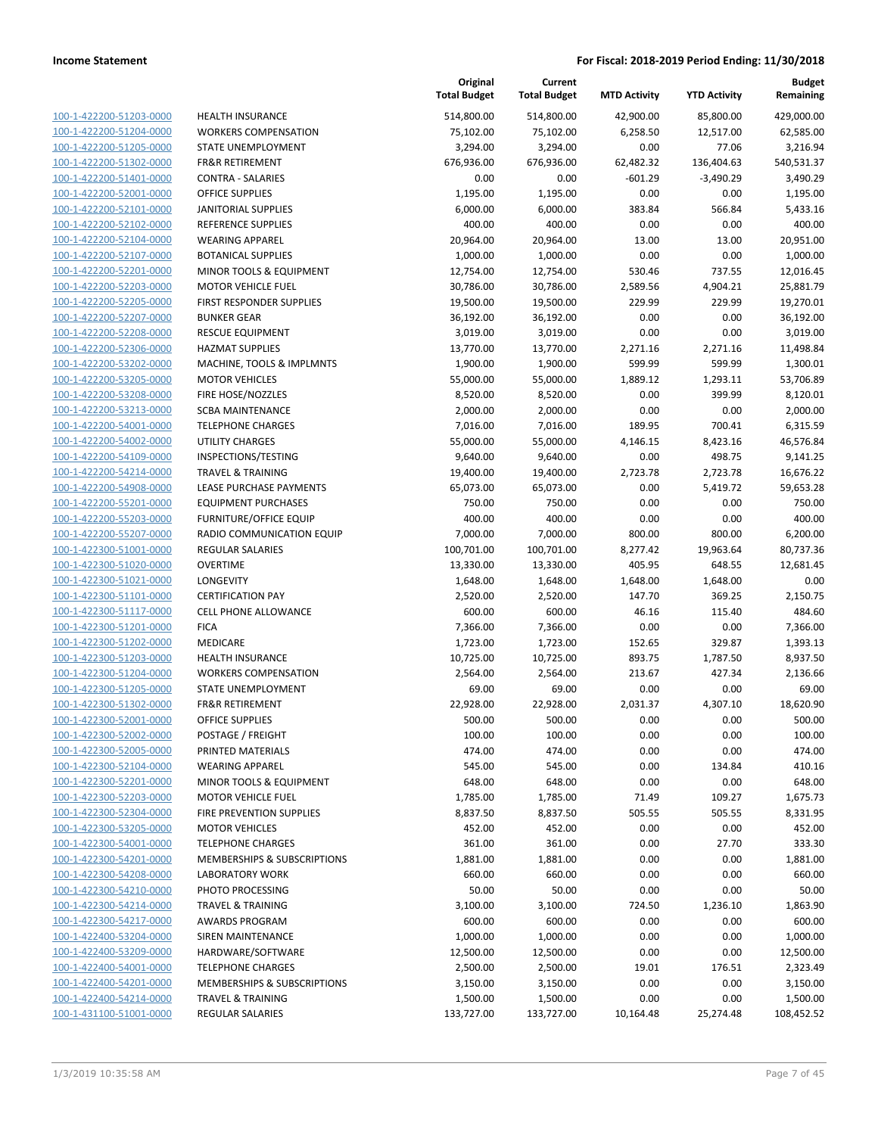| 100-1-422200-51203-0000        |
|--------------------------------|
| 100-1-422200-51204-0000        |
| <u>100-1-422200-51205-0000</u> |
| 100-1-422200-51302-0000        |
| 100-1-422200-51401-0000        |
| 100-1-422200-52001-0000        |
|                                |
| 100-1-422200-52101-0000        |
| 100-1-422200-52102-0000        |
| 100-1-422200-52104-0000        |
| 100-1-422200-52107-0000        |
| 100-1-422200-52201-0000        |
| 100-1-422200-52203-0000        |
| <u>100-1-422200-52205-0000</u> |
| 100-1-422200-52207-0000        |
| 100-1-422200-52208-0000        |
| 100-1-422200-52306-0000        |
|                                |
| 100-1-422200-53202-0000        |
| 100-1-422200-53205-0000        |
| 100-1-422200-53208-0000        |
| 100-1-422200-53213-0000        |
| 100-1-422200-54001-0000        |
| 100-1-422200-54002-0000        |
| 100-1-422200-54109-0000        |
| 100-1-422200-54214-0000        |
| 100-1-422200-54908-0000        |
| 100-1-422200-55201-0000        |
|                                |
| 100-1-422200-55203-0000        |
| 100-1-422200-55207-0000        |
| 100-1-422300-51001-0000        |
| 100-1-422300-51020-0000        |
| 100-1-422300-51021-0000        |
| 100-1-422300-51101-0000        |
| <u>100-1-422300-51117-0000</u> |
| 100-1-422300-51201-0000        |
| 100-1-422300-51202-0000        |
| 100-1-422300-51203-0000        |
|                                |
| 100-1-422300-51204-0000        |
| <u>100-1-422300-51205-0000</u> |
| 100-1-422300-51302-0000        |
| 100-1-422300-52001-0000        |
| 100-1-422300-52002-0000        |
| 100-1-422300-52005-0000        |
| <u>100-1-422300-52104-0000</u> |
| 100-1-422300-52201-0000        |
| 100-1-422300-52203-0000        |
|                                |
| 100-1-422300-52304-0000        |
| <u>100-1-422300-53205-0000</u> |
| 100-1-422300-54001-0000        |
| <u>100-1-422300-54201-0000</u> |
| 100-1-422300-54208-0000        |
| 100-1-422300-54210-0000        |
| 100-1-422300-54214-0000        |
| <u>100-1-422300-54217-0000</u> |
| <u>100-1-422400-53204-0000</u> |
|                                |
| 100-1-422400-53209-0000        |
| 100-1-422400-54001-0000        |
| <u>100-1-422400-54201-0000</u> |
| 100-1-422400-54214-0000        |
| <u>100-1-431100-51001-0000</u> |
|                                |

| <b>HEALTH INSURANCE</b>                                 |
|---------------------------------------------------------|
| <b>WORKERS COMPENSATION</b>                             |
| STATE UNEMPLOYMENT                                      |
| <b>FR&amp;R RETIREMENT</b>                              |
| CONTRA - SALARIES                                       |
| <b>OFFICE SUPPLIES</b>                                  |
| <b>JANITORIAL SUPPLIES</b>                              |
| <b>REFERENCE SUPPLIES</b>                               |
| <b>WEARING APPAREL</b>                                  |
| <b>BOTANICAL SUPPLIES</b>                               |
| <b>MINOR TOOLS &amp; EQUIPMENT</b>                      |
| <b>MOTOR VEHICLE FUEL</b>                               |
| FIRST RESPONDER SUPPLIES                                |
| <b>BUNKER GEAR</b>                                      |
| <b>RESCUE EQUIPMENT</b>                                 |
| <b>HAZMAT SUPPLIES</b>                                  |
| MACHINE, TOOLS & IMPLMNTS                               |
| <b>MOTOR VEHICLES</b>                                   |
| FIRE HOSE/NOZZLES                                       |
| <b>SCBA MAINTENANCE</b>                                 |
| <b>TELEPHONE CHARGES</b>                                |
| <b>UTILITY CHARGES</b>                                  |
| INSPECTIONS/TESTING                                     |
| <b>TRAVEL &amp; TRAINING</b>                            |
| LEASE PURCHASE PAYMENTS                                 |
| <b>EQUIPMENT PURCHASES</b>                              |
| <b>FURNITURE/OFFICE EQUIP</b>                           |
| RADIO COMMUNICATION EQUIP                               |
| <b>REGULAR SALARIES</b>                                 |
| OVERTIME                                                |
| <b>LONGEVITY</b>                                        |
| <b>CERTIFICATION PAY</b>                                |
| <b>CELL PHONE ALLOWANCE</b>                             |
| <b>FICA</b>                                             |
| MEDICARE                                                |
| <b>HEALTH INSURANCE</b>                                 |
| <b>WORKERS COMPENSATION</b>                             |
| STATE UNEMPLOYMENT                                      |
| <b>FR&amp;R RETIREMENT</b>                              |
| <b>OFFICE SUPPLIES</b>                                  |
| POSTAGE / FREIGHT                                       |
| PRINTED MATERIALS                                       |
| <b>WEARING APPAREL</b>                                  |
| <b>MINOR TOOLS &amp; EQUIPMENT</b>                      |
| <b>MOTOR VEHICLE FUEL</b>                               |
| <b>FIRE PREVENTION SUPPLIES</b>                         |
| <b>MOTOR VEHICLES</b>                                   |
| <b>TELEPHONE CHARGES</b>                                |
| MEMBERSHIPS & SUBSCRIPTIONS                             |
|                                                         |
| <b>LABORATORY WORK</b>                                  |
| PHOTO PROCESSING                                        |
| <b>TRAVEL &amp; TRAINING</b>                            |
| <b>AWARDS PROGRAM</b>                                   |
| <b>SIREN MAINTENANCE</b>                                |
| HARDWARE/SOFTWARE                                       |
| <b>TELEPHONE CHARGES</b>                                |
| <b>MEMBERSHIPS &amp; SUBSCRIPTIONS</b>                  |
| <b>TRAVEL &amp; TRAINING</b><br><b>REGULAR SALARIES</b> |

|                                                    |                               | Original<br><b>Total Budget</b> | Current<br><b>Total Budget</b> | <b>MTD Activity</b> | <b>YTD Activity</b> | <b>Budget</b><br>Remaining |
|----------------------------------------------------|-------------------------------|---------------------------------|--------------------------------|---------------------|---------------------|----------------------------|
| 100-1-422200-51203-0000                            | <b>HEALTH INSURANCE</b>       | 514,800.00                      | 514,800.00                     | 42,900.00           | 85,800.00           | 429,000.00                 |
| 100-1-422200-51204-0000                            | <b>WORKERS COMPENSATION</b>   | 75,102.00                       | 75,102.00                      | 6,258.50            | 12,517.00           | 62,585.00                  |
| 100-1-422200-51205-0000                            | <b>STATE UNEMPLOYMENT</b>     | 3,294.00                        | 3,294.00                       | 0.00                | 77.06               | 3,216.94                   |
| 100-1-422200-51302-0000                            | <b>FR&amp;R RETIREMENT</b>    | 676,936.00                      | 676,936.00                     | 62,482.32           | 136,404.63          | 540,531.37                 |
| 100-1-422200-51401-0000                            | <b>CONTRA - SALARIES</b>      | 0.00                            | 0.00                           | $-601.29$           | $-3,490.29$         | 3,490.29                   |
| 100-1-422200-52001-0000                            | <b>OFFICE SUPPLIES</b>        | 1,195.00                        | 1,195.00                       | 0.00                | 0.00                | 1,195.00                   |
| 100-1-422200-52101-0000                            | <b>JANITORIAL SUPPLIES</b>    | 6,000.00                        | 6,000.00                       | 383.84              | 566.84              | 5,433.16                   |
| 100-1-422200-52102-0000                            | <b>REFERENCE SUPPLIES</b>     | 400.00                          | 400.00                         | 0.00                | 0.00                | 400.00                     |
| 100-1-422200-52104-0000                            | <b>WEARING APPAREL</b>        | 20,964.00                       | 20,964.00                      | 13.00               | 13.00               | 20,951.00                  |
| 100-1-422200-52107-0000                            | <b>BOTANICAL SUPPLIES</b>     | 1,000.00                        | 1,000.00                       | 0.00                | 0.00                | 1,000.00                   |
| 100-1-422200-52201-0000                            | MINOR TOOLS & EQUIPMENT       | 12,754.00                       | 12,754.00                      | 530.46              | 737.55              | 12,016.45                  |
| 100-1-422200-52203-0000                            | <b>MOTOR VEHICLE FUEL</b>     | 30,786.00                       | 30,786.00                      | 2,589.56            | 4,904.21            | 25,881.79                  |
| 100-1-422200-52205-0000                            | FIRST RESPONDER SUPPLIES      | 19,500.00                       | 19,500.00                      | 229.99              | 229.99              | 19,270.01                  |
| 100-1-422200-52207-0000                            | <b>BUNKER GEAR</b>            | 36,192.00                       | 36,192.00                      | 0.00                | 0.00                | 36,192.00                  |
| 100-1-422200-52208-0000                            | <b>RESCUE EQUIPMENT</b>       | 3,019.00                        | 3,019.00                       | 0.00                | 0.00                | 3,019.00                   |
| 100-1-422200-52306-0000                            | <b>HAZMAT SUPPLIES</b>        | 13,770.00                       | 13,770.00                      | 2,271.16            | 2,271.16            | 11,498.84                  |
| 100-1-422200-53202-0000                            | MACHINE, TOOLS & IMPLMNTS     | 1,900.00                        | 1,900.00                       | 599.99              | 599.99              | 1,300.01                   |
| 100-1-422200-53205-0000                            | <b>MOTOR VEHICLES</b>         | 55,000.00                       | 55,000.00                      | 1,889.12            | 1,293.11            | 53,706.89                  |
| 100-1-422200-53208-0000                            | FIRE HOSE/NOZZLES             | 8,520.00                        | 8,520.00                       | 0.00                | 399.99              | 8,120.01                   |
| 100-1-422200-53213-0000                            | <b>SCBA MAINTENANCE</b>       | 2,000.00                        | 2,000.00                       | 0.00                | 0.00                | 2,000.00                   |
| 100-1-422200-54001-0000                            | <b>TELEPHONE CHARGES</b>      | 7,016.00                        | 7,016.00                       | 189.95              | 700.41              | 6,315.59                   |
| 100-1-422200-54002-0000                            | <b>UTILITY CHARGES</b>        | 55,000.00                       | 55,000.00                      | 4,146.15            | 8,423.16            | 46,576.84                  |
| 100-1-422200-54109-0000                            | INSPECTIONS/TESTING           | 9,640.00                        | 9,640.00                       | 0.00                | 498.75              | 9,141.25                   |
| 100-1-422200-54214-0000                            | <b>TRAVEL &amp; TRAINING</b>  | 19,400.00                       | 19,400.00                      | 2,723.78            | 2,723.78            | 16,676.22                  |
| 100-1-422200-54908-0000                            | LEASE PURCHASE PAYMENTS       | 65,073.00                       | 65,073.00                      | 0.00                | 5,419.72            | 59,653.28                  |
| 100-1-422200-55201-0000                            | <b>EQUIPMENT PURCHASES</b>    | 750.00                          | 750.00                         | 0.00                | 0.00                | 750.00                     |
| 100-1-422200-55203-0000                            | <b>FURNITURE/OFFICE EQUIP</b> | 400.00                          | 400.00                         | 0.00                | 0.00                | 400.00                     |
| 100-1-422200-55207-0000                            | RADIO COMMUNICATION EQUIP     | 7,000.00                        | 7,000.00                       | 800.00              | 800.00              | 6,200.00                   |
| 100-1-422300-51001-0000                            | <b>REGULAR SALARIES</b>       | 100,701.00                      | 100,701.00                     | 8,277.42            | 19,963.64           | 80,737.36                  |
| 100-1-422300-51020-0000                            | <b>OVERTIME</b>               | 13,330.00                       | 13,330.00                      | 405.95              | 648.55              | 12,681.45                  |
| 100-1-422300-51021-0000                            | <b>LONGEVITY</b>              | 1,648.00                        | 1,648.00                       | 1,648.00            | 1,648.00            | 0.00                       |
| 100-1-422300-51101-0000                            | <b>CERTIFICATION PAY</b>      | 2,520.00                        | 2,520.00                       | 147.70              | 369.25              | 2,150.75                   |
| 100-1-422300-51117-0000<br>100-1-422300-51201-0000 | <b>CELL PHONE ALLOWANCE</b>   | 600.00                          | 600.00                         | 46.16               | 115.40              | 484.60                     |
| 100-1-422300-51202-0000                            | <b>FICA</b><br>MEDICARE       | 7,366.00<br>1,723.00            | 7,366.00<br>1,723.00           | 0.00<br>152.65      | 0.00<br>329.87      | 7,366.00<br>1,393.13       |
| 100-1-422300-51203-0000                            | HEALTH INSURANCE              | 10,725.00                       | 10,725.00                      | 893.75              | 1,787.50            | 8,937.50                   |
| 100-1-422300-51204-0000                            | <b>WORKERS COMPENSATION</b>   |                                 | 2,564.00                       | 213.67              | 427.34              | 2,136.66                   |
| 100-1-422300-51205-0000                            | STATE UNEMPLOYMENT            | 2,564.00<br>69.00               | 69.00                          | 0.00                | 0.00                | 69.00                      |
| 100-1-422300-51302-0000                            | <b>FR&amp;R RETIREMENT</b>    | 22,928.00                       | 22,928.00                      | 2,031.37            | 4,307.10            | 18,620.90                  |
| 100-1-422300-52001-0000                            | <b>OFFICE SUPPLIES</b>        | 500.00                          | 500.00                         | 0.00                | 0.00                | 500.00                     |
| 100-1-422300-52002-0000                            | POSTAGE / FREIGHT             | 100.00                          | 100.00                         | 0.00                | 0.00                | 100.00                     |
| 100-1-422300-52005-0000                            | PRINTED MATERIALS             | 474.00                          | 474.00                         | 0.00                | 0.00                | 474.00                     |
| 100-1-422300-52104-0000                            | <b>WEARING APPAREL</b>        | 545.00                          | 545.00                         | 0.00                | 134.84              | 410.16                     |
| 100-1-422300-52201-0000                            | MINOR TOOLS & EQUIPMENT       | 648.00                          | 648.00                         | 0.00                | 0.00                | 648.00                     |
| 100-1-422300-52203-0000                            | <b>MOTOR VEHICLE FUEL</b>     | 1,785.00                        | 1,785.00                       | 71.49               | 109.27              | 1,675.73                   |
| 100-1-422300-52304-0000                            | FIRE PREVENTION SUPPLIES      | 8,837.50                        | 8,837.50                       | 505.55              | 505.55              | 8,331.95                   |
| 100-1-422300-53205-0000                            | <b>MOTOR VEHICLES</b>         | 452.00                          | 452.00                         | 0.00                | 0.00                | 452.00                     |
| 100-1-422300-54001-0000                            | <b>TELEPHONE CHARGES</b>      | 361.00                          | 361.00                         | 0.00                | 27.70               | 333.30                     |
| 100-1-422300-54201-0000                            | MEMBERSHIPS & SUBSCRIPTIONS   | 1,881.00                        | 1,881.00                       | 0.00                | 0.00                | 1,881.00                   |
| 100-1-422300-54208-0000                            | <b>LABORATORY WORK</b>        | 660.00                          | 660.00                         | 0.00                | 0.00                | 660.00                     |
| 100-1-422300-54210-0000                            | PHOTO PROCESSING              | 50.00                           | 50.00                          | 0.00                | 0.00                | 50.00                      |
| 100-1-422300-54214-0000                            | <b>TRAVEL &amp; TRAINING</b>  | 3,100.00                        | 3,100.00                       | 724.50              | 1,236.10            | 1,863.90                   |
| 100-1-422300-54217-0000                            | <b>AWARDS PROGRAM</b>         | 600.00                          | 600.00                         | 0.00                | 0.00                | 600.00                     |
| 100-1-422400-53204-0000                            | SIREN MAINTENANCE             | 1,000.00                        | 1,000.00                       | 0.00                | 0.00                | 1,000.00                   |
| 100-1-422400-53209-0000                            | HARDWARE/SOFTWARE             | 12,500.00                       | 12,500.00                      | 0.00                | 0.00                | 12,500.00                  |
| 100-1-422400-54001-0000                            | <b>TELEPHONE CHARGES</b>      | 2,500.00                        | 2,500.00                       | 19.01               | 176.51              | 2,323.49                   |
| 100-1-422400-54201-0000                            | MEMBERSHIPS & SUBSCRIPTIONS   | 3,150.00                        | 3,150.00                       | 0.00                | 0.00                | 3,150.00                   |
| 100-1-422400-54214-0000                            | <b>TRAVEL &amp; TRAINING</b>  | 1,500.00                        | 1,500.00                       | 0.00                | 0.00                | 1,500.00                   |
| 100-1-431100-51001-0000                            | <b>REGULAR SALARIES</b>       | 133,727.00                      | 133,727.00                     | 10,164.48           | 25,274.48           | 108,452.52                 |
|                                                    |                               |                                 |                                |                     |                     |                            |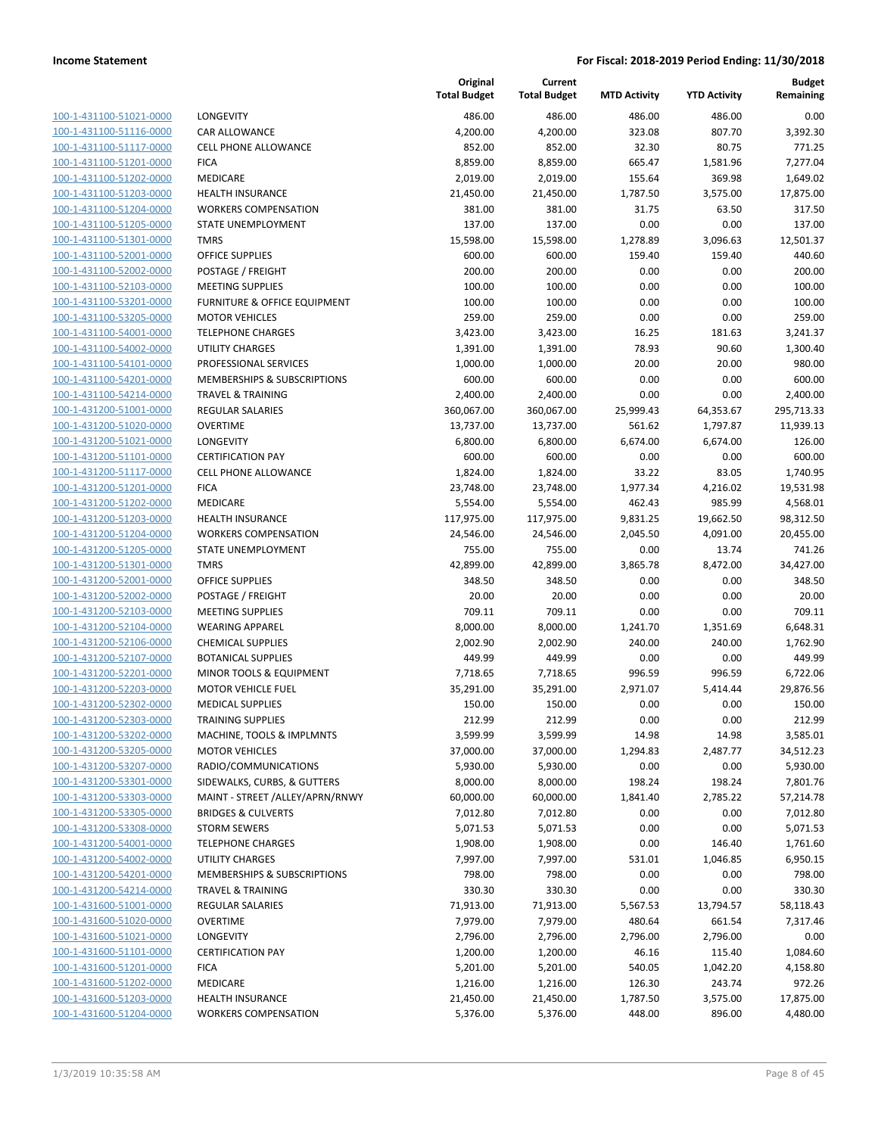| 100-1-431100-51021-0000        |
|--------------------------------|
| 100-1-431100-51116-0000        |
| 100-1-431100-51117-0000        |
| 100-1-431100-51201-0000        |
| 100-1-431100-51202-0000        |
| 100-1-431100-51203-0000        |
| 100-1-431100-51204-0000        |
| 100-1-431100-51205-0000        |
| 100-1-431100-51301-0000        |
| 100-1-431100-52001-0000        |
| 100-1-431100-52002-0000        |
| 100-1-431100-52103-0000        |
| 100-1-431100-53201-0000        |
| 100-1-431100-53205-0000        |
| <u>100-1-431100-54001-0000</u> |
| 100-1-431100-54002-0000        |
| 100-1-431100-54101-0000        |
| 100-1-431100-54201-0000        |
| 100-1-431100-54214-0000        |
| 100-1-431200-51001-0000        |
| 100-1-431200-51020-0000        |
| 100-1-431200-51021-0000        |
| 100-1-431200-51101-0000        |
| 100-1-431200-51117-0000        |
| 100-1-431200-51201-0000        |
| 100-1-431200-51202-0000        |
| 100-1-431200-51203-0000        |
|                                |
| 100-1-431200-51204-0000        |
| 100-1-431200-51205-0000        |
| <u>100-1-431200-51301-0000</u> |
| 100-1-431200-52001-0000        |
| 100-1-431200-52002-0000        |
| 100-1-431200-52103-0000        |
| 100-1-431200-52104-0000        |
| <u>100-1-431200-52106-0000</u> |
| 100-1-431200-52107-0000        |
| 100-1-431200-52201-0000        |
| 100-1-431200-52203-0000        |
| 100-1-431200-52302-0000        |
| 100-1-431200-52303-0000        |
| 100-1-431200-53202-0000        |
| <u>100-1-431200-53205-0000</u> |
| 100-1-431200-53207-0000        |
| <u>100-1-431200-53301-0000</u> |
| <u>100-1-431200-53303-0000</u> |
| <u>100-1-431200-53305-0000</u> |
| <u>100-1-431200-53308-0000</u> |
| 100-1-431200-54001-0000        |
| <u>100-1-431200-54002-0000</u> |
| <u>100-1-431200-54201-0000</u> |
| 100-1-431200-54214-0000        |
| <u>100-1-431600-51001-0000</u> |
| <u>100-1-431600-51020-0000</u> |
| 100-1-431600-51021-0000        |
| <u>100-1-431600-51101-0000</u> |
| <u>100-1-431600-51201-0000</u> |
|                                |
| <u>100-1-431600-51202-0000</u> |
| <u>100-1-431600-51203-0000</u> |
| 100-1-431600-51204-0000        |

|                                                    |                                                         | Original<br><b>Total Budget</b> | Current<br><b>Total Budget</b> | <b>MTD Activity</b> | <b>YTD Activity</b>   | <b>Budget</b><br>Remaining |
|----------------------------------------------------|---------------------------------------------------------|---------------------------------|--------------------------------|---------------------|-----------------------|----------------------------|
| 100-1-431100-51021-0000                            | LONGEVITY                                               | 486.00                          | 486.00                         | 486.00              | 486.00                | 0.00                       |
| 100-1-431100-51116-0000                            | <b>CAR ALLOWANCE</b>                                    | 4,200.00                        | 4,200.00                       | 323.08              | 807.70                | 3,392.30                   |
| 100-1-431100-51117-0000                            | <b>CELL PHONE ALLOWANCE</b>                             | 852.00                          | 852.00                         | 32.30               | 80.75                 | 771.25                     |
| 100-1-431100-51201-0000                            | <b>FICA</b>                                             | 8,859.00                        | 8,859.00                       | 665.47              | 1,581.96              | 7,277.04                   |
| 100-1-431100-51202-0000                            | <b>MEDICARE</b>                                         | 2,019.00                        | 2,019.00                       | 155.64              | 369.98                | 1,649.02                   |
| 100-1-431100-51203-0000                            | <b>HEALTH INSURANCE</b>                                 | 21,450.00                       | 21,450.00                      | 1,787.50            | 3,575.00              | 17,875.00                  |
| 100-1-431100-51204-0000                            | <b>WORKERS COMPENSATION</b>                             | 381.00                          | 381.00                         | 31.75               | 63.50                 | 317.50                     |
| 100-1-431100-51205-0000                            | <b>STATE UNEMPLOYMENT</b>                               | 137.00                          | 137.00                         | 0.00                | 0.00                  | 137.00                     |
| 100-1-431100-51301-0000                            | <b>TMRS</b>                                             | 15,598.00                       | 15,598.00                      | 1,278.89            | 3,096.63              | 12,501.37                  |
| 100-1-431100-52001-0000                            | <b>OFFICE SUPPLIES</b>                                  | 600.00                          | 600.00                         | 159.40              | 159.40                | 440.60                     |
| 100-1-431100-52002-0000                            | POSTAGE / FREIGHT                                       | 200.00                          | 200.00                         | 0.00                | 0.00                  | 200.00                     |
| 100-1-431100-52103-0000                            | <b>MEETING SUPPLIES</b>                                 | 100.00                          | 100.00                         | 0.00                | 0.00                  | 100.00                     |
| 100-1-431100-53201-0000                            | <b>FURNITURE &amp; OFFICE EQUIPMENT</b>                 | 100.00                          | 100.00                         | 0.00                | 0.00                  | 100.00                     |
| 100-1-431100-53205-0000                            | <b>MOTOR VEHICLES</b>                                   | 259.00                          | 259.00                         | 0.00                | 0.00                  | 259.00                     |
| 100-1-431100-54001-0000                            | <b>TELEPHONE CHARGES</b>                                | 3,423.00                        | 3,423.00                       | 16.25               | 181.63                | 3,241.37                   |
| 100-1-431100-54002-0000                            | UTILITY CHARGES                                         | 1,391.00                        | 1,391.00                       | 78.93               | 90.60                 | 1,300.40                   |
| 100-1-431100-54101-0000                            | PROFESSIONAL SERVICES                                   | 1,000.00                        | 1,000.00                       | 20.00               | 20.00                 | 980.00                     |
| 100-1-431100-54201-0000<br>100-1-431100-54214-0000 | MEMBERSHIPS & SUBSCRIPTIONS                             | 600.00                          | 600.00                         | 0.00                | 0.00                  | 600.00                     |
| 100-1-431200-51001-0000                            | <b>TRAVEL &amp; TRAINING</b><br><b>REGULAR SALARIES</b> | 2,400.00<br>360,067.00          | 2,400.00<br>360,067.00         | 0.00                | 0.00                  | 2,400.00                   |
| 100-1-431200-51020-0000                            | <b>OVERTIME</b>                                         | 13,737.00                       | 13,737.00                      | 25,999.43<br>561.62 | 64,353.67<br>1,797.87 | 295,713.33<br>11,939.13    |
| 100-1-431200-51021-0000                            | LONGEVITY                                               | 6,800.00                        | 6,800.00                       | 6,674.00            | 6,674.00              | 126.00                     |
| 100-1-431200-51101-0000                            | <b>CERTIFICATION PAY</b>                                | 600.00                          | 600.00                         | 0.00                | 0.00                  | 600.00                     |
| 100-1-431200-51117-0000                            | <b>CELL PHONE ALLOWANCE</b>                             | 1,824.00                        | 1,824.00                       | 33.22               | 83.05                 | 1,740.95                   |
| 100-1-431200-51201-0000                            | <b>FICA</b>                                             | 23,748.00                       | 23,748.00                      | 1,977.34            | 4,216.02              | 19,531.98                  |
| 100-1-431200-51202-0000                            | MEDICARE                                                | 5,554.00                        | 5,554.00                       | 462.43              | 985.99                | 4,568.01                   |
| 100-1-431200-51203-0000                            | <b>HEALTH INSURANCE</b>                                 | 117,975.00                      | 117,975.00                     | 9,831.25            | 19,662.50             | 98,312.50                  |
| 100-1-431200-51204-0000                            | <b>WORKERS COMPENSATION</b>                             | 24,546.00                       | 24,546.00                      | 2,045.50            | 4,091.00              | 20,455.00                  |
| 100-1-431200-51205-0000                            | STATE UNEMPLOYMENT                                      | 755.00                          | 755.00                         | 0.00                | 13.74                 | 741.26                     |
| 100-1-431200-51301-0000                            | <b>TMRS</b>                                             | 42,899.00                       | 42,899.00                      | 3,865.78            | 8,472.00              | 34,427.00                  |
| 100-1-431200-52001-0000                            | <b>OFFICE SUPPLIES</b>                                  | 348.50                          | 348.50                         | 0.00                | 0.00                  | 348.50                     |
| 100-1-431200-52002-0000                            | POSTAGE / FREIGHT                                       | 20.00                           | 20.00                          | 0.00                | 0.00                  | 20.00                      |
| 100-1-431200-52103-0000                            | <b>MEETING SUPPLIES</b>                                 | 709.11                          | 709.11                         | 0.00                | 0.00                  | 709.11                     |
| 100-1-431200-52104-0000                            | <b>WEARING APPAREL</b>                                  | 8,000.00                        | 8,000.00                       | 1,241.70            | 1,351.69              | 6,648.31                   |
| 100-1-431200-52106-0000                            | <b>CHEMICAL SUPPLIES</b>                                | 2,002.90                        | 2,002.90                       | 240.00              | 240.00                | 1,762.90                   |
| 100-1-431200-52107-0000                            | <b>BOTANICAL SUPPLIES</b>                               | 449.99                          | 449.99                         | 0.00                | 0.00                  | 449.99                     |
| 100-1-431200-52201-0000                            | MINOR TOOLS & EQUIPMENT                                 | 7,718.65                        | 7,718.65                       | 996.59              | 996.59                | 6,722.06                   |
| 100-1-431200-52203-0000                            | <b>MOTOR VEHICLE FUEL</b>                               | 35,291.00                       | 35,291.00                      | 2,971.07            | 5,414.44              | 29,876.56                  |
| 100-1-431200-52302-0000                            | <b>MEDICAL SUPPLIES</b>                                 | 150.00                          | 150.00                         | 0.00                | 0.00                  | 150.00                     |
| 100-1-431200-52303-0000                            | <b>TRAINING SUPPLIES</b>                                | 212.99                          | 212.99                         | 0.00                | 0.00                  | 212.99                     |
| 100-1-431200-53202-0000                            | MACHINE, TOOLS & IMPLMNTS                               | 3,599.99                        | 3,599.99                       | 14.98               | 14.98                 | 3,585.01                   |
| 100-1-431200-53205-0000                            | <b>MOTOR VEHICLES</b>                                   | 37,000.00                       | 37,000.00                      | 1,294.83            | 2,487.77              | 34,512.23                  |
| 100-1-431200-53207-0000                            | RADIO/COMMUNICATIONS                                    | 5,930.00                        | 5,930.00                       | 0.00                | 0.00                  | 5,930.00                   |
| 100-1-431200-53301-0000                            | SIDEWALKS, CURBS, & GUTTERS                             | 8,000.00                        | 8,000.00                       | 198.24              | 198.24                | 7,801.76                   |
| 100-1-431200-53303-0000                            | MAINT - STREET /ALLEY/APRN/RNWY                         | 60,000.00                       | 60,000.00                      | 1,841.40            | 2,785.22              | 57,214.78                  |
| 100-1-431200-53305-0000                            | <b>BRIDGES &amp; CULVERTS</b>                           | 7,012.80                        | 7,012.80                       | 0.00                | 0.00                  | 7,012.80                   |
| 100-1-431200-53308-0000                            | <b>STORM SEWERS</b>                                     | 5,071.53                        | 5,071.53                       | 0.00                | 0.00                  | 5,071.53                   |
| 100-1-431200-54001-0000                            | <b>TELEPHONE CHARGES</b>                                | 1,908.00                        | 1,908.00                       | 0.00                | 146.40                | 1,761.60                   |
| 100-1-431200-54002-0000                            | <b>UTILITY CHARGES</b>                                  | 7,997.00                        | 7,997.00                       | 531.01              | 1,046.85              | 6,950.15                   |
| 100-1-431200-54201-0000                            | <b>MEMBERSHIPS &amp; SUBSCRIPTIONS</b>                  | 798.00                          | 798.00                         | 0.00                | 0.00                  | 798.00                     |
| 100-1-431200-54214-0000                            | TRAVEL & TRAINING                                       | 330.30                          | 330.30                         | 0.00                | 0.00                  | 330.30                     |
| 100-1-431600-51001-0000                            | REGULAR SALARIES                                        | 71,913.00                       | 71,913.00                      | 5,567.53            | 13,794.57             | 58,118.43                  |
| 100-1-431600-51020-0000                            | <b>OVERTIME</b>                                         | 7,979.00                        | 7,979.00                       | 480.64              | 661.54                | 7,317.46                   |
| 100-1-431600-51021-0000                            | LONGEVITY                                               | 2,796.00                        | 2,796.00                       | 2,796.00            | 2,796.00              | 0.00                       |
| 100-1-431600-51101-0000                            | <b>CERTIFICATION PAY</b>                                | 1,200.00                        | 1,200.00                       | 46.16               | 115.40                | 1,084.60                   |
| 100-1-431600-51201-0000                            | <b>FICA</b>                                             | 5,201.00                        | 5,201.00                       | 540.05              | 1,042.20              | 4,158.80                   |
| 100-1-431600-51202-0000                            | MEDICARE                                                | 1,216.00                        | 1,216.00                       | 126.30              | 243.74                | 972.26                     |
| 100-1-431600-51203-0000<br>100-1-431600-51204-0000 | <b>HEALTH INSURANCE</b>                                 | 21,450.00                       | 21,450.00                      | 1,787.50            | 3,575.00              | 17,875.00                  |
|                                                    | <b>WORKERS COMPENSATION</b>                             | 5,376.00                        | 5,376.00                       | 448.00              | 896.00                | 4,480.00                   |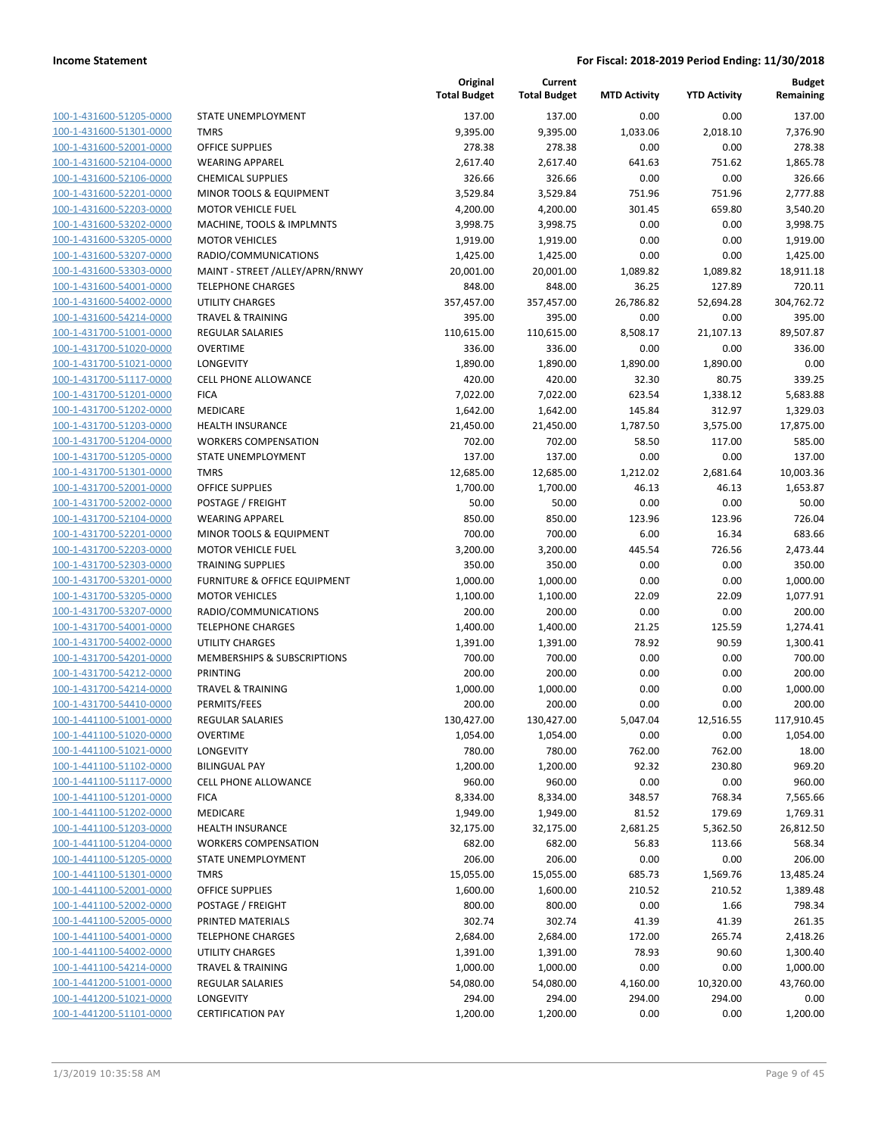| 100-1-431600-51205-0000        |
|--------------------------------|
| 100-1-431600-51301-0000        |
| 100-1-431600-52001-0000        |
| <u>100-1-431600-52104-0000</u> |
| 100-1-431600-52106-0000        |
|                                |
| 100-1-431600-52201-0000        |
| 100-1-431600-52203-0000        |
| 100-1-431600-53202-0000        |
| 100-1-431600-53205-0000        |
| 100-1-431600-53207-0000        |
| 100-1-431600-53303-0000        |
|                                |
| 100-1-431600-54001-0000        |
| 100-1-431600-54002-0000        |
| <u>100-1-431600-54214-0000</u> |
| 100-1-431700-51001-0000        |
| 100-1-431700-51020-0000        |
| 100-1-431700-51021-0000        |
|                                |
| 100-1-431700-51117-0000        |
| 100-1-431700-51201-0000        |
| 100-1-431700-51202-0000        |
| 100-1-431700-51203-0000        |
| 100-1-431700-51204-0000        |
| 100-1-431700-51205-0000        |
| 100-1-431700-51301-0000        |
| 100-1-431700-52001-0000        |
|                                |
| 100-1-431700-52002-0000        |
| 100-1-431700-52104-0000        |
| 100-1-431700-52201-0000        |
| 100-1-431700-52203-0000        |
| 100-1-431700-52303-0000        |
| 100-1-431700-53201-0000        |
| 100-1-431700-53205-0000        |
| 100-1-431700-53207-0000        |
| 100-1-431700-54001-0000        |
|                                |
| 100-1-431700-54002-0000        |
| 100-1-431700-54201-0000        |
| 100-1-431700-54212-0000        |
| 100-1-431700-54214-0000        |
| 100-1-431700-54410-0000        |
| 100-1-441100-51001-0000        |
| 100-1-441100-51020-0000        |
| 100-1-441100-51021-0000        |
| <u>100-1-441100-51102-0000</u> |
|                                |
| <u>100-1-441100-51117-0000</u> |
| 100-1-441100-51201-0000        |
| <u>100-1-441100-51202-0000</u> |
| 100-1-441100-51203-0000        |
| <u>100-1-441100-51204-0000</u> |
| <u>100-1-441100-51205-0000</u> |
| 100-1-441100-51301-0000        |
| 100-1-441100-52001-0000        |
| 100-1-441100-52002-0000        |
|                                |
| 100-1-441100-52005-0000        |
| <u>100-1-441100-54001-0000</u> |
| <u>100-1-441100-54002-0000</u> |
| 100-1-441100-54214-0000        |
| 100-1-441200-51001-0000        |
| <u>100-1-441200-51021-0000</u> |
|                                |
| <u>100-1-441200-51101-0000</u> |

|                                                    |                                                        | Original<br><b>Total Budget</b> | Current<br><b>Total Budget</b> | <b>MTD Activity</b> | <b>YTD Activity</b> | <b>Budget</b><br>Remaining |
|----------------------------------------------------|--------------------------------------------------------|---------------------------------|--------------------------------|---------------------|---------------------|----------------------------|
| 100-1-431600-51205-0000                            | STATE UNEMPLOYMENT                                     | 137.00                          | 137.00                         | 0.00                | 0.00                | 137.00                     |
| 100-1-431600-51301-0000                            | <b>TMRS</b>                                            | 9,395.00                        | 9,395.00                       | 1,033.06            | 2,018.10            | 7,376.90                   |
| 100-1-431600-52001-0000                            | <b>OFFICE SUPPLIES</b>                                 | 278.38                          | 278.38                         | 0.00                | 0.00                | 278.38                     |
| 100-1-431600-52104-0000                            | <b>WEARING APPAREL</b>                                 | 2,617.40                        | 2,617.40                       | 641.63              | 751.62              | 1,865.78                   |
| 100-1-431600-52106-0000                            | <b>CHEMICAL SUPPLIES</b>                               | 326.66                          | 326.66                         | 0.00                | 0.00                | 326.66                     |
| 100-1-431600-52201-0000                            | MINOR TOOLS & EQUIPMENT                                | 3,529.84                        | 3,529.84                       | 751.96              | 751.96              | 2,777.88                   |
| 100-1-431600-52203-0000                            | <b>MOTOR VEHICLE FUEL</b>                              | 4,200.00                        | 4,200.00                       | 301.45              | 659.80              | 3,540.20                   |
| 100-1-431600-53202-0000                            | MACHINE, TOOLS & IMPLMNTS                              | 3,998.75                        | 3,998.75                       | 0.00                | 0.00                | 3,998.75                   |
| 100-1-431600-53205-0000                            | <b>MOTOR VEHICLES</b>                                  | 1,919.00                        | 1,919.00                       | 0.00                | 0.00                | 1,919.00                   |
| 100-1-431600-53207-0000                            | RADIO/COMMUNICATIONS                                   | 1,425.00                        | 1,425.00                       | 0.00                | 0.00                | 1,425.00                   |
| 100-1-431600-53303-0000                            | MAINT - STREET /ALLEY/APRN/RNWY                        | 20,001.00                       | 20,001.00                      | 1,089.82            | 1,089.82            | 18,911.18                  |
| 100-1-431600-54001-0000<br>100-1-431600-54002-0000 | <b>TELEPHONE CHARGES</b>                               | 848.00                          | 848.00                         | 36.25               | 127.89              | 720.11                     |
| 100-1-431600-54214-0000                            | <b>UTILITY CHARGES</b><br><b>TRAVEL &amp; TRAINING</b> | 357,457.00                      | 357,457.00                     | 26,786.82           | 52,694.28           | 304,762.72                 |
| 100-1-431700-51001-0000                            | <b>REGULAR SALARIES</b>                                | 395.00<br>110,615.00            | 395.00<br>110,615.00           | 0.00<br>8,508.17    | 0.00<br>21,107.13   | 395.00<br>89,507.87        |
| 100-1-431700-51020-0000                            | <b>OVERTIME</b>                                        | 336.00                          | 336.00                         | 0.00                | 0.00                | 336.00                     |
| 100-1-431700-51021-0000                            | LONGEVITY                                              | 1,890.00                        | 1,890.00                       | 1,890.00            | 1,890.00            | 0.00                       |
| 100-1-431700-51117-0000                            | <b>CELL PHONE ALLOWANCE</b>                            | 420.00                          | 420.00                         | 32.30               | 80.75               | 339.25                     |
| 100-1-431700-51201-0000                            | <b>FICA</b>                                            | 7,022.00                        | 7,022.00                       | 623.54              | 1,338.12            | 5,683.88                   |
| 100-1-431700-51202-0000                            | <b>MEDICARE</b>                                        | 1,642.00                        | 1,642.00                       | 145.84              | 312.97              | 1,329.03                   |
| 100-1-431700-51203-0000                            | <b>HEALTH INSURANCE</b>                                | 21,450.00                       | 21,450.00                      | 1,787.50            | 3,575.00            | 17,875.00                  |
| 100-1-431700-51204-0000                            | <b>WORKERS COMPENSATION</b>                            | 702.00                          | 702.00                         | 58.50               | 117.00              | 585.00                     |
| 100-1-431700-51205-0000                            | STATE UNEMPLOYMENT                                     | 137.00                          | 137.00                         | 0.00                | 0.00                | 137.00                     |
| 100-1-431700-51301-0000                            | <b>TMRS</b>                                            | 12,685.00                       | 12,685.00                      | 1,212.02            | 2,681.64            | 10,003.36                  |
| 100-1-431700-52001-0000                            | <b>OFFICE SUPPLIES</b>                                 | 1,700.00                        | 1,700.00                       | 46.13               | 46.13               | 1,653.87                   |
| 100-1-431700-52002-0000                            | POSTAGE / FREIGHT                                      | 50.00                           | 50.00                          | 0.00                | 0.00                | 50.00                      |
| 100-1-431700-52104-0000                            | <b>WEARING APPAREL</b>                                 | 850.00                          | 850.00                         | 123.96              | 123.96              | 726.04                     |
| 100-1-431700-52201-0000                            | MINOR TOOLS & EQUIPMENT                                | 700.00                          | 700.00                         | 6.00                | 16.34               | 683.66                     |
| 100-1-431700-52203-0000                            | <b>MOTOR VEHICLE FUEL</b>                              | 3,200.00                        | 3,200.00                       | 445.54              | 726.56              | 2,473.44                   |
| 100-1-431700-52303-0000                            | <b>TRAINING SUPPLIES</b>                               | 350.00                          | 350.00                         | 0.00                | 0.00                | 350.00                     |
| 100-1-431700-53201-0000                            | FURNITURE & OFFICE EQUIPMENT                           | 1,000.00                        | 1,000.00                       | 0.00                | 0.00                | 1,000.00                   |
| 100-1-431700-53205-0000                            | <b>MOTOR VEHICLES</b>                                  | 1,100.00                        | 1,100.00                       | 22.09               | 22.09               | 1,077.91                   |
| 100-1-431700-53207-0000                            | RADIO/COMMUNICATIONS                                   | 200.00                          | 200.00                         | 0.00                | 0.00                | 200.00                     |
| 100-1-431700-54001-0000                            | <b>TELEPHONE CHARGES</b>                               | 1,400.00                        | 1,400.00                       | 21.25               | 125.59              | 1,274.41                   |
| 100-1-431700-54002-0000                            | <b>UTILITY CHARGES</b>                                 | 1,391.00                        | 1,391.00                       | 78.92               | 90.59               | 1,300.41                   |
| 100-1-431700-54201-0000                            | MEMBERSHIPS & SUBSCRIPTIONS                            | 700.00                          | 700.00                         | 0.00                | 0.00                | 700.00                     |
| 100-1-431700-54212-0000                            | <b>PRINTING</b>                                        | 200.00                          | 200.00                         | 0.00                | 0.00                | 200.00                     |
| 100-1-431700-54214-0000                            | <b>TRAVEL &amp; TRAINING</b>                           | 1,000.00                        | 1,000.00                       | 0.00                | 0.00                | 1,000.00                   |
| 100-1-431700-54410-0000<br>100-1-441100-51001-0000 | PERMITS/FEES<br><b>REGULAR SALARIES</b>                | 200.00<br>130,427.00            | 200.00<br>130,427.00           | 0.00<br>5,047.04    | 0.00<br>12,516.55   | 200.00<br>117,910.45       |
| 100-1-441100-51020-0000                            | <b>OVERTIME</b>                                        | 1,054.00                        | 1,054.00                       | 0.00                | 0.00                | 1,054.00                   |
| 100-1-441100-51021-0000                            | LONGEVITY                                              | 780.00                          | 780.00                         | 762.00              | 762.00              | 18.00                      |
| 100-1-441100-51102-0000                            | <b>BILINGUAL PAY</b>                                   | 1,200.00                        | 1,200.00                       | 92.32               | 230.80              | 969.20                     |
| 100-1-441100-51117-0000                            | CELL PHONE ALLOWANCE                                   | 960.00                          | 960.00                         | 0.00                | 0.00                | 960.00                     |
| 100-1-441100-51201-0000                            | <b>FICA</b>                                            | 8,334.00                        | 8,334.00                       | 348.57              | 768.34              | 7,565.66                   |
| 100-1-441100-51202-0000                            | MEDICARE                                               | 1,949.00                        | 1,949.00                       | 81.52               | 179.69              | 1,769.31                   |
| 100-1-441100-51203-0000                            | <b>HEALTH INSURANCE</b>                                | 32,175.00                       | 32,175.00                      | 2,681.25            | 5,362.50            | 26,812.50                  |
| 100-1-441100-51204-0000                            | <b>WORKERS COMPENSATION</b>                            | 682.00                          | 682.00                         | 56.83               | 113.66              | 568.34                     |
| 100-1-441100-51205-0000                            | STATE UNEMPLOYMENT                                     | 206.00                          | 206.00                         | 0.00                | 0.00                | 206.00                     |
| 100-1-441100-51301-0000                            | <b>TMRS</b>                                            | 15,055.00                       | 15,055.00                      | 685.73              | 1,569.76            | 13,485.24                  |
| 100-1-441100-52001-0000                            | OFFICE SUPPLIES                                        | 1,600.00                        | 1,600.00                       | 210.52              | 210.52              | 1,389.48                   |
| 100-1-441100-52002-0000                            | POSTAGE / FREIGHT                                      | 800.00                          | 800.00                         | 0.00                | 1.66                | 798.34                     |
| 100-1-441100-52005-0000                            | PRINTED MATERIALS                                      | 302.74                          | 302.74                         | 41.39               | 41.39               | 261.35                     |
| 100-1-441100-54001-0000                            | <b>TELEPHONE CHARGES</b>                               | 2,684.00                        | 2,684.00                       | 172.00              | 265.74              | 2,418.26                   |
| 100-1-441100-54002-0000                            | UTILITY CHARGES                                        | 1,391.00                        | 1,391.00                       | 78.93               | 90.60               | 1,300.40                   |
| 100-1-441100-54214-0000                            | <b>TRAVEL &amp; TRAINING</b>                           | 1,000.00                        | 1,000.00                       | 0.00                | 0.00                | 1,000.00                   |
| 100-1-441200-51001-0000                            | <b>REGULAR SALARIES</b>                                | 54,080.00                       | 54,080.00                      | 4,160.00            | 10,320.00           | 43,760.00                  |
| 100-1-441200-51021-0000                            | LONGEVITY                                              | 294.00                          | 294.00                         | 294.00              | 294.00              | 0.00                       |
| 100-1-441200-51101-0000                            | <b>CERTIFICATION PAY</b>                               | 1,200.00                        | 1,200.00                       | 0.00                | 0.00                | 1,200.00                   |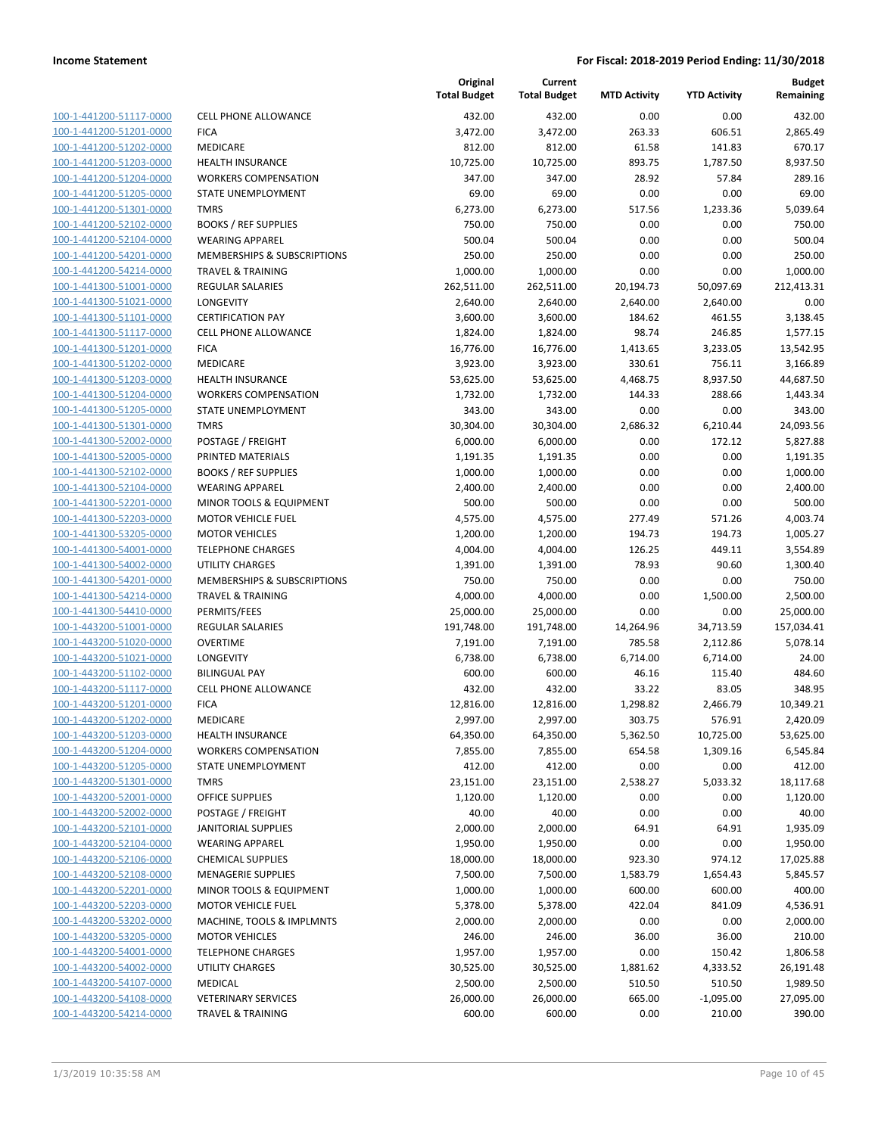| 100-1-441200-51117-0000                                   |
|-----------------------------------------------------------|
| 100-1-441200-51201-0000                                   |
| 100-1-441200-51202-0000                                   |
| 100-1-441200-51203-0000                                   |
| 100-1-441200-51204-0000                                   |
| 100-1-441200-51205-0000                                   |
| 100-1-441200-51301-0000                                   |
| 100-1-441200-52102-0000                                   |
| 100-1-441200-52104-0000                                   |
| 100-1-441200-54201-0000                                   |
| 100-1-441200-54214-0000                                   |
| 100-1-441300-51001-0000                                   |
| 100-1-441300-51021-0000                                   |
| 100-1-441300-51101-0000                                   |
| 100-1-441300-51117-0000                                   |
| 100-1-441300-51201-0000                                   |
| 100-1-441300-51202-0000                                   |
| 100-1-441300-51203-0000                                   |
| 100-1-441300-51204-0000                                   |
| 100-1-441300-51205-0000                                   |
| 100-1-441300-51301-0000                                   |
| 100-1-441300-52002-0000                                   |
| 100-1-441300-52005-0000                                   |
| 100-1-441300-52102-0000                                   |
|                                                           |
| 100-1-441300-52104-0000                                   |
| 100-1-441300-52201-0000                                   |
| 100-1-441300-52203-0000                                   |
| 100-1-441300-53205-0000                                   |
| 100-1-441300-54001-0000                                   |
| 100-1-441300-54002-0000                                   |
| 100-1-441300-54201-0000                                   |
| 100-1-441300-54214-0000                                   |
| 100-1-441300-54410-0000                                   |
| 100-1-443200-51001-0000                                   |
| 100-1-443200-51020-0000                                   |
| 100-1-443200-51021-0000                                   |
| 100-1-443200-51102-0000                                   |
| 100-1-443200-51117-0000                                   |
| 100-1-443200-51201-0000                                   |
| 100-1-443200-51202-0000                                   |
| 100-1-443200-51203-0000                                   |
| <u>100-1-443200-51204-0000</u>                            |
| 100-1-443200-51205-0000                                   |
| 100-1-443200-51301-0000                                   |
| 100-1-443200-52001-0000                                   |
| <u>100-1-443200-52002-0000</u>                            |
| <u>100-1-443200-52101-0000</u>                            |
| <u>100-1-443200-52104-0000</u>                            |
| <u>100-1-443200-52106-0000</u>                            |
| <u>100-1-443200-52108-0000</u>                            |
| 100-1-443200-52201-0000                                   |
| <u>100-1-443200-52203-0000</u>                            |
| 100-1-443200-53202-0000                                   |
| 100-1-443200-53205-0000                                   |
| <u>100-1-443200-54001-0000</u>                            |
| <u>100-1-443200-54002-0000</u>                            |
|                                                           |
| <u>100-1-443200-54107-0000</u>                            |
| <u>100-1-443200-54108-0000</u><br>100-1-443200-54214-0000 |
|                                                           |

|                                                    |                                  | Original<br><b>Total Budget</b> | Current<br><b>Total Budget</b> | <b>MTD Activity</b> | <b>YTD Activity</b> | <b>Budget</b><br>Remaining |
|----------------------------------------------------|----------------------------------|---------------------------------|--------------------------------|---------------------|---------------------|----------------------------|
| 100-1-441200-51117-0000                            | <b>CELL PHONE ALLOWANCE</b>      | 432.00                          | 432.00                         | 0.00                | 0.00                | 432.00                     |
| 100-1-441200-51201-0000                            | <b>FICA</b>                      | 3,472.00                        | 3,472.00                       | 263.33              | 606.51              | 2,865.49                   |
| 100-1-441200-51202-0000                            | MEDICARE                         | 812.00                          | 812.00                         | 61.58               | 141.83              | 670.17                     |
| 100-1-441200-51203-0000                            | <b>HEALTH INSURANCE</b>          | 10,725.00                       | 10,725.00                      | 893.75              | 1,787.50            | 8,937.50                   |
| 100-1-441200-51204-0000                            | <b>WORKERS COMPENSATION</b>      | 347.00                          | 347.00                         | 28.92               | 57.84               | 289.16                     |
| 100-1-441200-51205-0000                            | <b>STATE UNEMPLOYMENT</b>        | 69.00                           | 69.00                          | 0.00                | 0.00                | 69.00                      |
| 100-1-441200-51301-0000                            | <b>TMRS</b>                      | 6,273.00                        | 6,273.00                       | 517.56              | 1,233.36            | 5,039.64                   |
| 100-1-441200-52102-0000                            | <b>BOOKS / REF SUPPLIES</b>      | 750.00                          | 750.00                         | 0.00                | 0.00                | 750.00                     |
| 100-1-441200-52104-0000                            | <b>WEARING APPAREL</b>           | 500.04                          | 500.04                         | 0.00                | 0.00                | 500.04                     |
| 100-1-441200-54201-0000                            | MEMBERSHIPS & SUBSCRIPTIONS      | 250.00                          | 250.00                         | 0.00                | 0.00                | 250.00                     |
| 100-1-441200-54214-0000                            | <b>TRAVEL &amp; TRAINING</b>     | 1,000.00                        | 1,000.00                       | 0.00                | 0.00                | 1,000.00                   |
| 100-1-441300-51001-0000                            | <b>REGULAR SALARIES</b>          | 262,511.00                      | 262,511.00                     | 20,194.73           | 50,097.69           | 212,413.31                 |
| 100-1-441300-51021-0000                            | LONGEVITY                        | 2,640.00                        | 2,640.00                       | 2,640.00            | 2,640.00            | 0.00                       |
| 100-1-441300-51101-0000                            | <b>CERTIFICATION PAY</b>         | 3,600.00                        | 3,600.00                       | 184.62              | 461.55              | 3,138.45                   |
| 100-1-441300-51117-0000                            | <b>CELL PHONE ALLOWANCE</b>      | 1,824.00                        | 1,824.00                       | 98.74               | 246.85              | 1,577.15                   |
| 100-1-441300-51201-0000                            | <b>FICA</b>                      | 16,776.00                       | 16,776.00                      | 1,413.65            | 3,233.05            | 13,542.95                  |
| 100-1-441300-51202-0000                            | MEDICARE                         | 3,923.00                        | 3,923.00                       | 330.61              | 756.11              | 3,166.89                   |
| 100-1-441300-51203-0000                            | <b>HEALTH INSURANCE</b>          | 53,625.00                       | 53,625.00                      | 4,468.75            | 8,937.50            | 44,687.50                  |
| 100-1-441300-51204-0000                            | <b>WORKERS COMPENSATION</b>      | 1,732.00                        | 1,732.00                       | 144.33              | 288.66              | 1,443.34                   |
| 100-1-441300-51205-0000                            | STATE UNEMPLOYMENT               | 343.00                          | 343.00                         | 0.00                | 0.00                | 343.00                     |
| 100-1-441300-51301-0000                            | <b>TMRS</b>                      | 30,304.00                       | 30,304.00                      | 2,686.32            | 6,210.44            | 24,093.56                  |
| 100-1-441300-52002-0000                            | POSTAGE / FREIGHT                | 6,000.00                        | 6,000.00                       | 0.00                | 172.12              | 5,827.88                   |
| 100-1-441300-52005-0000                            | PRINTED MATERIALS                | 1,191.35                        | 1,191.35                       | 0.00                | 0.00                | 1,191.35                   |
| 100-1-441300-52102-0000                            | <b>BOOKS / REF SUPPLIES</b>      | 1,000.00                        | 1,000.00                       | 0.00                | 0.00                | 1,000.00                   |
| 100-1-441300-52104-0000                            | <b>WEARING APPAREL</b>           | 2,400.00                        | 2,400.00                       | 0.00                | 0.00                | 2,400.00                   |
| 100-1-441300-52201-0000                            | MINOR TOOLS & EQUIPMENT          | 500.00                          | 500.00                         | 0.00                | 0.00                | 500.00                     |
| 100-1-441300-52203-0000                            | <b>MOTOR VEHICLE FUEL</b>        | 4,575.00                        | 4,575.00                       | 277.49              | 571.26              | 4,003.74                   |
| 100-1-441300-53205-0000                            | <b>MOTOR VEHICLES</b>            | 1,200.00                        | 1,200.00                       | 194.73              | 194.73              | 1,005.27                   |
| 100-1-441300-54001-0000                            | <b>TELEPHONE CHARGES</b>         | 4,004.00                        | 4,004.00                       | 126.25              | 449.11              | 3,554.89                   |
| 100-1-441300-54002-0000                            | <b>UTILITY CHARGES</b>           | 1,391.00                        | 1,391.00                       | 78.93               | 90.60               | 1,300.40                   |
| 100-1-441300-54201-0000                            | MEMBERSHIPS & SUBSCRIPTIONS      | 750.00                          | 750.00                         | 0.00                | 0.00                | 750.00                     |
| 100-1-441300-54214-0000                            | <b>TRAVEL &amp; TRAINING</b>     | 4,000.00                        | 4,000.00                       | 0.00                | 1,500.00            | 2,500.00                   |
| 100-1-441300-54410-0000<br>100-1-443200-51001-0000 | PERMITS/FEES<br>REGULAR SALARIES | 25,000.00<br>191,748.00         | 25,000.00<br>191,748.00        | 0.00<br>14,264.96   | 0.00<br>34,713.59   | 25,000.00<br>157,034.41    |
| 100-1-443200-51020-0000                            | <b>OVERTIME</b>                  | 7,191.00                        | 7,191.00                       | 785.58              | 2,112.86            | 5,078.14                   |
| 100-1-443200-51021-0000                            | LONGEVITY                        | 6,738.00                        | 6,738.00                       | 6,714.00            | 6,714.00            | 24.00                      |
| 100-1-443200-51102-0000                            | <b>BILINGUAL PAY</b>             | 600.00                          | 600.00                         | 46.16               | 115.40              | 484.60                     |
| 100-1-443200-51117-0000                            | <b>CELL PHONE ALLOWANCE</b>      | 432.00                          | 432.00                         | 33.22               | 83.05               | 348.95                     |
| 100-1-443200-51201-0000                            | <b>FICA</b>                      | 12,816.00                       | 12,816.00                      | 1,298.82            | 2,466.79            | 10,349.21                  |
| 100-1-443200-51202-0000                            | MEDICARE                         | 2,997.00                        | 2,997.00                       | 303.75              | 576.91              | 2,420.09                   |
| 100-1-443200-51203-0000                            | <b>HEALTH INSURANCE</b>          | 64,350.00                       | 64,350.00                      | 5,362.50            | 10,725.00           | 53,625.00                  |
| 100-1-443200-51204-0000                            | <b>WORKERS COMPENSATION</b>      | 7,855.00                        | 7,855.00                       | 654.58              | 1,309.16            | 6,545.84                   |
| 100-1-443200-51205-0000                            | STATE UNEMPLOYMENT               | 412.00                          | 412.00                         | 0.00                | 0.00                | 412.00                     |
| 100-1-443200-51301-0000                            | <b>TMRS</b>                      | 23,151.00                       | 23,151.00                      | 2,538.27            | 5,033.32            | 18,117.68                  |
| 100-1-443200-52001-0000                            | OFFICE SUPPLIES                  | 1,120.00                        | 1,120.00                       | 0.00                | 0.00                | 1,120.00                   |
| 100-1-443200-52002-0000                            | POSTAGE / FREIGHT                | 40.00                           | 40.00                          | 0.00                | 0.00                | 40.00                      |
| 100-1-443200-52101-0000                            | <b>JANITORIAL SUPPLIES</b>       | 2,000.00                        | 2,000.00                       | 64.91               | 64.91               | 1,935.09                   |
| 100-1-443200-52104-0000                            | <b>WEARING APPAREL</b>           | 1,950.00                        | 1,950.00                       | 0.00                | 0.00                | 1,950.00                   |
| 100-1-443200-52106-0000                            | <b>CHEMICAL SUPPLIES</b>         | 18,000.00                       | 18,000.00                      | 923.30              | 974.12              | 17,025.88                  |
| 100-1-443200-52108-0000                            | <b>MENAGERIE SUPPLIES</b>        | 7,500.00                        | 7,500.00                       | 1,583.79            | 1,654.43            | 5,845.57                   |
| 100-1-443200-52201-0000                            | MINOR TOOLS & EQUIPMENT          | 1,000.00                        | 1,000.00                       | 600.00              | 600.00              | 400.00                     |
| 100-1-443200-52203-0000                            | <b>MOTOR VEHICLE FUEL</b>        | 5,378.00                        | 5,378.00                       | 422.04              | 841.09              | 4,536.91                   |
| 100-1-443200-53202-0000                            | MACHINE, TOOLS & IMPLMNTS        | 2,000.00                        | 2,000.00                       | 0.00                | 0.00                | 2,000.00                   |
| 100-1-443200-53205-0000                            | <b>MOTOR VEHICLES</b>            | 246.00                          | 246.00                         | 36.00               | 36.00               | 210.00                     |
| 100-1-443200-54001-0000                            | <b>TELEPHONE CHARGES</b>         | 1,957.00                        | 1,957.00                       | 0.00                | 150.42              | 1,806.58                   |
| 100-1-443200-54002-0000                            | UTILITY CHARGES                  | 30,525.00                       | 30,525.00                      | 1,881.62            | 4,333.52            | 26,191.48                  |
| 100-1-443200-54107-0000                            | MEDICAL                          | 2,500.00                        | 2,500.00                       | 510.50              | 510.50              | 1,989.50                   |
| 100-1-443200-54108-0000                            | <b>VETERINARY SERVICES</b>       | 26,000.00                       | 26,000.00                      | 665.00              | $-1,095.00$         | 27,095.00                  |
| 100-1-443200-54214-0000                            | <b>TRAVEL &amp; TRAINING</b>     | 600.00                          | 600.00                         | 0.00                | 210.00              | 390.00                     |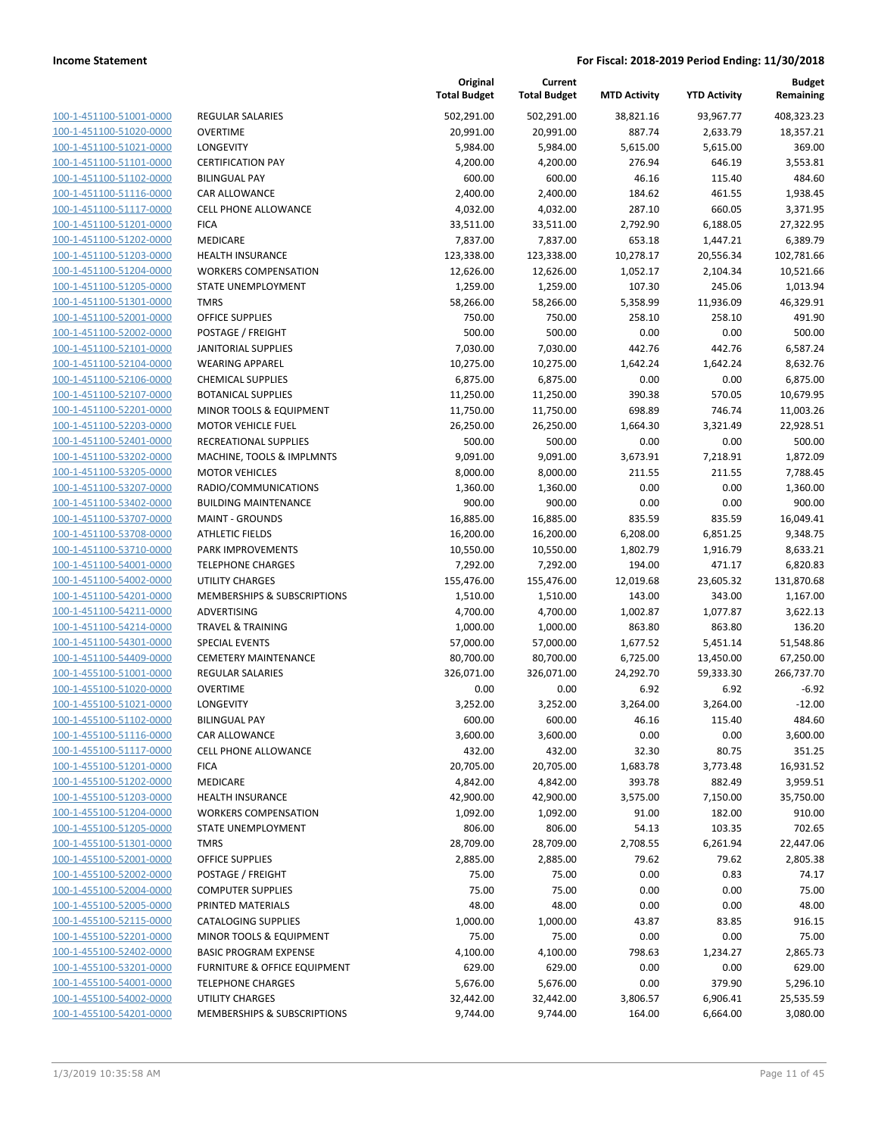**Current**

**Original**

**Budget Remaining**

|                                                    |                                                        | <b>Total Budget</b>   | <b>Total Budget</b>   | <b>MTD Activity</b> | <b>YTD Activity</b> | Remaining           |
|----------------------------------------------------|--------------------------------------------------------|-----------------------|-----------------------|---------------------|---------------------|---------------------|
| 100-1-451100-51001-0000                            | <b>REGULAR SALARIES</b>                                | 502,291.00            | 502,291.00            | 38,821.16           | 93,967.77           | 408,323.23          |
| 100-1-451100-51020-0000                            | <b>OVERTIME</b>                                        | 20,991.00             | 20,991.00             | 887.74              | 2,633.79            | 18,357.21           |
| 100-1-451100-51021-0000                            | <b>LONGEVITY</b>                                       | 5,984.00              | 5,984.00              | 5,615.00            | 5,615.00            | 369.00              |
| 100-1-451100-51101-0000                            | <b>CERTIFICATION PAY</b>                               | 4,200.00              | 4,200.00              | 276.94              | 646.19              | 3,553.81            |
| 100-1-451100-51102-0000                            | <b>BILINGUAL PAY</b>                                   | 600.00                | 600.00                | 46.16               | 115.40              | 484.60              |
| 100-1-451100-51116-0000                            | CAR ALLOWANCE                                          | 2,400.00              | 2,400.00              | 184.62              | 461.55              | 1,938.45            |
| 100-1-451100-51117-0000                            | <b>CELL PHONE ALLOWANCE</b>                            | 4,032.00              | 4,032.00              | 287.10              | 660.05              | 3,371.95            |
| 100-1-451100-51201-0000                            | <b>FICA</b>                                            | 33,511.00             | 33,511.00             | 2,792.90            | 6,188.05            | 27,322.95           |
| 100-1-451100-51202-0000                            | MEDICARE                                               | 7,837.00              | 7,837.00              | 653.18              | 1,447.21            | 6,389.79            |
| 100-1-451100-51203-0000                            | <b>HEALTH INSURANCE</b>                                | 123,338.00            | 123,338.00            | 10,278.17           | 20,556.34           | 102,781.66          |
| 100-1-451100-51204-0000                            | <b>WORKERS COMPENSATION</b>                            | 12,626.00             | 12,626.00             | 1,052.17            | 2,104.34            | 10,521.66           |
| 100-1-451100-51205-0000                            | <b>STATE UNEMPLOYMENT</b>                              | 1,259.00              | 1,259.00              | 107.30              | 245.06              | 1,013.94            |
| 100-1-451100-51301-0000                            | <b>TMRS</b>                                            | 58,266.00             | 58,266.00             | 5,358.99            | 11,936.09           | 46,329.91           |
| 100-1-451100-52001-0000                            | <b>OFFICE SUPPLIES</b>                                 | 750.00                | 750.00                | 258.10              | 258.10              | 491.90              |
| 100-1-451100-52002-0000                            | POSTAGE / FREIGHT                                      | 500.00                | 500.00                | 0.00                | 0.00                | 500.00              |
| 100-1-451100-52101-0000                            | <b>JANITORIAL SUPPLIES</b>                             | 7,030.00              | 7,030.00              | 442.76              | 442.76              | 6,587.24            |
| 100-1-451100-52104-0000                            | <b>WEARING APPAREL</b>                                 | 10,275.00             | 10,275.00             | 1,642.24            | 1,642.24            | 8,632.76            |
| 100-1-451100-52106-0000                            | <b>CHEMICAL SUPPLIES</b>                               | 6,875.00              | 6,875.00              | 0.00                | 0.00                | 6,875.00            |
| 100-1-451100-52107-0000                            | <b>BOTANICAL SUPPLIES</b>                              | 11,250.00             | 11,250.00             | 390.38              | 570.05              | 10,679.95           |
| 100-1-451100-52201-0000                            | MINOR TOOLS & EQUIPMENT                                | 11,750.00             | 11,750.00             | 698.89              | 746.74              | 11,003.26           |
| 100-1-451100-52203-0000                            | <b>MOTOR VEHICLE FUEL</b>                              | 26,250.00             | 26,250.00             | 1,664.30            | 3,321.49            | 22,928.51           |
| 100-1-451100-52401-0000                            | RECREATIONAL SUPPLIES                                  | 500.00                | 500.00                | 0.00                | 0.00                | 500.00              |
| 100-1-451100-53202-0000                            | MACHINE, TOOLS & IMPLMNTS                              | 9,091.00              | 9,091.00              | 3,673.91            | 7,218.91            | 1,872.09            |
| 100-1-451100-53205-0000                            | <b>MOTOR VEHICLES</b>                                  | 8,000.00              | 8,000.00              | 211.55              | 211.55              | 7,788.45            |
| 100-1-451100-53207-0000                            | RADIO/COMMUNICATIONS                                   | 1,360.00              | 1,360.00              | 0.00                | 0.00                | 1,360.00            |
| 100-1-451100-53402-0000                            | <b>BUILDING MAINTENANCE</b>                            | 900.00                | 900.00                | 0.00                | 0.00                | 900.00              |
| 100-1-451100-53707-0000                            | <b>MAINT - GROUNDS</b>                                 | 16,885.00             | 16,885.00             | 835.59              | 835.59              | 16,049.41           |
| 100-1-451100-53708-0000                            | <b>ATHLETIC FIELDS</b>                                 | 16,200.00             | 16,200.00             | 6,208.00            | 6,851.25            | 9,348.75            |
| 100-1-451100-53710-0000                            | PARK IMPROVEMENTS                                      | 10,550.00             | 10,550.00             | 1,802.79            | 1,916.79            | 8,633.21            |
| 100-1-451100-54001-0000                            | <b>TELEPHONE CHARGES</b>                               | 7,292.00              | 7,292.00              | 194.00              | 471.17              | 6,820.83            |
| 100-1-451100-54002-0000                            | <b>UTILITY CHARGES</b>                                 | 155,476.00            | 155,476.00            | 12,019.68           | 23,605.32           | 131,870.68          |
| 100-1-451100-54201-0000                            | MEMBERSHIPS & SUBSCRIPTIONS                            | 1,510.00              | 1,510.00              | 143.00              | 343.00              | 1,167.00            |
| 100-1-451100-54211-0000                            | ADVERTISING                                            | 4,700.00              | 4,700.00              | 1,002.87            | 1,077.87            | 3,622.13            |
| 100-1-451100-54214-0000                            | <b>TRAVEL &amp; TRAINING</b>                           | 1,000.00              | 1,000.00              | 863.80              | 863.80              | 136.20              |
| 100-1-451100-54301-0000                            | SPECIAL EVENTS                                         | 57,000.00             | 57,000.00             | 1,677.52            | 5,451.14            | 51,548.86           |
| 100-1-451100-54409-0000                            | <b>CEMETERY MAINTENANCE</b>                            | 80,700.00             | 80,700.00             | 6,725.00            | 13,450.00           | 67,250.00           |
| 100-1-455100-51001-0000                            | <b>REGULAR SALARIES</b>                                | 326,071.00            | 326,071.00            | 24,292.70           | 59,333.30           | 266,737.70          |
| 100-1-455100-51020-0000                            | <b>OVERTIME</b>                                        | 0.00                  | 0.00                  | 6.92                | 6.92                | $-6.92$             |
| 100-1-455100-51021-0000                            | LONGEVITY                                              | 3,252.00              | 3,252.00              | 3,264.00            | 3,264.00            | $-12.00$            |
| 100-1-455100-51102-0000                            | <b>BILINGUAL PAY</b>                                   | 600.00                | 600.00                | 46.16               | 115.40              | 484.60              |
| 100-1-455100-51116-0000                            | CAR ALLOWANCE                                          | 3,600.00              | 3,600.00              | 0.00                | 0.00                | 3,600.00            |
| 100-1-455100-51117-0000                            | <b>CELL PHONE ALLOWANCE</b>                            | 432.00                | 432.00                | 32.30               | 80.75               | 351.25              |
| 100-1-455100-51201-0000                            | <b>FICA</b><br><b>MEDICARE</b>                         | 20,705.00             | 20,705.00             | 1,683.78            | 3,773.48            | 16,931.52           |
| 100-1-455100-51202-0000                            |                                                        | 4,842.00              | 4,842.00              | 393.78              | 882.49              | 3,959.51            |
| 100-1-455100-51203-0000<br>100-1-455100-51204-0000 | <b>HEALTH INSURANCE</b><br><b>WORKERS COMPENSATION</b> | 42,900.00<br>1,092.00 | 42,900.00<br>1,092.00 | 3,575.00<br>91.00   | 7,150.00<br>182.00  | 35,750.00<br>910.00 |
| 100-1-455100-51205-0000                            | <b>STATE UNEMPLOYMENT</b>                              | 806.00                | 806.00                | 54.13               | 103.35              | 702.65              |
| 100-1-455100-51301-0000                            | <b>TMRS</b>                                            | 28,709.00             | 28,709.00             | 2,708.55            | 6,261.94            | 22,447.06           |
| 100-1-455100-52001-0000                            | <b>OFFICE SUPPLIES</b>                                 | 2,885.00              | 2,885.00              | 79.62               | 79.62               | 2,805.38            |
| 100-1-455100-52002-0000                            | POSTAGE / FREIGHT                                      | 75.00                 | 75.00                 | 0.00                | 0.83                | 74.17               |
| 100-1-455100-52004-0000                            | <b>COMPUTER SUPPLIES</b>                               | 75.00                 | 75.00                 | 0.00                | 0.00                | 75.00               |
| 100-1-455100-52005-0000                            | PRINTED MATERIALS                                      | 48.00                 | 48.00                 | 0.00                | 0.00                | 48.00               |
| 100-1-455100-52115-0000                            | <b>CATALOGING SUPPLIES</b>                             | 1,000.00              | 1,000.00              | 43.87               | 83.85               | 916.15              |
| 100-1-455100-52201-0000                            | MINOR TOOLS & EQUIPMENT                                | 75.00                 | 75.00                 | 0.00                | 0.00                | 75.00               |
| 100-1-455100-52402-0000                            | <b>BASIC PROGRAM EXPENSE</b>                           | 4,100.00              | 4,100.00              | 798.63              | 1,234.27            | 2,865.73            |
| 100-1-455100-53201-0000                            | FURNITURE & OFFICE EQUIPMENT                           | 629.00                | 629.00                | 0.00                | 0.00                | 629.00              |
| 100-1-455100-54001-0000                            | <b>TELEPHONE CHARGES</b>                               | 5,676.00              | 5,676.00              | 0.00                | 379.90              | 5,296.10            |
| 100-1-455100-54002-0000                            | UTILITY CHARGES                                        | 32,442.00             | 32,442.00             | 3,806.57            | 6,906.41            | 25,535.59           |
| 100-1-455100-54201-0000                            | MEMBERSHIPS & SUBSCRIPTIONS                            | 9,744.00              | 9,744.00              | 164.00              | 6,664.00            | 3,080.00            |
|                                                    |                                                        |                       |                       |                     |                     |                     |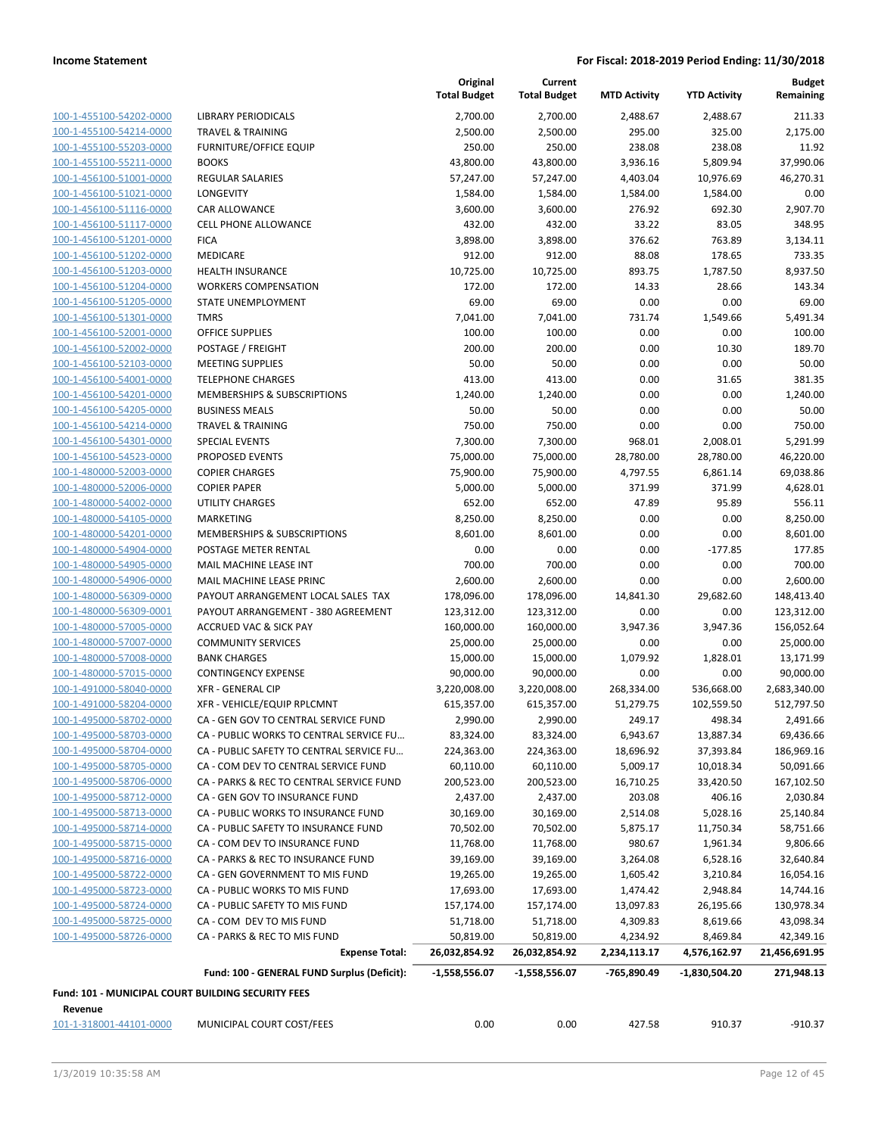| 100-1-455100-54202-0000                            | LIBRAF                      |
|----------------------------------------------------|-----------------------------|
| 100-1-455100-54214-0000                            | <b>TRAVE</b>                |
| 100-1-455100-55203-0000                            | <b>FURNI</b>                |
| 100-1-455100-55211-0000                            | <b>BOOKS</b>                |
| 100-1-456100-51001-0000                            | REGUL                       |
| 100-1-456100-51021-0000                            | <b>LONGE</b>                |
| 100-1-456100-51116-0000                            | <b>CAR AI</b>               |
| 100-1-456100-51117-0000                            | CELL P                      |
| 100-1-456100-51201-0000                            | <b>FICA</b>                 |
| 100-1-456100-51202-0000                            | <b>MEDIC</b>                |
| 100-1-456100-51203-0000                            | <b>HEALT</b>                |
| 100-1-456100-51204-0000                            | <b>WORK</b>                 |
| 100-1-456100-51205-0000                            | <b>STATE</b>                |
| 100-1-456100-51301-0000                            | TMRS                        |
| 100-1-456100-52001-0000                            | OFFICE                      |
| 100-1-456100-52002-0000                            | POSTA                       |
| 100-1-456100-52103-0000                            | <b>MEETI</b>                |
| 100-1-456100-54001-0000                            | <b>TELEPH</b>               |
| 100-1-456100-54201-0000                            | <b>MEMB</b>                 |
| 100-1-456100-54205-0000                            | <b>BUSIN</b>                |
| 100-1-456100-54214-0000                            | <b>TRAVE</b>                |
| 100-1-456100-54301-0000                            | <b>SPECIA</b>               |
| 100-1-456100-54523-0000                            | <b>PROPC</b>                |
| 100-1-480000-52003-0000                            | <b>COPIEI</b>               |
| 100-1-480000-52006-0000                            | <b>COPIEI</b>               |
| 100-1-480000-54002-0000                            | <b>UTILIT</b>               |
| 100-1-480000-54105-0000                            | <b>MARKI</b>                |
| 100-1-480000-54201-0000                            | <b>MEMB</b>                 |
| 100-1-480000-54904-0000                            | <b>POSTA</b>                |
| 100-1-480000-54905-0000                            | MAIL <sub>N</sub>           |
| 100-1-480000-54906-0000                            | MAIL N                      |
| 100-1-480000-56309-0000                            | PAYOL                       |
| 100-1-480000-56309-0001                            | PAYOL                       |
| 100-1-480000-57005-0000                            | ACCRU                       |
| 100-1-480000-57007-0000                            | COMN                        |
| 100-1-480000-57008-0000                            | <b>BANK</b><br><b>CONTI</b> |
| 100-1-480000-57015-0000                            |                             |
| 100-1-491000-58040-0000                            | $XFR - C$<br>$XFR - V$      |
| 100-1-491000-58204-0000<br>100-1-495000-58702-0000 | CA - GI                     |
| 100-1-495000-58703-0000                            | CA - Pl                     |
| 100-1-495000-58704-0000                            | CA - Pl                     |
| 100-1-495000-58705-0000                            | CA - CO                     |
| 100-1-495000-58706-0000                            | $CA - PI$                   |
| <u>100-1-495000-58712-0000</u>                     | CA - GI                     |
| 100-1-495000-58713-0000                            | CA - Pl                     |
| 100-1-495000-58714-0000                            | CA - Pl                     |
| 100-1-495000-58715-0000                            | $CA - CC$                   |
| 100-1-495000-58716-0000                            | $CA - PI$                   |
| 100-1-495000-58722-0000                            | CA - GI                     |
| <u>100-1-495000-58723-0000</u>                     | CA - Pl                     |
| 100-1-495000-58724-0000                            | CA - Pl                     |
| 100-1-495000-58725-0000                            | $CA - CC$                   |
| 100-1-495000-58726-0000                            | $CA - PI$                   |
|                                                    |                             |
|                                                    |                             |

|                                                    |                                             | Original<br><b>Total Budget</b> | Current<br><b>Total Budget</b> | <b>MTD Activity</b> | <b>YTD Activity</b> | <b>Budget</b><br>Remaining |
|----------------------------------------------------|---------------------------------------------|---------------------------------|--------------------------------|---------------------|---------------------|----------------------------|
| 100-1-455100-54202-0000                            | <b>LIBRARY PERIODICALS</b>                  | 2,700.00                        | 2,700.00                       | 2,488.67            | 2,488.67            | 211.33                     |
| 100-1-455100-54214-0000                            | <b>TRAVEL &amp; TRAINING</b>                | 2,500.00                        | 2,500.00                       | 295.00              | 325.00              | 2,175.00                   |
| 100-1-455100-55203-0000                            | <b>FURNITURE/OFFICE EQUIP</b>               | 250.00                          | 250.00                         | 238.08              | 238.08              | 11.92                      |
| 100-1-455100-55211-0000                            | <b>BOOKS</b>                                | 43,800.00                       | 43,800.00                      | 3,936.16            | 5,809.94            | 37,990.06                  |
| 100-1-456100-51001-0000                            | <b>REGULAR SALARIES</b>                     | 57,247.00                       | 57,247.00                      | 4,403.04            | 10,976.69           | 46,270.31                  |
| 100-1-456100-51021-0000                            | LONGEVITY                                   | 1,584.00                        | 1,584.00                       | 1,584.00            | 1,584.00            | 0.00                       |
| 100-1-456100-51116-0000                            | <b>CAR ALLOWANCE</b>                        | 3,600.00                        | 3,600.00                       | 276.92              | 692.30              | 2,907.70                   |
| 100-1-456100-51117-0000                            | <b>CELL PHONE ALLOWANCE</b>                 | 432.00                          | 432.00                         | 33.22               | 83.05               | 348.95                     |
| 100-1-456100-51201-0000                            | <b>FICA</b>                                 | 3,898.00                        | 3,898.00                       | 376.62              | 763.89              | 3,134.11                   |
| 100-1-456100-51202-0000                            | <b>MEDICARE</b>                             | 912.00                          | 912.00                         | 88.08               | 178.65              | 733.35                     |
| 100-1-456100-51203-0000                            | <b>HEALTH INSURANCE</b>                     | 10,725.00                       | 10,725.00                      | 893.75              | 1,787.50            | 8,937.50                   |
| 100-1-456100-51204-0000                            | <b>WORKERS COMPENSATION</b>                 | 172.00                          | 172.00                         | 14.33               | 28.66               | 143.34                     |
| 100-1-456100-51205-0000                            | STATE UNEMPLOYMENT                          | 69.00                           | 69.00                          | 0.00                | 0.00                | 69.00                      |
| 100-1-456100-51301-0000                            | <b>TMRS</b>                                 | 7,041.00                        | 7,041.00                       | 731.74              | 1,549.66            | 5,491.34                   |
| 100-1-456100-52001-0000                            | <b>OFFICE SUPPLIES</b>                      | 100.00                          | 100.00                         | 0.00                | 0.00                | 100.00                     |
| 100-1-456100-52002-0000                            | POSTAGE / FREIGHT                           | 200.00                          | 200.00                         | 0.00                | 10.30               | 189.70                     |
| 100-1-456100-52103-0000                            | <b>MEETING SUPPLIES</b>                     | 50.00                           | 50.00                          | 0.00                | 0.00                | 50.00                      |
| 100-1-456100-54001-0000                            | <b>TELEPHONE CHARGES</b>                    | 413.00                          | 413.00                         | 0.00                | 31.65               | 381.35                     |
| 100-1-456100-54201-0000                            | MEMBERSHIPS & SUBSCRIPTIONS                 | 1,240.00                        | 1,240.00                       | 0.00                | 0.00                | 1,240.00                   |
| 100-1-456100-54205-0000                            | <b>BUSINESS MEALS</b>                       | 50.00                           | 50.00                          | 0.00                | 0.00                | 50.00                      |
| 100-1-456100-54214-0000                            | <b>TRAVEL &amp; TRAINING</b>                | 750.00                          | 750.00                         | 0.00                | 0.00                | 750.00                     |
| 100-1-456100-54301-0000                            | <b>SPECIAL EVENTS</b>                       | 7,300.00                        | 7,300.00                       | 968.01              | 2,008.01            | 5,291.99                   |
| 100-1-456100-54523-0000                            | PROPOSED EVENTS                             | 75,000.00                       | 75,000.00                      | 28,780.00           | 28,780.00           | 46,220.00                  |
| 100-1-480000-52003-0000                            | <b>COPIER CHARGES</b>                       | 75,900.00                       | 75,900.00                      | 4,797.55            | 6,861.14            | 69,038.86                  |
| 100-1-480000-52006-0000                            | <b>COPIER PAPER</b>                         | 5,000.00                        | 5,000.00                       | 371.99              | 371.99              | 4,628.01                   |
| 100-1-480000-54002-0000                            | <b>UTILITY CHARGES</b>                      | 652.00                          | 652.00                         | 47.89               | 95.89               | 556.11                     |
| 100-1-480000-54105-0000                            | <b>MARKETING</b>                            | 8,250.00                        | 8,250.00                       | 0.00                | 0.00                | 8,250.00                   |
| 100-1-480000-54201-0000                            | MEMBERSHIPS & SUBSCRIPTIONS                 | 8,601.00                        | 8,601.00                       | 0.00                | 0.00                | 8,601.00                   |
| 100-1-480000-54904-0000                            | POSTAGE METER RENTAL                        | 0.00                            | 0.00                           | 0.00                | $-177.85$           | 177.85                     |
| 100-1-480000-54905-0000                            | MAIL MACHINE LEASE INT                      | 700.00                          | 700.00                         | 0.00                | 0.00                | 700.00                     |
| 100-1-480000-54906-0000                            | MAIL MACHINE LEASE PRINC                    | 2,600.00                        | 2,600.00                       | 0.00                | 0.00                | 2,600.00                   |
| 100-1-480000-56309-0000                            | PAYOUT ARRANGEMENT LOCAL SALES TAX          | 178,096.00                      | 178,096.00                     | 14,841.30           | 29,682.60           | 148,413.40                 |
| 100-1-480000-56309-0001                            | PAYOUT ARRANGEMENT - 380 AGREEMENT          | 123,312.00                      | 123,312.00                     | 0.00                | 0.00                | 123,312.00                 |
| 100-1-480000-57005-0000                            | <b>ACCRUED VAC &amp; SICK PAY</b>           | 160,000.00                      | 160,000.00                     | 3,947.36            | 3,947.36            | 156,052.64                 |
| 100-1-480000-57007-0000                            | <b>COMMUNITY SERVICES</b>                   | 25,000.00                       | 25,000.00                      | 0.00                | 0.00                | 25,000.00                  |
| 100-1-480000-57008-0000                            | <b>BANK CHARGES</b>                         | 15,000.00                       | 15,000.00                      | 1,079.92            | 1,828.01            | 13,171.99                  |
| 100-1-480000-57015-0000                            | <b>CONTINGENCY EXPENSE</b>                  | 90,000.00                       | 90,000.00                      | 0.00                | 0.00                | 90,000.00                  |
| 100-1-491000-58040-0000                            | <b>XFR - GENERAL CIP</b>                    | 3,220,008.00                    | 3,220,008.00                   | 268,334.00          | 536,668.00          | 2,683,340.00               |
| 100-1-491000-58204-0000                            | XFR - VEHICLE/EQUIP RPLCMNT                 | 615,357.00                      | 615,357.00                     | 51,279.75           | 102,559.50          | 512,797.50                 |
| 100-1-495000-58702-0000                            | CA - GEN GOV TO CENTRAL SERVICE FUND        | 2,990.00                        | 2,990.00                       | 249.17              | 498.34              | 2,491.66                   |
| 100-1-495000-58703-0000                            | CA - PUBLIC WORKS TO CENTRAL SERVICE FU     | 83,324.00                       | 83,324.00                      | 6,943.67            | 13,887.34           | 69,436.66                  |
| 100-1-495000-58704-0000                            | CA - PUBLIC SAFETY TO CENTRAL SERVICE FU    | 224,363.00                      | 224,363.00                     | 18,696.92           | 37,393.84           | 186,969.16                 |
| 100-1-495000-58705-0000                            | CA - COM DEV TO CENTRAL SERVICE FUND        | 60,110.00                       | 60,110.00                      | 5,009.17            | 10,018.34           | 50,091.66                  |
| 100-1-495000-58706-0000                            | CA - PARKS & REC TO CENTRAL SERVICE FUND    | 200,523.00                      | 200,523.00                     | 16,710.25           | 33,420.50           | 167,102.50                 |
| 100-1-495000-58712-0000                            | CA - GEN GOV TO INSURANCE FUND              | 2,437.00                        | 2,437.00                       | 203.08              | 406.16              | 2,030.84                   |
| 100-1-495000-58713-0000                            | CA - PUBLIC WORKS TO INSURANCE FUND         | 30,169.00                       | 30,169.00                      | 2,514.08            | 5,028.16            | 25,140.84                  |
| 100-1-495000-58714-0000                            | CA - PUBLIC SAFETY TO INSURANCE FUND        | 70,502.00                       | 70,502.00                      | 5,875.17            | 11,750.34           | 58,751.66                  |
| 100-1-495000-58715-0000                            | CA - COM DEV TO INSURANCE FUND              | 11,768.00                       | 11,768.00                      | 980.67              | 1,961.34            | 9,806.66                   |
| 100-1-495000-58716-0000                            | CA - PARKS & REC TO INSURANCE FUND          | 39,169.00                       | 39,169.00                      | 3,264.08            | 6,528.16            | 32,640.84                  |
| 100-1-495000-58722-0000                            | CA - GEN GOVERNMENT TO MIS FUND             | 19,265.00                       | 19,265.00                      | 1,605.42            | 3,210.84            | 16,054.16                  |
| 100-1-495000-58723-0000                            | CA - PUBLIC WORKS TO MIS FUND               | 17,693.00                       | 17,693.00                      | 1,474.42            | 2,948.84            | 14,744.16                  |
| 100-1-495000-58724-0000                            | CA - PUBLIC SAFETY TO MIS FUND              | 157,174.00                      | 157,174.00                     | 13,097.83           | 26,195.66           | 130,978.34                 |
| 100-1-495000-58725-0000                            | CA - COM DEV TO MIS FUND                    | 51,718.00                       | 51,718.00                      | 4,309.83            | 8,619.66            | 43,098.34                  |
| 100-1-495000-58726-0000                            | CA - PARKS & REC TO MIS FUND                | 50,819.00                       | 50,819.00                      | 4,234.92            | 8,469.84            | 42,349.16                  |
|                                                    | <b>Expense Total:</b>                       | 26,032,854.92                   | 26,032,854.92                  | 2,234,113.17        | 4,576,162.97        | 21,456,691.95              |
|                                                    | Fund: 100 - GENERAL FUND Surplus (Deficit): | $-1,558,556.07$                 |                                | -765,890.49         | -1,830,504.20       | 271,948.13                 |
|                                                    |                                             |                                 | -1,558,556.07                  |                     |                     |                            |
| Fund: 101 - MUNICIPAL COURT BUILDING SECURITY FEES |                                             |                                 |                                |                     |                     |                            |
| Revenue                                            |                                             |                                 |                                |                     |                     |                            |

101-1-318001-44101-0000 MUNICIPAL COURT COST/FEES 0.00 0.00 427.58 910.37 -910.37

**Revenue**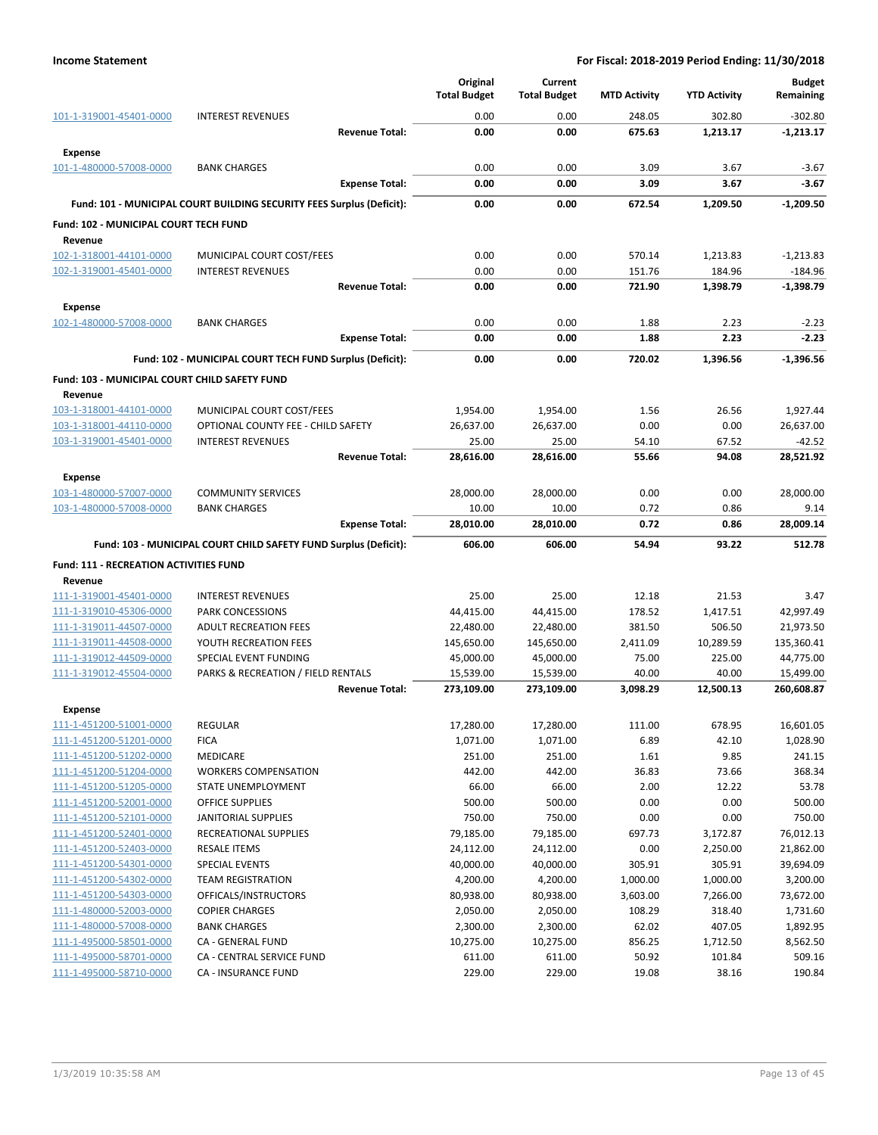|                                                    |                                                                       |                       | Original<br><b>Total Budget</b> | Current<br><b>Total Budget</b> | <b>MTD Activity</b> | <b>YTD Activity</b> | <b>Budget</b><br>Remaining |
|----------------------------------------------------|-----------------------------------------------------------------------|-----------------------|---------------------------------|--------------------------------|---------------------|---------------------|----------------------------|
| 101-1-319001-45401-0000                            | <b>INTEREST REVENUES</b>                                              |                       | 0.00                            | 0.00                           | 248.05              | 302.80              | $-302.80$                  |
| <b>Expense</b>                                     |                                                                       | <b>Revenue Total:</b> | 0.00                            | 0.00                           | 675.63              | 1,213.17            | $-1,213.17$                |
| 101-1-480000-57008-0000                            | <b>BANK CHARGES</b>                                                   |                       | 0.00                            | 0.00                           | 3.09                | 3.67                | $-3.67$                    |
|                                                    |                                                                       | <b>Expense Total:</b> | 0.00                            | 0.00                           | 3.09                | 3.67                | $-3.67$                    |
|                                                    | Fund: 101 - MUNICIPAL COURT BUILDING SECURITY FEES Surplus (Deficit): |                       | 0.00                            | 0.00                           | 672.54              | 1,209.50            | $-1,209.50$                |
| Fund: 102 - MUNICIPAL COURT TECH FUND              |                                                                       |                       |                                 |                                |                     |                     |                            |
| Revenue                                            |                                                                       |                       |                                 |                                |                     |                     |                            |
| 102-1-318001-44101-0000                            | MUNICIPAL COURT COST/FEES                                             |                       | 0.00                            | 0.00                           | 570.14              | 1,213.83            | $-1,213.83$                |
| 102-1-319001-45401-0000                            | <b>INTEREST REVENUES</b>                                              |                       | 0.00                            | 0.00                           | 151.76              | 184.96              | $-184.96$                  |
|                                                    |                                                                       | <b>Revenue Total:</b> | 0.00                            | 0.00                           | 721.90              | 1,398.79            | $-1,398.79$                |
| <b>Expense</b>                                     |                                                                       |                       |                                 |                                |                     |                     |                            |
| 102-1-480000-57008-0000                            | <b>BANK CHARGES</b>                                                   |                       | 0.00                            | 0.00                           | 1.88                | 2.23                | $-2.23$                    |
|                                                    |                                                                       | <b>Expense Total:</b> | 0.00                            | 0.00                           | 1.88                | 2.23                | $-2.23$                    |
|                                                    | Fund: 102 - MUNICIPAL COURT TECH FUND Surplus (Deficit):              |                       | 0.00                            | 0.00                           | 720.02              | 1,396.56            | $-1,396.56$                |
| Fund: 103 - MUNICIPAL COURT CHILD SAFETY FUND      |                                                                       |                       |                                 |                                |                     |                     |                            |
| Revenue                                            |                                                                       |                       |                                 |                                |                     |                     |                            |
| 103-1-318001-44101-0000                            | MUNICIPAL COURT COST/FEES                                             |                       | 1,954.00                        | 1,954.00                       | 1.56                | 26.56               | 1,927.44                   |
| 103-1-318001-44110-0000                            | OPTIONAL COUNTY FEE - CHILD SAFETY                                    |                       | 26,637.00                       | 26,637.00                      | 0.00                | 0.00                | 26,637.00                  |
| 103-1-319001-45401-0000                            | <b>INTEREST REVENUES</b>                                              |                       | 25.00                           | 25.00                          | 54.10               | 67.52               | $-42.52$                   |
|                                                    |                                                                       | <b>Revenue Total:</b> | 28,616.00                       | 28,616.00                      | 55.66               | 94.08               | 28,521.92                  |
| <b>Expense</b>                                     |                                                                       |                       |                                 |                                |                     |                     |                            |
| 103-1-480000-57007-0000                            | <b>COMMUNITY SERVICES</b>                                             |                       | 28,000.00                       | 28,000.00                      | 0.00                | 0.00                | 28,000.00                  |
| 103-1-480000-57008-0000                            | <b>BANK CHARGES</b>                                                   | <b>Expense Total:</b> | 10.00<br>28,010.00              | 10.00<br>28,010.00             | 0.72<br>0.72        | 0.86<br>0.86        | 9.14<br>28,009.14          |
|                                                    |                                                                       |                       |                                 |                                |                     |                     |                            |
|                                                    | Fund: 103 - MUNICIPAL COURT CHILD SAFETY FUND Surplus (Deficit):      |                       | 606.00                          | 606.00                         | 54.94               | 93.22               | 512.78                     |
| <b>Fund: 111 - RECREATION ACTIVITIES FUND</b>      |                                                                       |                       |                                 |                                |                     |                     |                            |
| Revenue<br>111-1-319001-45401-0000                 | <b>INTEREST REVENUES</b>                                              |                       | 25.00                           | 25.00                          | 12.18               | 21.53               | 3.47                       |
| 111-1-319010-45306-0000                            | PARK CONCESSIONS                                                      |                       | 44,415.00                       | 44,415.00                      | 178.52              | 1,417.51            | 42,997.49                  |
| 111-1-319011-44507-0000                            | <b>ADULT RECREATION FEES</b>                                          |                       | 22,480.00                       | 22,480.00                      | 381.50              | 506.50              | 21,973.50                  |
| 111-1-319011-44508-0000                            | YOUTH RECREATION FEES                                                 |                       | 145,650.00                      | 145,650.00                     | 2,411.09            | 10,289.59           | 135,360.41                 |
| 111-1-319012-44509-0000                            | SPECIAL EVENT FUNDING                                                 |                       | 45,000.00                       | 45,000.00                      | 75.00               | 225.00              | 44,775.00                  |
| 111-1-319012-45504-0000                            | PARKS & RECREATION / FIELD RENTALS                                    |                       | 15,539.00                       | 15,539.00                      | 40.00               | 40.00               | 15,499.00                  |
|                                                    |                                                                       | <b>Revenue Total:</b> | 273,109.00                      | 273,109.00                     | 3,098.29            | 12,500.13           | 260,608.87                 |
| <b>Expense</b>                                     |                                                                       |                       |                                 |                                |                     |                     |                            |
| 111-1-451200-51001-0000                            | <b>REGULAR</b>                                                        |                       | 17,280.00                       | 17,280.00                      | 111.00              | 678.95              | 16,601.05                  |
| 111-1-451200-51201-0000                            | <b>FICA</b>                                                           |                       | 1,071.00                        | 1,071.00                       | 6.89                | 42.10               | 1,028.90                   |
| 111-1-451200-51202-0000                            | MEDICARE                                                              |                       | 251.00                          | 251.00                         | 1.61                | 9.85                | 241.15                     |
| 111-1-451200-51204-0000                            | <b>WORKERS COMPENSATION</b>                                           |                       | 442.00                          | 442.00                         | 36.83               | 73.66               | 368.34                     |
| 111-1-451200-51205-0000                            | STATE UNEMPLOYMENT                                                    |                       | 66.00                           | 66.00                          | 2.00                | 12.22               | 53.78                      |
| 111-1-451200-52001-0000                            | OFFICE SUPPLIES                                                       |                       | 500.00                          | 500.00                         | 0.00                | 0.00                | 500.00                     |
| 111-1-451200-52101-0000                            | <b>JANITORIAL SUPPLIES</b>                                            |                       | 750.00                          | 750.00                         | 0.00                | 0.00                | 750.00                     |
| 111-1-451200-52401-0000                            | <b>RECREATIONAL SUPPLIES</b>                                          |                       | 79,185.00                       | 79,185.00                      | 697.73              | 3,172.87            | 76,012.13                  |
| 111-1-451200-52403-0000<br>111-1-451200-54301-0000 | <b>RESALE ITEMS</b><br><b>SPECIAL EVENTS</b>                          |                       | 24,112.00<br>40,000.00          | 24,112.00<br>40,000.00         | 0.00<br>305.91      | 2,250.00<br>305.91  | 21,862.00<br>39,694.09     |
| 111-1-451200-54302-0000                            | <b>TEAM REGISTRATION</b>                                              |                       | 4,200.00                        | 4,200.00                       | 1,000.00            | 1,000.00            | 3,200.00                   |
| 111-1-451200-54303-0000                            | OFFICALS/INSTRUCTORS                                                  |                       | 80,938.00                       | 80,938.00                      | 3,603.00            | 7,266.00            | 73,672.00                  |
| 111-1-480000-52003-0000                            | <b>COPIER CHARGES</b>                                                 |                       | 2,050.00                        | 2,050.00                       | 108.29              | 318.40              | 1,731.60                   |
| 111-1-480000-57008-0000                            | <b>BANK CHARGES</b>                                                   |                       | 2,300.00                        | 2,300.00                       | 62.02               | 407.05              | 1,892.95                   |
| 111-1-495000-58501-0000                            | CA - GENERAL FUND                                                     |                       | 10,275.00                       | 10,275.00                      | 856.25              | 1,712.50            | 8,562.50                   |
| 111-1-495000-58701-0000                            | CA - CENTRAL SERVICE FUND                                             |                       | 611.00                          | 611.00                         | 50.92               | 101.84              | 509.16                     |
| 111-1-495000-58710-0000                            | CA - INSURANCE FUND                                                   |                       | 229.00                          | 229.00                         | 19.08               | 38.16               | 190.84                     |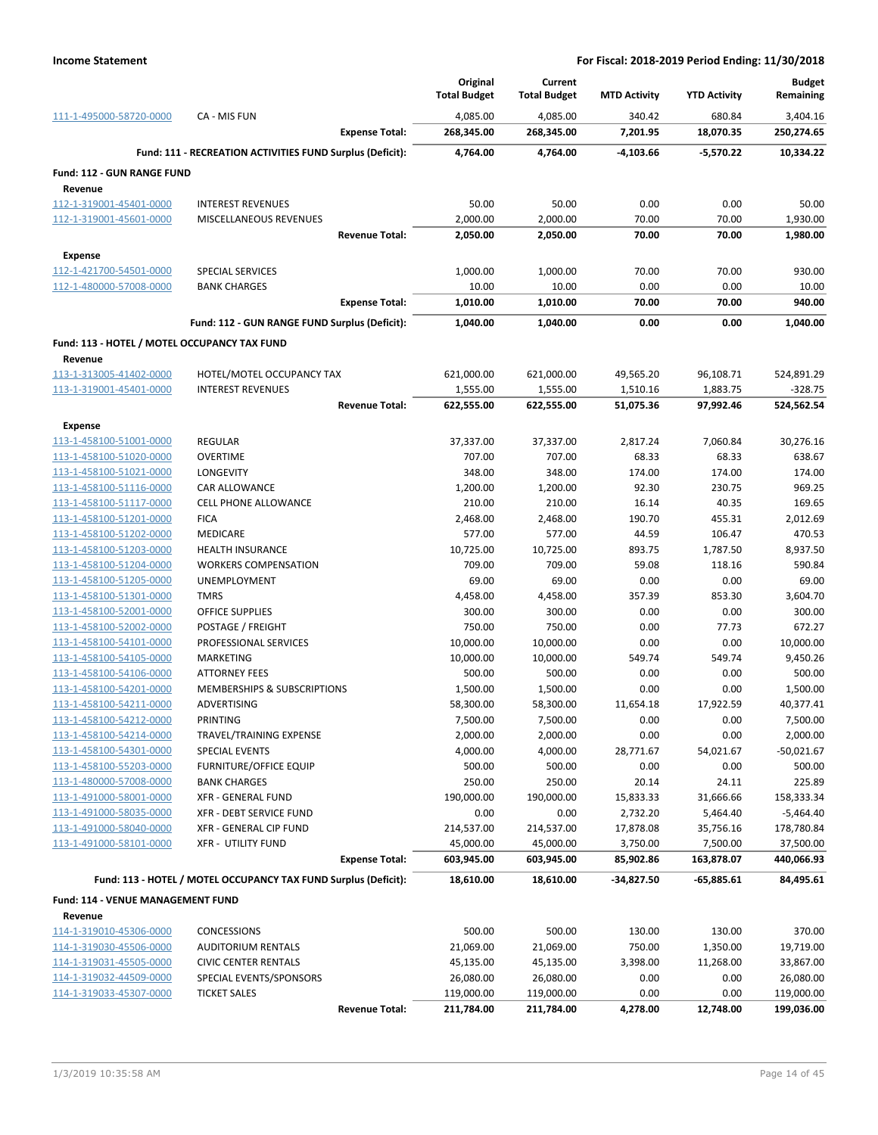|                                                    |                                                                 | Original              | Current               |                     |                     | <b>Budget</b>         |
|----------------------------------------------------|-----------------------------------------------------------------|-----------------------|-----------------------|---------------------|---------------------|-----------------------|
|                                                    |                                                                 | <b>Total Budget</b>   | <b>Total Budget</b>   | <b>MTD Activity</b> | <b>YTD Activity</b> | Remaining             |
| 111-1-495000-58720-0000                            | CA - MIS FUN                                                    | 4,085.00              | 4,085.00              | 340.42              | 680.84              | 3,404.16              |
|                                                    | <b>Expense Total:</b>                                           | 268,345.00            | 268,345.00            | 7,201.95            | 18,070.35           | 250,274.65            |
|                                                    | Fund: 111 - RECREATION ACTIVITIES FUND Surplus (Deficit):       | 4,764.00              | 4,764.00              | -4,103.66           | $-5,570.22$         | 10,334.22             |
| Fund: 112 - GUN RANGE FUND                         |                                                                 |                       |                       |                     |                     |                       |
| Revenue                                            |                                                                 |                       |                       |                     |                     |                       |
| 112-1-319001-45401-0000                            | <b>INTEREST REVENUES</b>                                        | 50.00                 | 50.00                 | 0.00                | 0.00                | 50.00                 |
| 112-1-319001-45601-0000                            | MISCELLANEOUS REVENUES                                          | 2,000.00              | 2,000.00              | 70.00               | 70.00               | 1,930.00              |
|                                                    | <b>Revenue Total:</b>                                           | 2,050.00              | 2,050.00              | 70.00               | 70.00               | 1,980.00              |
| <b>Expense</b>                                     |                                                                 |                       |                       |                     |                     |                       |
| 112-1-421700-54501-0000                            | <b>SPECIAL SERVICES</b>                                         | 1,000.00              | 1,000.00              | 70.00               | 70.00               | 930.00                |
| 112-1-480000-57008-0000                            | <b>BANK CHARGES</b>                                             | 10.00                 | 10.00                 | 0.00                | 0.00                | 10.00                 |
|                                                    | <b>Expense Total:</b>                                           | 1,010.00              | 1,010.00              | 70.00               | 70.00               | 940.00                |
|                                                    | Fund: 112 - GUN RANGE FUND Surplus (Deficit):                   | 1,040.00              | 1,040.00              | 0.00                | 0.00                | 1,040.00              |
| Fund: 113 - HOTEL / MOTEL OCCUPANCY TAX FUND       |                                                                 |                       |                       |                     |                     |                       |
| Revenue                                            |                                                                 |                       |                       |                     |                     |                       |
| 113-1-313005-41402-0000                            | HOTEL/MOTEL OCCUPANCY TAX                                       | 621,000.00            | 621,000.00            | 49,565.20           | 96,108.71           | 524,891.29            |
| 113-1-319001-45401-0000                            | <b>INTEREST REVENUES</b>                                        | 1,555.00              | 1,555.00              | 1,510.16            | 1,883.75            | $-328.75$             |
|                                                    | <b>Revenue Total:</b>                                           | 622,555.00            | 622,555.00            | 51,075.36           | 97,992.46           | 524,562.54            |
| Expense                                            |                                                                 |                       |                       |                     |                     |                       |
| 113-1-458100-51001-0000                            | <b>REGULAR</b>                                                  | 37,337.00             | 37,337.00             | 2,817.24            | 7,060.84            | 30,276.16             |
| 113-1-458100-51020-0000                            | <b>OVERTIME</b>                                                 | 707.00                | 707.00                | 68.33               | 68.33               | 638.67                |
| 113-1-458100-51021-0000                            | LONGEVITY                                                       | 348.00                | 348.00                | 174.00              | 174.00              | 174.00                |
| 113-1-458100-51116-0000                            | CAR ALLOWANCE                                                   | 1,200.00              | 1,200.00              | 92.30               | 230.75              | 969.25                |
| 113-1-458100-51117-0000                            | <b>CELL PHONE ALLOWANCE</b>                                     | 210.00                | 210.00                | 16.14               | 40.35               | 169.65                |
| 113-1-458100-51201-0000                            | <b>FICA</b>                                                     | 2,468.00              | 2,468.00              | 190.70              | 455.31              | 2,012.69              |
| 113-1-458100-51202-0000                            | <b>MEDICARE</b>                                                 | 577.00                | 577.00                | 44.59               | 106.47              | 470.53                |
| 113-1-458100-51203-0000                            | <b>HEALTH INSURANCE</b>                                         | 10,725.00             | 10,725.00             | 893.75              | 1,787.50            | 8,937.50              |
| 113-1-458100-51204-0000                            | <b>WORKERS COMPENSATION</b>                                     | 709.00                | 709.00                | 59.08               | 118.16              | 590.84                |
| 113-1-458100-51205-0000                            | UNEMPLOYMENT                                                    | 69.00                 | 69.00                 | 0.00                | 0.00                | 69.00                 |
| 113-1-458100-51301-0000                            | <b>TMRS</b>                                                     | 4,458.00              | 4,458.00              | 357.39              | 853.30              | 3,604.70              |
| 113-1-458100-52001-0000                            | <b>OFFICE SUPPLIES</b>                                          | 300.00                | 300.00                | 0.00                | 0.00                | 300.00                |
| 113-1-458100-52002-0000                            | POSTAGE / FREIGHT                                               | 750.00                | 750.00                | 0.00                | 77.73               | 672.27                |
| 113-1-458100-54101-0000                            | PROFESSIONAL SERVICES                                           | 10,000.00             | 10,000.00             | 0.00                | 0.00                | 10,000.00             |
| 113-1-458100-54105-0000                            | MARKETING                                                       | 10,000.00             | 10,000.00             | 549.74              | 549.74              | 9,450.26              |
| 113-1-458100-54106-0000                            | <b>ATTORNEY FEES</b>                                            | 500.00                | 500.00                | 0.00                | 0.00                | 500.00                |
| 113-1-458100-54201-0000<br>113-1-458100-54211-0000 | MEMBERSHIPS & SUBSCRIPTIONS<br>ADVERTISING                      | 1,500.00              | 1,500.00              | 0.00                | 0.00                | 1,500.00              |
| 113-1-458100-54212-0000                            | PRINTING                                                        | 58,300.00<br>7,500.00 | 58,300.00<br>7,500.00 | 11,654.18<br>0.00   | 17,922.59<br>0.00   | 40,377.41<br>7,500.00 |
| 113-1-458100-54214-0000                            | TRAVEL/TRAINING EXPENSE                                         | 2,000.00              | 2,000.00              | 0.00                | 0.00                | 2,000.00              |
| 113-1-458100-54301-0000                            | SPECIAL EVENTS                                                  | 4,000.00              | 4,000.00              | 28,771.67           | 54,021.67           | $-50,021.67$          |
| 113-1-458100-55203-0000                            | <b>FURNITURE/OFFICE EQUIP</b>                                   | 500.00                | 500.00                | 0.00                | 0.00                | 500.00                |
| 113-1-480000-57008-0000                            | <b>BANK CHARGES</b>                                             | 250.00                | 250.00                | 20.14               | 24.11               | 225.89                |
| 113-1-491000-58001-0000                            | XFR - GENERAL FUND                                              | 190,000.00            | 190,000.00            | 15,833.33           | 31,666.66           | 158,333.34            |
| 113-1-491000-58035-0000                            | XFR - DEBT SERVICE FUND                                         | 0.00                  | 0.00                  | 2,732.20            | 5,464.40            | $-5,464.40$           |
| 113-1-491000-58040-0000                            | XFR - GENERAL CIP FUND                                          | 214,537.00            | 214,537.00            | 17,878.08           | 35,756.16           | 178,780.84            |
| 113-1-491000-58101-0000                            | <b>XFR - UTILITY FUND</b>                                       | 45,000.00             | 45,000.00             | 3,750.00            | 7,500.00            | 37,500.00             |
|                                                    | <b>Expense Total:</b>                                           | 603,945.00            | 603,945.00            | 85,902.86           | 163,878.07          | 440,066.93            |
|                                                    | Fund: 113 - HOTEL / MOTEL OCCUPANCY TAX FUND Surplus (Deficit): | 18,610.00             | 18,610.00             | -34,827.50          | $-65,885.61$        | 84,495.61             |
| Fund: 114 - VENUE MANAGEMENT FUND                  |                                                                 |                       |                       |                     |                     |                       |
| Revenue                                            |                                                                 |                       |                       |                     |                     |                       |
| 114-1-319010-45306-0000                            | <b>CONCESSIONS</b>                                              | 500.00                | 500.00                | 130.00              | 130.00              | 370.00                |
| 114-1-319030-45506-0000                            | <b>AUDITORIUM RENTALS</b>                                       | 21,069.00             | 21,069.00             | 750.00              | 1,350.00            | 19,719.00             |
| 114-1-319031-45505-0000                            | <b>CIVIC CENTER RENTALS</b>                                     | 45,135.00             | 45,135.00             | 3,398.00            | 11,268.00           | 33,867.00             |
| 114-1-319032-44509-0000                            | SPECIAL EVENTS/SPONSORS                                         | 26,080.00             | 26,080.00             | 0.00                | 0.00                | 26,080.00             |
| 114-1-319033-45307-0000                            | <b>TICKET SALES</b>                                             | 119,000.00            | 119,000.00            | 0.00                | 0.00                | 119,000.00            |
|                                                    | <b>Revenue Total:</b>                                           | 211,784.00            | 211,784.00            | 4,278.00            | 12,748.00           | 199,036.00            |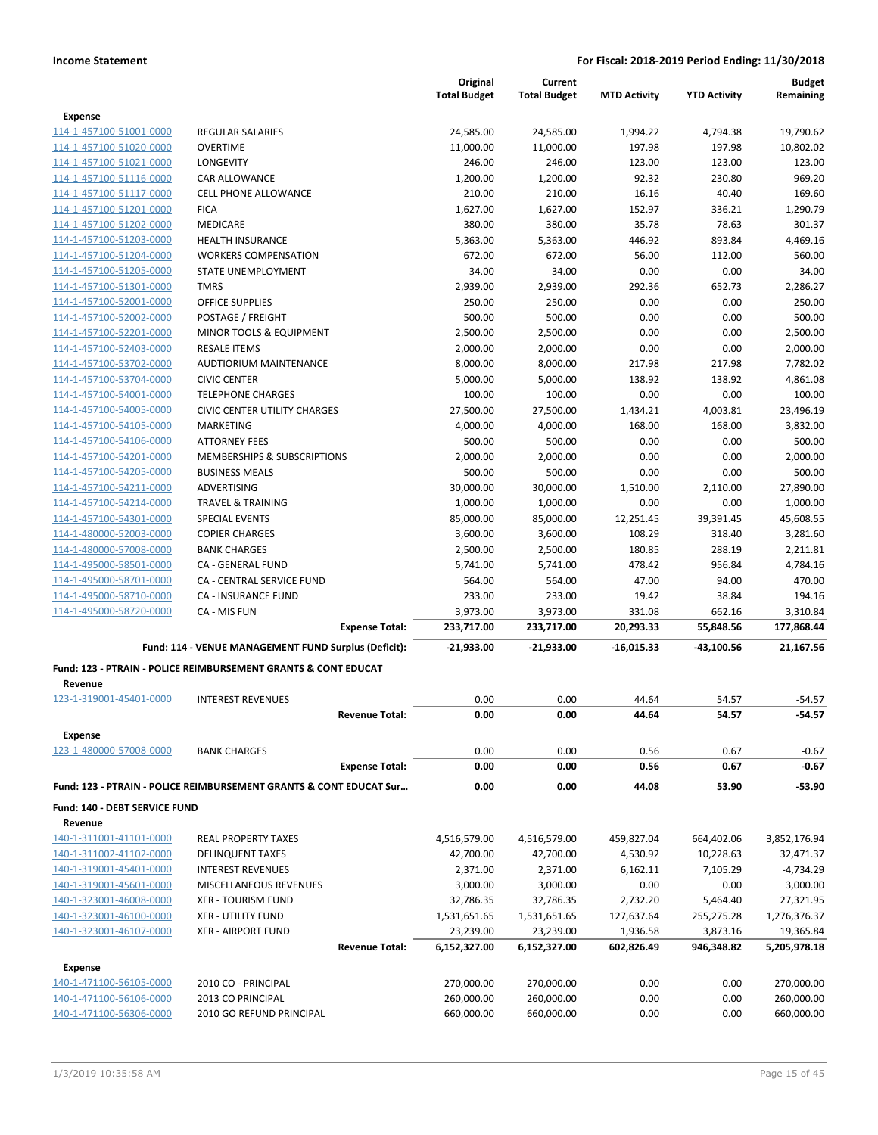|                                                    |                                                                           |                       | Original            | Current             |                     |                     | <b>Budget</b> |
|----------------------------------------------------|---------------------------------------------------------------------------|-----------------------|---------------------|---------------------|---------------------|---------------------|---------------|
|                                                    |                                                                           |                       | <b>Total Budget</b> | <b>Total Budget</b> | <b>MTD Activity</b> | <b>YTD Activity</b> | Remaining     |
| <b>Expense</b>                                     |                                                                           |                       |                     |                     |                     |                     |               |
| 114-1-457100-51001-0000                            | <b>REGULAR SALARIES</b>                                                   |                       | 24,585.00           | 24,585.00           | 1,994.22            | 4,794.38            | 19,790.62     |
| 114-1-457100-51020-0000                            | <b>OVERTIME</b>                                                           |                       | 11,000.00           | 11,000.00           | 197.98              | 197.98              | 10,802.02     |
| 114-1-457100-51021-0000                            | LONGEVITY                                                                 |                       | 246.00              | 246.00              | 123.00              | 123.00              | 123.00        |
| 114-1-457100-51116-0000                            | CAR ALLOWANCE                                                             |                       | 1,200.00            | 1,200.00            | 92.32               | 230.80              | 969.20        |
| 114-1-457100-51117-0000                            | <b>CELL PHONE ALLOWANCE</b>                                               |                       | 210.00              | 210.00              | 16.16               | 40.40               | 169.60        |
| 114-1-457100-51201-0000                            | <b>FICA</b>                                                               |                       | 1,627.00            | 1,627.00            | 152.97              | 336.21              | 1,290.79      |
| 114-1-457100-51202-0000                            | MEDICARE                                                                  |                       | 380.00              | 380.00              | 35.78               | 78.63               | 301.37        |
| 114-1-457100-51203-0000                            | <b>HEALTH INSURANCE</b>                                                   |                       | 5,363.00            | 5,363.00            | 446.92              | 893.84              | 4,469.16      |
| 114-1-457100-51204-0000                            | <b>WORKERS COMPENSATION</b>                                               |                       | 672.00              | 672.00              | 56.00               | 112.00              | 560.00        |
| 114-1-457100-51205-0000                            | STATE UNEMPLOYMENT                                                        |                       | 34.00               | 34.00               | 0.00                | 0.00                | 34.00         |
| 114-1-457100-51301-0000                            | <b>TMRS</b>                                                               |                       | 2,939.00            | 2,939.00            | 292.36              | 652.73              | 2,286.27      |
| 114-1-457100-52001-0000                            | <b>OFFICE SUPPLIES</b>                                                    |                       | 250.00              | 250.00              | 0.00                | 0.00                | 250.00        |
| 114-1-457100-52002-0000                            | POSTAGE / FREIGHT                                                         |                       | 500.00              | 500.00              | 0.00                | 0.00                | 500.00        |
| 114-1-457100-52201-0000                            | MINOR TOOLS & EQUIPMENT                                                   |                       | 2,500.00            | 2,500.00            | 0.00                | 0.00                | 2,500.00      |
| 114-1-457100-52403-0000                            | <b>RESALE ITEMS</b>                                                       |                       | 2,000.00            | 2,000.00            | 0.00                | 0.00                | 2,000.00      |
| 114-1-457100-53702-0000                            | AUDTIORIUM MAINTENANCE                                                    |                       | 8,000.00            | 8,000.00            | 217.98              | 217.98              | 7,782.02      |
| 114-1-457100-53704-0000                            | <b>CIVIC CENTER</b>                                                       |                       | 5,000.00            | 5,000.00            | 138.92              | 138.92              | 4,861.08      |
| 114-1-457100-54001-0000                            | <b>TELEPHONE CHARGES</b>                                                  |                       | 100.00              | 100.00              | 0.00                | 0.00                | 100.00        |
| 114-1-457100-54005-0000                            | <b>CIVIC CENTER UTILITY CHARGES</b>                                       |                       | 27,500.00           | 27,500.00           | 1,434.21            | 4,003.81            | 23,496.19     |
| 114-1-457100-54105-0000                            | <b>MARKETING</b>                                                          |                       | 4,000.00            | 4,000.00            | 168.00              | 168.00              | 3,832.00      |
| 114-1-457100-54106-0000                            | <b>ATTORNEY FEES</b>                                                      |                       | 500.00              | 500.00              | 0.00                | 0.00                | 500.00        |
| 114-1-457100-54201-0000                            | MEMBERSHIPS & SUBSCRIPTIONS                                               |                       | 2,000.00            | 2,000.00            | 0.00                | 0.00                | 2,000.00      |
| 114-1-457100-54205-0000                            | <b>BUSINESS MEALS</b>                                                     |                       | 500.00              | 500.00              | 0.00                | 0.00                | 500.00        |
| 114-1-457100-54211-0000                            | ADVERTISING                                                               |                       | 30,000.00           | 30,000.00           | 1,510.00            | 2,110.00            | 27,890.00     |
| 114-1-457100-54214-0000                            | <b>TRAVEL &amp; TRAINING</b>                                              |                       | 1,000.00            | 1,000.00            | 0.00                | 0.00                | 1,000.00      |
| 114-1-457100-54301-0000                            | <b>SPECIAL EVENTS</b>                                                     |                       | 85,000.00           | 85,000.00           | 12,251.45           | 39,391.45           | 45,608.55     |
| 114-1-480000-52003-0000                            | <b>COPIER CHARGES</b>                                                     |                       | 3,600.00            | 3,600.00            | 108.29              | 318.40              | 3,281.60      |
| 114-1-480000-57008-0000                            | <b>BANK CHARGES</b>                                                       |                       | 2,500.00            | 2,500.00            | 180.85              | 288.19              | 2,211.81      |
| 114-1-495000-58501-0000                            | CA - GENERAL FUND                                                         |                       | 5,741.00            | 5,741.00            | 478.42              | 956.84              | 4,784.16      |
| 114-1-495000-58701-0000                            | CA - CENTRAL SERVICE FUND                                                 |                       | 564.00              | 564.00              | 47.00               | 94.00               | 470.00        |
| 114-1-495000-58710-0000                            | <b>CA - INSURANCE FUND</b>                                                |                       | 233.00              | 233.00              | 19.42               | 38.84               | 194.16        |
| 114-1-495000-58720-0000                            | CA - MIS FUN                                                              |                       | 3,973.00            | 3,973.00            | 331.08              | 662.16              | 3,310.84      |
|                                                    |                                                                           | <b>Expense Total:</b> | 233,717.00          | 233,717.00          | 20,293.33           | 55,848.56           | 177,868.44    |
|                                                    | Fund: 114 - VENUE MANAGEMENT FUND Surplus (Deficit):                      |                       | -21,933.00          | -21,933.00          | $-16,015.33$        | -43,100.56          | 21,167.56     |
|                                                    | <b>Fund: 123 - PTRAIN - POLICE REIMBURSEMENT GRANTS &amp; CONT EDUCAT</b> |                       |                     |                     |                     |                     |               |
| Revenue                                            |                                                                           |                       |                     |                     |                     |                     |               |
| 123-1-319001-45401-0000                            | <b>INTEREST REVENUES</b>                                                  |                       | 0.00                | 0.00                | 44.64               | 54.57               | $-54.57$      |
|                                                    |                                                                           | <b>Revenue Total:</b> | 0.00                | 0.00                | 44.64               | 54.57               | $-54.57$      |
| <b>Expense</b>                                     |                                                                           |                       |                     |                     |                     |                     |               |
| 123-1-480000-57008-0000                            | <b>BANK CHARGES</b>                                                       |                       | 0.00                | 0.00                | 0.56                | 0.67                | $-0.67$       |
|                                                    |                                                                           | <b>Expense Total:</b> | 0.00                | 0.00                | 0.56                | 0.67                | $-0.67$       |
|                                                    | Fund: 123 - PTRAIN - POLICE REIMBURSEMENT GRANTS & CONT EDUCAT Sur        |                       | 0.00                | 0.00                | 44.08               | 53.90               | $-53.90$      |
| Fund: 140 - DEBT SERVICE FUND                      |                                                                           |                       |                     |                     |                     |                     |               |
| Revenue                                            |                                                                           |                       |                     |                     |                     |                     |               |
| 140-1-311001-41101-0000                            | <b>REAL PROPERTY TAXES</b>                                                |                       | 4,516,579.00        | 4,516,579.00        | 459,827.04          | 664,402.06          | 3,852,176.94  |
| 140-1-311002-41102-0000                            | <b>DELINQUENT TAXES</b>                                                   |                       | 42,700.00           | 42,700.00           | 4,530.92            | 10,228.63           | 32,471.37     |
| 140-1-319001-45401-0000                            | <b>INTEREST REVENUES</b>                                                  |                       | 2,371.00            | 2,371.00            | 6,162.11            | 7,105.29            | $-4,734.29$   |
| 140-1-319001-45601-0000                            | MISCELLANEOUS REVENUES                                                    |                       | 3,000.00            | 3,000.00            | 0.00                | 0.00                | 3,000.00      |
| 140-1-323001-46008-0000                            | <b>XFR - TOURISM FUND</b>                                                 |                       | 32,786.35           | 32,786.35           | 2,732.20            | 5,464.40            | 27,321.95     |
| 140-1-323001-46100-0000                            | <b>XFR - UTILITY FUND</b>                                                 |                       | 1,531,651.65        | 1,531,651.65        | 127,637.64          | 255,275.28          | 1,276,376.37  |
| 140-1-323001-46107-0000                            | <b>XFR - AIRPORT FUND</b>                                                 |                       | 23,239.00           | 23,239.00           | 1,936.58            | 3,873.16            | 19,365.84     |
|                                                    |                                                                           | <b>Revenue Total:</b> | 6,152,327.00        | 6,152,327.00        | 602,826.49          | 946,348.82          | 5,205,978.18  |
| <b>Expense</b>                                     |                                                                           |                       |                     |                     |                     |                     |               |
| 140-1-471100-56105-0000                            | 2010 CO - PRINCIPAL                                                       |                       | 270,000.00          | 270,000.00          | 0.00                | 0.00                | 270,000.00    |
|                                                    | 2013 CO PRINCIPAL                                                         |                       | 260,000.00          | 260,000.00          | 0.00                | 0.00                | 260,000.00    |
| 140-1-471100-56106-0000<br>140-1-471100-56306-0000 | 2010 GO REFUND PRINCIPAL                                                  |                       | 660,000.00          | 660,000.00          | 0.00                | 0.00                | 660,000.00    |
|                                                    |                                                                           |                       |                     |                     |                     |                     |               |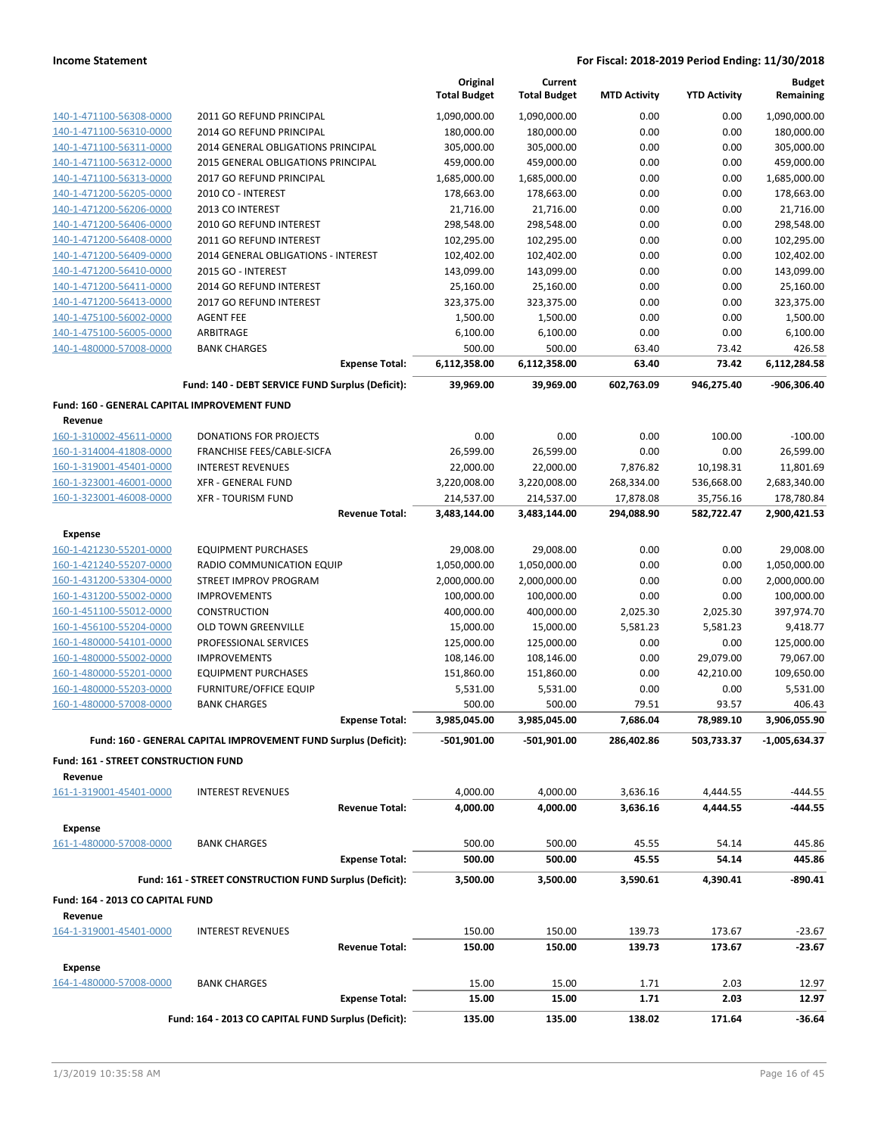|                                                         |                                                                 | Original<br><b>Total Budget</b> | Current<br><b>Total Budget</b> | <b>MTD Activity</b> | <b>YTD Activity</b> | <b>Budget</b><br>Remaining |
|---------------------------------------------------------|-----------------------------------------------------------------|---------------------------------|--------------------------------|---------------------|---------------------|----------------------------|
| 140-1-471100-56308-0000                                 | 2011 GO REFUND PRINCIPAL                                        | 1,090,000.00                    | 1,090,000.00                   | 0.00                | 0.00                | 1,090,000.00               |
| 140-1-471100-56310-0000                                 | 2014 GO REFUND PRINCIPAL                                        | 180,000.00                      | 180,000.00                     | 0.00                | 0.00                | 180,000.00                 |
| 140-1-471100-56311-0000                                 | 2014 GENERAL OBLIGATIONS PRINCIPAL                              | 305,000.00                      | 305,000.00                     | 0.00                | 0.00                | 305,000.00                 |
| 140-1-471100-56312-0000                                 | 2015 GENERAL OBLIGATIONS PRINCIPAL                              | 459,000.00                      | 459,000.00                     | 0.00                | 0.00                | 459,000.00                 |
| 140-1-471100-56313-0000                                 | 2017 GO REFUND PRINCIPAL                                        | 1,685,000.00                    | 1,685,000.00                   | 0.00                | 0.00                | 1,685,000.00               |
| 140-1-471200-56205-0000                                 | 2010 CO - INTEREST                                              | 178,663.00                      | 178,663.00                     | 0.00                | 0.00                | 178,663.00                 |
| 140-1-471200-56206-0000                                 | 2013 CO INTEREST                                                | 21,716.00                       | 21,716.00                      | 0.00                | 0.00                | 21,716.00                  |
| 140-1-471200-56406-0000                                 | 2010 GO REFUND INTEREST                                         | 298,548.00                      | 298,548.00                     | 0.00                | 0.00                | 298,548.00                 |
| 140-1-471200-56408-0000                                 | 2011 GO REFUND INTEREST                                         | 102,295.00                      | 102,295.00                     | 0.00                | 0.00                | 102,295.00                 |
| 140-1-471200-56409-0000                                 | 2014 GENERAL OBLIGATIONS - INTEREST                             | 102,402.00                      | 102,402.00                     | 0.00                | 0.00                | 102,402.00                 |
| 140-1-471200-56410-0000                                 | 2015 GO - INTEREST                                              | 143,099.00                      | 143,099.00                     | 0.00                | 0.00                | 143,099.00                 |
| 140-1-471200-56411-0000                                 | 2014 GO REFUND INTEREST                                         | 25,160.00                       | 25,160.00                      | 0.00                | 0.00                | 25,160.00                  |
| 140-1-471200-56413-0000                                 | 2017 GO REFUND INTEREST                                         | 323,375.00                      | 323,375.00                     | 0.00                | 0.00                | 323,375.00                 |
| 140-1-475100-56002-0000                                 | <b>AGENT FEE</b>                                                | 1,500.00                        | 1,500.00                       | 0.00                | 0.00                | 1,500.00                   |
| 140-1-475100-56005-0000                                 | ARBITRAGE                                                       | 6,100.00                        | 6,100.00                       | 0.00                | 0.00                | 6,100.00                   |
| 140-1-480000-57008-0000                                 | <b>BANK CHARGES</b><br><b>Expense Total:</b>                    | 500.00<br>6,112,358.00          | 500.00<br>6,112,358.00         | 63.40<br>63.40      | 73.42<br>73.42      | 426.58<br>6,112,284.58     |
|                                                         |                                                                 |                                 |                                |                     |                     |                            |
|                                                         | Fund: 140 - DEBT SERVICE FUND Surplus (Deficit):                | 39,969.00                       | 39,969.00                      | 602,763.09          | 946,275.40          | -906,306.40                |
| Fund: 160 - GENERAL CAPITAL IMPROVEMENT FUND<br>Revenue |                                                                 |                                 |                                |                     |                     |                            |
| 160-1-310002-45611-0000                                 | <b>DONATIONS FOR PROJECTS</b>                                   | 0.00                            | 0.00                           | 0.00                | 100.00              | $-100.00$                  |
| 160-1-314004-41808-0000                                 | FRANCHISE FEES/CABLE-SICFA                                      | 26,599.00                       | 26,599.00                      | 0.00                | 0.00                | 26,599.00                  |
| 160-1-319001-45401-0000                                 | <b>INTEREST REVENUES</b>                                        | 22,000.00                       | 22,000.00                      | 7,876.82            | 10,198.31           | 11,801.69                  |
| 160-1-323001-46001-0000                                 | <b>XFR - GENERAL FUND</b>                                       | 3,220,008.00                    | 3,220,008.00                   | 268,334.00          | 536,668.00          | 2,683,340.00               |
| 160-1-323001-46008-0000                                 | <b>XFR - TOURISM FUND</b>                                       | 214,537.00                      | 214,537.00                     | 17,878.08           | 35,756.16           | 178,780.84                 |
|                                                         | <b>Revenue Total:</b>                                           | 3,483,144.00                    | 3,483,144.00                   | 294,088.90          | 582,722.47          | 2,900,421.53               |
| <b>Expense</b>                                          |                                                                 |                                 |                                |                     |                     |                            |
| 160-1-421230-55201-0000                                 | <b>EQUIPMENT PURCHASES</b>                                      | 29,008.00                       | 29,008.00                      | 0.00                | 0.00                | 29,008.00                  |
| 160-1-421240-55207-0000                                 | RADIO COMMUNICATION EQUIP                                       | 1,050,000.00                    | 1,050,000.00                   | 0.00                | 0.00                | 1,050,000.00               |
| 160-1-431200-53304-0000                                 | STREET IMPROV PROGRAM                                           | 2,000,000.00                    | 2,000,000.00                   | 0.00                | 0.00                | 2,000,000.00               |
| 160-1-431200-55002-0000                                 | <b>IMPROVEMENTS</b>                                             | 100,000.00                      | 100,000.00                     | 0.00                | 0.00                | 100,000.00                 |
| 160-1-451100-55012-0000                                 | <b>CONSTRUCTION</b>                                             | 400,000.00                      | 400,000.00                     | 2,025.30            | 2,025.30            | 397,974.70                 |
| 160-1-456100-55204-0000                                 | <b>OLD TOWN GREENVILLE</b>                                      | 15,000.00                       | 15,000.00                      | 5,581.23            | 5,581.23            | 9,418.77                   |
| 160-1-480000-54101-0000                                 | PROFESSIONAL SERVICES                                           | 125,000.00                      | 125,000.00                     | 0.00                | 0.00                | 125,000.00                 |
| 160-1-480000-55002-0000                                 | <b>IMPROVEMENTS</b>                                             | 108,146.00                      | 108,146.00                     | 0.00                | 29,079.00           | 79,067.00                  |
| 160-1-480000-55201-0000                                 | <b>EQUIPMENT PURCHASES</b>                                      | 151,860.00                      | 151,860.00                     | 0.00                | 42,210.00           | 109,650.00                 |
| 160-1-480000-55203-0000                                 | <b>FURNITURE/OFFICE EQUIP</b>                                   | 5,531.00                        | 5,531.00                       | 0.00                | 0.00                | 5,531.00                   |
| 160-1-480000-57008-0000                                 | <b>BANK CHARGES</b>                                             | 500.00                          | 500.00                         | 79.51               | 93.57               | 406.43                     |
|                                                         | <b>Expense Total:</b>                                           | 3,985,045.00                    | 3,985,045.00                   | 7,686.04            | 78,989.10           | 3,906,055.90               |
|                                                         | Fund: 160 - GENERAL CAPITAL IMPROVEMENT FUND Surplus (Deficit): | -501,901.00                     | $-501,901.00$                  | 286,402.86          | 503,733.37          | $-1,005,634.37$            |
| <b>Fund: 161 - STREET CONSTRUCTION FUND</b>             |                                                                 |                                 |                                |                     |                     |                            |
| Revenue<br>161-1-319001-45401-0000                      | <b>INTEREST REVENUES</b>                                        | 4,000.00                        | 4,000.00                       | 3,636.16            | 4,444.55            | $-444.55$                  |
|                                                         | <b>Revenue Total:</b>                                           | 4,000.00                        | 4,000.00                       | 3,636.16            | 4,444.55            | -444.55                    |
| <b>Expense</b>                                          |                                                                 |                                 |                                |                     |                     |                            |
| 161-1-480000-57008-0000                                 | <b>BANK CHARGES</b>                                             | 500.00                          | 500.00                         | 45.55               | 54.14               | 445.86                     |
|                                                         | <b>Expense Total:</b>                                           | 500.00                          | 500.00                         | 45.55               | 54.14               | 445.86                     |
|                                                         | Fund: 161 - STREET CONSTRUCTION FUND Surplus (Deficit):         | 3,500.00                        | 3,500.00                       | 3,590.61            | 4,390.41            | -890.41                    |
| Fund: 164 - 2013 CO CAPITAL FUND                        |                                                                 |                                 |                                |                     |                     |                            |
| Revenue                                                 |                                                                 |                                 |                                |                     |                     |                            |
| 164-1-319001-45401-0000                                 | <b>INTEREST REVENUES</b>                                        | 150.00                          | 150.00                         | 139.73              | 173.67              | $-23.67$                   |
|                                                         | <b>Revenue Total:</b>                                           | 150.00                          | 150.00                         | 139.73              | 173.67              | -23.67                     |
| <b>Expense</b>                                          |                                                                 |                                 |                                |                     |                     |                            |
| 164-1-480000-57008-0000                                 | <b>BANK CHARGES</b>                                             | 15.00                           | 15.00                          | 1.71                | 2.03                | 12.97                      |
|                                                         | <b>Expense Total:</b>                                           | 15.00                           | 15.00                          | 1.71                | 2.03                | 12.97                      |
|                                                         | Fund: 164 - 2013 CO CAPITAL FUND Surplus (Deficit):             | 135.00                          | 135.00                         | 138.02              | 171.64              | $-36.64$                   |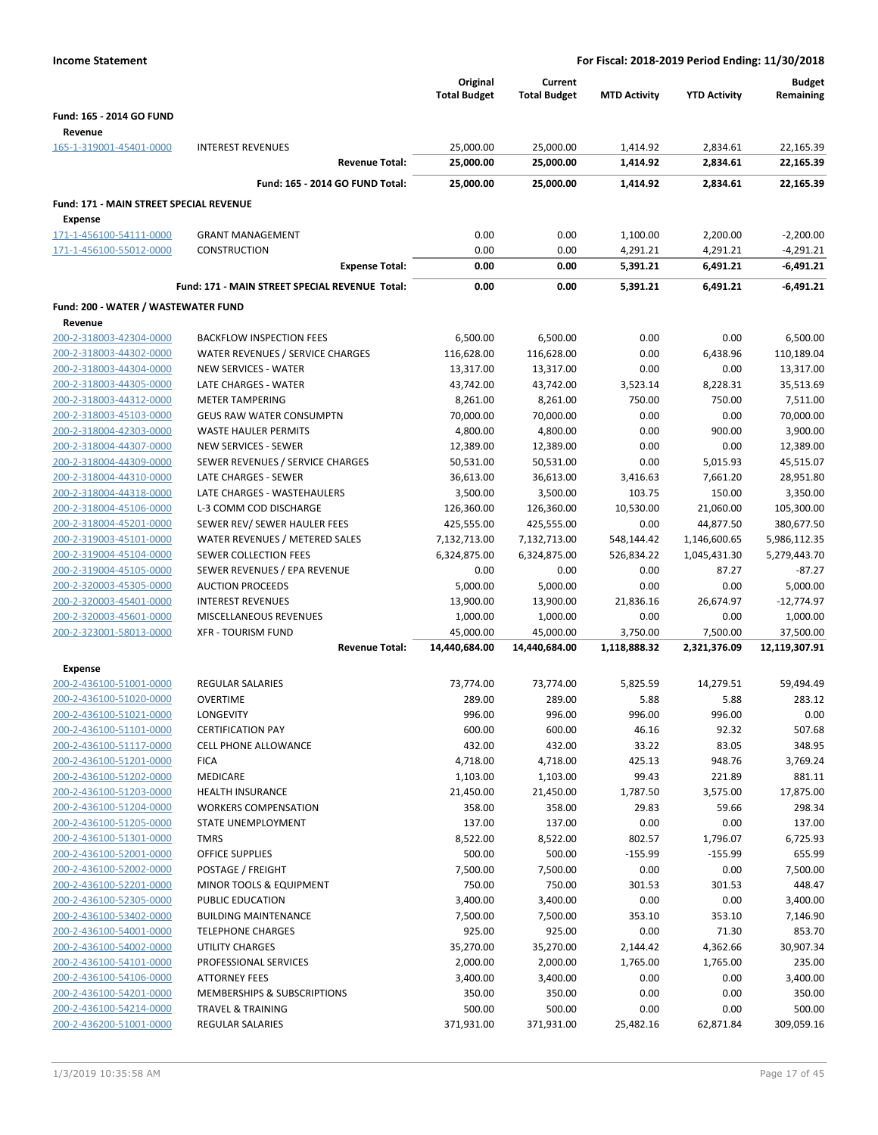| <b>Income Statement</b>                            |                                                     |                                 | For Fiscal: 2018-2019 Period Ending: 11/30/2018 |                          |                          |                            |
|----------------------------------------------------|-----------------------------------------------------|---------------------------------|-------------------------------------------------|--------------------------|--------------------------|----------------------------|
|                                                    |                                                     | Original<br><b>Total Budget</b> | Current<br><b>Total Budget</b>                  | <b>MTD Activity</b>      | <b>YTD Activity</b>      | <b>Budget</b><br>Remaining |
| Fund: 165 - 2014 GO FUND<br>Revenue                |                                                     |                                 |                                                 |                          |                          |                            |
| 165-1-319001-45401-0000                            | <b>INTEREST REVENUES</b>                            | 25,000.00                       | 25,000.00                                       | 1,414.92                 | 2,834.61                 | 22,165.39                  |
|                                                    | <b>Revenue Total:</b>                               | 25,000.00                       | 25,000.00                                       | 1,414.92                 | 2,834.61                 | 22,165.39                  |
|                                                    | Fund: 165 - 2014 GO FUND Total:                     | 25,000.00                       | 25,000.00                                       | 1,414.92                 | 2,834.61                 | 22,165.39                  |
| Fund: 171 - MAIN STREET SPECIAL REVENUE            |                                                     |                                 |                                                 |                          |                          |                            |
| <b>Expense</b>                                     |                                                     |                                 |                                                 |                          |                          |                            |
| 171-1-456100-54111-0000                            | <b>GRANT MANAGEMENT</b>                             | 0.00                            | 0.00                                            | 1,100.00                 | 2,200.00                 | $-2,200.00$                |
| 171-1-456100-55012-0000                            | <b>CONSTRUCTION</b>                                 | 0.00                            | 0.00                                            | 4,291.21                 | 4,291.21                 | $-4,291.21$                |
|                                                    | <b>Expense Total:</b>                               | 0.00                            | 0.00                                            | 5,391.21                 | 6,491.21                 | $-6,491.21$                |
|                                                    | Fund: 171 - MAIN STREET SPECIAL REVENUE Total:      | 0.00                            | 0.00                                            | 5,391.21                 | 6,491.21                 | $-6,491.21$                |
| Fund: 200 - WATER / WASTEWATER FUND                |                                                     |                                 |                                                 |                          |                          |                            |
| Revenue                                            |                                                     |                                 |                                                 |                          |                          |                            |
| 200-2-318003-42304-0000                            | <b>BACKFLOW INSPECTION FEES</b>                     | 6,500.00                        | 6,500.00                                        | 0.00                     | 0.00                     | 6,500.00                   |
| 200-2-318003-44302-0000<br>200-2-318003-44304-0000 | WATER REVENUES / SERVICE CHARGES                    | 116,628.00                      | 116,628.00                                      | 0.00                     | 6,438.96                 | 110,189.04                 |
| 200-2-318003-44305-0000                            | <b>NEW SERVICES - WATER</b><br>LATE CHARGES - WATER | 13,317.00<br>43,742.00          | 13,317.00<br>43,742.00                          | 0.00<br>3,523.14         | 0.00<br>8,228.31         | 13,317.00<br>35,513.69     |
| 200-2-318003-44312-0000                            | <b>METER TAMPERING</b>                              | 8,261.00                        | 8,261.00                                        | 750.00                   | 750.00                   | 7,511.00                   |
| 200-2-318003-45103-0000                            | <b>GEUS RAW WATER CONSUMPTN</b>                     | 70,000.00                       | 70,000.00                                       | 0.00                     | 0.00                     | 70,000.00                  |
| 200-2-318004-42303-0000                            | <b>WASTE HAULER PERMITS</b>                         | 4,800.00                        | 4,800.00                                        | 0.00                     | 900.00                   | 3,900.00                   |
| 200-2-318004-44307-0000                            | <b>NEW SERVICES - SEWER</b>                         | 12,389.00                       | 12,389.00                                       | 0.00                     | 0.00                     | 12,389.00                  |
| 200-2-318004-44309-0000                            | SEWER REVENUES / SERVICE CHARGES                    | 50,531.00                       | 50,531.00                                       | 0.00                     | 5,015.93                 | 45,515.07                  |
| 200-2-318004-44310-0000                            | LATE CHARGES - SEWER                                | 36,613.00                       | 36,613.00                                       | 3,416.63                 | 7,661.20                 | 28,951.80                  |
| 200-2-318004-44318-0000                            | LATE CHARGES - WASTEHAULERS                         | 3,500.00                        | 3,500.00                                        | 103.75                   | 150.00                   | 3,350.00                   |
| 200-2-318004-45106-0000                            | L-3 COMM COD DISCHARGE                              | 126,360.00                      | 126,360.00                                      | 10,530.00                | 21,060.00                | 105,300.00                 |
| 200-2-318004-45201-0000                            | SEWER REV/ SEWER HAULER FEES                        | 425,555.00                      | 425,555.00                                      | 0.00                     | 44,877.50                | 380,677.50                 |
| 200-2-319003-45101-0000                            | WATER REVENUES / METERED SALES                      | 7,132,713.00                    | 7,132,713.00                                    | 548,144.42               | 1,146,600.65             | 5,986,112.35               |
| 200-2-319004-45104-0000                            | SEWER COLLECTION FEES                               | 6,324,875.00                    | 6,324,875.00                                    | 526,834.22               | 1,045,431.30             | 5,279,443.70               |
| 200-2-319004-45105-0000                            | SEWER REVENUES / EPA REVENUE                        | 0.00                            | 0.00                                            | 0.00                     | 87.27                    | $-87.27$                   |
| 200-2-320003-45305-0000                            | <b>AUCTION PROCEEDS</b>                             | 5,000.00                        | 5,000.00                                        | 0.00                     | 0.00                     | 5,000.00                   |
| 200-2-320003-45401-0000                            | <b>INTEREST REVENUES</b>                            | 13,900.00                       | 13,900.00                                       | 21,836.16                | 26,674.97                | $-12,774.97$               |
| 200-2-320003-45601-0000                            | MISCELLANEOUS REVENUES                              | 1,000.00                        | 1,000.00                                        | 0.00                     | 0.00                     | 1,000.00                   |
| 200-2-323001-58013-0000                            | <b>XFR - TOURISM FUND</b><br><b>Revenue Total:</b>  | 45,000.00<br>14,440,684.00      | 45,000.00<br>14,440,684.00                      | 3,750.00<br>1,118,888.32 | 7,500.00<br>2,321,376.09 | 37,500.00<br>12,119,307.91 |
| Expense                                            |                                                     |                                 |                                                 |                          |                          |                            |
| 200-2-436100-51001-0000                            | <b>REGULAR SALARIES</b>                             | 73,774.00                       | 73,774.00                                       | 5,825.59                 | 14,279.51                | 59,494.49                  |
| 200-2-436100-51020-0000                            | <b>OVERTIME</b>                                     | 289.00                          | 289.00                                          | 5.88                     | 5.88                     | 283.12                     |
| 200-2-436100-51021-0000                            | LONGEVITY                                           | 996.00                          | 996.00                                          | 996.00                   | 996.00                   | 0.00                       |
| 200-2-436100-51101-0000                            | <b>CERTIFICATION PAY</b>                            | 600.00                          | 600.00                                          | 46.16                    | 92.32                    | 507.68                     |
| 200-2-436100-51117-0000                            | <b>CELL PHONE ALLOWANCE</b>                         | 432.00                          | 432.00                                          | 33.22                    | 83.05                    | 348.95                     |
| 200-2-436100-51201-0000                            | <b>FICA</b>                                         | 4,718.00                        | 4,718.00                                        | 425.13                   | 948.76                   | 3,769.24                   |
| 200-2-436100-51202-0000                            | <b>MEDICARE</b>                                     | 1,103.00                        | 1,103.00                                        | 99.43                    | 221.89                   | 881.11                     |
| 200-2-436100-51203-0000                            | <b>HEALTH INSURANCE</b>                             | 21,450.00                       | 21,450.00                                       | 1,787.50                 | 3,575.00                 | 17,875.00                  |
| 200-2-436100-51204-0000                            | <b>WORKERS COMPENSATION</b>                         | 358.00                          | 358.00                                          | 29.83                    | 59.66                    | 298.34                     |
| 200-2-436100-51205-0000                            | STATE UNEMPLOYMENT                                  | 137.00                          | 137.00                                          | 0.00                     | 0.00                     | 137.00                     |
| 200-2-436100-51301-0000                            | <b>TMRS</b>                                         | 8,522.00                        | 8,522.00                                        | 802.57                   | 1,796.07                 | 6,725.93                   |
| 200-2-436100-52001-0000                            | OFFICE SUPPLIES                                     | 500.00                          | 500.00                                          | $-155.99$                | $-155.99$                | 655.99                     |
| 200-2-436100-52002-0000<br>200-2-436100-52201-0000 | POSTAGE / FREIGHT                                   | 7,500.00<br>750.00              | 7,500.00                                        | 0.00                     | 0.00                     | 7,500.00<br>448.47         |
| 200-2-436100-52305-0000                            | MINOR TOOLS & EQUIPMENT<br>PUBLIC EDUCATION         | 3,400.00                        | 750.00<br>3,400.00                              | 301.53<br>0.00           | 301.53<br>0.00           | 3,400.00                   |
| 200-2-436100-53402-0000                            | <b>BUILDING MAINTENANCE</b>                         | 7,500.00                        | 7,500.00                                        | 353.10                   | 353.10                   | 7,146.90                   |
| 200-2-436100-54001-0000                            | <b>TELEPHONE CHARGES</b>                            | 925.00                          | 925.00                                          | 0.00                     | 71.30                    | 853.70                     |
| 200-2-436100-54002-0000                            | <b>UTILITY CHARGES</b>                              | 35,270.00                       | 35,270.00                                       | 2,144.42                 | 4,362.66                 | 30,907.34                  |
| 200-2-436100-54101-0000                            | PROFESSIONAL SERVICES                               | 2,000.00                        | 2,000.00                                        | 1,765.00                 | 1,765.00                 | 235.00                     |
| 200-2-436100-54106-0000                            | <b>ATTORNEY FEES</b>                                | 3,400.00                        | 3,400.00                                        | 0.00                     | 0.00                     | 3,400.00                   |
| 200-2-436100-54201-0000                            | MEMBERSHIPS & SUBSCRIPTIONS                         | 350.00                          | 350.00                                          | 0.00                     | 0.00                     | 350.00                     |
| 200-2-436100-54214-0000                            | <b>TRAVEL &amp; TRAINING</b>                        | 500.00                          | 500.00                                          | 0.00                     | 0.00                     | 500.00                     |
| 200-2-436200-51001-0000                            | <b>REGULAR SALARIES</b>                             | 371,931.00                      | 371,931.00                                      | 25,482.16                | 62,871.84                | 309,059.16                 |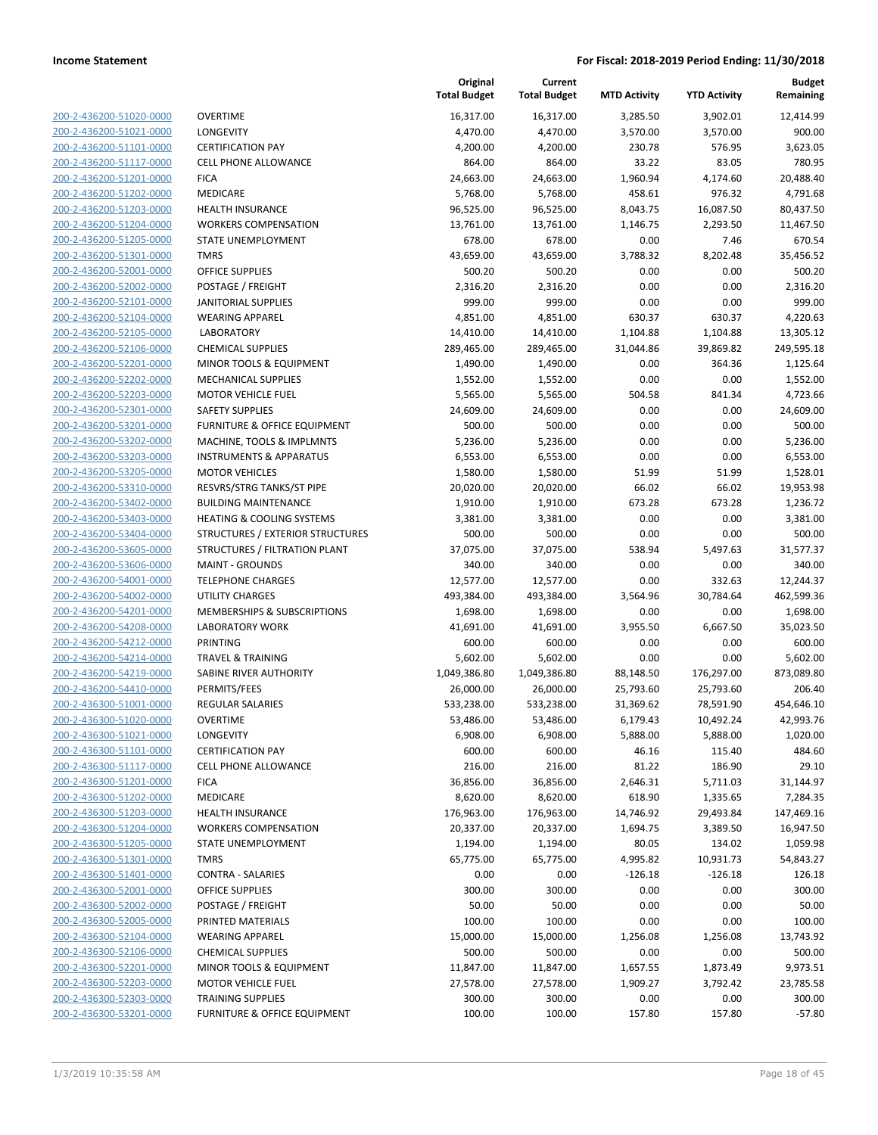| 200-2-436200-51020-0000          |
|----------------------------------|
| 200-2-436200-51021-0000          |
| 2-436200-51101-<br>200-<br>-0000 |
| 200-2-436200-51117-0000          |
| 200-2-436200-51201-0000          |
| 200-2-436200-51202-0000          |
| 200-2-436200-51203-0000          |
| 2-436200-51204-0000<br>200-      |
| 200-2-436200-51205-0000          |
| 200-2-436200-51301-0000          |
| <u>200-2-436200-52001-0000</u>   |
| 200-2-436200-52002-0000          |
| 2-436200-52101-0000<br>200-      |
| 200-2-436200-52104-0000          |
| 200-2-436200-52105-0000          |
| <u>200-2-436200-52106-0000</u>   |
| 200-2-436200-52201-0000          |
| 2-436200-52202-0000<br>200-      |
| 200-2-436200-52203-0000          |
| 200-2-436200-52301-0000          |
| <u>200-2-436200-53201-0000</u>   |
| 200-2-436200-53202-0000          |
| 2-436200-53203-0000<br>200-      |
| 200-2-436200-53205-0000          |
| 200-2-436200-53310-0000          |
| <u>200-2-436200-53402-0000</u>   |
| 200-2-436200-53403-0000          |
| 2-436200-53404-0000<br>200-      |
| 200-2-436200-53605-0000          |
| 200-2-436200-53606-0000          |
| <u>200-2-436200-54001-0000</u>   |
| 200-2-436200-54002-0000          |
| 2-436200-54201-0000<br>200-      |
| 200-2-436200-54208-0000          |
| 200-2-436200-54212-0000          |
| <u>200-2-436200-54214-0000</u>   |
| 200-2-436200-54219-0000          |
| 200-2-436200-54410-0000          |
| 200-2-436300-51001-0000          |
| 200-2-436300-51020-0000          |
| 200-2-436300-51021-0000          |
| <u>200-2-436300-51101-0000</u>   |
| 200-2-436300-51117-0000          |
| 200-2-436300-51201-0000          |
| 200-2-436300-51202-0000          |
| <u>200-2-436300-51203-0000</u>   |
| 200-2-436300-51204-0000          |
| 200-2-436300-51205-0000          |
| 200-2-436300-51301-0000          |
| 200-2-436300-51401-0000          |
| <u>200-2-436300-52001-0000</u>   |
| <u>200-2-436300-52002-0000</u>   |
| 200-2-436300-52005-0000          |
| 200-2-436300-52104-0000          |
| 200-2-436300-52106-0000          |
| <u>200-2-436300-52201-0000</u>   |
| 200-2-436300-52203-0000          |
| 200-2-436300-52303-0000          |
| 200-2-436300-53201-0000          |
|                                  |

|                                                    |                                                       | Original<br><b>Total Budget</b> | Current<br><b>Total Budget</b> | <b>MTD Activity</b> | <b>YTD Activity</b> | <b>Budget</b><br>Remaining |
|----------------------------------------------------|-------------------------------------------------------|---------------------------------|--------------------------------|---------------------|---------------------|----------------------------|
| 200-2-436200-51020-0000                            | <b>OVERTIME</b>                                       | 16,317.00                       | 16,317.00                      | 3,285.50            | 3,902.01            | 12,414.99                  |
| 200-2-436200-51021-0000                            | LONGEVITY                                             | 4,470.00                        | 4,470.00                       | 3,570.00            | 3,570.00            | 900.00                     |
| 200-2-436200-51101-0000                            | <b>CERTIFICATION PAY</b>                              | 4,200.00                        | 4,200.00                       | 230.78              | 576.95              | 3,623.05                   |
| 200-2-436200-51117-0000                            | <b>CELL PHONE ALLOWANCE</b>                           | 864.00                          | 864.00                         | 33.22               | 83.05               | 780.95                     |
| 200-2-436200-51201-0000                            | <b>FICA</b>                                           | 24,663.00                       | 24,663.00                      | 1,960.94            | 4,174.60            | 20,488.40                  |
| 200-2-436200-51202-0000                            | MEDICARE                                              | 5,768.00                        | 5,768.00                       | 458.61              | 976.32              | 4,791.68                   |
| 200-2-436200-51203-0000                            | <b>HEALTH INSURANCE</b>                               | 96,525.00                       | 96,525.00                      | 8,043.75            | 16,087.50           | 80,437.50                  |
| 200-2-436200-51204-0000                            | <b>WORKERS COMPENSATION</b>                           | 13,761.00                       | 13,761.00                      | 1,146.75            | 2,293.50            | 11,467.50                  |
| 200-2-436200-51205-0000                            | STATE UNEMPLOYMENT                                    | 678.00                          | 678.00                         | 0.00                | 7.46                | 670.54                     |
| 200-2-436200-51301-0000                            | <b>TMRS</b>                                           | 43,659.00                       | 43,659.00                      | 3,788.32            | 8,202.48            | 35,456.52                  |
| 200-2-436200-52001-0000                            | <b>OFFICE SUPPLIES</b>                                | 500.20                          | 500.20                         | 0.00                | 0.00                | 500.20                     |
| 200-2-436200-52002-0000                            | POSTAGE / FREIGHT                                     | 2,316.20                        | 2,316.20                       | 0.00                | 0.00                | 2,316.20                   |
| 200-2-436200-52101-0000                            | <b>JANITORIAL SUPPLIES</b>                            | 999.00                          | 999.00                         | 0.00                | 0.00                | 999.00                     |
| 200-2-436200-52104-0000                            | <b>WEARING APPAREL</b>                                | 4,851.00                        | 4,851.00                       | 630.37              | 630.37              | 4,220.63                   |
| 200-2-436200-52105-0000                            | <b>LABORATORY</b>                                     | 14,410.00                       | 14,410.00                      | 1,104.88            | 1,104.88            | 13,305.12                  |
| 200-2-436200-52106-0000                            | <b>CHEMICAL SUPPLIES</b>                              | 289,465.00                      | 289,465.00                     | 31,044.86           | 39,869.82           | 249,595.18                 |
| 200-2-436200-52201-0000                            | MINOR TOOLS & EQUIPMENT<br><b>MECHANICAL SUPPLIES</b> | 1,490.00                        | 1,490.00                       | 0.00                | 364.36              | 1,125.64                   |
| 200-2-436200-52202-0000                            |                                                       | 1,552.00                        | 1,552.00                       | 0.00                | 0.00                | 1,552.00                   |
| 200-2-436200-52203-0000                            | <b>MOTOR VEHICLE FUEL</b><br><b>SAFETY SUPPLIES</b>   | 5,565.00                        | 5,565.00                       | 504.58<br>0.00      | 841.34<br>0.00      | 4,723.66<br>24,609.00      |
| 200-2-436200-52301-0000<br>200-2-436200-53201-0000 | <b>FURNITURE &amp; OFFICE EQUIPMENT</b>               | 24,609.00<br>500.00             | 24,609.00<br>500.00            | 0.00                | 0.00                | 500.00                     |
| 200-2-436200-53202-0000                            | MACHINE, TOOLS & IMPLMNTS                             | 5,236.00                        | 5,236.00                       | 0.00                | 0.00                | 5,236.00                   |
| 200-2-436200-53203-0000                            | <b>INSTRUMENTS &amp; APPARATUS</b>                    | 6,553.00                        | 6,553.00                       | 0.00                | 0.00                | 6,553.00                   |
| 200-2-436200-53205-0000                            | <b>MOTOR VEHICLES</b>                                 | 1,580.00                        | 1,580.00                       | 51.99               | 51.99               | 1,528.01                   |
| 200-2-436200-53310-0000                            | RESVRS/STRG TANKS/ST PIPE                             | 20,020.00                       | 20,020.00                      | 66.02               | 66.02               | 19,953.98                  |
| 200-2-436200-53402-0000                            | <b>BUILDING MAINTENANCE</b>                           | 1,910.00                        | 1,910.00                       | 673.28              | 673.28              | 1,236.72                   |
| 200-2-436200-53403-0000                            | <b>HEATING &amp; COOLING SYSTEMS</b>                  | 3,381.00                        | 3,381.00                       | 0.00                | 0.00                | 3,381.00                   |
| 200-2-436200-53404-0000                            | STRUCTURES / EXTERIOR STRUCTURES                      | 500.00                          | 500.00                         | 0.00                | 0.00                | 500.00                     |
| 200-2-436200-53605-0000                            | STRUCTURES / FILTRATION PLANT                         | 37,075.00                       | 37,075.00                      | 538.94              | 5,497.63            | 31,577.37                  |
| 200-2-436200-53606-0000                            | <b>MAINT - GROUNDS</b>                                | 340.00                          | 340.00                         | 0.00                | 0.00                | 340.00                     |
| 200-2-436200-54001-0000                            | <b>TELEPHONE CHARGES</b>                              | 12,577.00                       | 12,577.00                      | 0.00                | 332.63              | 12,244.37                  |
| 200-2-436200-54002-0000                            | UTILITY CHARGES                                       | 493,384.00                      | 493,384.00                     | 3,564.96            | 30,784.64           | 462,599.36                 |
| 200-2-436200-54201-0000                            | <b>MEMBERSHIPS &amp; SUBSCRIPTIONS</b>                | 1,698.00                        | 1,698.00                       | 0.00                | 0.00                | 1,698.00                   |
| 200-2-436200-54208-0000                            | <b>LABORATORY WORK</b>                                | 41,691.00                       | 41,691.00                      | 3,955.50            | 6,667.50            | 35,023.50                  |
| 200-2-436200-54212-0000                            | <b>PRINTING</b>                                       | 600.00                          | 600.00                         | 0.00                | 0.00                | 600.00                     |
| 200-2-436200-54214-0000                            | <b>TRAVEL &amp; TRAINING</b>                          | 5,602.00                        | 5,602.00                       | 0.00                | 0.00                | 5,602.00                   |
| 200-2-436200-54219-0000                            | SABINE RIVER AUTHORITY                                | 1,049,386.80                    | 1,049,386.80                   | 88,148.50           | 176,297.00          | 873,089.80                 |
| 200-2-436200-54410-0000                            | PERMITS/FEES                                          | 26,000.00                       | 26,000.00                      | 25,793.60           | 25,793.60           | 206.40                     |
| 200-2-436300-51001-0000                            | <b>REGULAR SALARIES</b>                               | 533,238.00                      | 533,238.00                     | 31,369.62           | 78,591.90           | 454,646.10                 |
| 200-2-436300-51020-0000                            | <b>OVERTIME</b>                                       | 53,486.00                       | 53,486.00                      | 6,179.43            | 10,492.24           | 42,993.76                  |
| 200-2-436300-51021-0000                            | LONGEVITY                                             | 6,908.00                        | 6,908.00                       | 5,888.00            | 5,888.00            | 1,020.00                   |
| 200-2-436300-51101-0000                            | <b>CERTIFICATION PAY</b>                              | 600.00                          | 600.00                         | 46.16               | 115.40              | 484.60                     |
| 200-2-436300-51117-0000                            | <b>CELL PHONE ALLOWANCE</b>                           | 216.00                          | 216.00                         | 81.22               | 186.90              | 29.10                      |
| 200-2-436300-51201-0000                            | <b>FICA</b>                                           | 36,856.00                       | 36,856.00                      | 2,646.31            | 5,711.03            | 31,144.97                  |
| 200-2-436300-51202-0000                            | MEDICARE                                              | 8,620.00                        | 8,620.00                       | 618.90              | 1,335.65            | 7,284.35                   |
| 200-2-436300-51203-0000                            | <b>HEALTH INSURANCE</b>                               | 176,963.00                      | 176,963.00                     | 14,746.92           | 29,493.84           | 147,469.16                 |
| 200-2-436300-51204-0000                            | <b>WORKERS COMPENSATION</b>                           | 20,337.00                       | 20,337.00                      | 1,694.75            | 3,389.50            | 16,947.50                  |
| 200-2-436300-51205-0000                            | <b>STATE UNEMPLOYMENT</b>                             | 1,194.00                        | 1,194.00                       | 80.05               | 134.02              | 1,059.98                   |
| 200-2-436300-51301-0000                            | <b>TMRS</b>                                           | 65,775.00                       | 65,775.00                      | 4,995.82            | 10,931.73           | 54,843.27                  |
| 200-2-436300-51401-0000                            | <b>CONTRA - SALARIES</b>                              | 0.00                            | 0.00                           | $-126.18$           | $-126.18$           | 126.18                     |
| 200-2-436300-52001-0000                            | <b>OFFICE SUPPLIES</b>                                | 300.00                          | 300.00                         | 0.00                | 0.00                | 300.00                     |
| 200-2-436300-52002-0000                            | POSTAGE / FREIGHT                                     | 50.00                           | 50.00                          | 0.00                | 0.00                | 50.00                      |
| 200-2-436300-52005-0000                            | PRINTED MATERIALS                                     | 100.00                          | 100.00                         | 0.00                | 0.00                | 100.00                     |
| 200-2-436300-52104-0000                            | <b>WEARING APPAREL</b>                                | 15,000.00                       | 15,000.00                      | 1,256.08            | 1,256.08            | 13,743.92                  |
| 200-2-436300-52106-0000                            | <b>CHEMICAL SUPPLIES</b>                              | 500.00                          | 500.00                         | 0.00                | 0.00                | 500.00                     |
| 200-2-436300-52201-0000                            | MINOR TOOLS & EQUIPMENT                               | 11,847.00                       | 11,847.00                      | 1,657.55            | 1,873.49            | 9,973.51                   |
| 200-2-436300-52203-0000                            | <b>MOTOR VEHICLE FUEL</b>                             | 27,578.00                       | 27,578.00                      | 1,909.27            | 3,792.42            | 23,785.58                  |
| 200-2-436300-52303-0000                            | <b>TRAINING SUPPLIES</b>                              | 300.00                          | 300.00                         | 0.00                | 0.00                | 300.00                     |
| 200-2-436300-53201-0000                            | FURNITURE & OFFICE EQUIPMENT                          | 100.00                          | 100.00                         | 157.80              | 157.80              | $-57.80$                   |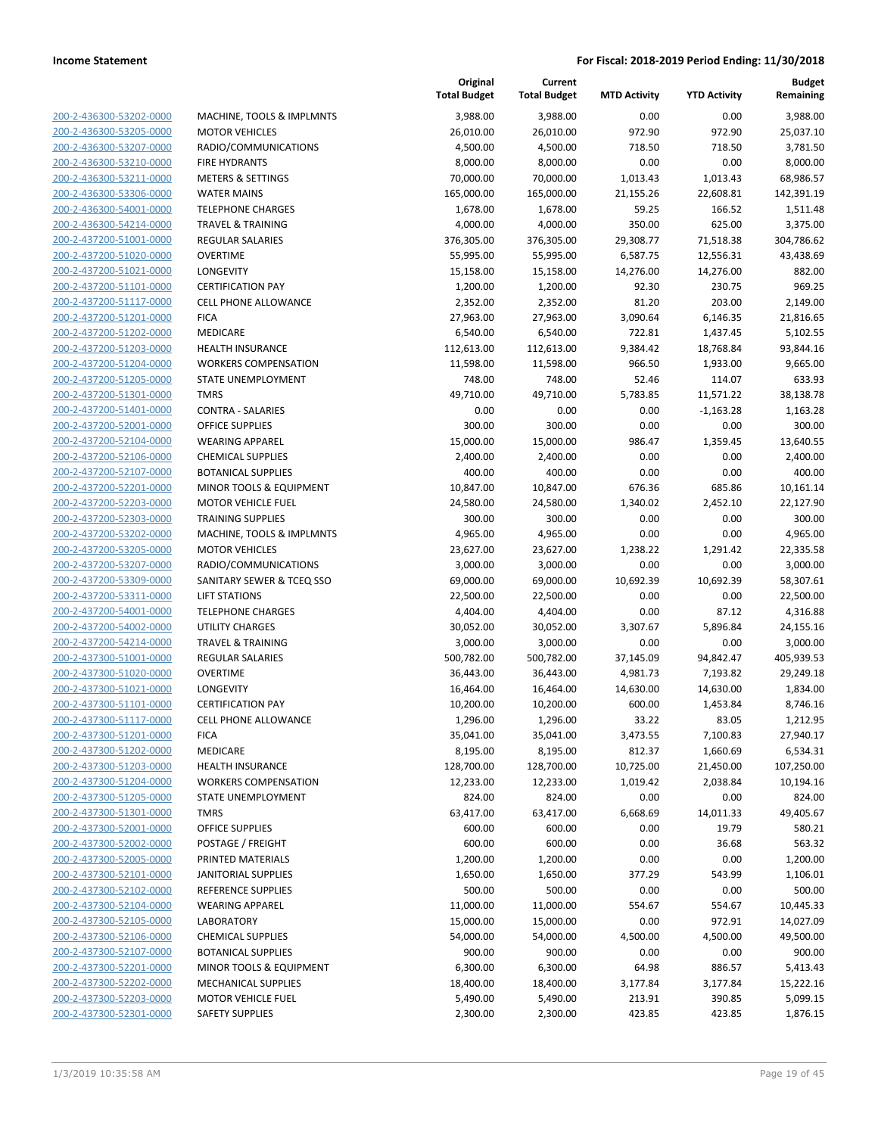200-2-436300-53202-0000 200-2-436300-53205-0000 200-2-436300-53207-0000 200-2-436300-53210-0000 200-2-436300-53211-0000 200-2-436300-53306-0000 200-2-436300-54001-0000 200-2-436300-54214-0000 200-2-437200-51001-0000 200-2-437200-51020-0000 200-2-437200-51021-0000 200-2-437200-51101-0000 200-2-437200-51117-0000 200-2-437200-51201-0000 200-2-437200-51202-0000 200-2-437200-51203-0000 200-2-437200-51204-0000 200-2-437200-51205-0000 200-2-437200-51301-0000 200-2-437200-51401-0000 200-2-437200-52001-0000 200-2-437200-52104-0000 200-2-437200-52106-0000 200-2-437200-52107-0000 200-2-437200-52201-0000 200-2-437200-52203-0000 200-2-437200-52303-0000 200-2-437200-53202-0000 200-2-437200-53205-0000 200-2-437200-53207-0000 200-2-437200-53309-0000 200-2-437200-53311-0000 200-2-437200-54001-0000 200-2-437200-54002-0000 200-2-437200-54214-0000 200-2-437300-51001-0000 200-2-437300-51020-0000 200-2-437300-51021-0000 200-2-437300-51101-0000 200-2-437300-51117-0000 200-2-437300-51201-0000 200-2-437300-51202-0000 200-2-437300-51203-0000 200-2-437300-51204-0000 200-2-437300-51205-0000 200-2-437300-51301-0000 200-2-437300-52001-0000 200-2-437300-52002-0000 200-2-437300-52005-0000 200-2-437300-52101-0000 200-2-437300-52102-0000 REFERENCE SUPPLIES 500.00 500.00 0.00 0.00 500.00 200-2-437300-52104-0000 200-2-437300-52105-0000 200-2-437300-52106-0000 200-2-437300-52107-0000 200-2-437300-52201-0000 200-2-437300-52202-0000 200-2-437300-52203-0000 200-2-437300-52301-0000

|                                                 | Original            | Current             |                     |                     | <b>Budget</b>       |
|-------------------------------------------------|---------------------|---------------------|---------------------|---------------------|---------------------|
|                                                 | <b>Total Budget</b> | <b>Total Budget</b> | <b>MTD Activity</b> | <b>YTD Activity</b> | Remaining           |
| MACHINE, TOOLS & IMPLMNTS                       | 3,988.00            | 3,988.00            | 0.00                | 0.00                | 3,988.00            |
| <b>MOTOR VEHICLES</b>                           | 26,010.00           | 26,010.00           | 972.90              | 972.90              | 25,037.10           |
| RADIO/COMMUNICATIONS                            | 4,500.00            | 4,500.00            | 718.50              | 718.50              | 3,781.50            |
| <b>FIRE HYDRANTS</b>                            | 8,000.00            | 8,000.00            | 0.00                | 0.00                | 8,000.00            |
| <b>METERS &amp; SETTINGS</b>                    | 70,000.00           | 70,000.00           | 1,013.43            | 1,013.43            | 68,986.57           |
| <b>WATER MAINS</b>                              | 165,000.00          | 165,000.00          | 21,155.26           | 22,608.81           | 142,391.19          |
| <b>TELEPHONE CHARGES</b>                        | 1,678.00            | 1,678.00            | 59.25               | 166.52              | 1,511.48            |
| <b>TRAVEL &amp; TRAINING</b>                    | 4,000.00            | 4,000.00            | 350.00              | 625.00              | 3,375.00            |
| <b>REGULAR SALARIES</b>                         | 376,305.00          | 376,305.00          | 29,308.77           | 71,518.38           | 304,786.62          |
| <b>OVERTIME</b>                                 | 55,995.00           | 55,995.00           | 6,587.75            | 12,556.31           | 43,438.69           |
| LONGEVITY                                       | 15,158.00           | 15,158.00           | 14,276.00           | 14,276.00           | 882.00              |
| <b>CERTIFICATION PAY</b>                        | 1,200.00            | 1,200.00            | 92.30               | 230.75              | 969.25              |
| <b>CELL PHONE ALLOWANCE</b>                     | 2,352.00            | 2,352.00            | 81.20               | 203.00              | 2,149.00            |
| <b>FICA</b>                                     | 27,963.00           | 27,963.00           | 3,090.64            | 6,146.35            | 21,816.65           |
| <b>MEDICARE</b>                                 | 6,540.00            | 6,540.00            | 722.81              | 1,437.45            | 5,102.55            |
| <b>HEALTH INSURANCE</b>                         | 112,613.00          | 112,613.00          | 9,384.42            | 18,768.84           | 93,844.16           |
| <b>WORKERS COMPENSATION</b>                     | 11,598.00           | 11,598.00           | 966.50              | 1,933.00            | 9,665.00            |
| STATE UNEMPLOYMENT                              | 748.00              | 748.00              | 52.46               | 114.07              | 633.93              |
| <b>TMRS</b>                                     | 49,710.00           | 49,710.00           | 5,783.85            | 11,571.22           | 38,138.78           |
| <b>CONTRA - SALARIES</b>                        | 0.00                | 0.00                | 0.00                | $-1,163.28$         | 1,163.28            |
| OFFICE SUPPLIES                                 | 300.00              | 300.00              | 0.00                | 0.00                | 300.00              |
| <b>WEARING APPAREL</b>                          | 15,000.00           | 15,000.00           | 986.47              | 1,359.45            | 13,640.55           |
| <b>CHEMICAL SUPPLIES</b>                        | 2,400.00            | 2,400.00            | 0.00                | 0.00                | 2,400.00            |
| <b>BOTANICAL SUPPLIES</b>                       | 400.00              | 400.00              | 0.00                | 0.00                | 400.00              |
| MINOR TOOLS & EQUIPMENT                         | 10,847.00           | 10,847.00           | 676.36              | 685.86              | 10,161.14           |
| <b>MOTOR VEHICLE FUEL</b>                       | 24,580.00           | 24,580.00           | 1,340.02            | 2,452.10            | 22,127.90           |
| <b>TRAINING SUPPLIES</b>                        | 300.00              | 300.00              | 0.00                | 0.00                | 300.00              |
| MACHINE, TOOLS & IMPLMNTS                       | 4,965.00            | 4,965.00            | 0.00                | 0.00                | 4,965.00            |
| <b>MOTOR VEHICLES</b>                           | 23,627.00           | 23,627.00           | 1,238.22            | 1,291.42            | 22,335.58           |
| RADIO/COMMUNICATIONS                            | 3,000.00            | 3,000.00            | 0.00                | 0.00                | 3,000.00            |
| SANITARY SEWER & TCEQ SSO                       | 69,000.00           | 69,000.00           | 10,692.39           | 10,692.39           | 58,307.61           |
| <b>LIFT STATIONS</b>                            | 22,500.00           | 22,500.00           | 0.00                | 0.00                | 22,500.00           |
| <b>TELEPHONE CHARGES</b>                        | 4,404.00            | 4,404.00            | 0.00                | 87.12               | 4,316.88            |
| <b>UTILITY CHARGES</b>                          | 30,052.00           | 30,052.00           | 3,307.67            | 5,896.84            | 24,155.16           |
| <b>TRAVEL &amp; TRAINING</b>                    | 3,000.00            | 3,000.00            | 0.00                | 0.00                | 3,000.00            |
| <b>REGULAR SALARIES</b>                         | 500,782.00          | 500,782.00          | 37,145.09           | 94,842.47           | 405,939.53          |
| <b>OVERTIME</b>                                 | 36,443.00           | 36,443.00           | 4,981.73            | 7,193.82            | 29,249.18           |
| <b>LONGEVITY</b>                                | 16,464.00           | 16,464.00           | 14,630.00           | 14,630.00           | 1,834.00            |
| <b>CERTIFICATION PAY</b>                        | 10,200.00           | 10,200.00           | 600.00              | 1,453.84            | 8,746.16            |
| CELL PHONE ALLOWANCE                            | 1,296.00            | 1,296.00            | 33.22               | 83.05               | 1,212.95            |
| FICA                                            | 35,041.00           | 35,041.00           | 3,473.55            | 7,100.83            | 27,940.17           |
| MEDICARE                                        | 8,195.00            | 8,195.00            | 812.37              | 1,660.69            | 6,534.31            |
| HEALTH INSURANCE<br><b>WORKERS COMPENSATION</b> | 128,700.00          | 128,700.00          | 10,725.00           | 21,450.00           | 107,250.00          |
|                                                 | 12,233.00           | 12,233.00           | 1,019.42            | 2,038.84            | 10,194.16           |
| STATE UNEMPLOYMENT                              | 824.00              | 824.00<br>63,417.00 | 0.00<br>6,668.69    | 0.00                | 824.00              |
| TMRS<br>OFFICE SUPPLIES                         | 63,417.00<br>600.00 | 600.00              | 0.00                | 14,011.33<br>19.79  | 49,405.67<br>580.21 |
| POSTAGE / FREIGHT                               | 600.00              | 600.00              | 0.00                | 36.68               | 563.32              |
| PRINTED MATERIALS                               | 1,200.00            | 1,200.00            | 0.00                | 0.00                | 1,200.00            |
| JANITORIAL SUPPLIES                             | 1,650.00            | 1,650.00            | 377.29              | 543.99              | 1,106.01            |
| REFERENCE SUPPLIES                              | 500.00              | 500.00              | 0.00                | 0.00                | 500.00              |
| <b>WEARING APPAREL</b>                          | 11,000.00           | 11,000.00           | 554.67              | 554.67              | 10,445.33           |
| LABORATORY                                      | 15,000.00           | 15,000.00           | 0.00                | 972.91              | 14,027.09           |
| <b>CHEMICAL SUPPLIES</b>                        | 54,000.00           | 54,000.00           | 4,500.00            | 4,500.00            | 49,500.00           |
| BOTANICAL SUPPLIES                              | 900.00              | 900.00              | 0.00                | 0.00                | 900.00              |
| MINOR TOOLS & EQUIPMENT                         | 6,300.00            | 6,300.00            | 64.98               | 886.57              | 5,413.43            |
| MECHANICAL SUPPLIES                             | 18,400.00           | 18,400.00           | 3,177.84            | 3,177.84            | 15,222.16           |
| <b>MOTOR VEHICLE FUEL</b>                       | 5,490.00            | 5,490.00            | 213.91              | 390.85              | 5,099.15            |
| <b>SAFETY SUPPLIES</b>                          | 2,300.00            | 2,300.00            | 423.85              | 423.85              | 1,876.15            |
|                                                 |                     |                     |                     |                     |                     |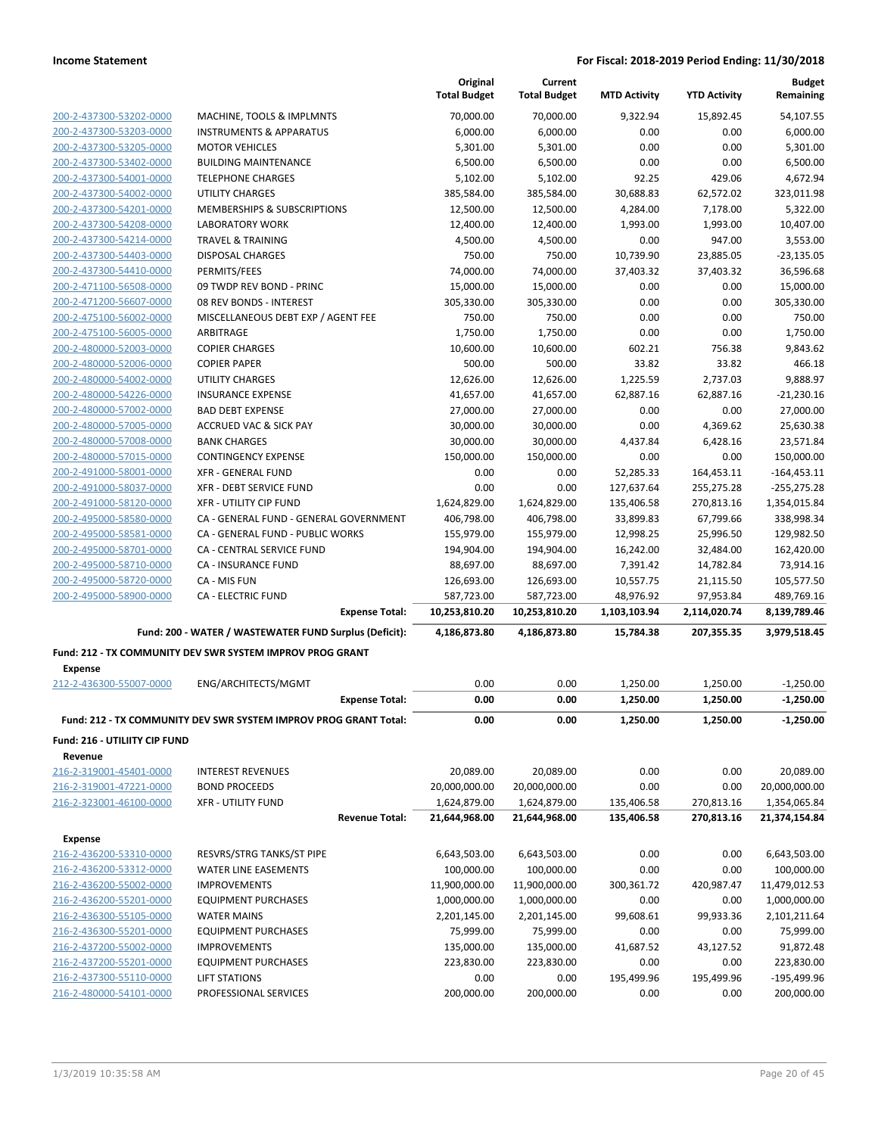|                               |                                                                  | Original<br><b>Total Budget</b> | Current<br><b>Total Budget</b> | <b>MTD Activity</b> | <b>YTD Activity</b> | <b>Budget</b><br>Remaining |
|-------------------------------|------------------------------------------------------------------|---------------------------------|--------------------------------|---------------------|---------------------|----------------------------|
| 200-2-437300-53202-0000       | MACHINE, TOOLS & IMPLMNTS                                        | 70,000.00                       | 70,000.00                      | 9.322.94            | 15,892.45           | 54,107.55                  |
| 200-2-437300-53203-0000       | <b>INSTRUMENTS &amp; APPARATUS</b>                               | 6,000.00                        | 6,000.00                       | 0.00                | 0.00                | 6,000.00                   |
| 200-2-437300-53205-0000       | <b>MOTOR VEHICLES</b>                                            | 5,301.00                        | 5,301.00                       | 0.00                | 0.00                | 5,301.00                   |
| 200-2-437300-53402-0000       | <b>BUILDING MAINTENANCE</b>                                      | 6,500.00                        | 6,500.00                       | 0.00                | 0.00                | 6,500.00                   |
| 200-2-437300-54001-0000       | <b>TELEPHONE CHARGES</b>                                         | 5,102.00                        | 5,102.00                       | 92.25               | 429.06              | 4,672.94                   |
| 200-2-437300-54002-0000       | <b>UTILITY CHARGES</b>                                           | 385,584.00                      | 385,584.00                     | 30,688.83           | 62,572.02           | 323,011.98                 |
| 200-2-437300-54201-0000       | MEMBERSHIPS & SUBSCRIPTIONS                                      | 12,500.00                       | 12,500.00                      | 4,284.00            | 7,178.00            | 5,322.00                   |
| 200-2-437300-54208-0000       | <b>LABORATORY WORK</b>                                           | 12,400.00                       | 12,400.00                      | 1,993.00            | 1,993.00            | 10,407.00                  |
| 200-2-437300-54214-0000       | <b>TRAVEL &amp; TRAINING</b>                                     | 4,500.00                        | 4,500.00                       | 0.00                | 947.00              | 3,553.00                   |
| 200-2-437300-54403-0000       | <b>DISPOSAL CHARGES</b>                                          | 750.00                          | 750.00                         | 10,739.90           | 23,885.05           | $-23,135.05$               |
| 200-2-437300-54410-0000       | PERMITS/FEES                                                     | 74,000.00                       | 74,000.00                      | 37,403.32           | 37,403.32           | 36,596.68                  |
| 200-2-471100-56508-0000       | 09 TWDP REV BOND - PRINC                                         | 15,000.00                       | 15,000.00                      | 0.00                | 0.00                | 15,000.00                  |
| 200-2-471200-56607-0000       | 08 REV BONDS - INTEREST                                          | 305,330.00                      | 305,330.00                     | 0.00                | 0.00                | 305,330.00                 |
| 200-2-475100-56002-0000       | MISCELLANEOUS DEBT EXP / AGENT FEE                               | 750.00                          | 750.00                         | 0.00                | 0.00                | 750.00                     |
| 200-2-475100-56005-0000       | ARBITRAGE                                                        | 1,750.00                        | 1,750.00                       | 0.00                | 0.00                | 1,750.00                   |
| 200-2-480000-52003-0000       | <b>COPIER CHARGES</b>                                            | 10,600.00                       | 10,600.00                      | 602.21              | 756.38              | 9,843.62                   |
| 200-2-480000-52006-0000       | <b>COPIER PAPER</b>                                              | 500.00                          | 500.00                         | 33.82               | 33.82               | 466.18                     |
| 200-2-480000-54002-0000       | <b>UTILITY CHARGES</b>                                           | 12,626.00                       | 12,626.00                      | 1,225.59            | 2,737.03            | 9,888.97                   |
| 200-2-480000-54226-0000       | <b>INSURANCE EXPENSE</b>                                         | 41,657.00                       | 41,657.00                      | 62,887.16           | 62,887.16           | $-21,230.16$               |
| 200-2-480000-57002-0000       | <b>BAD DEBT EXPENSE</b>                                          | 27,000.00                       | 27,000.00                      | 0.00                | 0.00                | 27,000.00                  |
| 200-2-480000-57005-0000       | <b>ACCRUED VAC &amp; SICK PAY</b>                                | 30,000.00                       | 30,000.00                      | 0.00                | 4,369.62            | 25,630.38                  |
| 200-2-480000-57008-0000       | <b>BANK CHARGES</b>                                              | 30,000.00                       | 30,000.00                      | 4,437.84            | 6,428.16            | 23,571.84                  |
| 200-2-480000-57015-0000       | <b>CONTINGENCY EXPENSE</b>                                       | 150,000.00                      | 150,000.00                     | 0.00                | 0.00                | 150,000.00                 |
| 200-2-491000-58001-0000       | <b>XFR - GENERAL FUND</b>                                        | 0.00                            | 0.00                           | 52,285.33           | 164,453.11          | $-164,453.11$              |
| 200-2-491000-58037-0000       | XFR - DEBT SERVICE FUND                                          | 0.00                            | 0.00                           | 127,637.64          | 255,275.28          | $-255,275.28$              |
| 200-2-491000-58120-0000       | <b>XFR - UTILITY CIP FUND</b>                                    | 1,624,829.00                    | 1,624,829.00                   | 135,406.58          | 270,813.16          | 1,354,015.84               |
| 200-2-495000-58580-0000       | CA - GENERAL FUND - GENERAL GOVERNMENT                           | 406,798.00                      | 406,798.00                     | 33,899.83           | 67,799.66           | 338,998.34                 |
| 200-2-495000-58581-0000       | CA - GENERAL FUND - PUBLIC WORKS                                 | 155,979.00                      | 155,979.00                     | 12,998.25           | 25,996.50           | 129,982.50                 |
| 200-2-495000-58701-0000       | CA - CENTRAL SERVICE FUND                                        | 194,904.00                      | 194,904.00                     | 16,242.00           | 32,484.00           | 162,420.00                 |
| 200-2-495000-58710-0000       | CA - INSURANCE FUND                                              | 88,697.00                       | 88,697.00                      | 7,391.42            | 14,782.84           | 73,914.16                  |
| 200-2-495000-58720-0000       | CA - MIS FUN                                                     | 126,693.00                      | 126,693.00                     | 10,557.75           | 21,115.50           | 105,577.50                 |
| 200-2-495000-58900-0000       | <b>CA - ELECTRIC FUND</b>                                        | 587,723.00                      | 587,723.00                     | 48,976.92           | 97,953.84           | 489,769.16                 |
|                               | <b>Expense Total:</b>                                            | 10,253,810.20                   | 10,253,810.20                  | 1,103,103.94        | 2,114,020.74        | 8,139,789.46               |
|                               | Fund: 200 - WATER / WASTEWATER FUND Surplus (Deficit):           | 4,186,873.80                    | 4,186,873.80                   | 15,784.38           | 207,355.35          | 3,979,518.45               |
| Expense                       | <b>Fund: 212 - TX COMMUNITY DEV SWR SYSTEM IMPROV PROG GRANT</b> |                                 |                                |                     |                     |                            |
| 212-2-436300-55007-0000       | ENG/ARCHITECTS/MGMT                                              | 0.00                            | 0.00                           | 1,250.00            | 1,250.00            | $-1,250.00$                |
|                               | <b>Expense Total:</b>                                            | 0.00                            | 0.00                           | 1,250.00            | 1,250.00            | $-1,250.00$                |
|                               | Fund: 212 - TX COMMUNITY DEV SWR SYSTEM IMPROV PROG GRANT Total: | 0.00                            | 0.00                           | 1,250.00            | 1,250.00            | $-1,250.00$                |
| Fund: 216 - UTILIITY CIP FUND |                                                                  |                                 |                                |                     |                     |                            |
| Revenue                       |                                                                  |                                 |                                |                     |                     |                            |
| 216-2-319001-45401-0000       | <b>INTEREST REVENUES</b>                                         | 20,089.00                       | 20,089.00                      | 0.00                | 0.00                | 20,089.00                  |
| 216-2-319001-47221-0000       | <b>BOND PROCEEDS</b>                                             | 20,000,000.00                   | 20,000,000.00                  | 0.00                | 0.00                | 20,000,000.00              |
| 216-2-323001-46100-0000       | <b>XFR - UTILITY FUND</b>                                        | 1,624,879.00                    | 1,624,879.00                   | 135,406.58          | 270,813.16          | 1,354,065.84               |
|                               | <b>Revenue Total:</b>                                            | 21,644,968.00                   | 21,644,968.00                  | 135,406.58          | 270,813.16          | 21,374,154.84              |
| <b>Expense</b>                |                                                                  |                                 |                                |                     |                     |                            |
| 216-2-436200-53310-0000       | RESVRS/STRG TANKS/ST PIPE                                        | 6,643,503.00                    | 6,643,503.00                   | 0.00                | 0.00                | 6,643,503.00               |
| 216-2-436200-53312-0000       | WATER LINE EASEMENTS                                             | 100,000.00                      | 100,000.00                     | 0.00                | 0.00                | 100,000.00                 |
| 216-2-436200-55002-0000       | <b>IMPROVEMENTS</b>                                              | 11,900,000.00                   | 11,900,000.00                  | 300,361.72          | 420,987.47          | 11,479,012.53              |
| 216-2-436200-55201-0000       | <b>EQUIPMENT PURCHASES</b>                                       | 1,000,000.00                    | 1,000,000.00                   | 0.00                | 0.00                | 1,000,000.00               |
| 216-2-436300-55105-0000       | <b>WATER MAINS</b>                                               | 2,201,145.00                    | 2,201,145.00                   | 99,608.61           | 99,933.36           | 2,101,211.64               |
| 216-2-436300-55201-0000       | <b>EQUIPMENT PURCHASES</b>                                       | 75,999.00                       | 75,999.00                      | 0.00                | 0.00                | 75,999.00                  |
| 216-2-437200-55002-0000       | <b>IMPROVEMENTS</b>                                              | 135,000.00                      | 135,000.00                     | 41,687.52           | 43,127.52           | 91,872.48                  |
| 216-2-437200-55201-0000       | <b>EQUIPMENT PURCHASES</b>                                       | 223,830.00                      | 223,830.00                     | 0.00                | 0.00                | 223,830.00                 |
| 216-2-437300-55110-0000       | <b>LIFT STATIONS</b>                                             | 0.00                            | 0.00                           | 195,499.96          | 195,499.96          | -195,499.96                |
| 216-2-480000-54101-0000       | PROFESSIONAL SERVICES                                            | 200,000.00                      | 200,000.00                     | 0.00                | 0.00                | 200,000.00                 |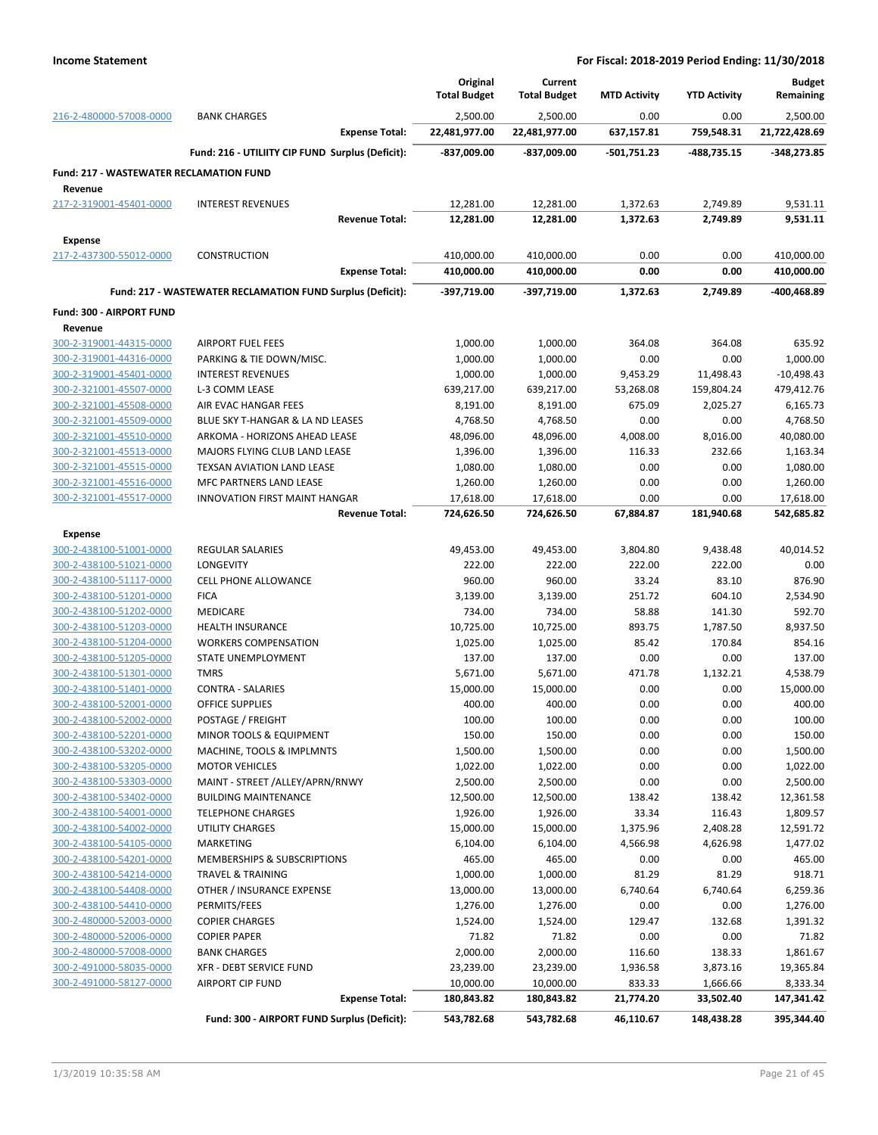|                                                                                                                                                                                                                                                                                                                                                                                                                                                                                                                                                                                                                                                                                                                                                                                                                                                                                                                                                                                                                                                                                                                                                                                                                                                                                                                                                                                                                                                                                                                                                                                                                                                                                                                                                                                                                                                                                                                                                                                                                                                                                                                                                                                                                                                                                                                                                                                                                                                                                                                                                                                                                                                                                                                                                                                                                                                                                                                                                                                                                                           |                                                | Original<br><b>Total Budget</b> | Current<br><b>Total Budget</b> | <b>MTD Activity</b>   | <b>YTD Activity</b>     | <b>Budget</b><br>Remaining |
|-------------------------------------------------------------------------------------------------------------------------------------------------------------------------------------------------------------------------------------------------------------------------------------------------------------------------------------------------------------------------------------------------------------------------------------------------------------------------------------------------------------------------------------------------------------------------------------------------------------------------------------------------------------------------------------------------------------------------------------------------------------------------------------------------------------------------------------------------------------------------------------------------------------------------------------------------------------------------------------------------------------------------------------------------------------------------------------------------------------------------------------------------------------------------------------------------------------------------------------------------------------------------------------------------------------------------------------------------------------------------------------------------------------------------------------------------------------------------------------------------------------------------------------------------------------------------------------------------------------------------------------------------------------------------------------------------------------------------------------------------------------------------------------------------------------------------------------------------------------------------------------------------------------------------------------------------------------------------------------------------------------------------------------------------------------------------------------------------------------------------------------------------------------------------------------------------------------------------------------------------------------------------------------------------------------------------------------------------------------------------------------------------------------------------------------------------------------------------------------------------------------------------------------------------------------------------------------------------------------------------------------------------------------------------------------------------------------------------------------------------------------------------------------------------------------------------------------------------------------------------------------------------------------------------------------------------------------------------------------------------------------------------------------------|------------------------------------------------|---------------------------------|--------------------------------|-----------------------|-------------------------|----------------------------|
| 216-2-480000-57008-0000                                                                                                                                                                                                                                                                                                                                                                                                                                                                                                                                                                                                                                                                                                                                                                                                                                                                                                                                                                                                                                                                                                                                                                                                                                                                                                                                                                                                                                                                                                                                                                                                                                                                                                                                                                                                                                                                                                                                                                                                                                                                                                                                                                                                                                                                                                                                                                                                                                                                                                                                                                                                                                                                                                                                                                                                                                                                                                                                                                                                                   | <b>BANK CHARGES</b>                            | 2,500.00                        | 2,500.00                       | 0.00                  | 0.00                    | 2,500.00                   |
|                                                                                                                                                                                                                                                                                                                                                                                                                                                                                                                                                                                                                                                                                                                                                                                                                                                                                                                                                                                                                                                                                                                                                                                                                                                                                                                                                                                                                                                                                                                                                                                                                                                                                                                                                                                                                                                                                                                                                                                                                                                                                                                                                                                                                                                                                                                                                                                                                                                                                                                                                                                                                                                                                                                                                                                                                                                                                                                                                                                                                                           | <b>Expense Total:</b>                          | 22,481,977.00                   | 22,481,977.00                  | 637,157.81            | 759,548.31              | 21,722,428.69              |
| Fund: 216 - UTILIITY CIP FUND Surplus (Deficit):<br>-837,009.00<br><b>Fund: 217 - WASTEWATER RECLAMATION FUND</b><br>Revenue<br>217-2-319001-45401-0000<br><b>INTEREST REVENUES</b><br>12,281.00<br>12,281.00<br><b>Revenue Total:</b><br><b>Expense</b><br>217-2-437300-55012-0000<br><b>CONSTRUCTION</b><br>410,000.00<br>410,000.00<br><b>Expense Total:</b><br>Fund: 217 - WASTEWATER RECLAMATION FUND Surplus (Deficit):<br>-397,719.00<br>Fund: 300 - AIRPORT FUND<br>Revenue<br>300-2-319001-44315-0000<br><b>AIRPORT FUEL FEES</b><br>1,000.00<br>300-2-319001-44316-0000<br>PARKING & TIE DOWN/MISC.<br>1,000.00<br>300-2-319001-45401-0000<br><b>INTEREST REVENUES</b><br>1,000.00<br>300-2-321001-45507-0000<br>L-3 COMM LEASE<br>639,217.00<br>300-2-321001-45508-0000<br>AIR EVAC HANGAR FEES<br>8,191.00<br>300-2-321001-45509-0000<br>BLUE SKY T-HANGAR & LA ND LEASES<br>4,768.50<br>300-2-321001-45510-0000<br>ARKOMA - HORIZONS AHEAD LEASE<br>48,096.00<br>300-2-321001-45513-0000<br>MAJORS FLYING CLUB LAND LEASE<br>1,396.00<br>300-2-321001-45515-0000<br>TEXSAN AVIATION LAND LEASE<br>1,080.00<br>300-2-321001-45516-0000<br>MFC PARTNERS LAND LEASE<br>1,260.00<br>300-2-321001-45517-0000<br>17,618.00<br><b>INNOVATION FIRST MAINT HANGAR</b><br><b>Revenue Total:</b><br>724,626.50<br><b>Expense</b><br>300-2-438100-51001-0000<br><b>REGULAR SALARIES</b><br>49,453.00<br>300-2-438100-51021-0000<br>LONGEVITY<br>222.00<br>300-2-438100-51117-0000<br><b>CELL PHONE ALLOWANCE</b><br>960.00<br>300-2-438100-51201-0000<br><b>FICA</b><br>3,139.00<br>300-2-438100-51202-0000<br>MEDICARE<br>734.00<br>300-2-438100-51203-0000<br>HEALTH INSURANCE<br>10,725.00<br>300-2-438100-51204-0000<br>1,025.00<br><b>WORKERS COMPENSATION</b><br>300-2-438100-51205-0000<br>STATE UNEMPLOYMENT<br>137.00<br>300-2-438100-51301-0000<br><b>TMRS</b><br>5,671.00<br>300-2-438100-51401-0000<br><b>CONTRA - SALARIES</b><br>15,000.00<br>300-2-438100-52001-0000<br><b>OFFICE SUPPLIES</b><br>400.00<br>100.00<br>300-2-438100-52002-0000<br>POSTAGE / FREIGHT<br>300-2-438100-52201-0000<br>MINOR TOOLS & EQUIPMENT<br>150.00<br>1,500.00<br>300-2-438100-53202-0000<br>MACHINE, TOOLS & IMPLMNTS<br>300-2-438100-53205-0000<br><b>MOTOR VEHICLES</b><br>1,022.00<br>300-2-438100-53303-0000<br>MAINT - STREET /ALLEY/APRN/RNWY<br>2,500.00<br>12,500.00<br>300-2-438100-53402-0000<br><b>BUILDING MAINTENANCE</b><br>300-2-438100-54001-0000<br>1,926.00<br><b>TELEPHONE CHARGES</b><br>300-2-438100-54002-0000<br><b>UTILITY CHARGES</b><br>15,000.00<br>300-2-438100-54105-0000<br><b>MARKETING</b><br>6,104.00<br>300-2-438100-54201-0000<br>MEMBERSHIPS & SUBSCRIPTIONS<br>465.00<br>1,000.00<br>300-2-438100-54214-0000<br><b>TRAVEL &amp; TRAINING</b><br>300-2-438100-54408-0000<br>OTHER / INSURANCE EXPENSE<br>13,000.00<br>300-2-438100-54410-0000<br>PERMITS/FEES<br>1,276.00<br>300-2-480000-52003-0000<br><b>COPIER CHARGES</b><br>1,524.00<br>300-2-480000-52006-0000<br><b>COPIER PAPER</b><br>71.82 | -837,009.00                                    | -501,751.23                     | -488.735.15                    | -348,273.85           |                         |                            |
|                                                                                                                                                                                                                                                                                                                                                                                                                                                                                                                                                                                                                                                                                                                                                                                                                                                                                                                                                                                                                                                                                                                                                                                                                                                                                                                                                                                                                                                                                                                                                                                                                                                                                                                                                                                                                                                                                                                                                                                                                                                                                                                                                                                                                                                                                                                                                                                                                                                                                                                                                                                                                                                                                                                                                                                                                                                                                                                                                                                                                                           |                                                |                                 |                                |                       |                         |                            |
|                                                                                                                                                                                                                                                                                                                                                                                                                                                                                                                                                                                                                                                                                                                                                                                                                                                                                                                                                                                                                                                                                                                                                                                                                                                                                                                                                                                                                                                                                                                                                                                                                                                                                                                                                                                                                                                                                                                                                                                                                                                                                                                                                                                                                                                                                                                                                                                                                                                                                                                                                                                                                                                                                                                                                                                                                                                                                                                                                                                                                                           |                                                |                                 |                                |                       |                         |                            |
|                                                                                                                                                                                                                                                                                                                                                                                                                                                                                                                                                                                                                                                                                                                                                                                                                                                                                                                                                                                                                                                                                                                                                                                                                                                                                                                                                                                                                                                                                                                                                                                                                                                                                                                                                                                                                                                                                                                                                                                                                                                                                                                                                                                                                                                                                                                                                                                                                                                                                                                                                                                                                                                                                                                                                                                                                                                                                                                                                                                                                                           |                                                |                                 | 12,281.00                      | 1,372.63              | 2,749.89                | 9,531.11                   |
|                                                                                                                                                                                                                                                                                                                                                                                                                                                                                                                                                                                                                                                                                                                                                                                                                                                                                                                                                                                                                                                                                                                                                                                                                                                                                                                                                                                                                                                                                                                                                                                                                                                                                                                                                                                                                                                                                                                                                                                                                                                                                                                                                                                                                                                                                                                                                                                                                                                                                                                                                                                                                                                                                                                                                                                                                                                                                                                                                                                                                                           |                                                |                                 | 12,281.00                      | 1,372.63              | 2,749.89                | 9,531.11                   |
|                                                                                                                                                                                                                                                                                                                                                                                                                                                                                                                                                                                                                                                                                                                                                                                                                                                                                                                                                                                                                                                                                                                                                                                                                                                                                                                                                                                                                                                                                                                                                                                                                                                                                                                                                                                                                                                                                                                                                                                                                                                                                                                                                                                                                                                                                                                                                                                                                                                                                                                                                                                                                                                                                                                                                                                                                                                                                                                                                                                                                                           |                                                |                                 |                                |                       |                         |                            |
|                                                                                                                                                                                                                                                                                                                                                                                                                                                                                                                                                                                                                                                                                                                                                                                                                                                                                                                                                                                                                                                                                                                                                                                                                                                                                                                                                                                                                                                                                                                                                                                                                                                                                                                                                                                                                                                                                                                                                                                                                                                                                                                                                                                                                                                                                                                                                                                                                                                                                                                                                                                                                                                                                                                                                                                                                                                                                                                                                                                                                                           |                                                |                                 | 410,000.00                     | 0.00                  | 0.00                    | 410,000.00                 |
|                                                                                                                                                                                                                                                                                                                                                                                                                                                                                                                                                                                                                                                                                                                                                                                                                                                                                                                                                                                                                                                                                                                                                                                                                                                                                                                                                                                                                                                                                                                                                                                                                                                                                                                                                                                                                                                                                                                                                                                                                                                                                                                                                                                                                                                                                                                                                                                                                                                                                                                                                                                                                                                                                                                                                                                                                                                                                                                                                                                                                                           |                                                |                                 | 410,000.00                     | 0.00                  | 0.00                    | 410,000.00                 |
|                                                                                                                                                                                                                                                                                                                                                                                                                                                                                                                                                                                                                                                                                                                                                                                                                                                                                                                                                                                                                                                                                                                                                                                                                                                                                                                                                                                                                                                                                                                                                                                                                                                                                                                                                                                                                                                                                                                                                                                                                                                                                                                                                                                                                                                                                                                                                                                                                                                                                                                                                                                                                                                                                                                                                                                                                                                                                                                                                                                                                                           |                                                |                                 | -397,719.00                    | 1,372.63              | 2,749.89                | -400,468.89                |
|                                                                                                                                                                                                                                                                                                                                                                                                                                                                                                                                                                                                                                                                                                                                                                                                                                                                                                                                                                                                                                                                                                                                                                                                                                                                                                                                                                                                                                                                                                                                                                                                                                                                                                                                                                                                                                                                                                                                                                                                                                                                                                                                                                                                                                                                                                                                                                                                                                                                                                                                                                                                                                                                                                                                                                                                                                                                                                                                                                                                                                           |                                                |                                 |                                |                       |                         |                            |
|                                                                                                                                                                                                                                                                                                                                                                                                                                                                                                                                                                                                                                                                                                                                                                                                                                                                                                                                                                                                                                                                                                                                                                                                                                                                                                                                                                                                                                                                                                                                                                                                                                                                                                                                                                                                                                                                                                                                                                                                                                                                                                                                                                                                                                                                                                                                                                                                                                                                                                                                                                                                                                                                                                                                                                                                                                                                                                                                                                                                                                           |                                                |                                 |                                |                       |                         |                            |
|                                                                                                                                                                                                                                                                                                                                                                                                                                                                                                                                                                                                                                                                                                                                                                                                                                                                                                                                                                                                                                                                                                                                                                                                                                                                                                                                                                                                                                                                                                                                                                                                                                                                                                                                                                                                                                                                                                                                                                                                                                                                                                                                                                                                                                                                                                                                                                                                                                                                                                                                                                                                                                                                                                                                                                                                                                                                                                                                                                                                                                           |                                                |                                 | 1,000.00                       | 364.08                | 364.08                  | 635.92                     |
|                                                                                                                                                                                                                                                                                                                                                                                                                                                                                                                                                                                                                                                                                                                                                                                                                                                                                                                                                                                                                                                                                                                                                                                                                                                                                                                                                                                                                                                                                                                                                                                                                                                                                                                                                                                                                                                                                                                                                                                                                                                                                                                                                                                                                                                                                                                                                                                                                                                                                                                                                                                                                                                                                                                                                                                                                                                                                                                                                                                                                                           |                                                |                                 | 1,000.00                       | 0.00                  | 0.00                    | 1,000.00                   |
|                                                                                                                                                                                                                                                                                                                                                                                                                                                                                                                                                                                                                                                                                                                                                                                                                                                                                                                                                                                                                                                                                                                                                                                                                                                                                                                                                                                                                                                                                                                                                                                                                                                                                                                                                                                                                                                                                                                                                                                                                                                                                                                                                                                                                                                                                                                                                                                                                                                                                                                                                                                                                                                                                                                                                                                                                                                                                                                                                                                                                                           |                                                |                                 | 1,000.00<br>639,217.00         | 9,453.29<br>53,268.08 | 11,498.43<br>159,804.24 | $-10,498.43$<br>479,412.76 |
|                                                                                                                                                                                                                                                                                                                                                                                                                                                                                                                                                                                                                                                                                                                                                                                                                                                                                                                                                                                                                                                                                                                                                                                                                                                                                                                                                                                                                                                                                                                                                                                                                                                                                                                                                                                                                                                                                                                                                                                                                                                                                                                                                                                                                                                                                                                                                                                                                                                                                                                                                                                                                                                                                                                                                                                                                                                                                                                                                                                                                                           |                                                |                                 | 8,191.00                       | 675.09                | 2,025.27                | 6,165.73                   |
|                                                                                                                                                                                                                                                                                                                                                                                                                                                                                                                                                                                                                                                                                                                                                                                                                                                                                                                                                                                                                                                                                                                                                                                                                                                                                                                                                                                                                                                                                                                                                                                                                                                                                                                                                                                                                                                                                                                                                                                                                                                                                                                                                                                                                                                                                                                                                                                                                                                                                                                                                                                                                                                                                                                                                                                                                                                                                                                                                                                                                                           |                                                |                                 | 4,768.50                       | 0.00                  | 0.00                    | 4,768.50                   |
|                                                                                                                                                                                                                                                                                                                                                                                                                                                                                                                                                                                                                                                                                                                                                                                                                                                                                                                                                                                                                                                                                                                                                                                                                                                                                                                                                                                                                                                                                                                                                                                                                                                                                                                                                                                                                                                                                                                                                                                                                                                                                                                                                                                                                                                                                                                                                                                                                                                                                                                                                                                                                                                                                                                                                                                                                                                                                                                                                                                                                                           |                                                |                                 | 48,096.00                      | 4,008.00              | 8,016.00                | 40,080.00                  |
|                                                                                                                                                                                                                                                                                                                                                                                                                                                                                                                                                                                                                                                                                                                                                                                                                                                                                                                                                                                                                                                                                                                                                                                                                                                                                                                                                                                                                                                                                                                                                                                                                                                                                                                                                                                                                                                                                                                                                                                                                                                                                                                                                                                                                                                                                                                                                                                                                                                                                                                                                                                                                                                                                                                                                                                                                                                                                                                                                                                                                                           |                                                |                                 | 1,396.00                       | 116.33                | 232.66                  | 1,163.34                   |
|                                                                                                                                                                                                                                                                                                                                                                                                                                                                                                                                                                                                                                                                                                                                                                                                                                                                                                                                                                                                                                                                                                                                                                                                                                                                                                                                                                                                                                                                                                                                                                                                                                                                                                                                                                                                                                                                                                                                                                                                                                                                                                                                                                                                                                                                                                                                                                                                                                                                                                                                                                                                                                                                                                                                                                                                                                                                                                                                                                                                                                           |                                                |                                 | 1,080.00                       | 0.00                  | 0.00                    | 1,080.00                   |
|                                                                                                                                                                                                                                                                                                                                                                                                                                                                                                                                                                                                                                                                                                                                                                                                                                                                                                                                                                                                                                                                                                                                                                                                                                                                                                                                                                                                                                                                                                                                                                                                                                                                                                                                                                                                                                                                                                                                                                                                                                                                                                                                                                                                                                                                                                                                                                                                                                                                                                                                                                                                                                                                                                                                                                                                                                                                                                                                                                                                                                           |                                                |                                 | 1,260.00                       | 0.00                  | 0.00                    | 1,260.00                   |
|                                                                                                                                                                                                                                                                                                                                                                                                                                                                                                                                                                                                                                                                                                                                                                                                                                                                                                                                                                                                                                                                                                                                                                                                                                                                                                                                                                                                                                                                                                                                                                                                                                                                                                                                                                                                                                                                                                                                                                                                                                                                                                                                                                                                                                                                                                                                                                                                                                                                                                                                                                                                                                                                                                                                                                                                                                                                                                                                                                                                                                           |                                                |                                 | 17,618.00                      | 0.00                  | 0.00                    | 17,618.00                  |
|                                                                                                                                                                                                                                                                                                                                                                                                                                                                                                                                                                                                                                                                                                                                                                                                                                                                                                                                                                                                                                                                                                                                                                                                                                                                                                                                                                                                                                                                                                                                                                                                                                                                                                                                                                                                                                                                                                                                                                                                                                                                                                                                                                                                                                                                                                                                                                                                                                                                                                                                                                                                                                                                                                                                                                                                                                                                                                                                                                                                                                           |                                                |                                 | 724,626.50                     | 67,884.87             | 181,940.68              | 542,685.82                 |
|                                                                                                                                                                                                                                                                                                                                                                                                                                                                                                                                                                                                                                                                                                                                                                                                                                                                                                                                                                                                                                                                                                                                                                                                                                                                                                                                                                                                                                                                                                                                                                                                                                                                                                                                                                                                                                                                                                                                                                                                                                                                                                                                                                                                                                                                                                                                                                                                                                                                                                                                                                                                                                                                                                                                                                                                                                                                                                                                                                                                                                           |                                                |                                 |                                |                       |                         |                            |
|                                                                                                                                                                                                                                                                                                                                                                                                                                                                                                                                                                                                                                                                                                                                                                                                                                                                                                                                                                                                                                                                                                                                                                                                                                                                                                                                                                                                                                                                                                                                                                                                                                                                                                                                                                                                                                                                                                                                                                                                                                                                                                                                                                                                                                                                                                                                                                                                                                                                                                                                                                                                                                                                                                                                                                                                                                                                                                                                                                                                                                           |                                                |                                 | 49,453.00                      | 3,804.80              | 9,438.48                | 40,014.52                  |
|                                                                                                                                                                                                                                                                                                                                                                                                                                                                                                                                                                                                                                                                                                                                                                                                                                                                                                                                                                                                                                                                                                                                                                                                                                                                                                                                                                                                                                                                                                                                                                                                                                                                                                                                                                                                                                                                                                                                                                                                                                                                                                                                                                                                                                                                                                                                                                                                                                                                                                                                                                                                                                                                                                                                                                                                                                                                                                                                                                                                                                           |                                                |                                 | 222.00                         | 222.00                | 222.00                  | 0.00                       |
|                                                                                                                                                                                                                                                                                                                                                                                                                                                                                                                                                                                                                                                                                                                                                                                                                                                                                                                                                                                                                                                                                                                                                                                                                                                                                                                                                                                                                                                                                                                                                                                                                                                                                                                                                                                                                                                                                                                                                                                                                                                                                                                                                                                                                                                                                                                                                                                                                                                                                                                                                                                                                                                                                                                                                                                                                                                                                                                                                                                                                                           |                                                |                                 | 960.00                         | 33.24                 | 83.10                   | 876.90                     |
|                                                                                                                                                                                                                                                                                                                                                                                                                                                                                                                                                                                                                                                                                                                                                                                                                                                                                                                                                                                                                                                                                                                                                                                                                                                                                                                                                                                                                                                                                                                                                                                                                                                                                                                                                                                                                                                                                                                                                                                                                                                                                                                                                                                                                                                                                                                                                                                                                                                                                                                                                                                                                                                                                                                                                                                                                                                                                                                                                                                                                                           |                                                |                                 | 3,139.00<br>734.00             | 251.72<br>58.88       | 604.10<br>141.30        | 2,534.90<br>592.70         |
|                                                                                                                                                                                                                                                                                                                                                                                                                                                                                                                                                                                                                                                                                                                                                                                                                                                                                                                                                                                                                                                                                                                                                                                                                                                                                                                                                                                                                                                                                                                                                                                                                                                                                                                                                                                                                                                                                                                                                                                                                                                                                                                                                                                                                                                                                                                                                                                                                                                                                                                                                                                                                                                                                                                                                                                                                                                                                                                                                                                                                                           |                                                |                                 | 10,725.00                      | 893.75                | 1,787.50                | 8,937.50                   |
|                                                                                                                                                                                                                                                                                                                                                                                                                                                                                                                                                                                                                                                                                                                                                                                                                                                                                                                                                                                                                                                                                                                                                                                                                                                                                                                                                                                                                                                                                                                                                                                                                                                                                                                                                                                                                                                                                                                                                                                                                                                                                                                                                                                                                                                                                                                                                                                                                                                                                                                                                                                                                                                                                                                                                                                                                                                                                                                                                                                                                                           |                                                |                                 | 1,025.00                       | 85.42                 | 170.84                  | 854.16                     |
|                                                                                                                                                                                                                                                                                                                                                                                                                                                                                                                                                                                                                                                                                                                                                                                                                                                                                                                                                                                                                                                                                                                                                                                                                                                                                                                                                                                                                                                                                                                                                                                                                                                                                                                                                                                                                                                                                                                                                                                                                                                                                                                                                                                                                                                                                                                                                                                                                                                                                                                                                                                                                                                                                                                                                                                                                                                                                                                                                                                                                                           |                                                |                                 | 137.00                         | 0.00                  | 0.00                    | 137.00                     |
|                                                                                                                                                                                                                                                                                                                                                                                                                                                                                                                                                                                                                                                                                                                                                                                                                                                                                                                                                                                                                                                                                                                                                                                                                                                                                                                                                                                                                                                                                                                                                                                                                                                                                                                                                                                                                                                                                                                                                                                                                                                                                                                                                                                                                                                                                                                                                                                                                                                                                                                                                                                                                                                                                                                                                                                                                                                                                                                                                                                                                                           |                                                |                                 | 5,671.00                       | 471.78                | 1,132.21                | 4,538.79                   |
|                                                                                                                                                                                                                                                                                                                                                                                                                                                                                                                                                                                                                                                                                                                                                                                                                                                                                                                                                                                                                                                                                                                                                                                                                                                                                                                                                                                                                                                                                                                                                                                                                                                                                                                                                                                                                                                                                                                                                                                                                                                                                                                                                                                                                                                                                                                                                                                                                                                                                                                                                                                                                                                                                                                                                                                                                                                                                                                                                                                                                                           |                                                |                                 | 15,000.00                      | 0.00                  | 0.00                    | 15,000.00                  |
|                                                                                                                                                                                                                                                                                                                                                                                                                                                                                                                                                                                                                                                                                                                                                                                                                                                                                                                                                                                                                                                                                                                                                                                                                                                                                                                                                                                                                                                                                                                                                                                                                                                                                                                                                                                                                                                                                                                                                                                                                                                                                                                                                                                                                                                                                                                                                                                                                                                                                                                                                                                                                                                                                                                                                                                                                                                                                                                                                                                                                                           |                                                |                                 | 400.00                         | 0.00                  | 0.00                    | 400.00                     |
|                                                                                                                                                                                                                                                                                                                                                                                                                                                                                                                                                                                                                                                                                                                                                                                                                                                                                                                                                                                                                                                                                                                                                                                                                                                                                                                                                                                                                                                                                                                                                                                                                                                                                                                                                                                                                                                                                                                                                                                                                                                                                                                                                                                                                                                                                                                                                                                                                                                                                                                                                                                                                                                                                                                                                                                                                                                                                                                                                                                                                                           |                                                |                                 | 100.00                         | 0.00                  | 0.00                    | 100.00                     |
|                                                                                                                                                                                                                                                                                                                                                                                                                                                                                                                                                                                                                                                                                                                                                                                                                                                                                                                                                                                                                                                                                                                                                                                                                                                                                                                                                                                                                                                                                                                                                                                                                                                                                                                                                                                                                                                                                                                                                                                                                                                                                                                                                                                                                                                                                                                                                                                                                                                                                                                                                                                                                                                                                                                                                                                                                                                                                                                                                                                                                                           |                                                |                                 | 150.00                         | 0.00                  | 0.00                    | 150.00                     |
|                                                                                                                                                                                                                                                                                                                                                                                                                                                                                                                                                                                                                                                                                                                                                                                                                                                                                                                                                                                                                                                                                                                                                                                                                                                                                                                                                                                                                                                                                                                                                                                                                                                                                                                                                                                                                                                                                                                                                                                                                                                                                                                                                                                                                                                                                                                                                                                                                                                                                                                                                                                                                                                                                                                                                                                                                                                                                                                                                                                                                                           |                                                |                                 | 1,500.00                       | 0.00                  | 0.00                    | 1,500.00                   |
|                                                                                                                                                                                                                                                                                                                                                                                                                                                                                                                                                                                                                                                                                                                                                                                                                                                                                                                                                                                                                                                                                                                                                                                                                                                                                                                                                                                                                                                                                                                                                                                                                                                                                                                                                                                                                                                                                                                                                                                                                                                                                                                                                                                                                                                                                                                                                                                                                                                                                                                                                                                                                                                                                                                                                                                                                                                                                                                                                                                                                                           |                                                |                                 | 1,022.00<br>2,500.00           | 0.00<br>0.00          | 0.00<br>0.00            | 1,022.00<br>2,500.00       |
|                                                                                                                                                                                                                                                                                                                                                                                                                                                                                                                                                                                                                                                                                                                                                                                                                                                                                                                                                                                                                                                                                                                                                                                                                                                                                                                                                                                                                                                                                                                                                                                                                                                                                                                                                                                                                                                                                                                                                                                                                                                                                                                                                                                                                                                                                                                                                                                                                                                                                                                                                                                                                                                                                                                                                                                                                                                                                                                                                                                                                                           |                                                |                                 | 12,500.00                      | 138.42                | 138.42                  | 12,361.58                  |
|                                                                                                                                                                                                                                                                                                                                                                                                                                                                                                                                                                                                                                                                                                                                                                                                                                                                                                                                                                                                                                                                                                                                                                                                                                                                                                                                                                                                                                                                                                                                                                                                                                                                                                                                                                                                                                                                                                                                                                                                                                                                                                                                                                                                                                                                                                                                                                                                                                                                                                                                                                                                                                                                                                                                                                                                                                                                                                                                                                                                                                           |                                                |                                 | 1,926.00                       | 33.34                 | 116.43                  | 1,809.57                   |
|                                                                                                                                                                                                                                                                                                                                                                                                                                                                                                                                                                                                                                                                                                                                                                                                                                                                                                                                                                                                                                                                                                                                                                                                                                                                                                                                                                                                                                                                                                                                                                                                                                                                                                                                                                                                                                                                                                                                                                                                                                                                                                                                                                                                                                                                                                                                                                                                                                                                                                                                                                                                                                                                                                                                                                                                                                                                                                                                                                                                                                           |                                                |                                 | 15,000.00                      | 1,375.96              | 2,408.28                | 12,591.72                  |
|                                                                                                                                                                                                                                                                                                                                                                                                                                                                                                                                                                                                                                                                                                                                                                                                                                                                                                                                                                                                                                                                                                                                                                                                                                                                                                                                                                                                                                                                                                                                                                                                                                                                                                                                                                                                                                                                                                                                                                                                                                                                                                                                                                                                                                                                                                                                                                                                                                                                                                                                                                                                                                                                                                                                                                                                                                                                                                                                                                                                                                           |                                                |                                 | 6,104.00                       | 4,566.98              | 4,626.98                | 1,477.02                   |
|                                                                                                                                                                                                                                                                                                                                                                                                                                                                                                                                                                                                                                                                                                                                                                                                                                                                                                                                                                                                                                                                                                                                                                                                                                                                                                                                                                                                                                                                                                                                                                                                                                                                                                                                                                                                                                                                                                                                                                                                                                                                                                                                                                                                                                                                                                                                                                                                                                                                                                                                                                                                                                                                                                                                                                                                                                                                                                                                                                                                                                           |                                                |                                 | 465.00                         | 0.00                  | 0.00                    | 465.00                     |
|                                                                                                                                                                                                                                                                                                                                                                                                                                                                                                                                                                                                                                                                                                                                                                                                                                                                                                                                                                                                                                                                                                                                                                                                                                                                                                                                                                                                                                                                                                                                                                                                                                                                                                                                                                                                                                                                                                                                                                                                                                                                                                                                                                                                                                                                                                                                                                                                                                                                                                                                                                                                                                                                                                                                                                                                                                                                                                                                                                                                                                           |                                                |                                 | 1,000.00                       | 81.29                 | 81.29                   | 918.71                     |
|                                                                                                                                                                                                                                                                                                                                                                                                                                                                                                                                                                                                                                                                                                                                                                                                                                                                                                                                                                                                                                                                                                                                                                                                                                                                                                                                                                                                                                                                                                                                                                                                                                                                                                                                                                                                                                                                                                                                                                                                                                                                                                                                                                                                                                                                                                                                                                                                                                                                                                                                                                                                                                                                                                                                                                                                                                                                                                                                                                                                                                           |                                                |                                 | 13,000.00                      | 6,740.64              | 6,740.64                | 6,259.36                   |
|                                                                                                                                                                                                                                                                                                                                                                                                                                                                                                                                                                                                                                                                                                                                                                                                                                                                                                                                                                                                                                                                                                                                                                                                                                                                                                                                                                                                                                                                                                                                                                                                                                                                                                                                                                                                                                                                                                                                                                                                                                                                                                                                                                                                                                                                                                                                                                                                                                                                                                                                                                                                                                                                                                                                                                                                                                                                                                                                                                                                                                           |                                                |                                 | 1,276.00                       | 0.00                  | 0.00                    | 1,276.00                   |
|                                                                                                                                                                                                                                                                                                                                                                                                                                                                                                                                                                                                                                                                                                                                                                                                                                                                                                                                                                                                                                                                                                                                                                                                                                                                                                                                                                                                                                                                                                                                                                                                                                                                                                                                                                                                                                                                                                                                                                                                                                                                                                                                                                                                                                                                                                                                                                                                                                                                                                                                                                                                                                                                                                                                                                                                                                                                                                                                                                                                                                           |                                                |                                 | 1,524.00                       | 129.47                | 132.68                  | 1,391.32                   |
|                                                                                                                                                                                                                                                                                                                                                                                                                                                                                                                                                                                                                                                                                                                                                                                                                                                                                                                                                                                                                                                                                                                                                                                                                                                                                                                                                                                                                                                                                                                                                                                                                                                                                                                                                                                                                                                                                                                                                                                                                                                                                                                                                                                                                                                                                                                                                                                                                                                                                                                                                                                                                                                                                                                                                                                                                                                                                                                                                                                                                                           |                                                |                                 | 71.82                          | 0.00                  | 0.00                    | 71.82                      |
| 300-2-480000-57008-0000<br>300-2-491000-58035-0000                                                                                                                                                                                                                                                                                                                                                                                                                                                                                                                                                                                                                                                                                                                                                                                                                                                                                                                                                                                                                                                                                                                                                                                                                                                                                                                                                                                                                                                                                                                                                                                                                                                                                                                                                                                                                                                                                                                                                                                                                                                                                                                                                                                                                                                                                                                                                                                                                                                                                                                                                                                                                                                                                                                                                                                                                                                                                                                                                                                        | <b>BANK CHARGES</b><br>XFR - DEBT SERVICE FUND | 2,000.00<br>23,239.00           | 2,000.00<br>23,239.00          | 116.60<br>1,936.58    | 138.33<br>3,873.16      | 1,861.67<br>19,365.84      |
| 300-2-491000-58127-0000                                                                                                                                                                                                                                                                                                                                                                                                                                                                                                                                                                                                                                                                                                                                                                                                                                                                                                                                                                                                                                                                                                                                                                                                                                                                                                                                                                                                                                                                                                                                                                                                                                                                                                                                                                                                                                                                                                                                                                                                                                                                                                                                                                                                                                                                                                                                                                                                                                                                                                                                                                                                                                                                                                                                                                                                                                                                                                                                                                                                                   | <b>AIRPORT CIP FUND</b>                        | 10,000.00                       | 10,000.00                      | 833.33                | 1,666.66                | 8,333.34                   |
|                                                                                                                                                                                                                                                                                                                                                                                                                                                                                                                                                                                                                                                                                                                                                                                                                                                                                                                                                                                                                                                                                                                                                                                                                                                                                                                                                                                                                                                                                                                                                                                                                                                                                                                                                                                                                                                                                                                                                                                                                                                                                                                                                                                                                                                                                                                                                                                                                                                                                                                                                                                                                                                                                                                                                                                                                                                                                                                                                                                                                                           | <b>Expense Total:</b>                          | 180,843.82                      | 180,843.82                     | 21,774.20             | 33,502.40               | 147,341.42                 |
|                                                                                                                                                                                                                                                                                                                                                                                                                                                                                                                                                                                                                                                                                                                                                                                                                                                                                                                                                                                                                                                                                                                                                                                                                                                                                                                                                                                                                                                                                                                                                                                                                                                                                                                                                                                                                                                                                                                                                                                                                                                                                                                                                                                                                                                                                                                                                                                                                                                                                                                                                                                                                                                                                                                                                                                                                                                                                                                                                                                                                                           | Fund: 300 - AIRPORT FUND Surplus (Deficit):    | 543,782.68                      | 543,782.68                     | 46,110.67             | 148,438.28              | 395,344.40                 |
|                                                                                                                                                                                                                                                                                                                                                                                                                                                                                                                                                                                                                                                                                                                                                                                                                                                                                                                                                                                                                                                                                                                                                                                                                                                                                                                                                                                                                                                                                                                                                                                                                                                                                                                                                                                                                                                                                                                                                                                                                                                                                                                                                                                                                                                                                                                                                                                                                                                                                                                                                                                                                                                                                                                                                                                                                                                                                                                                                                                                                                           |                                                |                                 |                                |                       |                         |                            |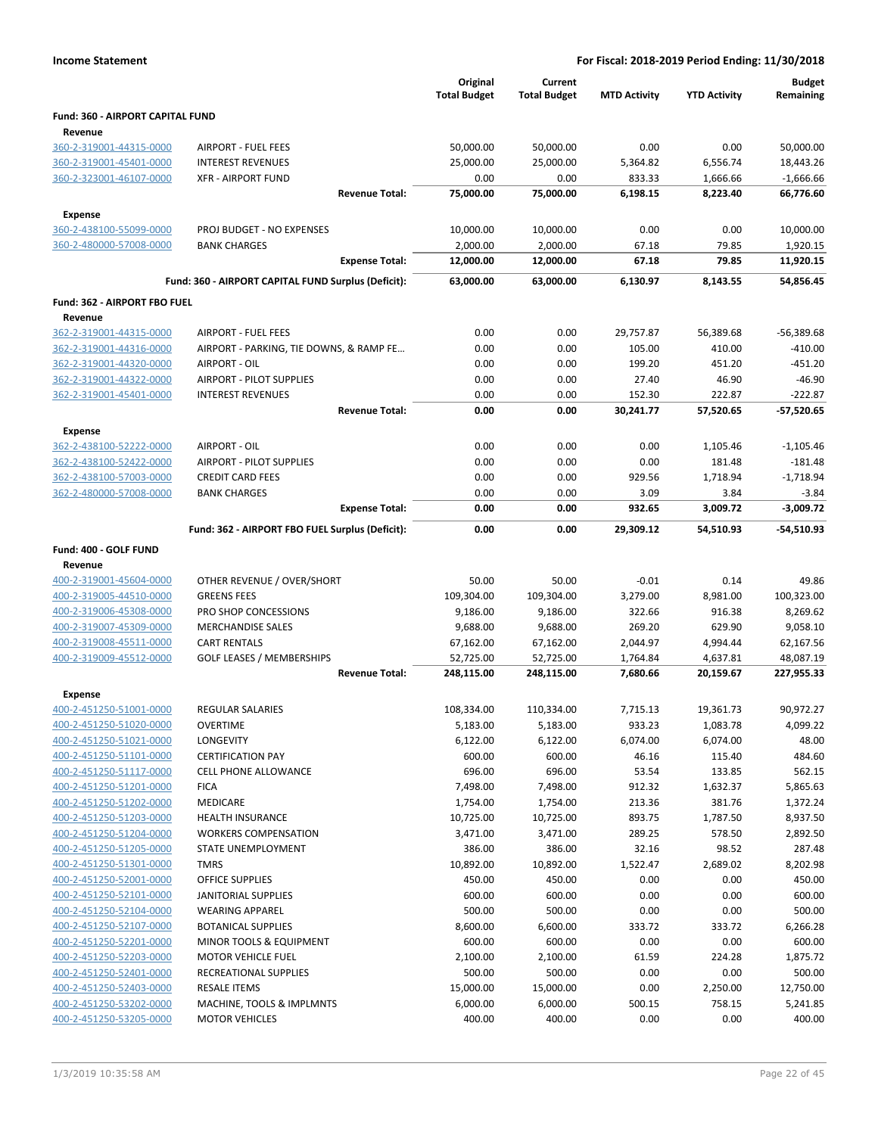| <b>Income Statement</b>                            |                                                           |                                 | For Fiscal: 2018-2019 Period Ending: 11/30/2018 |                      |                       |                            |
|----------------------------------------------------|-----------------------------------------------------------|---------------------------------|-------------------------------------------------|----------------------|-----------------------|----------------------------|
|                                                    |                                                           | Original<br><b>Total Budget</b> | Current<br><b>Total Budget</b>                  | <b>MTD Activity</b>  | <b>YTD Activity</b>   | <b>Budget</b><br>Remaining |
| Fund: 360 - AIRPORT CAPITAL FUND                   |                                                           |                                 |                                                 |                      |                       |                            |
| Revenue                                            |                                                           |                                 |                                                 |                      |                       |                            |
| 360-2-319001-44315-0000                            | <b>AIRPORT - FUEL FEES</b>                                | 50,000.00                       | 50,000.00                                       | 0.00                 | 0.00                  | 50,000.00                  |
| 360-2-319001-45401-0000                            | <b>INTEREST REVENUES</b>                                  | 25,000.00                       | 25,000.00                                       | 5,364.82             | 6,556.74              | 18,443.26                  |
| 360-2-323001-46107-0000                            | <b>XFR - AIRPORT FUND</b>                                 | 0.00                            | 0.00                                            | 833.33               | 1,666.66              | $-1,666.66$                |
|                                                    | <b>Revenue Total:</b>                                     | 75,000.00                       | 75,000.00                                       | 6,198.15             | 8,223.40              | 66,776.60                  |
| <b>Expense</b>                                     |                                                           |                                 |                                                 |                      |                       |                            |
| 360-2-438100-55099-0000                            | PROJ BUDGET - NO EXPENSES                                 | 10,000.00                       | 10,000.00                                       | 0.00                 | 0.00                  | 10,000.00                  |
| 360-2-480000-57008-0000                            | <b>BANK CHARGES</b>                                       | 2,000.00                        | 2,000.00                                        | 67.18                | 79.85                 | 1,920.15                   |
|                                                    | <b>Expense Total:</b>                                     | 12,000.00                       | 12,000.00                                       | 67.18                | 79.85                 | 11,920.15                  |
|                                                    | Fund: 360 - AIRPORT CAPITAL FUND Surplus (Deficit):       | 63,000.00                       | 63,000.00                                       | 6,130.97             | 8,143.55              | 54,856.45                  |
| Fund: 362 - AIRPORT FBO FUEL                       |                                                           |                                 |                                                 |                      |                       |                            |
| Revenue                                            |                                                           |                                 |                                                 |                      |                       |                            |
| 362-2-319001-44315-0000                            | <b>AIRPORT - FUEL FEES</b>                                | 0.00                            | 0.00                                            | 29,757.87            | 56,389.68             | $-56,389.68$               |
| 362-2-319001-44316-0000                            | AIRPORT - PARKING, TIE DOWNS, & RAMP FE                   | 0.00                            | 0.00                                            | 105.00               | 410.00                | $-410.00$                  |
| 362-2-319001-44320-0000                            | AIRPORT - OIL                                             | 0.00                            | 0.00                                            | 199.20               | 451.20                | -451.20                    |
| 362-2-319001-44322-0000                            | <b>AIRPORT - PILOT SUPPLIES</b>                           | 0.00                            | 0.00                                            | 27.40                | 46.90                 | $-46.90$                   |
| 362-2-319001-45401-0000                            | <b>INTEREST REVENUES</b>                                  | 0.00                            | 0.00                                            | 152.30               | 222.87                | $-222.87$                  |
|                                                    | <b>Revenue Total:</b>                                     | 0.00                            | 0.00                                            | 30,241.77            | 57,520.65             | $-57,520.65$               |
| <b>Expense</b>                                     |                                                           |                                 |                                                 |                      |                       |                            |
| 362-2-438100-52222-0000                            | AIRPORT - OIL                                             | 0.00                            | 0.00                                            | 0.00                 | 1,105.46              | $-1,105.46$                |
| 362-2-438100-52422-0000                            | <b>AIRPORT - PILOT SUPPLIES</b>                           | 0.00                            | 0.00                                            | 0.00                 | 181.48                | $-181.48$                  |
| 362-2-438100-57003-0000                            | <b>CREDIT CARD FEES</b>                                   | 0.00                            | 0.00                                            | 929.56               | 1,718.94              | $-1,718.94$                |
| 362-2-480000-57008-0000                            | <b>BANK CHARGES</b>                                       | 0.00                            | 0.00                                            | 3.09                 | 3.84                  | $-3.84$                    |
|                                                    | <b>Expense Total:</b>                                     | 0.00                            | 0.00                                            | 932.65               | 3,009.72              | $-3,009.72$                |
|                                                    | Fund: 362 - AIRPORT FBO FUEL Surplus (Deficit):           | 0.00                            | 0.00                                            | 29,309.12            | 54,510.93             | $-54,510.93$               |
|                                                    |                                                           |                                 |                                                 |                      |                       |                            |
| Fund: 400 - GOLF FUND                              |                                                           |                                 |                                                 |                      |                       |                            |
| Revenue                                            |                                                           |                                 |                                                 |                      |                       |                            |
| 400-2-319001-45604-0000                            | OTHER REVENUE / OVER/SHORT                                | 50.00                           | 50.00                                           | $-0.01$              | 0.14                  | 49.86                      |
| 400-2-319005-44510-0000                            | <b>GREENS FEES</b>                                        | 109,304.00                      | 109,304.00                                      | 3,279.00             | 8,981.00              | 100,323.00                 |
| 400-2-319006-45308-0000                            | PRO SHOP CONCESSIONS                                      | 9,186.00                        | 9,186.00                                        | 322.66               | 916.38                | 8,269.62                   |
| 400-2-319007-45309-0000                            | <b>MERCHANDISE SALES</b>                                  | 9,688.00                        | 9,688.00                                        | 269.20               | 629.90                | 9,058.10                   |
| 400-2-319008-45511-0000                            | <b>CART RENTALS</b>                                       | 67,162.00                       | 67,162.00                                       | 2,044.97             | 4,994.44              | 62,167.56                  |
| 400-2-319009-45512-0000                            | <b>GOLF LEASES / MEMBERSHIPS</b><br><b>Revenue Total:</b> | 52,725.00<br>248,115.00         | 52,725.00                                       | 1,764.84<br>7,680.66 | 4,637.81<br>20,159.67 | 48,087.19<br>227,955.33    |
|                                                    |                                                           |                                 | 248,115.00                                      |                      |                       |                            |
| <b>Expense</b>                                     |                                                           |                                 |                                                 |                      |                       |                            |
| 400-2-451250-51001-0000                            | <b>REGULAR SALARIES</b>                                   | 108,334.00                      | 110,334.00                                      | 7,715.13             | 19,361.73             | 90,972.27                  |
| 400-2-451250-51020-0000                            | OVERTIME                                                  | 5,183.00                        | 5,183.00                                        | 933.23               | 1,083.78              | 4,099.22                   |
| 400-2-451250-51021-0000                            | LONGEVITY                                                 | 6,122.00                        | 6,122.00                                        | 6,074.00             | 6,074.00              | 48.00                      |
| 400-2-451250-51101-0000                            | <b>CERTIFICATION PAY</b>                                  | 600.00                          | 600.00                                          | 46.16                | 115.40                | 484.60                     |
| 400-2-451250-51117-0000                            | <b>CELL PHONE ALLOWANCE</b>                               | 696.00                          | 696.00                                          | 53.54                | 133.85                | 562.15                     |
| 400-2-451250-51201-0000                            | <b>FICA</b>                                               | 7,498.00                        | 7,498.00                                        | 912.32               | 1,632.37              | 5,865.63                   |
| 400-2-451250-51202-0000                            | MEDICARE                                                  | 1,754.00                        | 1,754.00                                        | 213.36               | 381.76                | 1,372.24                   |
| 400-2-451250-51203-0000                            | <b>HEALTH INSURANCE</b><br><b>WORKERS COMPENSATION</b>    | 10,725.00                       | 10,725.00                                       | 893.75               | 1,787.50              | 8,937.50                   |
| 400-2-451250-51204-0000                            | STATE UNEMPLOYMENT                                        | 3,471.00<br>386.00              | 3,471.00<br>386.00                              | 289.25<br>32.16      | 578.50<br>98.52       | 2,892.50<br>287.48         |
| 400-2-451250-51205-0000<br>400-2-451250-51301-0000 | <b>TMRS</b>                                               | 10,892.00                       | 10,892.00                                       | 1,522.47             | 2,689.02              | 8,202.98                   |
| 400-2-451250-52001-0000                            | <b>OFFICE SUPPLIES</b>                                    | 450.00                          | 450.00                                          | 0.00                 | 0.00                  | 450.00                     |
| 400-2-451250-52101-0000                            | JANITORIAL SUPPLIES                                       | 600.00                          | 600.00                                          | 0.00                 | 0.00                  | 600.00                     |
| 400-2-451250-52104-0000                            | <b>WEARING APPAREL</b>                                    | 500.00                          | 500.00                                          | 0.00                 | 0.00                  | 500.00                     |
| 400-2-451250-52107-0000                            | <b>BOTANICAL SUPPLIES</b>                                 | 8,600.00                        | 6,600.00                                        | 333.72               | 333.72                | 6,266.28                   |
| 400-2-451250-52201-0000                            | MINOR TOOLS & EQUIPMENT                                   | 600.00                          | 600.00                                          | 0.00                 | 0.00                  | 600.00                     |
| 400-2-451250-52203-0000                            | <b>MOTOR VEHICLE FUEL</b>                                 | 2,100.00                        | 2,100.00                                        | 61.59                | 224.28                | 1,875.72                   |
| 400-2-451250-52401-0000                            | RECREATIONAL SUPPLIES                                     | 500.00                          | 500.00                                          | 0.00                 | 0.00                  | 500.00                     |
| 400-2-451250-52403-0000                            | <b>RESALE ITEMS</b>                                       | 15,000.00                       | 15,000.00                                       | 0.00                 | 2,250.00              | 12,750.00                  |
| 400-2-451250-53202-0000                            | MACHINE, TOOLS & IMPLMNTS                                 | 6,000.00                        | 6,000.00                                        | 500.15               | 758.15                | 5,241.85                   |
| 400-2-451250-53205-0000                            | <b>MOTOR VEHICLES</b>                                     | 400.00                          | 400.00                                          | 0.00                 | 0.00                  | 400.00                     |
|                                                    |                                                           |                                 |                                                 |                      |                       |                            |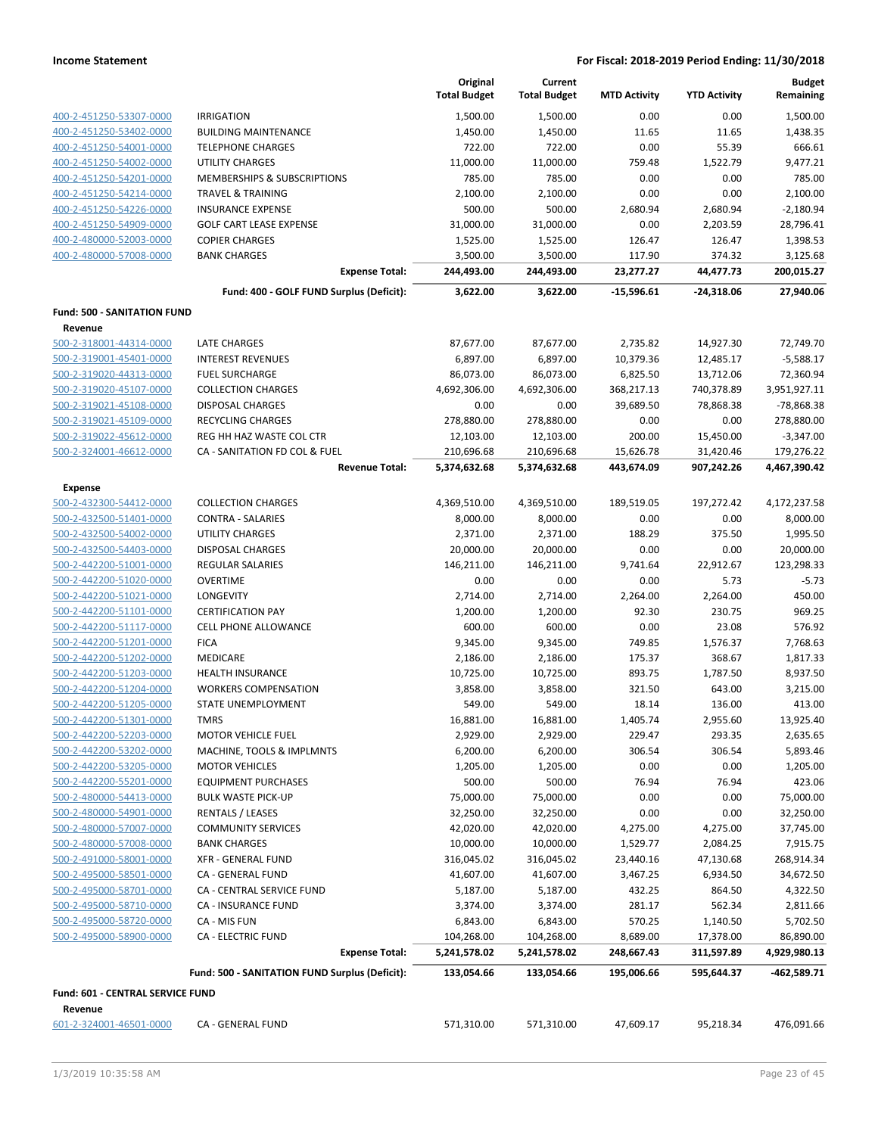|                                    |                                                    | Original<br><b>Total Budget</b> | Current<br><b>Total Budget</b> | <b>MTD Activity</b> | <b>YTD Activity</b> | <b>Budget</b><br>Remaining |
|------------------------------------|----------------------------------------------------|---------------------------------|--------------------------------|---------------------|---------------------|----------------------------|
| 400-2-451250-53307-0000            | <b>IRRIGATION</b>                                  | 1,500.00                        | 1,500.00                       | 0.00                | 0.00                | 1,500.00                   |
| 400-2-451250-53402-0000            | <b>BUILDING MAINTENANCE</b>                        | 1,450.00                        | 1,450.00                       | 11.65               | 11.65               | 1,438.35                   |
| 400-2-451250-54001-0000            | <b>TELEPHONE CHARGES</b>                           | 722.00                          | 722.00                         | 0.00                | 55.39               | 666.61                     |
| 400-2-451250-54002-0000            | UTILITY CHARGES                                    | 11,000.00                       | 11,000.00                      | 759.48              | 1,522.79            | 9,477.21                   |
| 400-2-451250-54201-0000            | MEMBERSHIPS & SUBSCRIPTIONS                        | 785.00                          | 785.00                         | 0.00                | 0.00                | 785.00                     |
| 400-2-451250-54214-0000            | <b>TRAVEL &amp; TRAINING</b>                       | 2,100.00                        | 2,100.00                       | 0.00                | 0.00                | 2,100.00                   |
| 400-2-451250-54226-0000            | <b>INSURANCE EXPENSE</b>                           | 500.00                          | 500.00                         | 2,680.94            | 2,680.94            | $-2,180.94$                |
| 400-2-451250-54909-0000            | <b>GOLF CART LEASE EXPENSE</b>                     | 31,000.00                       | 31,000.00                      | 0.00                | 2,203.59            | 28,796.41                  |
| 400-2-480000-52003-0000            | <b>COPIER CHARGES</b>                              | 1,525.00                        | 1,525.00                       | 126.47              | 126.47              | 1,398.53                   |
| 400-2-480000-57008-0000            | <b>BANK CHARGES</b>                                | 3,500.00                        | 3,500.00                       | 117.90              | 374.32              | 3,125.68                   |
|                                    | <b>Expense Total:</b>                              | 244,493.00                      | 244,493.00                     | 23,277.27           | 44,477.73           | 200,015.27                 |
|                                    | Fund: 400 - GOLF FUND Surplus (Deficit):           | 3,622.00                        | 3,622.00                       | $-15,596.61$        | $-24,318.06$        | 27,940.06                  |
| <b>Fund: 500 - SANITATION FUND</b> |                                                    |                                 |                                |                     |                     |                            |
| Revenue                            |                                                    |                                 |                                |                     |                     |                            |
| 500-2-318001-44314-0000            | LATE CHARGES                                       | 87,677.00                       | 87,677.00                      | 2,735.82            | 14,927.30           | 72,749.70                  |
| 500-2-319001-45401-0000            | <b>INTEREST REVENUES</b>                           | 6,897.00                        | 6,897.00                       | 10,379.36           | 12,485.17           | $-5,588.17$                |
| 500-2-319020-44313-0000            | <b>FUEL SURCHARGE</b>                              | 86,073.00                       | 86,073.00                      | 6,825.50            | 13,712.06           | 72,360.94                  |
| 500-2-319020-45107-0000            | <b>COLLECTION CHARGES</b>                          | 4,692,306.00                    | 4,692,306.00                   | 368,217.13          | 740,378.89          | 3,951,927.11               |
| 500-2-319021-45108-0000            | <b>DISPOSAL CHARGES</b>                            | 0.00                            | 0.00                           | 39,689.50           | 78,868.38           | -78,868.38                 |
| 500-2-319021-45109-0000            | RECYCLING CHARGES                                  | 278,880.00                      | 278,880.00                     | 0.00                | 0.00                | 278,880.00                 |
| 500-2-319022-45612-0000            | REG HH HAZ WASTE COL CTR                           | 12,103.00                       | 12,103.00                      | 200.00              | 15,450.00           | $-3,347.00$                |
| 500-2-324001-46612-0000            | CA - SANITATION FD COL & FUEL                      | 210,696.68                      | 210,696.68                     | 15,626.78           | 31,420.46           | 179,276.22                 |
|                                    | <b>Revenue Total:</b>                              | 5,374,632.68                    | 5,374,632.68                   | 443,674.09          | 907,242.26          | 4,467,390.42               |
| <b>Expense</b>                     |                                                    |                                 |                                |                     |                     |                            |
| 500-2-432300-54412-0000            | <b>COLLECTION CHARGES</b>                          | 4,369,510.00                    | 4,369,510.00                   | 189,519.05          | 197,272.42          | 4,172,237.58               |
| 500-2-432500-51401-0000            | <b>CONTRA - SALARIES</b>                           | 8,000.00                        | 8,000.00                       | 0.00                | 0.00                | 8,000.00                   |
| 500-2-432500-54002-0000            | <b>UTILITY CHARGES</b>                             | 2,371.00                        | 2,371.00                       | 188.29              | 375.50              | 1,995.50                   |
| 500-2-432500-54403-0000            | <b>DISPOSAL CHARGES</b>                            | 20,000.00                       | 20,000.00                      | 0.00                | 0.00                | 20,000.00                  |
| 500-2-442200-51001-0000            | <b>REGULAR SALARIES</b>                            | 146,211.00                      | 146,211.00                     | 9,741.64            | 22,912.67           | 123,298.33                 |
| 500-2-442200-51020-0000            | <b>OVERTIME</b>                                    | 0.00                            | 0.00                           | 0.00                | 5.73                | $-5.73$                    |
| 500-2-442200-51021-0000            | LONGEVITY                                          | 2,714.00                        | 2,714.00                       | 2,264.00            | 2,264.00            | 450.00                     |
| 500-2-442200-51101-0000            | <b>CERTIFICATION PAY</b>                           | 1,200.00                        | 1,200.00                       | 92.30               | 230.75              | 969.25                     |
| 500-2-442200-51117-0000            | CELL PHONE ALLOWANCE                               | 600.00                          | 600.00                         | 0.00                | 23.08               | 576.92                     |
| 500-2-442200-51201-0000            | <b>FICA</b>                                        | 9,345.00                        | 9,345.00                       | 749.85              | 1,576.37            | 7,768.63                   |
| 500-2-442200-51202-0000            | MEDICARE                                           | 2,186.00                        | 2,186.00                       | 175.37              | 368.67              | 1,817.33                   |
| 500-2-442200-51203-0000            | <b>HEALTH INSURANCE</b>                            | 10,725.00                       | 10,725.00                      | 893.75              | 1,787.50            | 8,937.50                   |
| 500-2-442200-51204-0000            | <b>WORKERS COMPENSATION</b>                        | 3,858.00                        | 3,858.00                       | 321.50              | 643.00              | 3,215.00                   |
| 500-2-442200-51205-0000            | STATE UNEMPLOYMENT                                 | 549.00                          | 549.00                         | 18.14               | 136.00              | 413.00                     |
| 500-2-442200-51301-0000            | <b>TMRS</b>                                        | 16,881.00                       | 16,881.00                      | 1,405.74            | 2,955.60            | 13,925.40                  |
| 500-2-442200-52203-0000            | <b>MOTOR VEHICLE FUEL</b>                          | 2,929.00                        | 2,929.00                       | 229.47              | 293.35              | 2,635.65                   |
| 500-2-442200-53202-0000            | MACHINE, TOOLS & IMPLMNTS                          | 6,200.00                        | 6,200.00                       | 306.54              | 306.54              | 5,893.46                   |
| 500-2-442200-53205-0000            | <b>MOTOR VEHICLES</b>                              | 1,205.00                        | 1,205.00                       | 0.00                | 0.00                | 1,205.00                   |
| 500-2-442200-55201-0000            | <b>EQUIPMENT PURCHASES</b>                         | 500.00                          | 500.00                         | 76.94               | 76.94               | 423.06                     |
| 500-2-480000-54413-0000            | <b>BULK WASTE PICK-UP</b>                          | 75,000.00                       | 75,000.00                      | 0.00                | 0.00                | 75,000.00                  |
| 500-2-480000-54901-0000            | <b>RENTALS / LEASES</b>                            | 32,250.00                       | 32,250.00                      | 0.00                | 0.00                | 32,250.00                  |
| 500-2-480000-57007-0000            | <b>COMMUNITY SERVICES</b>                          | 42,020.00                       | 42,020.00                      | 4,275.00            | 4,275.00            | 37,745.00                  |
| 500-2-480000-57008-0000            | <b>BANK CHARGES</b>                                | 10,000.00                       | 10,000.00                      | 1,529.77            | 2,084.25            | 7,915.75                   |
| 500-2-491000-58001-0000            | <b>XFR - GENERAL FUND</b>                          | 316,045.02                      | 316,045.02                     | 23,440.16           | 47,130.68           | 268,914.34                 |
| 500-2-495000-58501-0000            | CA - GENERAL FUND                                  | 41,607.00                       | 41,607.00                      | 3,467.25            | 6,934.50            | 34,672.50                  |
| 500-2-495000-58701-0000            | CA - CENTRAL SERVICE FUND                          | 5,187.00                        | 5,187.00                       | 432.25              | 864.50              | 4,322.50                   |
| 500-2-495000-58710-0000            | CA - INSURANCE FUND                                | 3,374.00                        | 3,374.00                       | 281.17              | 562.34              | 2,811.66                   |
| 500-2-495000-58720-0000            | CA - MIS FUN                                       | 6,843.00                        | 6,843.00                       | 570.25              | 1,140.50            | 5,702.50                   |
| 500-2-495000-58900-0000            | <b>CA - ELECTRIC FUND</b><br><b>Expense Total:</b> | 104,268.00                      | 104,268.00                     | 8,689.00            | 17,378.00           | 86,890.00<br>4,929,980.13  |
|                                    |                                                    | 5,241,578.02                    | 5,241,578.02                   | 248,667.43          | 311,597.89          |                            |
|                                    | Fund: 500 - SANITATION FUND Surplus (Deficit):     | 133,054.66                      | 133,054.66                     | 195,006.66          | 595,644.37          | -462,589.71                |
| Fund: 601 - CENTRAL SERVICE FUND   |                                                    |                                 |                                |                     |                     |                            |
| Revenue                            |                                                    |                                 |                                |                     |                     |                            |
| 601-2-324001-46501-0000            | CA - GENERAL FUND                                  | 571,310.00                      | 571,310.00                     | 47,609.17           | 95,218.34           | 476,091.66                 |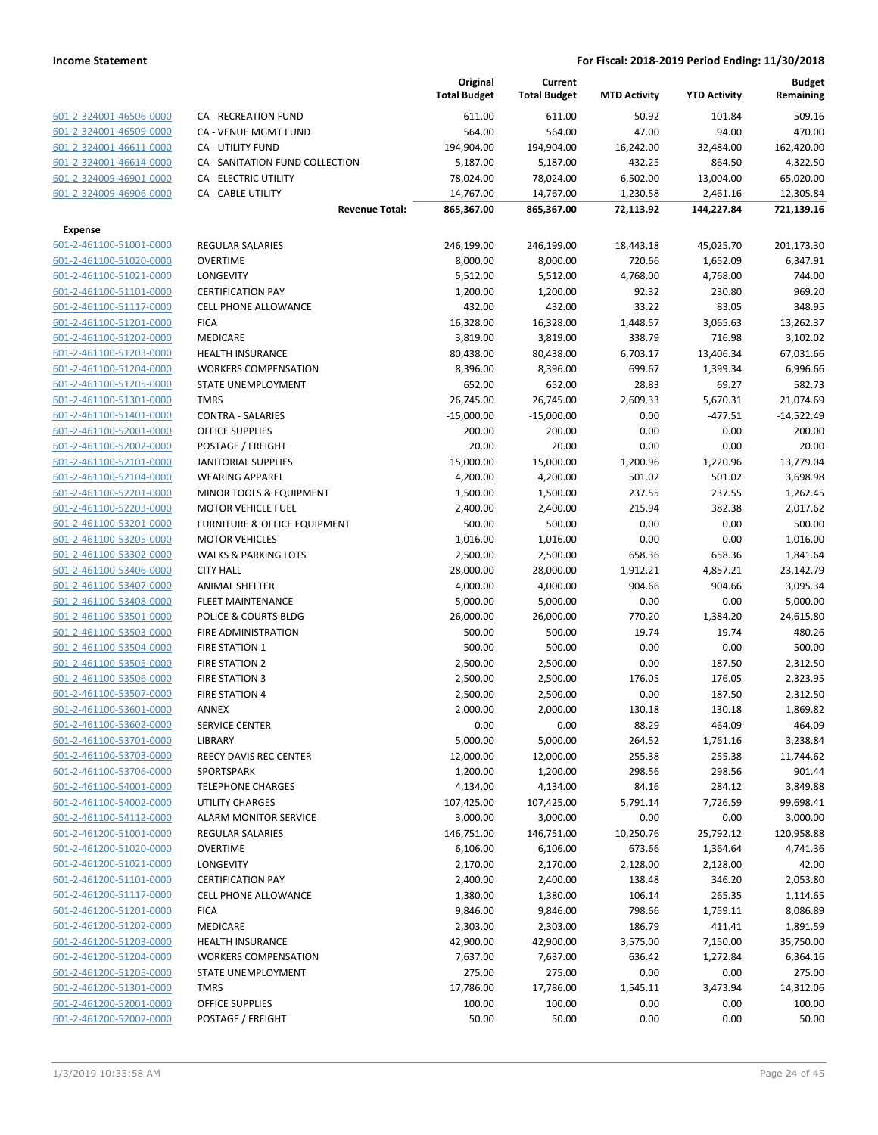|                                                    |                                             | Original<br><b>Total Budget</b> | Current<br><b>Total Budget</b> | <b>MTD Activity</b> | <b>YTD Activity</b> | <b>Budget</b><br>Remaining |
|----------------------------------------------------|---------------------------------------------|---------------------------------|--------------------------------|---------------------|---------------------|----------------------------|
| 601-2-324001-46506-0000                            | CA - RECREATION FUND                        | 611.00                          | 611.00                         | 50.92               | 101.84              | 509.16                     |
| 601-2-324001-46509-0000                            | <b>CA - VENUE MGMT FUND</b>                 | 564.00                          | 564.00                         | 47.00               | 94.00               | 470.00                     |
| 601-2-324001-46611-0000                            | CA - UTILITY FUND                           | 194,904.00                      | 194,904.00                     | 16,242.00           | 32,484.00           | 162,420.00                 |
| 601-2-324001-46614-0000                            | CA - SANITATION FUND COLLECTION             | 5,187.00                        | 5,187.00                       | 432.25              | 864.50              | 4,322.50                   |
| 601-2-324009-46901-0000                            | CA - ELECTRIC UTILITY                       | 78,024.00                       | 78,024.00                      | 6,502.00            | 13,004.00           | 65,020.00                  |
| 601-2-324009-46906-0000                            | CA - CABLE UTILITY                          | 14,767.00                       | 14,767.00                      | 1,230.58            | 2,461.16            | 12,305.84                  |
|                                                    | <b>Revenue Total:</b>                       | 865,367.00                      | 865,367.00                     | 72,113.92           | 144,227.84          | 721,139.16                 |
| <b>Expense</b>                                     |                                             |                                 |                                |                     |                     |                            |
| 601-2-461100-51001-0000                            | <b>REGULAR SALARIES</b>                     | 246,199.00                      | 246,199.00                     | 18,443.18           | 45,025.70           | 201,173.30                 |
| 601-2-461100-51020-0000                            | <b>OVERTIME</b>                             | 8,000.00                        | 8,000.00                       | 720.66              | 1,652.09            | 6,347.91                   |
| 601-2-461100-51021-0000                            | <b>LONGEVITY</b>                            | 5,512.00                        | 5,512.00                       | 4,768.00            | 4,768.00            | 744.00                     |
| 601-2-461100-51101-0000                            | <b>CERTIFICATION PAY</b>                    | 1,200.00                        | 1,200.00                       | 92.32               | 230.80              | 969.20                     |
| 601-2-461100-51117-0000                            | <b>CELL PHONE ALLOWANCE</b>                 | 432.00                          | 432.00                         | 33.22               | 83.05               | 348.95                     |
| 601-2-461100-51201-0000                            | <b>FICA</b>                                 | 16,328.00                       | 16,328.00                      | 1,448.57            | 3,065.63            | 13,262.37                  |
| 601-2-461100-51202-0000                            | <b>MEDICARE</b>                             | 3,819.00                        | 3,819.00                       | 338.79              | 716.98              | 3,102.02                   |
| 601-2-461100-51203-0000                            | <b>HEALTH INSURANCE</b>                     | 80,438.00                       | 80,438.00                      | 6,703.17            | 13,406.34           | 67,031.66                  |
| 601-2-461100-51204-0000                            | <b>WORKERS COMPENSATION</b>                 | 8,396.00                        | 8,396.00                       | 699.67              | 1,399.34            | 6,996.66                   |
| 601-2-461100-51205-0000                            | STATE UNEMPLOYMENT                          | 652.00                          | 652.00                         | 28.83               | 69.27               | 582.73                     |
| 601-2-461100-51301-0000                            | <b>TMRS</b>                                 | 26,745.00                       | 26,745.00                      | 2,609.33            | 5,670.31            | 21,074.69                  |
| 601-2-461100-51401-0000                            | <b>CONTRA - SALARIES</b>                    | $-15,000.00$                    | $-15,000.00$                   | 0.00                | $-477.51$           | $-14,522.49$               |
| 601-2-461100-52001-0000                            | <b>OFFICE SUPPLIES</b>                      | 200.00                          | 200.00                         | 0.00                | 0.00                | 200.00                     |
| 601-2-461100-52002-0000                            | POSTAGE / FREIGHT                           | 20.00                           | 20.00                          | 0.00                | 0.00                | 20.00                      |
| 601-2-461100-52101-0000                            | <b>JANITORIAL SUPPLIES</b>                  | 15,000.00                       | 15,000.00                      | 1,200.96            | 1,220.96            | 13,779.04                  |
| 601-2-461100-52104-0000                            | <b>WEARING APPAREL</b>                      | 4,200.00                        | 4,200.00                       | 501.02              | 501.02              | 3,698.98                   |
| 601-2-461100-52201-0000                            | MINOR TOOLS & EQUIPMENT                     | 1,500.00                        | 1,500.00                       | 237.55              | 237.55              | 1,262.45                   |
| 601-2-461100-52203-0000                            | <b>MOTOR VEHICLE FUEL</b>                   | 2,400.00                        | 2,400.00                       | 215.94              | 382.38              | 2,017.62                   |
| 601-2-461100-53201-0000                            | FURNITURE & OFFICE EQUIPMENT                | 500.00                          | 500.00                         | 0.00                | 0.00                | 500.00                     |
| 601-2-461100-53205-0000                            | <b>MOTOR VEHICLES</b>                       | 1,016.00                        | 1,016.00                       | 0.00                | 0.00                | 1,016.00                   |
| 601-2-461100-53302-0000                            | <b>WALKS &amp; PARKING LOTS</b>             | 2,500.00                        | 2,500.00                       | 658.36              | 658.36              | 1,841.64                   |
| 601-2-461100-53406-0000                            | <b>CITY HALL</b>                            | 28,000.00                       | 28,000.00                      | 1,912.21            | 4,857.21            | 23,142.79                  |
| 601-2-461100-53407-0000                            | <b>ANIMAL SHELTER</b>                       | 4,000.00                        | 4,000.00                       | 904.66              | 904.66              | 3,095.34                   |
| 601-2-461100-53408-0000                            | <b>FLEET MAINTENANCE</b>                    | 5,000.00                        | 5,000.00                       | 0.00                | 0.00                | 5,000.00                   |
| 601-2-461100-53501-0000                            | POLICE & COURTS BLDG                        | 26,000.00                       | 26,000.00                      | 770.20              | 1,384.20            | 24,615.80                  |
| 601-2-461100-53503-0000                            | FIRE ADMINISTRATION                         | 500.00                          | 500.00                         | 19.74               | 19.74               | 480.26                     |
| 601-2-461100-53504-0000                            | <b>FIRE STATION 1</b>                       | 500.00                          | 500.00                         | 0.00                | 0.00                | 500.00                     |
| 601-2-461100-53505-0000                            | FIRE STATION 2                              | 2,500.00                        | 2,500.00                       | 0.00                | 187.50              | 2,312.50                   |
| 601-2-461100-53506-0000                            | <b>FIRE STATION 3</b>                       | 2,500.00                        | 2,500.00                       | 176.05              | 176.05              | 2,323.95                   |
| 601-2-461100-53507-0000                            | <b>FIRE STATION 4</b>                       | 2,500.00                        | 2,500.00                       | 0.00                | 187.50              | 2,312.50                   |
| 601-2-461100-53601-0000                            | <b>ANNEX</b>                                | 2,000.00                        | 2,000.00                       | 130.18              | 130.18              | 1,869.82                   |
| 601-2-461100-53602-0000                            | <b>SERVICE CENTER</b>                       | 0.00                            | 0.00                           | 88.29               | 464.09              | $-464.09$                  |
| 601-2-461100-53701-0000                            | LIBRARY                                     | 5,000.00                        | 5,000.00                       | 264.52              | 1,761.16            | 3,238.84                   |
| 601-2-461100-53703-0000                            | <b>REECY DAVIS REC CENTER</b>               | 12,000.00                       | 12,000.00                      | 255.38              | 255.38              | 11,744.62                  |
| 601-2-461100-53706-0000                            | <b>SPORTSPARK</b>                           | 1,200.00                        | 1,200.00                       | 298.56              | 298.56              | 901.44                     |
| 601-2-461100-54001-0000<br>601-2-461100-54002-0000 | <b>TELEPHONE CHARGES</b><br>UTILITY CHARGES | 4,134.00                        | 4,134.00                       | 84.16               | 284.12              | 3,849.88                   |
| 601-2-461100-54112-0000                            | <b>ALARM MONITOR SERVICE</b>                | 107,425.00<br>3,000.00          | 107,425.00<br>3,000.00         | 5,791.14            | 7,726.59            | 99,698.41<br>3,000.00      |
| 601-2-461200-51001-0000                            | <b>REGULAR SALARIES</b>                     | 146,751.00                      | 146,751.00                     | 0.00<br>10,250.76   | 0.00<br>25,792.12   | 120,958.88                 |
| 601-2-461200-51020-0000                            | <b>OVERTIME</b>                             | 6,106.00                        | 6,106.00                       | 673.66              | 1,364.64            | 4,741.36                   |
| 601-2-461200-51021-0000                            | LONGEVITY                                   | 2,170.00                        | 2,170.00                       | 2,128.00            | 2,128.00            | 42.00                      |
| 601-2-461200-51101-0000                            | <b>CERTIFICATION PAY</b>                    | 2,400.00                        | 2,400.00                       | 138.48              | 346.20              | 2,053.80                   |
| 601-2-461200-51117-0000                            | <b>CELL PHONE ALLOWANCE</b>                 | 1,380.00                        | 1,380.00                       | 106.14              | 265.35              | 1,114.65                   |
| 601-2-461200-51201-0000                            | <b>FICA</b>                                 | 9,846.00                        | 9,846.00                       | 798.66              | 1,759.11            | 8,086.89                   |
| 601-2-461200-51202-0000                            | MEDICARE                                    | 2,303.00                        | 2,303.00                       | 186.79              | 411.41              | 1,891.59                   |
| 601-2-461200-51203-0000                            | <b>HEALTH INSURANCE</b>                     | 42,900.00                       | 42,900.00                      | 3,575.00            | 7,150.00            | 35,750.00                  |
| 601-2-461200-51204-0000                            | <b>WORKERS COMPENSATION</b>                 | 7,637.00                        | 7,637.00                       | 636.42              | 1,272.84            | 6,364.16                   |
| 601-2-461200-51205-0000                            | STATE UNEMPLOYMENT                          | 275.00                          | 275.00                         | 0.00                | 0.00                | 275.00                     |
| 601-2-461200-51301-0000                            | <b>TMRS</b>                                 | 17,786.00                       | 17,786.00                      | 1,545.11            | 3,473.94            | 14,312.06                  |
| 601-2-461200-52001-0000                            | OFFICE SUPPLIES                             | 100.00                          | 100.00                         | 0.00                | 0.00                | 100.00                     |
| 601-2-461200-52002-0000                            | POSTAGE / FREIGHT                           | 50.00                           | 50.00                          | 0.00                | 0.00                | 50.00                      |
|                                                    |                                             |                                 |                                |                     |                     |                            |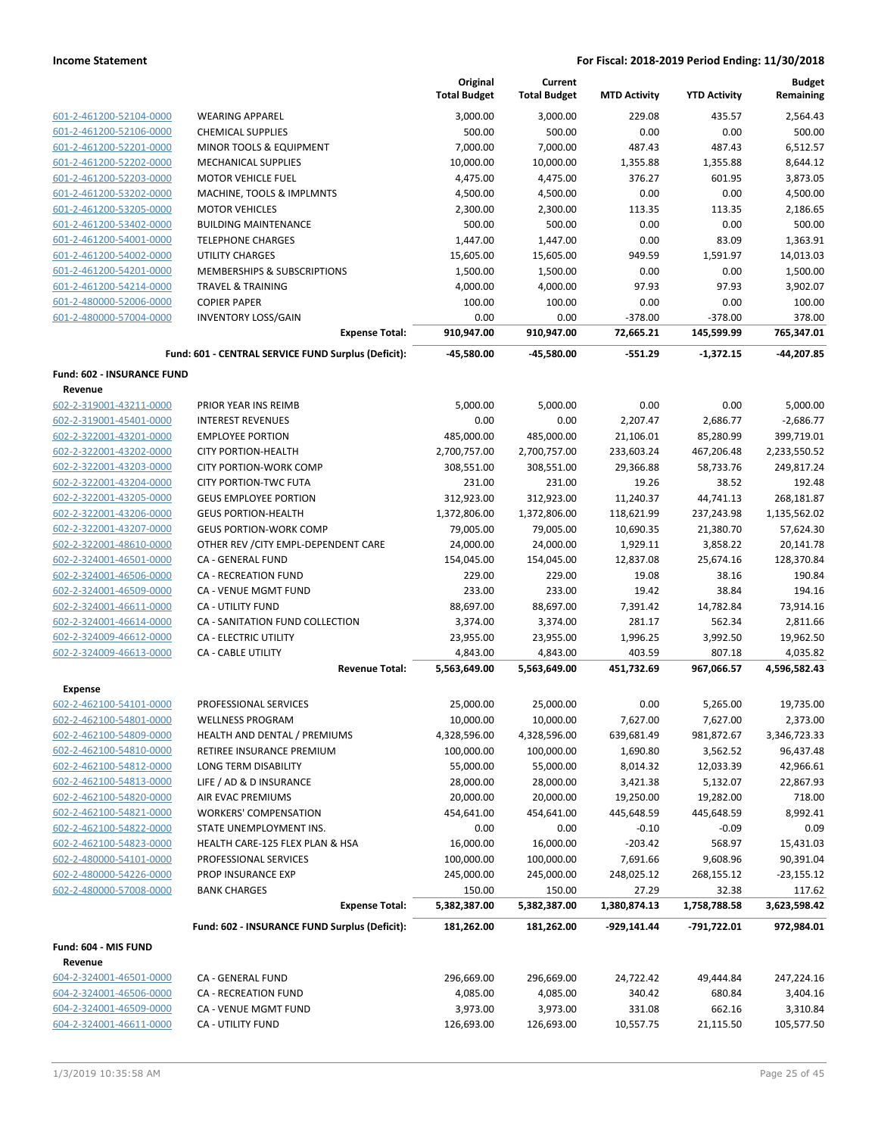|                                                    |                                                           | Original<br><b>Total Budget</b> | Current<br><b>Total Budget</b> | <b>MTD Activity</b>    | <b>YTD Activity</b>    | <b>Budget</b><br>Remaining |
|----------------------------------------------------|-----------------------------------------------------------|---------------------------------|--------------------------------|------------------------|------------------------|----------------------------|
| 601-2-461200-52104-0000                            | <b>WEARING APPAREL</b>                                    | 3,000.00                        | 3.000.00                       | 229.08                 | 435.57                 | 2,564.43                   |
| 601-2-461200-52106-0000                            | <b>CHEMICAL SUPPLIES</b>                                  | 500.00                          | 500.00                         | 0.00                   | 0.00                   | 500.00                     |
| 601-2-461200-52201-0000                            | MINOR TOOLS & EQUIPMENT                                   | 7,000.00                        | 7,000.00                       | 487.43                 | 487.43                 | 6,512.57                   |
| 601-2-461200-52202-0000                            | <b>MECHANICAL SUPPLIES</b>                                | 10,000.00                       | 10,000.00                      | 1,355.88               | 1,355.88               | 8,644.12                   |
| 601-2-461200-52203-0000                            | <b>MOTOR VEHICLE FUEL</b>                                 | 4,475.00                        | 4,475.00                       | 376.27                 | 601.95                 | 3,873.05                   |
| 601-2-461200-53202-0000                            | MACHINE, TOOLS & IMPLMNTS                                 | 4,500.00                        | 4,500.00                       | 0.00                   | 0.00                   | 4,500.00                   |
| 601-2-461200-53205-0000                            | <b>MOTOR VEHICLES</b>                                     | 2,300.00                        | 2,300.00                       | 113.35                 | 113.35                 | 2,186.65                   |
| 601-2-461200-53402-0000                            | <b>BUILDING MAINTENANCE</b>                               | 500.00                          | 500.00                         | 0.00                   | 0.00                   | 500.00                     |
| 601-2-461200-54001-0000                            | <b>TELEPHONE CHARGES</b>                                  | 1,447.00                        | 1,447.00                       | 0.00                   | 83.09                  | 1,363.91                   |
| 601-2-461200-54002-0000                            | UTILITY CHARGES                                           | 15,605.00                       | 15,605.00                      | 949.59                 | 1,591.97               | 14,013.03                  |
| 601-2-461200-54201-0000                            | <b>MEMBERSHIPS &amp; SUBSCRIPTIONS</b>                    | 1,500.00                        | 1,500.00                       | 0.00                   | 0.00                   | 1,500.00                   |
| 601-2-461200-54214-0000                            | <b>TRAVEL &amp; TRAINING</b>                              | 4,000.00                        | 4,000.00                       | 97.93                  | 97.93                  | 3,902.07                   |
| 601-2-480000-52006-0000                            | <b>COPIER PAPER</b>                                       | 100.00                          | 100.00                         | 0.00                   | 0.00                   | 100.00                     |
| 601-2-480000-57004-0000                            | <b>INVENTORY LOSS/GAIN</b>                                | 0.00                            | 0.00                           | $-378.00$              | $-378.00$              | 378.00                     |
|                                                    | <b>Expense Total:</b>                                     | 910,947.00                      | 910,947.00                     | 72,665.21              | 145,599.99             | 765,347.01                 |
|                                                    | Fund: 601 - CENTRAL SERVICE FUND Surplus (Deficit):       | -45,580.00                      | $-45,580.00$                   | $-551.29$              | $-1,372.15$            | -44,207.85                 |
| <b>Fund: 602 - INSURANCE FUND</b><br>Revenue       |                                                           |                                 |                                |                        |                        |                            |
| 602-2-319001-43211-0000                            | PRIOR YEAR INS REIMB                                      | 5,000.00                        | 5,000.00                       | 0.00                   | 0.00                   | 5,000.00                   |
| 602-2-319001-45401-0000                            | <b>INTEREST REVENUES</b>                                  | 0.00                            | 0.00                           | 2,207.47               | 2,686.77               | $-2,686.77$                |
| 602-2-322001-43201-0000                            | <b>EMPLOYEE PORTION</b>                                   | 485,000.00                      | 485,000.00                     | 21,106.01              | 85,280.99              | 399,719.01                 |
| 602-2-322001-43202-0000                            | <b>CITY PORTION-HEALTH</b>                                | 2,700,757.00                    | 2,700,757.00                   | 233,603.24             | 467,206.48             | 2,233,550.52               |
| 602-2-322001-43203-0000                            | <b>CITY PORTION-WORK COMP</b>                             | 308,551.00                      | 308,551.00                     | 29,366.88              | 58,733.76              | 249,817.24                 |
| 602-2-322001-43204-0000                            | <b>CITY PORTION-TWC FUTA</b>                              | 231.00                          | 231.00                         | 19.26                  | 38.52                  | 192.48                     |
| 602-2-322001-43205-0000                            | <b>GEUS EMPLOYEE PORTION</b>                              | 312,923.00                      | 312,923.00                     | 11,240.37              | 44,741.13              | 268,181.87                 |
| 602-2-322001-43206-0000                            | <b>GEUS PORTION-HEALTH</b>                                | 1,372,806.00                    | 1,372,806.00                   | 118,621.99             | 237,243.98             | 1,135,562.02               |
| 602-2-322001-43207-0000                            | <b>GEUS PORTION-WORK COMP</b>                             | 79,005.00                       | 79,005.00                      | 10,690.35              | 21,380.70              | 57,624.30                  |
| 602-2-322001-48610-0000                            | OTHER REV / CITY EMPL-DEPENDENT CARE                      | 24,000.00                       | 24,000.00                      | 1,929.11               | 3,858.22               | 20,141.78                  |
| 602-2-324001-46501-0000                            | CA - GENERAL FUND                                         | 154,045.00                      | 154,045.00                     | 12,837.08              | 25,674.16              | 128,370.84                 |
| 602-2-324001-46506-0000                            | CA - RECREATION FUND                                      | 229.00                          | 229.00                         | 19.08                  | 38.16                  | 190.84                     |
| 602-2-324001-46509-0000                            | CA - VENUE MGMT FUND                                      | 233.00                          | 233.00                         | 19.42                  | 38.84                  | 194.16                     |
| 602-2-324001-46611-0000                            | <b>CA - UTILITY FUND</b>                                  | 88,697.00                       | 88,697.00                      | 7,391.42               | 14,782.84              | 73,914.16                  |
| 602-2-324001-46614-0000                            | CA - SANITATION FUND COLLECTION                           | 3,374.00                        | 3,374.00                       | 281.17                 | 562.34                 | 2,811.66                   |
| 602-2-324009-46612-0000                            | CA - ELECTRIC UTILITY                                     | 23,955.00                       | 23,955.00                      | 1,996.25               | 3,992.50               | 19,962.50                  |
| 602-2-324009-46613-0000                            | <b>CA - CABLE UTILITY</b>                                 | 4,843.00                        | 4,843.00                       | 403.59                 | 807.18                 | 4,035.82                   |
|                                                    | <b>Revenue Total:</b>                                     | 5,563,649.00                    | 5,563,649.00                   | 451,732.69             | 967,066.57             | 4,596,582.43               |
| <b>Expense</b>                                     |                                                           |                                 |                                |                        |                        |                            |
| 602-2-462100-54101-0000                            | PROFESSIONAL SERVICES                                     | 25,000.00                       | 25,000.00                      | 0.00                   | 5,265.00               | 19,735.00                  |
| 602-2-462100-54801-0000                            | <b>WELLNESS PROGRAM</b>                                   | 10,000.00                       | 10,000.00                      | 7,627.00               | 7,627.00               | 2,373.00                   |
| 602-2-462100-54809-0000<br>602-2-462100-54810-0000 | HEALTH AND DENTAL / PREMIUMS<br>RETIREE INSURANCE PREMIUM | 4,328,596.00<br>100,000.00      | 4,328,596.00<br>100,000.00     | 639,681.49<br>1,690.80 | 981,872.67<br>3,562.52 | 3,346,723.33<br>96,437.48  |
| 602-2-462100-54812-0000                            | LONG TERM DISABILITY                                      | 55,000.00                       | 55,000.00                      | 8,014.32               | 12,033.39              | 42,966.61                  |
| 602-2-462100-54813-0000                            | LIFE / AD & D INSURANCE                                   | 28,000.00                       | 28,000.00                      | 3,421.38               | 5,132.07               | 22,867.93                  |
| 602-2-462100-54820-0000                            | AIR EVAC PREMIUMS                                         | 20,000.00                       | 20,000.00                      | 19,250.00              | 19,282.00              | 718.00                     |
| 602-2-462100-54821-0000                            | <b>WORKERS' COMPENSATION</b>                              | 454,641.00                      | 454,641.00                     | 445,648.59             | 445,648.59             | 8,992.41                   |
| 602-2-462100-54822-0000                            | STATE UNEMPLOYMENT INS.                                   | 0.00                            | 0.00                           | $-0.10$                | $-0.09$                | 0.09                       |
| 602-2-462100-54823-0000                            | HEALTH CARE-125 FLEX PLAN & HSA                           | 16,000.00                       | 16,000.00                      | $-203.42$              | 568.97                 | 15,431.03                  |
| 602-2-480000-54101-0000                            | PROFESSIONAL SERVICES                                     | 100,000.00                      | 100,000.00                     | 7,691.66               | 9,608.96               | 90,391.04                  |
| 602-2-480000-54226-0000                            | PROP INSURANCE EXP                                        | 245,000.00                      | 245,000.00                     | 248,025.12             | 268,155.12             | $-23,155.12$               |
| 602-2-480000-57008-0000                            | <b>BANK CHARGES</b>                                       | 150.00                          | 150.00                         | 27.29                  | 32.38                  | 117.62                     |
|                                                    | <b>Expense Total:</b>                                     | 5,382,387.00                    | 5,382,387.00                   | 1,380,874.13           | 1,758,788.58           | 3,623,598.42               |
|                                                    | Fund: 602 - INSURANCE FUND Surplus (Deficit):             | 181,262.00                      | 181,262.00                     | -929,141.44            | -791,722.01            | 972,984.01                 |
| Fund: 604 - MIS FUND                               |                                                           |                                 |                                |                        |                        |                            |
| Revenue                                            |                                                           |                                 | 296,669.00                     |                        |                        |                            |
| 604-2-324001-46501-0000                            | CA - GENERAL FUND                                         | 296,669.00                      |                                | 24,722.42              | 49,444.84              | 247,224.16                 |
| 604-2-324001-46506-0000<br>604-2-324001-46509-0000 | CA - RECREATION FUND<br>CA - VENUE MGMT FUND              | 4,085.00<br>3,973.00            | 4,085.00                       | 340.42<br>331.08       | 680.84<br>662.16       | 3,404.16<br>3,310.84       |
| 604-2-324001-46611-0000                            | CA - UTILITY FUND                                         | 126,693.00                      | 3,973.00<br>126,693.00         | 10,557.75              | 21,115.50              | 105,577.50                 |
|                                                    |                                                           |                                 |                                |                        |                        |                            |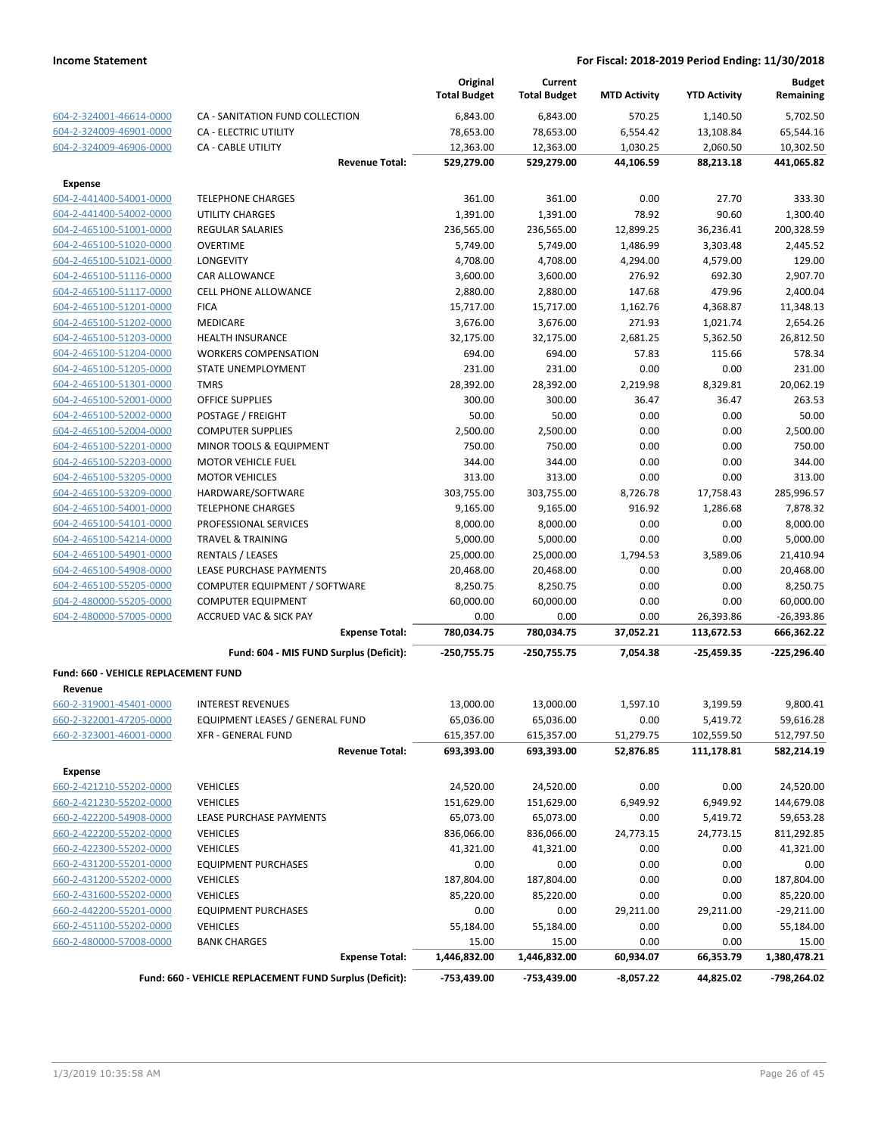|                                                    |                                                         | Original<br><b>Total Budget</b> | Current<br><b>Total Budget</b> | <b>MTD Activity</b> | <b>YTD Activity</b> | <b>Budget</b><br>Remaining |
|----------------------------------------------------|---------------------------------------------------------|---------------------------------|--------------------------------|---------------------|---------------------|----------------------------|
| 604-2-324001-46614-0000                            | CA - SANITATION FUND COLLECTION                         | 6,843.00                        | 6,843.00                       | 570.25              | 1,140.50            | 5,702.50                   |
| 604-2-324009-46901-0000                            | CA - ELECTRIC UTILITY                                   | 78,653.00                       | 78,653.00                      | 6,554.42            | 13,108.84           | 65,544.16                  |
| 604-2-324009-46906-0000                            | CA - CABLE UTILITY                                      | 12,363.00                       | 12,363.00                      | 1,030.25            | 2,060.50            | 10,302.50                  |
|                                                    | <b>Revenue Total:</b>                                   | 529,279.00                      | 529,279.00                     | 44,106.59           | 88,213.18           | 441,065.82                 |
| <b>Expense</b>                                     |                                                         |                                 |                                |                     |                     |                            |
| 604-2-441400-54001-0000                            | <b>TELEPHONE CHARGES</b>                                | 361.00                          | 361.00                         | 0.00                | 27.70               | 333.30                     |
| 604-2-441400-54002-0000                            | <b>UTILITY CHARGES</b>                                  | 1,391.00                        | 1,391.00                       | 78.92               | 90.60               | 1,300.40                   |
| 604-2-465100-51001-0000                            | REGULAR SALARIES                                        | 236,565.00                      | 236,565.00                     | 12,899.25           | 36,236.41           | 200,328.59                 |
| 604-2-465100-51020-0000                            | <b>OVERTIME</b>                                         | 5,749.00                        | 5,749.00                       | 1,486.99            | 3,303.48            | 2,445.52                   |
| 604-2-465100-51021-0000                            | LONGEVITY                                               | 4,708.00                        | 4,708.00                       | 4,294.00            | 4,579.00            | 129.00                     |
| 604-2-465100-51116-0000                            | CAR ALLOWANCE                                           | 3,600.00                        | 3,600.00                       | 276.92              | 692.30              | 2,907.70                   |
| 604-2-465100-51117-0000                            | <b>CELL PHONE ALLOWANCE</b>                             | 2,880.00                        | 2,880.00                       | 147.68              | 479.96              | 2,400.04                   |
| 604-2-465100-51201-0000                            | <b>FICA</b>                                             | 15,717.00                       | 15,717.00                      | 1,162.76            | 4,368.87            | 11,348.13                  |
| 604-2-465100-51202-0000                            | MEDICARE                                                | 3,676.00                        | 3,676.00                       | 271.93              | 1,021.74            | 2,654.26                   |
| 604-2-465100-51203-0000                            | <b>HEALTH INSURANCE</b>                                 | 32,175.00                       | 32,175.00                      | 2,681.25            | 5,362.50            | 26,812.50                  |
| 604-2-465100-51204-0000                            | <b>WORKERS COMPENSATION</b>                             | 694.00                          | 694.00                         | 57.83               | 115.66              | 578.34                     |
| 604-2-465100-51205-0000                            | STATE UNEMPLOYMENT                                      | 231.00                          | 231.00                         | 0.00                | 0.00                | 231.00                     |
| 604-2-465100-51301-0000                            | <b>TMRS</b>                                             | 28,392.00                       | 28,392.00                      | 2,219.98            | 8,329.81            | 20,062.19                  |
| 604-2-465100-52001-0000                            | <b>OFFICE SUPPLIES</b>                                  | 300.00                          | 300.00                         | 36.47               | 36.47               | 263.53                     |
| 604-2-465100-52002-0000                            | POSTAGE / FREIGHT                                       | 50.00                           | 50.00                          | 0.00                | 0.00                | 50.00                      |
| 604-2-465100-52004-0000<br>604-2-465100-52201-0000 | <b>COMPUTER SUPPLIES</b>                                | 2,500.00                        | 2,500.00                       | 0.00                | 0.00                | 2,500.00                   |
| 604-2-465100-52203-0000                            | MINOR TOOLS & EQUIPMENT<br><b>MOTOR VEHICLE FUEL</b>    | 750.00<br>344.00                | 750.00<br>344.00               | 0.00<br>0.00        | 0.00<br>0.00        | 750.00<br>344.00           |
| 604-2-465100-53205-0000                            | <b>MOTOR VEHICLES</b>                                   | 313.00                          | 313.00                         | 0.00                | 0.00                | 313.00                     |
| 604-2-465100-53209-0000                            | HARDWARE/SOFTWARE                                       | 303,755.00                      | 303,755.00                     | 8,726.78            | 17,758.43           | 285,996.57                 |
| 604-2-465100-54001-0000                            | <b>TELEPHONE CHARGES</b>                                | 9,165.00                        | 9,165.00                       | 916.92              | 1,286.68            | 7,878.32                   |
| 604-2-465100-54101-0000                            | PROFESSIONAL SERVICES                                   | 8,000.00                        | 8,000.00                       | 0.00                | 0.00                | 8,000.00                   |
| 604-2-465100-54214-0000                            | <b>TRAVEL &amp; TRAINING</b>                            | 5,000.00                        | 5,000.00                       | 0.00                | 0.00                | 5,000.00                   |
| 604-2-465100-54901-0000                            | <b>RENTALS / LEASES</b>                                 | 25,000.00                       | 25,000.00                      | 1,794.53            | 3,589.06            | 21,410.94                  |
| 604-2-465100-54908-0000                            | LEASE PURCHASE PAYMENTS                                 | 20,468.00                       | 20,468.00                      | 0.00                | 0.00                | 20,468.00                  |
| 604-2-465100-55205-0000                            | COMPUTER EQUIPMENT / SOFTWARE                           | 8,250.75                        | 8,250.75                       | 0.00                | 0.00                | 8,250.75                   |
| 604-2-480000-55205-0000                            | <b>COMPUTER EQUIPMENT</b>                               | 60,000.00                       | 60,000.00                      | 0.00                | 0.00                | 60,000.00                  |
| 604-2-480000-57005-0000                            | <b>ACCRUED VAC &amp; SICK PAY</b>                       | 0.00                            | 0.00                           | 0.00                | 26,393.86           | $-26,393.86$               |
|                                                    | <b>Expense Total:</b>                                   | 780,034.75                      | 780,034.75                     | 37,052.21           | 113,672.53          | 666,362.22                 |
|                                                    | Fund: 604 - MIS FUND Surplus (Deficit):                 | $-250,755.75$                   | $-250,755.75$                  | 7,054.38            | $-25,459.35$        | $-225,296.40$              |
| Fund: 660 - VEHICLE REPLACEMENT FUND               |                                                         |                                 |                                |                     |                     |                            |
| Revenue                                            |                                                         |                                 |                                |                     |                     |                            |
| 660-2-319001-45401-0000                            | <b>INTEREST REVENUES</b>                                | 13,000.00                       | 13,000.00                      | 1,597.10            | 3,199.59            | 9,800.41                   |
| 660-2-322001-47205-0000                            | EQUIPMENT LEASES / GENERAL FUND                         | 65,036.00                       | 65,036.00                      | 0.00                | 5,419.72            | 59,616.28                  |
| 660-2-323001-46001-0000                            | <b>XFR - GENERAL FUND</b>                               | 615,357.00                      | 615,357.00                     | 51,279.75           | 102,559.50          | 512,797.50                 |
|                                                    | <b>Revenue Total:</b>                                   | 693,393.00                      | 693,393.00                     | 52,876.85           | 111,178.81          | 582,214.19                 |
| <b>Expense</b>                                     |                                                         |                                 |                                |                     |                     |                            |
| 660-2-421210-55202-0000                            | <b>VEHICLES</b>                                         | 24,520.00                       | 24,520.00                      | 0.00                | 0.00                | 24,520.00                  |
| 660-2-421230-55202-0000                            | <b>VEHICLES</b>                                         | 151,629.00                      | 151,629.00                     | 6,949.92            | 6,949.92            | 144,679.08                 |
| 660-2-422200-54908-0000                            | LEASE PURCHASE PAYMENTS                                 | 65,073.00                       | 65,073.00                      | 0.00                | 5,419.72            | 59,653.28                  |
| 660-2-422200-55202-0000                            | <b>VEHICLES</b>                                         | 836,066.00                      | 836,066.00                     | 24,773.15           | 24,773.15           | 811,292.85                 |
| 660-2-422300-55202-0000                            | <b>VEHICLES</b>                                         | 41,321.00                       | 41,321.00                      | 0.00                | 0.00                | 41,321.00                  |
| 660-2-431200-55201-0000                            | <b>EQUIPMENT PURCHASES</b>                              | 0.00                            | 0.00                           | 0.00                | 0.00                | 0.00                       |
| 660-2-431200-55202-0000                            | <b>VEHICLES</b>                                         | 187,804.00                      | 187,804.00                     | 0.00                | 0.00                | 187,804.00                 |
| 660-2-431600-55202-0000                            | <b>VEHICLES</b>                                         | 85,220.00                       | 85,220.00                      | 0.00                | 0.00                | 85,220.00                  |
| 660-2-442200-55201-0000                            | <b>EQUIPMENT PURCHASES</b>                              | 0.00                            | 0.00                           | 29,211.00           | 29,211.00           | $-29,211.00$               |
| 660-2-451100-55202-0000                            | <b>VEHICLES</b>                                         | 55,184.00                       | 55,184.00                      | 0.00                | 0.00                | 55,184.00                  |
| 660-2-480000-57008-0000                            | <b>BANK CHARGES</b>                                     | 15.00                           | 15.00                          | 0.00                | 0.00                | 15.00                      |
|                                                    | <b>Expense Total:</b>                                   | 1,446,832.00                    | 1,446,832.00                   | 60,934.07           | 66,353.79           | 1,380,478.21               |
|                                                    | Fund: 660 - VEHICLE REPLACEMENT FUND Surplus (Deficit): | -753,439.00                     | -753,439.00                    | $-8,057.22$         | 44,825.02           | -798,264.02                |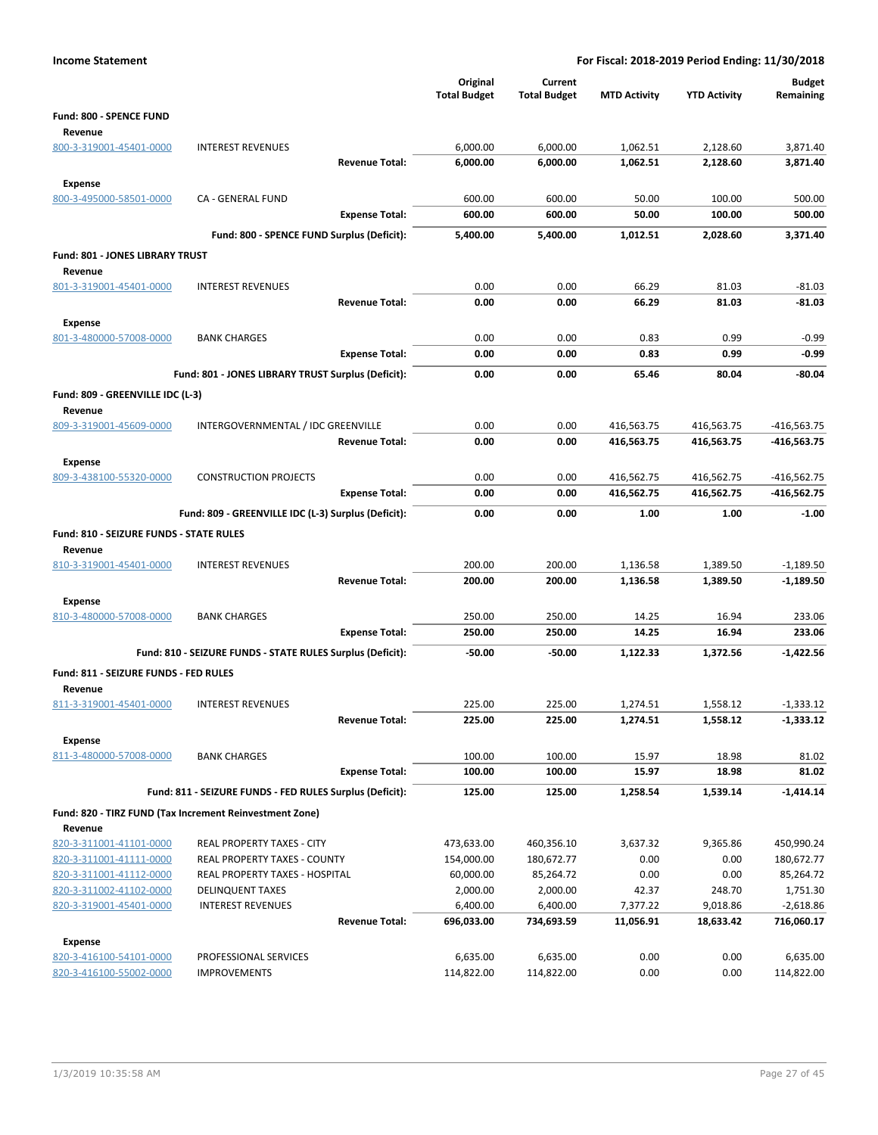| <b>Income Statement</b>                 |                                                            |                                 |                                |                          | For Fiscal: 2018-2019 Period Ending: 11/30/2018 |                            |
|-----------------------------------------|------------------------------------------------------------|---------------------------------|--------------------------------|--------------------------|-------------------------------------------------|----------------------------|
|                                         |                                                            | Original<br><b>Total Budget</b> | Current<br><b>Total Budget</b> | <b>MTD Activity</b>      | <b>YTD Activity</b>                             | <b>Budget</b><br>Remaining |
| Fund: 800 - SPENCE FUND                 |                                                            |                                 |                                |                          |                                                 |                            |
| Revenue                                 |                                                            |                                 |                                |                          |                                                 |                            |
| 800-3-319001-45401-0000                 | <b>INTEREST REVENUES</b>                                   | 6,000.00                        | 6,000.00                       | 1,062.51                 | 2,128.60                                        | 3,871.40                   |
|                                         | <b>Revenue Total:</b>                                      | 6,000.00                        | 6,000.00                       | 1,062.51                 | 2,128.60                                        | 3,871.40                   |
| <b>Expense</b>                          |                                                            |                                 |                                |                          |                                                 |                            |
| 800-3-495000-58501-0000                 | <b>CA - GENERAL FUND</b>                                   | 600.00                          | 600.00                         | 50.00                    | 100.00                                          | 500.00                     |
|                                         | <b>Expense Total:</b>                                      | 600.00                          | 600.00                         | 50.00                    | 100.00                                          | 500.00                     |
|                                         | Fund: 800 - SPENCE FUND Surplus (Deficit):                 | 5,400.00                        | 5,400.00                       | 1,012.51                 | 2,028.60                                        | 3,371.40                   |
| Fund: 801 - JONES LIBRARY TRUST         |                                                            |                                 |                                |                          |                                                 |                            |
| Revenue                                 |                                                            |                                 |                                |                          |                                                 |                            |
| 801-3-319001-45401-0000                 | <b>INTEREST REVENUES</b>                                   | 0.00                            | 0.00                           | 66.29                    | 81.03                                           | $-81.03$                   |
|                                         | <b>Revenue Total:</b>                                      | 0.00                            | 0.00                           | 66.29                    | 81.03                                           | $-81.03$                   |
| <b>Expense</b>                          |                                                            |                                 |                                |                          |                                                 |                            |
| 801-3-480000-57008-0000                 | <b>BANK CHARGES</b>                                        | 0.00                            | 0.00                           | 0.83                     | 0.99                                            | $-0.99$                    |
|                                         | <b>Expense Total:</b>                                      | 0.00                            | 0.00                           | 0.83                     | 0.99                                            | $-0.99$                    |
|                                         | Fund: 801 - JONES LIBRARY TRUST Surplus (Deficit):         | 0.00                            | 0.00                           | 65.46                    | 80.04                                           | -80.04                     |
|                                         |                                                            |                                 |                                |                          |                                                 |                            |
| Fund: 809 - GREENVILLE IDC (L-3)        |                                                            |                                 |                                |                          |                                                 |                            |
| Revenue<br>809-3-319001-45609-0000      | INTERGOVERNMENTAL / IDC GREENVILLE                         | 0.00                            | 0.00                           | 416,563.75               | 416,563.75                                      | $-416,563.75$              |
|                                         | <b>Revenue Total:</b>                                      | 0.00                            | 0.00                           | 416,563.75               | 416,563.75                                      | $-416,563.75$              |
|                                         |                                                            |                                 |                                |                          |                                                 |                            |
| <b>Expense</b>                          |                                                            |                                 |                                |                          |                                                 |                            |
| 809-3-438100-55320-0000                 | <b>CONSTRUCTION PROJECTS</b>                               | 0.00<br>0.00                    | 0.00<br>0.00                   | 416,562.75<br>416,562.75 | 416,562.75<br>416,562.75                        | $-416,562.75$              |
|                                         | <b>Expense Total:</b>                                      |                                 |                                |                          |                                                 | -416,562.75                |
|                                         | Fund: 809 - GREENVILLE IDC (L-3) Surplus (Deficit):        | 0.00                            | 0.00                           | 1.00                     | 1.00                                            | $-1.00$                    |
| Fund: 810 - SEIZURE FUNDS - STATE RULES |                                                            |                                 |                                |                          |                                                 |                            |
| Revenue                                 |                                                            |                                 |                                |                          |                                                 |                            |
| 810-3-319001-45401-0000                 | <b>INTEREST REVENUES</b>                                   | 200.00                          | 200.00                         | 1,136.58                 | 1,389.50                                        | $-1,189.50$                |
|                                         | <b>Revenue Total:</b>                                      | 200.00                          | 200.00                         | 1,136.58                 | 1,389.50                                        | $-1,189.50$                |
| <b>Expense</b>                          |                                                            |                                 |                                |                          |                                                 |                            |
| 810-3-480000-57008-0000                 | <b>BANK CHARGES</b>                                        | 250.00                          | 250.00                         | 14.25                    | 16.94                                           | 233.06                     |
|                                         | <b>Expense Total:</b>                                      | 250.00                          | 250.00                         | 14.25                    | 16.94                                           | 233.06                     |
|                                         | Fund: 810 - SEIZURE FUNDS - STATE RULES Surplus (Deficit): | $-50.00$                        | $-50.00$                       | 1,122.33                 | 1,372.56                                        | $-1,422.56$                |
| Fund: 811 - SEIZURE FUNDS - FED RULES   |                                                            |                                 |                                |                          |                                                 |                            |
| Revenue                                 |                                                            |                                 |                                |                          |                                                 |                            |
| 811-3-319001-45401-0000                 | <b>INTEREST REVENUES</b>                                   | 225.00                          | 225.00                         | 1,274.51                 | 1,558.12                                        | $-1,333.12$                |
|                                         | <b>Revenue Total:</b>                                      | 225.00                          | 225.00                         | 1,274.51                 | 1,558.12                                        | $-1,333.12$                |
| <b>Expense</b>                          |                                                            |                                 |                                |                          |                                                 |                            |
| 811-3-480000-57008-0000                 | <b>BANK CHARGES</b>                                        | 100.00                          | 100.00                         | 15.97                    | 18.98                                           | 81.02                      |
|                                         | <b>Expense Total:</b>                                      | 100.00                          | 100.00                         | 15.97                    | 18.98                                           | 81.02                      |
|                                         | Fund: 811 - SEIZURE FUNDS - FED RULES Surplus (Deficit):   | 125.00                          | 125.00                         | 1,258.54                 | 1,539.14                                        | $-1,414.14$                |
|                                         | Fund: 820 - TIRZ FUND (Tax Increment Reinvestment Zone)    |                                 |                                |                          |                                                 |                            |
| Revenue                                 |                                                            |                                 |                                |                          |                                                 |                            |
| 820-3-311001-41101-0000                 | REAL PROPERTY TAXES - CITY                                 | 473,633.00                      | 460,356.10                     | 3,637.32                 | 9,365.86                                        | 450,990.24                 |
| 820-3-311001-41111-0000                 | REAL PROPERTY TAXES - COUNTY                               | 154,000.00                      | 180,672.77                     | 0.00                     | 0.00                                            | 180,672.77                 |
| 820-3-311001-41112-0000                 | REAL PROPERTY TAXES - HOSPITAL                             | 60,000.00                       | 85,264.72                      | 0.00                     | 0.00                                            | 85,264.72                  |
| 820-3-311002-41102-0000                 | <b>DELINQUENT TAXES</b>                                    | 2,000.00                        | 2,000.00                       | 42.37                    | 248.70                                          | 1,751.30                   |
| 820-3-319001-45401-0000                 | <b>INTEREST REVENUES</b>                                   | 6,400.00                        | 6,400.00                       | 7,377.22                 | 9,018.86                                        | $-2,618.86$                |
|                                         | <b>Revenue Total:</b>                                      | 696,033.00                      | 734,693.59                     | 11,056.91                | 18,633.42                                       | 716,060.17                 |
| Expense                                 |                                                            |                                 |                                |                          |                                                 |                            |
| 820-3-416100-54101-0000                 | PROFESSIONAL SERVICES                                      | 6,635.00                        | 6,635.00                       | 0.00                     | 0.00                                            | 6,635.00                   |
| 820-3-416100-55002-0000                 | <b>IMPROVEMENTS</b>                                        | 114,822.00                      | 114,822.00                     | 0.00                     | 0.00                                            | 114,822.00                 |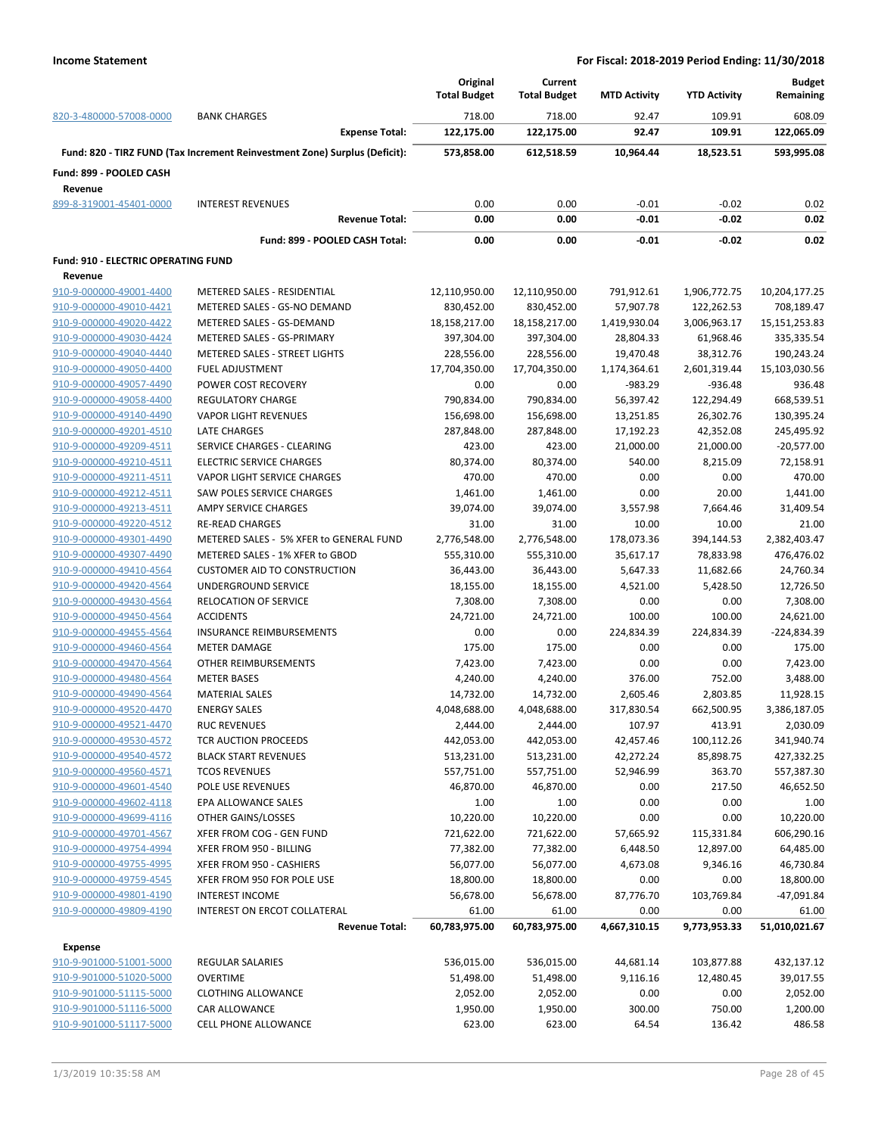| 820-3-480000-57008-0000                    |                                                                            | Original<br><b>Total Budget</b> | Current<br><b>Total Budget</b> | <b>MTD Activity</b> | <b>YTD Activity</b><br>109.91 | <b>Budget</b><br>Remaining |  |
|--------------------------------------------|----------------------------------------------------------------------------|---------------------------------|--------------------------------|---------------------|-------------------------------|----------------------------|--|
|                                            | <b>BANK CHARGES</b>                                                        | 718.00                          | 718.00                         | 92.47               |                               | 608.09                     |  |
|                                            | <b>Expense Total:</b>                                                      | 122,175.00                      | 122,175.00                     | 92.47               | 109.91                        | 122,065.09                 |  |
|                                            | Fund: 820 - TIRZ FUND (Tax Increment Reinvestment Zone) Surplus (Deficit): | 573,858.00                      | 612,518.59                     | 10,964.44           | 18,523.51                     | 593,995.08                 |  |
| Fund: 899 - POOLED CASH                    |                                                                            |                                 |                                |                     |                               |                            |  |
| Revenue                                    |                                                                            |                                 |                                |                     |                               |                            |  |
| 899-8-319001-45401-0000                    | <b>INTEREST REVENUES</b><br><b>Revenue Total:</b>                          | 0.00<br>0.00                    | 0.00<br>0.00                   | $-0.01$<br>$-0.01$  | $-0.02$<br>$-0.02$            | 0.02<br>0.02               |  |
|                                            |                                                                            |                                 |                                |                     |                               |                            |  |
|                                            | Fund: 899 - POOLED CASH Total:                                             | 0.00                            | 0.00                           | -0.01               | $-0.02$                       | 0.02                       |  |
| <b>Fund: 910 - ELECTRIC OPERATING FUND</b> |                                                                            |                                 |                                |                     |                               |                            |  |
| Revenue                                    |                                                                            |                                 |                                |                     |                               |                            |  |
| 910-9-000000-49001-4400                    | METERED SALES - RESIDENTIAL                                                | 12,110,950.00                   | 12,110,950.00                  | 791,912.61          | 1,906,772.75                  | 10,204,177.25              |  |
| 910-9-000000-49010-4421                    | METERED SALES - GS-NO DEMAND                                               | 830,452.00                      | 830,452.00                     | 57,907.78           | 122,262.53                    | 708,189.47                 |  |
| 910-9-000000-49020-4422                    | METERED SALES - GS-DEMAND                                                  | 18,158,217.00                   | 18,158,217.00                  | 1,419,930.04        | 3,006,963.17                  | 15,151,253.83              |  |
| 910-9-000000-49030-4424                    | METERED SALES - GS-PRIMARY                                                 | 397,304.00                      | 397,304.00                     | 28,804.33           | 61,968.46                     | 335,335.54                 |  |
| 910-9-000000-49040-4440                    | <b>METERED SALES - STREET LIGHTS</b>                                       | 228,556.00                      | 228,556.00                     | 19,470.48           | 38,312.76                     | 190,243.24                 |  |
| 910-9-000000-49050-4400                    | <b>FUEL ADJUSTMENT</b>                                                     | 17,704,350.00                   | 17,704,350.00                  | 1,174,364.61        | 2,601,319.44                  | 15,103,030.56              |  |
| 910-9-000000-49057-4490                    | POWER COST RECOVERY                                                        | 0.00                            | 0.00                           | $-983.29$           | $-936.48$                     | 936.48                     |  |
| 910-9-000000-49058-4400                    | REGULATORY CHARGE                                                          | 790,834.00                      | 790,834.00                     | 56,397.42           | 122,294.49                    | 668,539.51                 |  |
| 910-9-000000-49140-4490                    | <b>VAPOR LIGHT REVENUES</b>                                                | 156,698.00                      | 156,698.00                     | 13,251.85           | 26,302.76                     | 130,395.24                 |  |
| 910-9-000000-49201-4510                    | <b>LATE CHARGES</b>                                                        | 287,848.00                      | 287,848.00                     | 17,192.23           | 42,352.08                     | 245,495.92                 |  |
| 910-9-000000-49209-4511                    | SERVICE CHARGES - CLEARING                                                 | 423.00                          | 423.00                         | 21,000.00           | 21,000.00                     | $-20,577.00$               |  |
| 910-9-000000-49210-4511                    | <b>ELECTRIC SERVICE CHARGES</b>                                            | 80,374.00                       | 80,374.00                      | 540.00              | 8,215.09                      | 72,158.91                  |  |
| 910-9-000000-49211-4511                    | VAPOR LIGHT SERVICE CHARGES                                                | 470.00                          | 470.00                         | 0.00                | 0.00                          | 470.00                     |  |
| 910-9-000000-49212-4511                    | SAW POLES SERVICE CHARGES                                                  | 1,461.00                        | 1,461.00                       | 0.00                | 20.00                         | 1,441.00                   |  |
| 910-9-000000-49213-4511                    | AMPY SERVICE CHARGES                                                       | 39,074.00                       | 39,074.00                      | 3,557.98            | 7,664.46                      | 31,409.54                  |  |
| 910-9-000000-49220-4512                    | <b>RE-READ CHARGES</b>                                                     | 31.00                           | 31.00                          | 10.00               | 10.00                         | 21.00                      |  |
| 910-9-000000-49301-4490                    | METERED SALES - 5% XFER to GENERAL FUND                                    | 2,776,548.00                    | 2,776,548.00                   | 178,073.36          | 394,144.53                    | 2,382,403.47               |  |
| 910-9-000000-49307-4490                    | METERED SALES - 1% XFER to GBOD                                            | 555,310.00                      | 555,310.00                     | 35,617.17           | 78,833.98                     | 476,476.02                 |  |
|                                            |                                                                            |                                 |                                |                     |                               |                            |  |
| 910-9-000000-49410-4564                    | <b>CUSTOMER AID TO CONSTRUCTION</b>                                        | 36,443.00                       | 36,443.00                      | 5,647.33            | 11,682.66                     | 24,760.34                  |  |
| 910-9-000000-49420-4564                    | UNDERGROUND SERVICE                                                        | 18,155.00                       | 18,155.00                      | 4,521.00            | 5,428.50                      | 12,726.50                  |  |
| 910-9-000000-49430-4564                    | <b>RELOCATION OF SERVICE</b>                                               | 7,308.00                        | 7,308.00                       | 0.00                | 0.00                          | 7,308.00                   |  |
| 910-9-000000-49450-4564                    | <b>ACCIDENTS</b>                                                           | 24,721.00                       | 24,721.00                      | 100.00              | 100.00                        | 24,621.00                  |  |
| 910-9-000000-49455-4564                    | <b>INSURANCE REIMBURSEMENTS</b>                                            | 0.00                            | 0.00                           | 224,834.39          | 224,834.39                    | -224,834.39                |  |
| 910-9-000000-49460-4564                    | <b>METER DAMAGE</b>                                                        | 175.00                          | 175.00                         | 0.00                | 0.00                          | 175.00                     |  |
| 910-9-000000-49470-4564                    | <b>OTHER REIMBURSEMENTS</b>                                                | 7,423.00                        | 7,423.00                       | 0.00                | 0.00                          | 7,423.00                   |  |
| 910-9-000000-49480-4564                    | <b>METER BASES</b>                                                         | 4,240.00                        | 4,240.00                       | 376.00              | 752.00                        | 3,488.00                   |  |
| 910-9-000000-49490-4564                    | <b>MATERIAL SALES</b>                                                      | 14,732.00                       | 14,732.00                      | 2,605.46            | 2,803.85                      | 11,928.15                  |  |
| 910-9-000000-49520-4470                    | <b>ENERGY SALES</b>                                                        | 4,048,688.00                    | 4,048,688.00                   | 317,830.54          | 662,500.95                    | 3,386,187.05               |  |
| 910-9-000000-49521-4470                    | <b>RUC REVENUES</b>                                                        | 2,444.00                        | 2,444.00                       | 107.97              | 413.91                        | 2,030.09                   |  |
| 910-9-000000-49530-4572                    | TCR AUCTION PROCEEDS                                                       | 442,053.00                      | 442,053.00                     | 42,457.46           | 100,112.26                    | 341,940.74                 |  |
| 910-9-000000-49540-4572                    | <b>BLACK START REVENUES</b>                                                | 513,231.00                      | 513,231.00                     | 42,272.24           | 85,898.75                     | 427,332.25                 |  |
| 910-9-000000-49560-4571                    | <b>TCOS REVENUES</b>                                                       | 557,751.00                      | 557,751.00                     | 52,946.99           | 363.70                        | 557,387.30                 |  |
| 910-9-000000-49601-4540                    | POLE USE REVENUES                                                          | 46,870.00                       | 46,870.00                      | 0.00                | 217.50                        | 46,652.50                  |  |
| 910-9-000000-49602-4118                    | EPA ALLOWANCE SALES                                                        | 1.00                            | 1.00                           | 0.00                | 0.00                          | 1.00                       |  |
| 910-9-000000-49699-4116                    | OTHER GAINS/LOSSES                                                         | 10,220.00                       | 10,220.00                      | 0.00                | 0.00                          | 10,220.00                  |  |
| 910-9-000000-49701-4567                    | XFER FROM COG - GEN FUND                                                   | 721,622.00                      | 721,622.00                     | 57,665.92           | 115,331.84                    | 606,290.16                 |  |
| 910-9-000000-49754-4994                    | XFER FROM 950 - BILLING                                                    | 77,382.00                       | 77,382.00                      | 6,448.50            | 12,897.00                     | 64,485.00                  |  |
| 910-9-000000-49755-4995                    | XFER FROM 950 - CASHIERS                                                   | 56,077.00                       | 56,077.00                      | 4,673.08            | 9,346.16                      | 46,730.84                  |  |
| 910-9-000000-49759-4545                    | XFER FROM 950 FOR POLE USE                                                 | 18,800.00                       | 18,800.00                      | 0.00                | 0.00                          | 18,800.00                  |  |
| 910-9-000000-49801-4190                    | <b>INTEREST INCOME</b>                                                     | 56,678.00                       | 56,678.00                      | 87,776.70           | 103,769.84                    | $-47,091.84$               |  |
| 910-9-000000-49809-4190                    | INTEREST ON ERCOT COLLATERAL                                               | 61.00                           | 61.00                          | 0.00                | 0.00                          | 61.00                      |  |
|                                            | <b>Revenue Total:</b>                                                      | 60,783,975.00                   | 60,783,975.00                  | 4,667,310.15        | 9,773,953.33                  | 51,010,021.67              |  |
| <b>Expense</b>                             |                                                                            |                                 |                                |                     |                               |                            |  |
| 910-9-901000-51001-5000                    | <b>REGULAR SALARIES</b>                                                    | 536,015.00                      | 536,015.00                     | 44,681.14           | 103,877.88                    | 432,137.12                 |  |
| 910-9-901000-51020-5000                    | OVERTIME                                                                   | 51,498.00                       | 51,498.00                      | 9,116.16            | 12,480.45                     | 39,017.55                  |  |
| 910-9-901000-51115-5000                    | <b>CLOTHING ALLOWANCE</b>                                                  | 2,052.00                        | 2,052.00                       | 0.00                | 0.00                          | 2,052.00                   |  |
| 910-9-901000-51116-5000                    | CAR ALLOWANCE                                                              | 1,950.00                        | 1,950.00                       | 300.00              | 750.00                        | 1,200.00                   |  |
| 910-9-901000-51117-5000                    | <b>CELL PHONE ALLOWANCE</b>                                                | 623.00                          | 623.00                         | 64.54               | 136.42                        | 486.58                     |  |
|                                            |                                                                            |                                 |                                |                     |                               |                            |  |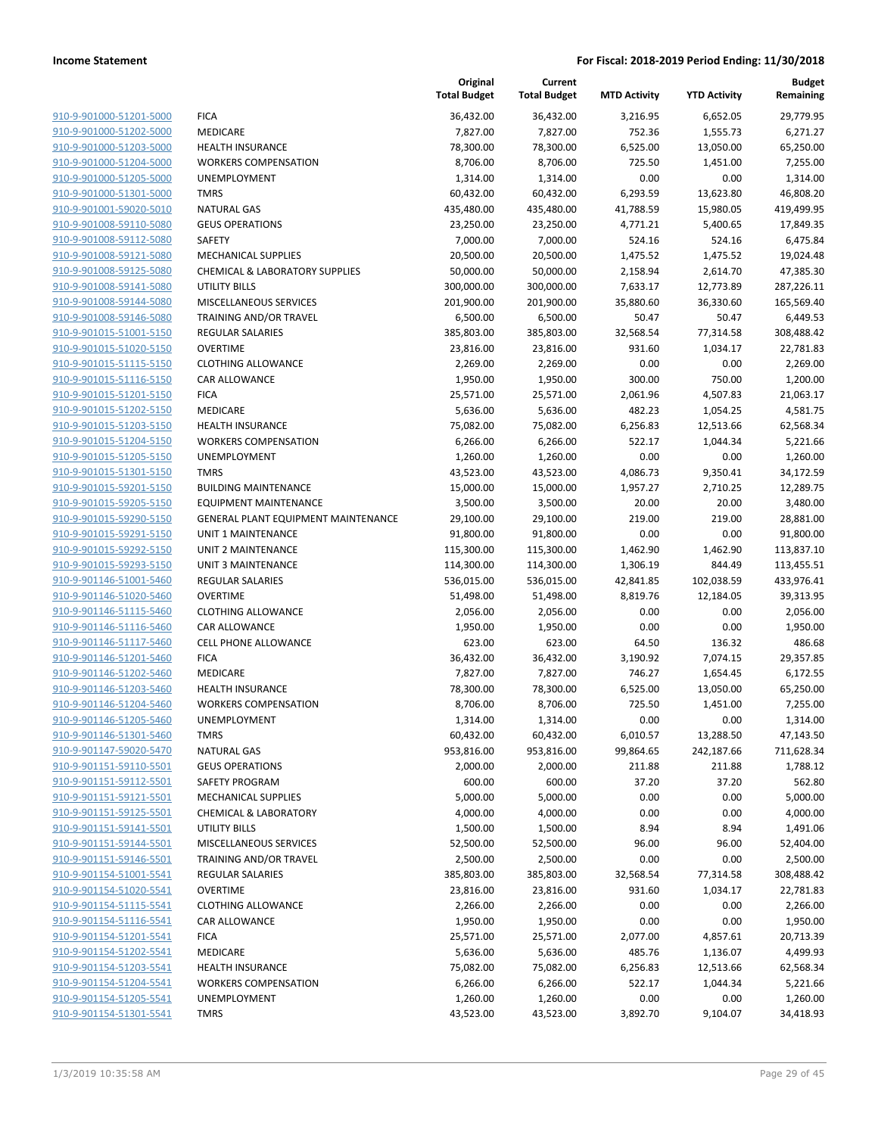|                         |                                     | Original<br><b>Total Budget</b> | Current<br><b>Total Budget</b> | <b>MTD Activity</b> | <b>YTD Activity</b> | <b>Budget</b><br>Remaining |
|-------------------------|-------------------------------------|---------------------------------|--------------------------------|---------------------|---------------------|----------------------------|
| 910-9-901000-51201-5000 | <b>FICA</b>                         | 36,432.00                       | 36,432.00                      | 3,216.95            | 6,652.05            | 29,779.95                  |
| 910-9-901000-51202-5000 | MEDICARE                            | 7,827.00                        | 7,827.00                       | 752.36              | 1,555.73            | 6,271.27                   |
| 910-9-901000-51203-5000 | <b>HEALTH INSURANCE</b>             | 78,300.00                       | 78,300.00                      | 6,525.00            | 13,050.00           | 65,250.00                  |
| 910-9-901000-51204-5000 | <b>WORKERS COMPENSATION</b>         | 8,706.00                        | 8,706.00                       | 725.50              | 1,451.00            | 7,255.00                   |
| 910-9-901000-51205-5000 | <b>UNEMPLOYMENT</b>                 | 1,314.00                        | 1,314.00                       | 0.00                | 0.00                | 1,314.00                   |
| 910-9-901000-51301-5000 | <b>TMRS</b>                         | 60,432.00                       | 60,432.00                      | 6,293.59            | 13,623.80           | 46,808.20                  |
| 910-9-901001-59020-5010 | <b>NATURAL GAS</b>                  | 435,480.00                      | 435,480.00                     | 41,788.59           | 15,980.05           | 419,499.95                 |
| 910-9-901008-59110-5080 | <b>GEUS OPERATIONS</b>              | 23,250.00                       | 23,250.00                      | 4,771.21            | 5,400.65            | 17,849.35                  |
| 910-9-901008-59112-5080 | <b>SAFETY</b>                       | 7,000.00                        | 7,000.00                       | 524.16              | 524.16              | 6,475.84                   |
| 910-9-901008-59121-5080 | <b>MECHANICAL SUPPLIES</b>          | 20,500.00                       | 20,500.00                      | 1,475.52            | 1,475.52            | 19,024.48                  |
| 910-9-901008-59125-5080 | CHEMICAL & LABORATORY SUPPLIES      | 50,000.00                       | 50,000.00                      | 2,158.94            | 2,614.70            | 47,385.30                  |
| 910-9-901008-59141-5080 | UTILITY BILLS                       | 300,000.00                      | 300,000.00                     | 7,633.17            | 12,773.89           | 287,226.11                 |
| 910-9-901008-59144-5080 | MISCELLANEOUS SERVICES              | 201,900.00                      | 201,900.00                     | 35,880.60           | 36,330.60           | 165,569.40                 |
| 910-9-901008-59146-5080 | TRAINING AND/OR TRAVEL              | 6,500.00                        | 6,500.00                       | 50.47               | 50.47               | 6,449.53                   |
| 910-9-901015-51001-5150 | <b>REGULAR SALARIES</b>             | 385,803.00                      | 385,803.00                     | 32,568.54           | 77,314.58           | 308,488.42                 |
| 910-9-901015-51020-5150 | <b>OVERTIME</b>                     | 23,816.00                       | 23,816.00                      | 931.60              | 1,034.17            | 22,781.83                  |
| 910-9-901015-51115-5150 | <b>CLOTHING ALLOWANCE</b>           | 2,269.00                        | 2,269.00                       | 0.00                | 0.00                | 2,269.00                   |
| 910-9-901015-51116-5150 | CAR ALLOWANCE                       | 1,950.00                        | 1,950.00                       | 300.00              | 750.00              | 1,200.00                   |
| 910-9-901015-51201-5150 | <b>FICA</b>                         | 25,571.00                       | 25,571.00                      | 2,061.96            | 4,507.83            | 21,063.17                  |
| 910-9-901015-51202-5150 | MEDICARE                            | 5,636.00                        | 5,636.00                       | 482.23              | 1,054.25            | 4,581.75                   |
| 910-9-901015-51203-5150 | <b>HEALTH INSURANCE</b>             | 75,082.00                       | 75,082.00                      | 6,256.83            | 12,513.66           | 62,568.34                  |
| 910-9-901015-51204-5150 | <b>WORKERS COMPENSATION</b>         | 6,266.00                        | 6,266.00                       | 522.17              | 1,044.34            | 5,221.66                   |
| 910-9-901015-51205-5150 | UNEMPLOYMENT                        | 1,260.00                        | 1,260.00                       | 0.00                | 0.00                | 1,260.00                   |
| 910-9-901015-51301-5150 | <b>TMRS</b>                         | 43,523.00                       | 43,523.00                      | 4,086.73            | 9,350.41            | 34,172.59                  |
| 910-9-901015-59201-5150 | <b>BUILDING MAINTENANCE</b>         | 15,000.00                       | 15,000.00                      | 1,957.27            | 2,710.25            | 12,289.75                  |
| 910-9-901015-59205-5150 | <b>EQUIPMENT MAINTENANCE</b>        | 3,500.00                        | 3,500.00                       | 20.00               | 20.00               | 3,480.00                   |
| 910-9-901015-59290-5150 | GENERAL PLANT EQUIPMENT MAINTENANCE | 29,100.00                       | 29,100.00                      | 219.00              | 219.00              | 28,881.00                  |
| 910-9-901015-59291-5150 | <b>UNIT 1 MAINTENANCE</b>           | 91,800.00                       | 91,800.00                      | 0.00                | 0.00                | 91,800.00                  |
| 910-9-901015-59292-5150 | UNIT 2 MAINTENANCE                  | 115,300.00                      | 115,300.00                     | 1,462.90            | 1,462.90            | 113,837.10                 |
| 910-9-901015-59293-5150 | <b>UNIT 3 MAINTENANCE</b>           | 114,300.00                      | 114,300.00                     | 1,306.19            | 844.49              | 113,455.51                 |
| 910-9-901146-51001-5460 | REGULAR SALARIES                    | 536,015.00                      | 536,015.00                     | 42,841.85           | 102,038.59          | 433,976.41                 |
| 910-9-901146-51020-5460 | <b>OVERTIME</b>                     | 51,498.00                       | 51,498.00                      | 8,819.76            | 12,184.05           | 39,313.95                  |
| 910-9-901146-51115-5460 | <b>CLOTHING ALLOWANCE</b>           | 2,056.00                        | 2,056.00                       | 0.00                | 0.00                | 2,056.00                   |
| 910-9-901146-51116-5460 | <b>CAR ALLOWANCE</b>                | 1,950.00                        | 1,950.00                       | 0.00                | 0.00                | 1,950.00                   |
| 910-9-901146-51117-5460 | <b>CELL PHONE ALLOWANCE</b>         | 623.00                          | 623.00                         | 64.50               | 136.32              | 486.68                     |
| 910-9-901146-51201-5460 | <b>FICA</b>                         | 36,432.00                       | 36,432.00                      | 3,190.92            | 7,074.15            | 29,357.85                  |
| 910-9-901146-51202-5460 | MEDICARE                            | 7,827.00                        | 7,827.00                       | 746.27              | 1,654.45            | 6,172.55                   |
| 910-9-901146-51203-5460 | <b>HEALTH INSURANCE</b>             | 78,300.00                       | 78,300.00                      | 6,525.00            | 13,050.00           | 65,250.00                  |
| 910-9-901146-51204-5460 | <b>WORKERS COMPENSATION</b>         | 8,706.00                        | 8,706.00                       | 725.50              | 1,451.00            | 7,255.00                   |
| 910-9-901146-51205-5460 | UNEMPLOYMENT                        | 1,314.00                        | 1,314.00                       | 0.00                | 0.00                | 1,314.00                   |
| 910-9-901146-51301-5460 | TMRS                                | 60,432.00                       | 60,432.00                      | 6,010.57            | 13,288.50           | 47,143.50                  |
| 910-9-901147-59020-5470 | <b>NATURAL GAS</b>                  | 953,816.00                      | 953,816.00                     | 99,864.65           | 242,187.66          | 711,628.34                 |
| 910-9-901151-59110-5501 | <b>GEUS OPERATIONS</b>              | 2,000.00                        | 2,000.00                       | 211.88              | 211.88              | 1,788.12                   |
| 910-9-901151-59112-5501 | <b>SAFETY PROGRAM</b>               | 600.00                          | 600.00                         | 37.20               | 37.20               | 562.80                     |
| 910-9-901151-59121-5501 | <b>MECHANICAL SUPPLIES</b>          | 5,000.00                        | 5,000.00                       | 0.00                | 0.00                | 5,000.00                   |
| 910-9-901151-59125-5501 | <b>CHEMICAL &amp; LABORATORY</b>    | 4,000.00                        | 4,000.00                       | 0.00                | 0.00                | 4,000.00                   |
| 910-9-901151-59141-5501 | UTILITY BILLS                       | 1,500.00                        | 1,500.00                       | 8.94                | 8.94                | 1,491.06                   |
| 910-9-901151-59144-5501 | <b>MISCELLANEOUS SERVICES</b>       | 52,500.00                       | 52,500.00                      | 96.00               | 96.00               | 52,404.00                  |
| 910-9-901151-59146-5501 | TRAINING AND/OR TRAVEL              | 2,500.00                        | 2,500.00                       | 0.00                | 0.00                | 2,500.00                   |
| 910-9-901154-51001-5541 | REGULAR SALARIES                    | 385,803.00                      | 385,803.00                     | 32,568.54           | 77,314.58           | 308,488.42                 |
| 910-9-901154-51020-5541 | <b>OVERTIME</b>                     | 23,816.00                       | 23,816.00                      | 931.60              | 1,034.17            | 22,781.83                  |
| 910-9-901154-51115-5541 | <b>CLOTHING ALLOWANCE</b>           | 2,266.00                        | 2,266.00                       | 0.00                | 0.00                | 2,266.00                   |
| 910-9-901154-51116-5541 | CAR ALLOWANCE                       | 1,950.00                        | 1,950.00                       | 0.00                | 0.00                | 1,950.00                   |
| 910-9-901154-51201-5541 | <b>FICA</b>                         | 25,571.00                       | 25,571.00                      | 2,077.00            | 4,857.61            | 20,713.39                  |
| 910-9-901154-51202-5541 | MEDICARE                            | 5,636.00                        | 5,636.00                       | 485.76              | 1,136.07            | 4,499.93                   |
| 910-9-901154-51203-5541 | <b>HEALTH INSURANCE</b>             | 75,082.00                       | 75,082.00                      | 6,256.83            | 12,513.66           | 62,568.34                  |
| 910-9-901154-51204-5541 | <b>WORKERS COMPENSATION</b>         | 6,266.00                        | 6,266.00                       | 522.17              | 1,044.34            | 5,221.66                   |
| 910-9-901154-51205-5541 | UNEMPLOYMENT                        | 1,260.00                        | 1,260.00                       | 0.00                | 0.00                | 1,260.00                   |
| 910-9-901154-51301-5541 | <b>TMRS</b>                         | 43,523.00                       | 43,523.00                      | 3,892.70            | 9,104.07            | 34,418.93                  |
|                         |                                     |                                 |                                |                     |                     |                            |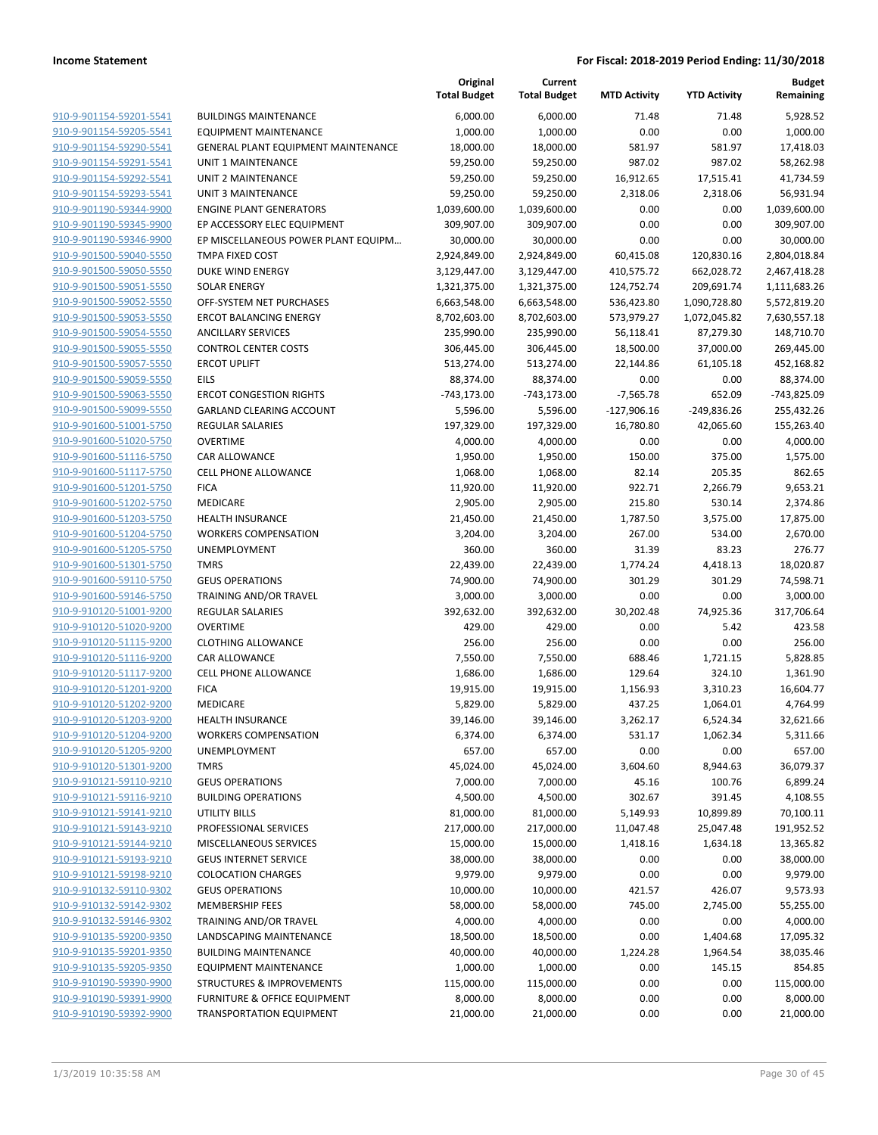|                                                    |                                            | Original<br><b>Total Budget</b> | Current<br><b>Total Budget</b> | <b>MTD Activity</b> | <b>YTD Activity</b> | <b>Budget</b><br>Remaining |
|----------------------------------------------------|--------------------------------------------|---------------------------------|--------------------------------|---------------------|---------------------|----------------------------|
| 910-9-901154-59201-5541                            | <b>BUILDINGS MAINTENANCE</b>               | 6,000.00                        | 6,000.00                       | 71.48               | 71.48               | 5,928.52                   |
| 910-9-901154-59205-5541                            | <b>EQUIPMENT MAINTENANCE</b>               | 1,000.00                        | 1,000.00                       | 0.00                | 0.00                | 1,000.00                   |
| 910-9-901154-59290-5541                            | <b>GENERAL PLANT EQUIPMENT MAINTENANCE</b> | 18,000.00                       | 18,000.00                      | 581.97              | 581.97              | 17,418.03                  |
| 910-9-901154-59291-5541                            | <b>UNIT 1 MAINTENANCE</b>                  | 59,250.00                       | 59,250.00                      | 987.02              | 987.02              | 58,262.98                  |
| 910-9-901154-59292-5541                            | UNIT 2 MAINTENANCE                         | 59,250.00                       | 59,250.00                      | 16,912.65           | 17,515.41           | 41,734.59                  |
| 910-9-901154-59293-5541                            | <b>UNIT 3 MAINTENANCE</b>                  | 59,250.00                       | 59,250.00                      | 2,318.06            | 2,318.06            | 56,931.94                  |
| 910-9-901190-59344-9900                            | <b>ENGINE PLANT GENERATORS</b>             | 1,039,600.00                    | 1,039,600.00                   | 0.00                | 0.00                | 1,039,600.00               |
| 910-9-901190-59345-9900                            | EP ACCESSORY ELEC EQUIPMENT                | 309,907.00                      | 309,907.00                     | 0.00                | 0.00                | 309,907.00                 |
| 910-9-901190-59346-9900                            | EP MISCELLANEOUS POWER PLANT EQUIPM        | 30,000.00                       | 30,000.00                      | 0.00                | 0.00                | 30,000.00                  |
| 910-9-901500-59040-5550                            | <b>TMPA FIXED COST</b>                     | 2,924,849.00                    | 2,924,849.00                   | 60,415.08           | 120,830.16          | 2,804,018.84               |
| 910-9-901500-59050-5550                            | <b>DUKE WIND ENERGY</b>                    | 3,129,447.00                    | 3,129,447.00                   | 410,575.72          | 662,028.72          | 2,467,418.28               |
| 910-9-901500-59051-5550                            | <b>SOLAR ENERGY</b>                        | 1,321,375.00                    | 1,321,375.00                   | 124,752.74          | 209,691.74          | 1,111,683.26               |
| 910-9-901500-59052-5550                            | OFF-SYSTEM NET PURCHASES                   | 6,663,548.00                    | 6,663,548.00                   | 536,423.80          | 1,090,728.80        | 5,572,819.20               |
| 910-9-901500-59053-5550                            | <b>ERCOT BALANCING ENERGY</b>              | 8,702,603.00                    | 8,702,603.00                   | 573,979.27          | 1,072,045.82        | 7,630,557.18               |
| 910-9-901500-59054-5550                            | <b>ANCILLARY SERVICES</b>                  | 235,990.00                      | 235,990.00                     | 56,118.41           | 87,279.30           | 148,710.70                 |
| 910-9-901500-59055-5550                            | <b>CONTROL CENTER COSTS</b>                | 306,445.00                      | 306,445.00                     | 18,500.00           | 37,000.00           | 269,445.00                 |
| 910-9-901500-59057-5550                            | <b>ERCOT UPLIFT</b>                        | 513,274.00                      | 513,274.00                     | 22,144.86           | 61,105.18           | 452,168.82                 |
| 910-9-901500-59059-5550                            | <b>EILS</b>                                | 88,374.00                       | 88,374.00                      | 0.00                | 0.00                | 88,374.00                  |
| 910-9-901500-59063-5550                            | <b>ERCOT CONGESTION RIGHTS</b>             | $-743,173.00$                   | $-743,173.00$                  | $-7,565.78$         | 652.09              | -743,825.09                |
| 910-9-901500-59099-5550                            | <b>GARLAND CLEARING ACCOUNT</b>            | 5,596.00                        | 5,596.00                       | $-127,906.16$       | $-249,836.26$       | 255,432.26                 |
| 910-9-901600-51001-5750                            | REGULAR SALARIES                           | 197,329.00                      | 197,329.00                     | 16,780.80           | 42,065.60           | 155,263.40                 |
| 910-9-901600-51020-5750                            | <b>OVERTIME</b>                            | 4,000.00                        | 4,000.00                       | 0.00                | 0.00                | 4,000.00                   |
| 910-9-901600-51116-5750                            | CAR ALLOWANCE                              | 1,950.00                        | 1,950.00                       | 150.00              | 375.00              | 1,575.00                   |
| 910-9-901600-51117-5750                            | <b>CELL PHONE ALLOWANCE</b>                | 1,068.00                        | 1,068.00                       | 82.14               | 205.35              | 862.65                     |
| 910-9-901600-51201-5750                            | <b>FICA</b>                                | 11,920.00                       | 11,920.00                      | 922.71              | 2,266.79            | 9,653.21                   |
| 910-9-901600-51202-5750                            | MEDICARE                                   | 2,905.00                        | 2,905.00                       | 215.80              | 530.14              | 2,374.86                   |
| 910-9-901600-51203-5750                            | <b>HEALTH INSURANCE</b>                    | 21,450.00                       | 21,450.00                      | 1,787.50            | 3,575.00            | 17,875.00                  |
| 910-9-901600-51204-5750                            | <b>WORKERS COMPENSATION</b>                | 3,204.00                        | 3,204.00                       | 267.00              | 534.00              | 2,670.00                   |
| 910-9-901600-51205-5750                            | UNEMPLOYMENT                               | 360.00                          | 360.00                         | 31.39               | 83.23               | 276.77                     |
| 910-9-901600-51301-5750                            | <b>TMRS</b>                                | 22,439.00                       | 22,439.00                      | 1,774.24            | 4,418.13            | 18,020.87                  |
| 910-9-901600-59110-5750                            | <b>GEUS OPERATIONS</b>                     | 74,900.00                       | 74,900.00                      | 301.29              | 301.29              | 74,598.71                  |
| 910-9-901600-59146-5750                            | TRAINING AND/OR TRAVEL                     | 3,000.00                        | 3,000.00                       | 0.00                | 0.00                | 3,000.00                   |
| 910-9-910120-51001-9200<br>910-9-910120-51020-9200 | <b>REGULAR SALARIES</b><br><b>OVERTIME</b> | 392,632.00<br>429.00            | 392,632.00<br>429.00           | 30,202.48<br>0.00   | 74,925.36<br>5.42   | 317,706.64<br>423.58       |
| 910-9-910120-51115-9200                            | <b>CLOTHING ALLOWANCE</b>                  | 256.00                          | 256.00                         | 0.00                | 0.00                | 256.00                     |
| 910-9-910120-51116-9200                            | CAR ALLOWANCE                              |                                 |                                |                     | 1,721.15            | 5,828.85                   |
| 910-9-910120-51117-9200                            | <b>CELL PHONE ALLOWANCE</b>                | 7,550.00<br>1,686.00            | 7,550.00<br>1,686.00           | 688.46<br>129.64    | 324.10              | 1,361.90                   |
| 910-9-910120-51201-9200                            | <b>FICA</b>                                | 19,915.00                       | 19,915.00                      | 1,156.93            | 3,310.23            | 16,604.77                  |
| 910-9-910120-51202-9200                            | <b>MEDICARE</b>                            | 5,829.00                        | 5,829.00                       | 437.25              | 1,064.01            | 4,764.99                   |
| 910-9-910120-51203-9200                            | <b>HEALTH INSURANCE</b>                    | 39,146.00                       | 39,146.00                      | 3,262.17            | 6,524.34            | 32,621.66                  |
| 910-9-910120-51204-9200                            | <b>WORKERS COMPENSATION</b>                | 6,374.00                        | 6,374.00                       | 531.17              | 1,062.34            | 5,311.66                   |
| 910-9-910120-51205-9200                            | UNEMPLOYMENT                               | 657.00                          | 657.00                         | 0.00                | 0.00                | 657.00                     |
| 910-9-910120-51301-9200                            | <b>TMRS</b>                                | 45,024.00                       | 45,024.00                      | 3,604.60            | 8,944.63            | 36,079.37                  |
| 910-9-910121-59110-9210                            | <b>GEUS OPERATIONS</b>                     | 7,000.00                        | 7,000.00                       | 45.16               | 100.76              | 6,899.24                   |
| 910-9-910121-59116-9210                            | <b>BUILDING OPERATIONS</b>                 | 4,500.00                        | 4,500.00                       | 302.67              | 391.45              | 4,108.55                   |
| 910-9-910121-59141-9210                            | UTILITY BILLS                              | 81,000.00                       | 81,000.00                      | 5,149.93            | 10,899.89           | 70,100.11                  |
| 910-9-910121-59143-9210                            | PROFESSIONAL SERVICES                      | 217,000.00                      | 217,000.00                     | 11,047.48           | 25,047.48           | 191,952.52                 |
| 910-9-910121-59144-9210                            | MISCELLANEOUS SERVICES                     | 15,000.00                       | 15,000.00                      | 1,418.16            | 1,634.18            | 13,365.82                  |
| 910-9-910121-59193-9210                            | <b>GEUS INTERNET SERVICE</b>               | 38,000.00                       | 38,000.00                      | 0.00                | 0.00                | 38,000.00                  |
| 910-9-910121-59198-9210                            | <b>COLOCATION CHARGES</b>                  | 9,979.00                        | 9,979.00                       | 0.00                | 0.00                | 9,979.00                   |
| 910-9-910132-59110-9302                            | <b>GEUS OPERATIONS</b>                     | 10,000.00                       | 10,000.00                      | 421.57              | 426.07              | 9,573.93                   |
| 910-9-910132-59142-9302                            | <b>MEMBERSHIP FEES</b>                     | 58,000.00                       | 58,000.00                      | 745.00              | 2,745.00            | 55,255.00                  |
| 910-9-910132-59146-9302                            | TRAINING AND/OR TRAVEL                     | 4,000.00                        | 4,000.00                       | 0.00                | 0.00                | 4,000.00                   |
| 910-9-910135-59200-9350                            | LANDSCAPING MAINTENANCE                    | 18,500.00                       | 18,500.00                      | 0.00                | 1,404.68            | 17,095.32                  |
| 910-9-910135-59201-9350                            | <b>BUILDING MAINTENANCE</b>                | 40,000.00                       | 40,000.00                      | 1,224.28            | 1,964.54            | 38,035.46                  |
| 910-9-910135-59205-9350                            | <b>EQUIPMENT MAINTENANCE</b>               | 1,000.00                        | 1,000.00                       | 0.00                | 145.15              | 854.85                     |
| 910-9-910190-59390-9900                            | <b>STRUCTURES &amp; IMPROVEMENTS</b>       | 115,000.00                      | 115,000.00                     | 0.00                | 0.00                | 115,000.00                 |
| 910-9-910190-59391-9900                            | <b>FURNITURE &amp; OFFICE EQUIPMENT</b>    | 8,000.00                        | 8,000.00                       | 0.00                | 0.00                | 8,000.00                   |
| 910-9-910190-59392-9900                            | <b>TRANSPORTATION EQUIPMENT</b>            | 21,000.00                       | 21,000.00                      | 0.00                | 0.00                | 21,000.00                  |
|                                                    |                                            |                                 |                                |                     |                     |                            |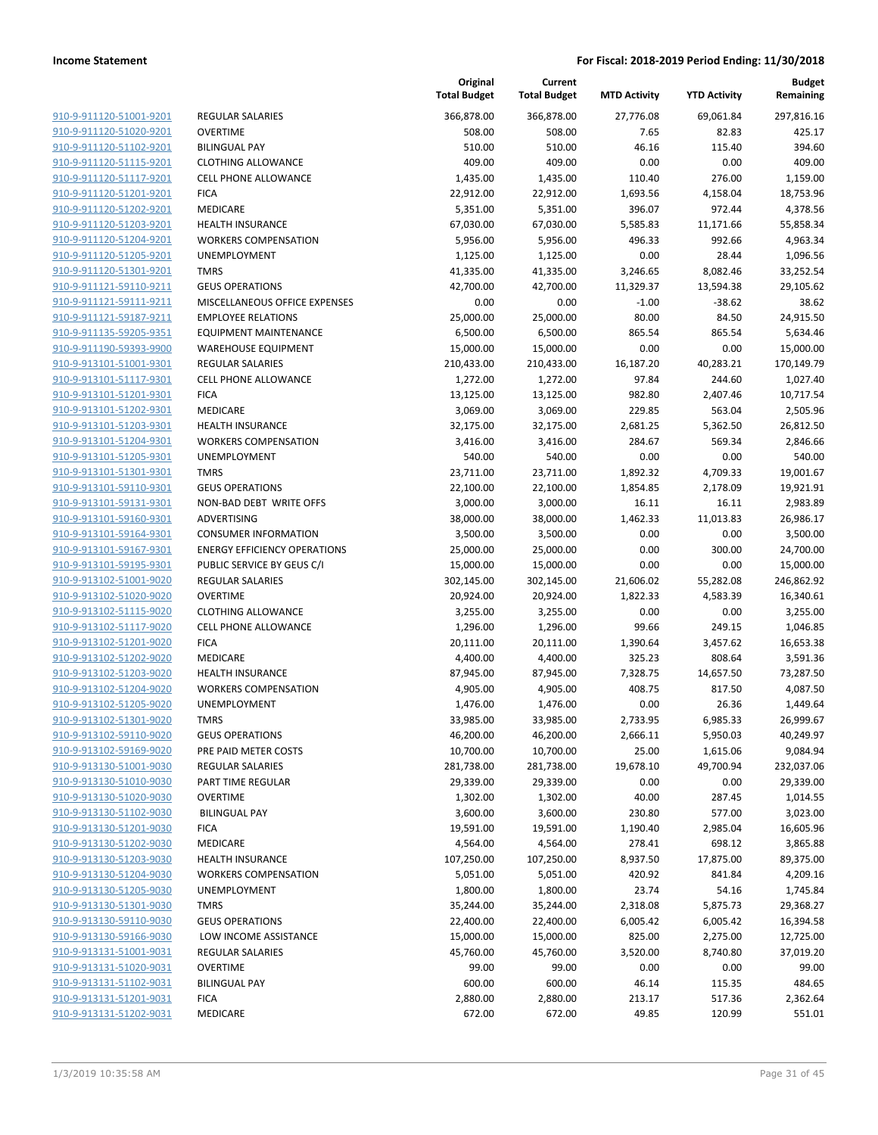| 910-9-911120-51001-9201                                   |
|-----------------------------------------------------------|
| 910-9-911120-51020-9201                                   |
| 910-9-911120-51102-9201                                   |
| 910-9-911120-51115-9201                                   |
| 910-9-911120-51117-9201                                   |
| 910-9-911120-51201-9201                                   |
| 910-9-911120-51202-9201                                   |
| 910-9-911120-51203-9201                                   |
| 910-9-911120-51204-9201<br><u>910-9-911120-51205-9201</u> |
| 910-9-911120-51301-9201                                   |
| 910-9-911121-59110-9211                                   |
| 910-9-911121-59111-9211                                   |
| <u>910-9-911121-59187-9211</u>                            |
| <u>910-9-911135-59205-9351</u>                            |
| 910-9-911190-59393-9900                                   |
| 910-9-913101-51001-9301                                   |
| 910-9-913101-51117-9301                                   |
| 910-9-913101-51201-9301                                   |
| <u>910-9-913101-51202-9301</u>                            |
| 910-9-913101-51203-9301                                   |
| 910-9-913101-51204-9301                                   |
| 910-9-913101-51205-9301                                   |
| 910-9-913101-51301-9301                                   |
| <u>910-9-913101-59110-9301</u>                            |
| 910-9-913101-59131-9301                                   |
| 910-9-913101-59160-9301                                   |
| 910-9-913101-59164-9301                                   |
| 910-9-913101-59167-9301                                   |
| <u>910-9-913101-59195-9301</u>                            |
| 910-9-913102-51001-9020                                   |
| 910-9-913102-51020-9020                                   |
| 910-9-913102-51115-9020                                   |
| <u>910-9-913102-51117-9020</u>                            |
| <u>910-9-913102-51201-9020</u>                            |
| 910-9-913102-51202-9020                                   |
| 910-9-913102-51203-9020                                   |
| 910-9-913102-51204-9020                                   |
| 910-9-913102-51205-9020                                   |
| 910-9-913102-51301-9020                                   |
| 910-9-913102-59110-9020<br>910-9-913102-59169-9020        |
| 910-9-913130-51001-9030                                   |
| <u>910-9-913130-51010-9030</u>                            |
| <u>910-9-913130-51020-9030</u>                            |
| 910-9-913130-51102-9030                                   |
| 910-9-913130-51201-9030                                   |
| 910-9-913130-51202-9030                                   |
| 910-9-913130-51203-9030                                   |
| <u>910-9-913130-51204-9030</u>                            |
| 910-9-913130-51205-9030                                   |
| 910-9-913130-51301-9030                                   |
| 910-9-913130-59110-9030                                   |
| <u>910-9-913130-59166-9030</u>                            |
| <u>910-9-913131-51001-9031</u>                            |
| 910-9-913131-51020-9031                                   |
| 910-9-913131-51102-9031                                   |
| 910-9-913131-51201-9031                                   |
| <u>910-9-913131-51202-9031</u>                            |
|                                                           |

|                         |                                     | Original<br><b>Total Budget</b> | Current<br><b>Total Budget</b> | <b>MTD Activity</b> | <b>YTD Activity</b> | <b>Budget</b><br>Remaining |
|-------------------------|-------------------------------------|---------------------------------|--------------------------------|---------------------|---------------------|----------------------------|
| 910-9-911120-51001-9201 | <b>REGULAR SALARIES</b>             | 366,878.00                      | 366,878.00                     | 27,776.08           | 69,061.84           | 297,816.16                 |
| 910-9-911120-51020-9201 | <b>OVERTIME</b>                     | 508.00                          | 508.00                         | 7.65                | 82.83               | 425.17                     |
| 910-9-911120-51102-9201 | <b>BILINGUAL PAY</b>                | 510.00                          | 510.00                         | 46.16               | 115.40              | 394.60                     |
| 910-9-911120-51115-9201 | <b>CLOTHING ALLOWANCE</b>           | 409.00                          | 409.00                         | 0.00                | 0.00                | 409.00                     |
| 910-9-911120-51117-9201 | <b>CELL PHONE ALLOWANCE</b>         | 1,435.00                        | 1,435.00                       | 110.40              | 276.00              | 1,159.00                   |
| 910-9-911120-51201-9201 | <b>FICA</b>                         | 22,912.00                       | 22,912.00                      | 1,693.56            | 4,158.04            | 18,753.96                  |
| 910-9-911120-51202-9201 | MEDICARE                            | 5,351.00                        | 5,351.00                       | 396.07              | 972.44              | 4,378.56                   |
| 910-9-911120-51203-9201 | <b>HEALTH INSURANCE</b>             | 67,030.00                       | 67,030.00                      | 5,585.83            | 11,171.66           | 55,858.34                  |
| 910-9-911120-51204-9201 | <b>WORKERS COMPENSATION</b>         | 5,956.00                        | 5,956.00                       | 496.33              | 992.66              | 4,963.34                   |
| 910-9-911120-51205-9201 | <b>UNEMPLOYMENT</b>                 | 1,125.00                        | 1,125.00                       | 0.00                | 28.44               | 1,096.56                   |
| 910-9-911120-51301-9201 | <b>TMRS</b>                         | 41,335.00                       | 41,335.00                      | 3,246.65            | 8,082.46            | 33,252.54                  |
| 910-9-911121-59110-9211 | <b>GEUS OPERATIONS</b>              | 42,700.00                       | 42,700.00                      | 11,329.37           | 13,594.38           | 29,105.62                  |
| 910-9-911121-59111-9211 | MISCELLANEOUS OFFICE EXPENSES       | 0.00                            | 0.00                           | $-1.00$             | $-38.62$            | 38.62                      |
| 910-9-911121-59187-9211 | <b>EMPLOYEE RELATIONS</b>           | 25,000.00                       | 25,000.00                      | 80.00               | 84.50               | 24,915.50                  |
| 910-9-911135-59205-9351 | <b>EQUIPMENT MAINTENANCE</b>        | 6,500.00                        | 6,500.00                       | 865.54              | 865.54              | 5,634.46                   |
| 910-9-911190-59393-9900 | <b>WAREHOUSE EQUIPMENT</b>          | 15,000.00                       | 15,000.00                      | 0.00                | 0.00                | 15,000.00                  |
| 910-9-913101-51001-9301 | <b>REGULAR SALARIES</b>             | 210,433.00                      | 210,433.00                     | 16,187.20           | 40,283.21           | 170,149.79                 |
| 910-9-913101-51117-9301 | <b>CELL PHONE ALLOWANCE</b>         | 1,272.00                        | 1,272.00                       | 97.84               | 244.60              | 1,027.40                   |
| 910-9-913101-51201-9301 | <b>FICA</b>                         | 13,125.00                       | 13,125.00                      | 982.80              | 2,407.46            | 10,717.54                  |
| 910-9-913101-51202-9301 | MEDICARE                            | 3,069.00                        | 3,069.00                       | 229.85              | 563.04              | 2,505.96                   |
| 910-9-913101-51203-9301 | <b>HEALTH INSURANCE</b>             | 32,175.00                       | 32,175.00                      | 2,681.25            | 5,362.50            | 26,812.50                  |
| 910-9-913101-51204-9301 | <b>WORKERS COMPENSATION</b>         | 3,416.00                        | 3,416.00                       | 284.67              | 569.34              | 2,846.66                   |
| 910-9-913101-51205-9301 | UNEMPLOYMENT                        | 540.00                          | 540.00                         | 0.00                | 0.00                | 540.00                     |
| 910-9-913101-51301-9301 | <b>TMRS</b>                         | 23,711.00                       | 23,711.00                      | 1,892.32            | 4,709.33            | 19,001.67                  |
| 910-9-913101-59110-9301 | <b>GEUS OPERATIONS</b>              | 22,100.00                       | 22,100.00                      | 1,854.85            | 2,178.09            | 19,921.91                  |
| 910-9-913101-59131-9301 | NON-BAD DEBT WRITE OFFS             | 3,000.00                        | 3,000.00                       | 16.11               | 16.11               | 2,983.89                   |
| 910-9-913101-59160-9301 | ADVERTISING                         | 38,000.00                       | 38,000.00                      | 1,462.33            | 11,013.83           | 26,986.17                  |
| 910-9-913101-59164-9301 | <b>CONSUMER INFORMATION</b>         | 3,500.00                        | 3,500.00                       | 0.00                | 0.00                | 3,500.00                   |
| 910-9-913101-59167-9301 | <b>ENERGY EFFICIENCY OPERATIONS</b> | 25,000.00                       | 25,000.00                      | 0.00                | 300.00              | 24,700.00                  |
| 910-9-913101-59195-9301 | PUBLIC SERVICE BY GEUS C/I          | 15,000.00                       | 15,000.00                      | 0.00                | 0.00                | 15,000.00                  |
| 910-9-913102-51001-9020 | <b>REGULAR SALARIES</b>             | 302,145.00                      | 302,145.00                     | 21,606.02           | 55,282.08           | 246,862.92                 |
| 910-9-913102-51020-9020 | <b>OVERTIME</b>                     | 20,924.00                       | 20,924.00                      | 1,822.33            | 4,583.39            | 16,340.61                  |
| 910-9-913102-51115-9020 | <b>CLOTHING ALLOWANCE</b>           | 3,255.00                        | 3,255.00                       | 0.00                | 0.00                | 3,255.00                   |
| 910-9-913102-51117-9020 | <b>CELL PHONE ALLOWANCE</b>         | 1,296.00                        | 1,296.00                       | 99.66               | 249.15              | 1,046.85                   |
| 910-9-913102-51201-9020 | <b>FICA</b>                         | 20,111.00                       | 20,111.00                      | 1,390.64            | 3,457.62            | 16,653.38                  |
| 910-9-913102-51202-9020 | <b>MEDICARE</b>                     | 4,400.00                        | 4,400.00                       | 325.23              | 808.64              | 3,591.36                   |
| 910-9-913102-51203-9020 | <b>HEALTH INSURANCE</b>             | 87,945.00                       | 87,945.00                      | 7,328.75            | 14,657.50           | 73,287.50                  |
| 910-9-913102-51204-9020 | <b>WORKERS COMPENSATION</b>         | 4,905.00                        | 4,905.00                       | 408.75              | 817.50              | 4,087.50                   |
| 910-9-913102-51205-9020 | <b>UNEMPLOYMENT</b>                 | 1,476.00                        | 1,476.00                       | 0.00                | 26.36               | 1,449.64                   |
| 910-9-913102-51301-9020 | TMRS                                | 33,985.00                       | 33,985.00                      | 2,733.95            | 6,985.33            | 26,999.67                  |
| 910-9-913102-59110-9020 | <b>GEUS OPERATIONS</b>              | 46,200.00                       | 46,200.00                      | 2,666.11            | 5,950.03            | 40,249.97                  |
| 910-9-913102-59169-9020 | PRE PAID METER COSTS                | 10,700.00                       | 10,700.00                      | 25.00               | 1,615.06            | 9,084.94                   |
| 910-9-913130-51001-9030 | <b>REGULAR SALARIES</b>             | 281,738.00                      | 281,738.00                     | 19,678.10           | 49,700.94           | 232,037.06                 |
| 910-9-913130-51010-9030 | PART TIME REGULAR                   | 29,339.00                       | 29,339.00                      | 0.00                | 0.00                | 29,339.00                  |
| 910-9-913130-51020-9030 | <b>OVERTIME</b>                     | 1,302.00                        | 1,302.00                       | 40.00               | 287.45              | 1,014.55                   |
| 910-9-913130-51102-9030 | <b>BILINGUAL PAY</b>                | 3,600.00                        | 3,600.00                       | 230.80              | 577.00              | 3,023.00                   |
| 910-9-913130-51201-9030 | <b>FICA</b>                         | 19,591.00                       | 19,591.00                      | 1,190.40            | 2,985.04            | 16,605.96                  |
| 910-9-913130-51202-9030 | MEDICARE                            | 4,564.00                        | 4,564.00                       | 278.41              | 698.12              | 3,865.88                   |
| 910-9-913130-51203-9030 | <b>HEALTH INSURANCE</b>             | 107,250.00                      | 107,250.00                     | 8,937.50            | 17,875.00           | 89,375.00                  |
| 910-9-913130-51204-9030 | <b>WORKERS COMPENSATION</b>         | 5,051.00                        | 5,051.00                       | 420.92              | 841.84              | 4,209.16                   |
| 910-9-913130-51205-9030 | <b>UNEMPLOYMENT</b>                 | 1,800.00                        | 1,800.00                       | 23.74               | 54.16               | 1,745.84                   |
| 910-9-913130-51301-9030 | <b>TMRS</b>                         | 35,244.00                       | 35,244.00                      | 2,318.08            | 5,875.73            | 29,368.27                  |
| 910-9-913130-59110-9030 | <b>GEUS OPERATIONS</b>              | 22,400.00                       | 22,400.00                      | 6,005.42            | 6,005.42            | 16,394.58                  |
| 910-9-913130-59166-9030 | LOW INCOME ASSISTANCE               | 15,000.00                       | 15,000.00                      | 825.00              | 2,275.00            | 12,725.00                  |
| 910-9-913131-51001-9031 | <b>REGULAR SALARIES</b>             | 45,760.00                       | 45,760.00                      | 3,520.00            | 8,740.80            | 37,019.20                  |
| 910-9-913131-51020-9031 | <b>OVERTIME</b>                     | 99.00                           | 99.00                          | 0.00                | 0.00                | 99.00                      |
| 910-9-913131-51102-9031 | <b>BILINGUAL PAY</b>                | 600.00                          | 600.00                         | 46.14               | 115.35              | 484.65                     |
| 910-9-913131-51201-9031 | <b>FICA</b>                         | 2,880.00                        | 2,880.00                       | 213.17              | 517.36              | 2,362.64                   |
| 910-9-913131-51202-9031 | MEDICARE                            | 672.00                          | 672.00                         | 49.85               | 120.99              | 551.01                     |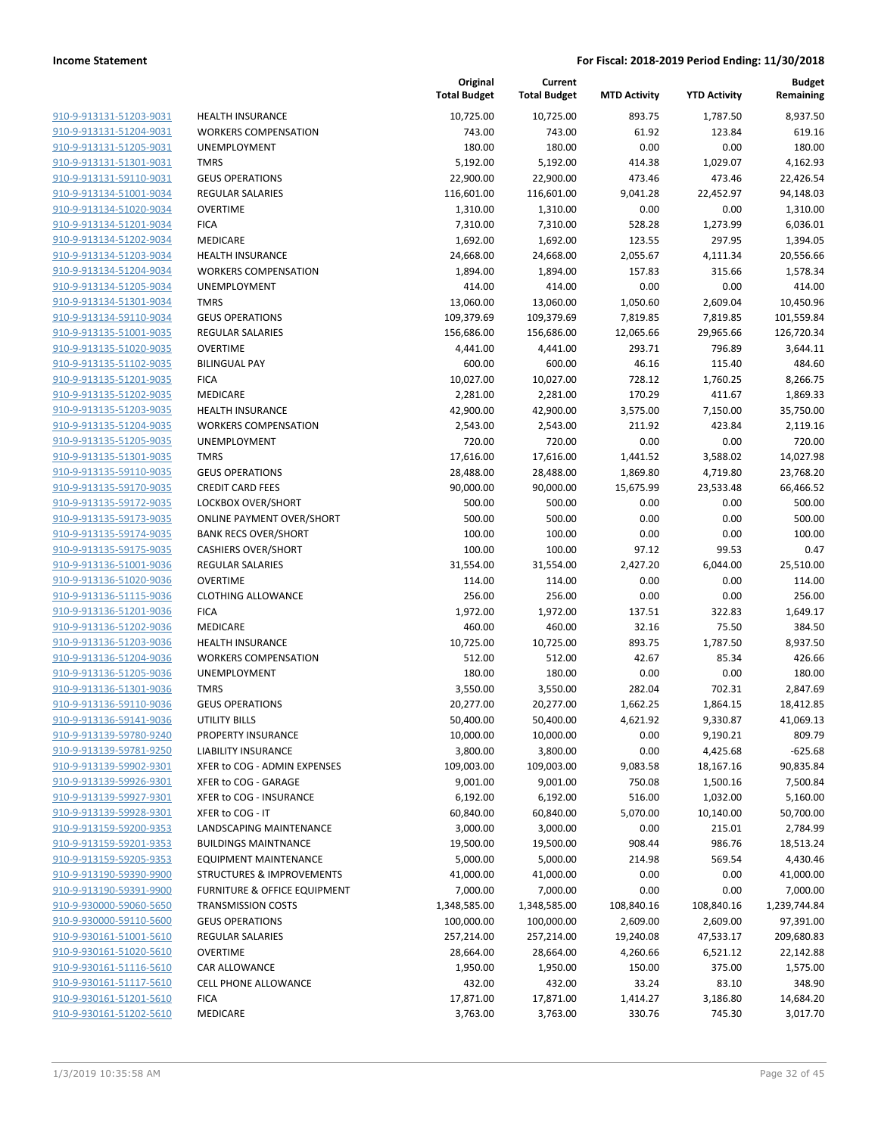| 910-9-913131-51203-9031                            |
|----------------------------------------------------|
| 910-9-913131-51204-9031                            |
| 910-9-913131-51205-9031                            |
| <u>910-9-913131-51301-9031</u>                     |
| <u>910-9-913131-59110-9031</u>                     |
| 910-9-913134-51001-9034                            |
| 910-9-913134-51020-9034                            |
| 910-9-913134-51201-9034                            |
| <u>910-9-913134-51202-9034</u>                     |
| 910-9-913134-51203-9034                            |
| 910-9-913134-51204-9034                            |
| 910-9-913134-51205-9034                            |
| 910-9-913134-51301-9034                            |
| <u>910-9-913134-59110-9034</u>                     |
| 910-9-913135-51001-9035                            |
| 910-9-913135-51020-9035                            |
| 910-9-913135-51102-9035                            |
| 910-9-913135-51201-9035                            |
| 910-9-913135-51202-9035                            |
| 910-9-913135-51203-9035                            |
| 910-9-913135-51204-9035                            |
| 910-9-913135-51205-9035                            |
|                                                    |
| 910-9-913135-51301-9035                            |
| 910-9-913135-59110-9035                            |
| 910-9-913135-59170-9035                            |
| 910-9-913135-59172-9035                            |
| 910-9-913135-59173-9035                            |
| 910-9-913135-59174-9035                            |
| 910-9-913135-59175-9035                            |
| 910-9-913136-51001-9036                            |
| 910-9-913136-51020-9036                            |
| 910-9-913136-51115-9036                            |
| 910-9-913136-51201-9036                            |
| <u>910-9-913136-51202-9036</u>                     |
| <u>910-9-913136-51203-9036</u>                     |
| 910-9-913136-51204-9036                            |
| 910-9-913136-51205-9036                            |
| 910-9-913136-51301-9036                            |
| 910-9-913136-59110-9036                            |
| 910-9-913136-59141-9036                            |
| 910-9-913139-59780-9240                            |
| 910-9-913139-59781-9250                            |
| 910-9-913139-59902-9301                            |
| <u>910-9-913139-59926-9301</u>                     |
| 910-9-913139-59927-9301                            |
| 910-9-913139-59928-9301                            |
| 910-9-913159-59200-9353                            |
| 910-9-913159-59201-9353                            |
|                                                    |
| 910-9-913159-59205-9353                            |
|                                                    |
| 910-9-913190-59390-9900                            |
| 910-9-913190-59391-9900                            |
| 910-9-930000-59060-5650                            |
| 910-9-930000-59110-5600                            |
| 910-9-930161-51001-5610                            |
| 910-9-930161-51020-5610                            |
| 910-9-930161-51116-5610                            |
| 910-9-930161-51117-5610                            |
| 910-9-930161-51201-5610<br>910-9-930161-51202-5610 |

|                                                    |                                         | Original<br><b>Total Budget</b> | Current<br><b>Total Budget</b> | <b>MTD Activity</b> | <b>YTD Activity</b> | <b>Budget</b><br>Remaining |
|----------------------------------------------------|-----------------------------------------|---------------------------------|--------------------------------|---------------------|---------------------|----------------------------|
| 910-9-913131-51203-9031                            | <b>HEALTH INSURANCE</b>                 | 10,725.00                       | 10,725.00                      | 893.75              | 1,787.50            | 8,937.50                   |
| 910-9-913131-51204-9031                            | <b>WORKERS COMPENSATION</b>             | 743.00                          | 743.00                         | 61.92               | 123.84              | 619.16                     |
| 910-9-913131-51205-9031                            | UNEMPLOYMENT                            | 180.00                          | 180.00                         | 0.00                | 0.00                | 180.00                     |
| 910-9-913131-51301-9031                            | <b>TMRS</b>                             | 5,192.00                        | 5,192.00                       | 414.38              | 1,029.07            | 4,162.93                   |
| 910-9-913131-59110-9031                            | <b>GEUS OPERATIONS</b>                  | 22,900.00                       | 22,900.00                      | 473.46              | 473.46              | 22,426.54                  |
| 910-9-913134-51001-9034                            | <b>REGULAR SALARIES</b>                 | 116,601.00                      | 116,601.00                     | 9,041.28            | 22,452.97           | 94,148.03                  |
| 910-9-913134-51020-9034                            | <b>OVERTIME</b>                         | 1,310.00                        | 1,310.00                       | 0.00                | 0.00                | 1,310.00                   |
| 910-9-913134-51201-9034                            | <b>FICA</b>                             | 7,310.00                        | 7,310.00                       | 528.28              | 1,273.99            | 6,036.01                   |
| 910-9-913134-51202-9034                            | MEDICARE                                | 1,692.00                        | 1,692.00                       | 123.55              | 297.95              | 1,394.05                   |
| 910-9-913134-51203-9034                            | <b>HEALTH INSURANCE</b>                 | 24,668.00                       | 24,668.00                      | 2,055.67            | 4,111.34            | 20,556.66                  |
| 910-9-913134-51204-9034                            | <b>WORKERS COMPENSATION</b>             | 1,894.00                        | 1,894.00                       | 157.83              | 315.66              | 1,578.34                   |
| 910-9-913134-51205-9034                            | UNEMPLOYMENT                            | 414.00                          | 414.00                         | 0.00                | 0.00                | 414.00                     |
| 910-9-913134-51301-9034                            | <b>TMRS</b>                             | 13,060.00                       | 13,060.00                      | 1,050.60            | 2,609.04            | 10,450.96                  |
| 910-9-913134-59110-9034                            | <b>GEUS OPERATIONS</b>                  | 109,379.69                      | 109,379.69                     | 7,819.85            | 7,819.85            | 101,559.84                 |
| 910-9-913135-51001-9035                            | <b>REGULAR SALARIES</b>                 | 156,686.00                      | 156,686.00                     | 12,065.66           | 29,965.66           | 126,720.34                 |
| 910-9-913135-51020-9035                            | <b>OVERTIME</b>                         | 4,441.00                        | 4,441.00                       | 293.71              | 796.89              | 3,644.11                   |
| 910-9-913135-51102-9035                            | <b>BILINGUAL PAY</b>                    | 600.00                          | 600.00                         | 46.16               | 115.40              | 484.60                     |
| 910-9-913135-51201-9035                            | <b>FICA</b>                             | 10,027.00                       | 10,027.00                      | 728.12              | 1,760.25            | 8,266.75                   |
| 910-9-913135-51202-9035                            | MEDICARE                                | 2,281.00                        | 2,281.00                       | 170.29              | 411.67              | 1,869.33                   |
| 910-9-913135-51203-9035                            | <b>HEALTH INSURANCE</b>                 | 42,900.00                       | 42,900.00                      | 3,575.00            | 7,150.00            | 35,750.00                  |
| 910-9-913135-51204-9035                            | <b>WORKERS COMPENSATION</b>             | 2,543.00                        | 2,543.00                       | 211.92              | 423.84              | 2,119.16                   |
| 910-9-913135-51205-9035                            | UNEMPLOYMENT                            | 720.00                          | 720.00                         | 0.00                | 0.00                | 720.00                     |
| 910-9-913135-51301-9035                            | <b>TMRS</b>                             | 17,616.00                       | 17,616.00                      | 1,441.52            | 3,588.02            | 14,027.98                  |
| 910-9-913135-59110-9035                            | <b>GEUS OPERATIONS</b>                  | 28,488.00                       | 28,488.00                      | 1,869.80            | 4,719.80            | 23,768.20                  |
| 910-9-913135-59170-9035                            | <b>CREDIT CARD FEES</b>                 | 90,000.00                       | 90,000.00                      | 15,675.99           | 23,533.48           | 66,466.52                  |
| 910-9-913135-59172-9035                            | LOCKBOX OVER/SHORT                      | 500.00                          | 500.00                         | 0.00                | 0.00                | 500.00                     |
| 910-9-913135-59173-9035                            | <b>ONLINE PAYMENT OVER/SHORT</b>        | 500.00                          | 500.00                         | 0.00                | 0.00                | 500.00                     |
| 910-9-913135-59174-9035                            | <b>BANK RECS OVER/SHORT</b>             | 100.00                          | 100.00                         | 0.00                | 0.00                | 100.00                     |
| 910-9-913135-59175-9035                            | <b>CASHIERS OVER/SHORT</b>              | 100.00                          | 100.00                         | 97.12               | 99.53               | 0.47                       |
| 910-9-913136-51001-9036                            | <b>REGULAR SALARIES</b>                 | 31,554.00                       | 31,554.00                      | 2,427.20            | 6,044.00            | 25,510.00                  |
| 910-9-913136-51020-9036                            | <b>OVERTIME</b>                         | 114.00                          | 114.00                         | 0.00                | 0.00                | 114.00                     |
| 910-9-913136-51115-9036                            | <b>CLOTHING ALLOWANCE</b>               | 256.00                          | 256.00                         | 0.00                | 0.00                | 256.00                     |
| 910-9-913136-51201-9036                            | <b>FICA</b>                             | 1,972.00                        | 1,972.00                       | 137.51              | 322.83              | 1,649.17                   |
| 910-9-913136-51202-9036<br>910-9-913136-51203-9036 | MEDICARE<br><b>HEALTH INSURANCE</b>     | 460.00                          | 460.00                         | 32.16               | 75.50               | 384.50                     |
| 910-9-913136-51204-9036                            | <b>WORKERS COMPENSATION</b>             | 10,725.00<br>512.00             | 10,725.00<br>512.00            | 893.75<br>42.67     | 1,787.50<br>85.34   | 8,937.50<br>426.66         |
| 910-9-913136-51205-9036                            | UNEMPLOYMENT                            | 180.00                          | 180.00                         | 0.00                | 0.00                | 180.00                     |
| 910-9-913136-51301-9036                            | <b>TMRS</b>                             | 3,550.00                        | 3,550.00                       | 282.04              | 702.31              | 2,847.69                   |
| 910-9-913136-59110-9036                            | <b>GEUS OPERATIONS</b>                  | 20,277.00                       | 20,277.00                      | 1,662.25            | 1,864.15            | 18,412.85                  |
| 910-9-913136-59141-9036                            | <b>UTILITY BILLS</b>                    | 50,400.00                       | 50,400.00                      | 4,621.92            | 9,330.87            | 41,069.13                  |
| 910-9-913139-59780-9240                            | PROPERTY INSURANCE                      | 10,000.00                       | 10,000.00                      | 0.00                | 9,190.21            | 809.79                     |
| 910-9-913139-59781-9250                            | <b>LIABILITY INSURANCE</b>              | 3,800.00                        | 3,800.00                       | 0.00                | 4,425.68            | $-625.68$                  |
| 910-9-913139-59902-9301                            | XFER to COG - ADMIN EXPENSES            | 109,003.00                      | 109,003.00                     | 9,083.58            | 18,167.16           | 90,835.84                  |
| 910-9-913139-59926-9301                            | XFER to COG - GARAGE                    | 9,001.00                        | 9,001.00                       | 750.08              | 1,500.16            | 7,500.84                   |
| 910-9-913139-59927-9301                            | XFER to COG - INSURANCE                 | 6,192.00                        | 6,192.00                       | 516.00              | 1,032.00            | 5,160.00                   |
| 910-9-913139-59928-9301                            | XFER to COG - IT                        | 60,840.00                       | 60,840.00                      | 5,070.00            | 10,140.00           | 50,700.00                  |
| 910-9-913159-59200-9353                            | LANDSCAPING MAINTENANCE                 | 3,000.00                        | 3,000.00                       | 0.00                | 215.01              | 2,784.99                   |
| 910-9-913159-59201-9353                            | <b>BUILDINGS MAINTNANCE</b>             | 19,500.00                       | 19,500.00                      | 908.44              | 986.76              | 18,513.24                  |
| 910-9-913159-59205-9353                            | <b>EQUIPMENT MAINTENANCE</b>            | 5,000.00                        | 5,000.00                       | 214.98              | 569.54              | 4,430.46                   |
| 910-9-913190-59390-9900                            | STRUCTURES & IMPROVEMENTS               | 41,000.00                       | 41,000.00                      | 0.00                | 0.00                | 41,000.00                  |
| 910-9-913190-59391-9900                            | <b>FURNITURE &amp; OFFICE EQUIPMENT</b> | 7,000.00                        | 7,000.00                       | 0.00                | 0.00                | 7,000.00                   |
| 910-9-930000-59060-5650                            | <b>TRANSMISSION COSTS</b>               | 1,348,585.00                    | 1,348,585.00                   | 108,840.16          | 108,840.16          | 1,239,744.84               |
| 910-9-930000-59110-5600                            | <b>GEUS OPERATIONS</b>                  | 100,000.00                      | 100,000.00                     | 2,609.00            | 2,609.00            | 97,391.00                  |
| 910-9-930161-51001-5610                            | <b>REGULAR SALARIES</b>                 | 257,214.00                      | 257,214.00                     | 19,240.08           | 47,533.17           | 209,680.83                 |
| 910-9-930161-51020-5610                            | <b>OVERTIME</b>                         | 28,664.00                       | 28,664.00                      | 4,260.66            | 6,521.12            | 22,142.88                  |
| 910-9-930161-51116-5610                            | CAR ALLOWANCE                           | 1,950.00                        | 1,950.00                       | 150.00              | 375.00              | 1,575.00                   |
| 910-9-930161-51117-5610                            | CELL PHONE ALLOWANCE                    | 432.00                          | 432.00                         | 33.24               | 83.10               | 348.90                     |
| 910-9-930161-51201-5610                            | <b>FICA</b>                             | 17,871.00                       | 17,871.00                      | 1,414.27            | 3,186.80            | 14,684.20                  |
| 910-9-930161-51202-5610                            | MEDICARE                                | 3,763.00                        | 3,763.00                       | 330.76              | 745.30              | 3,017.70                   |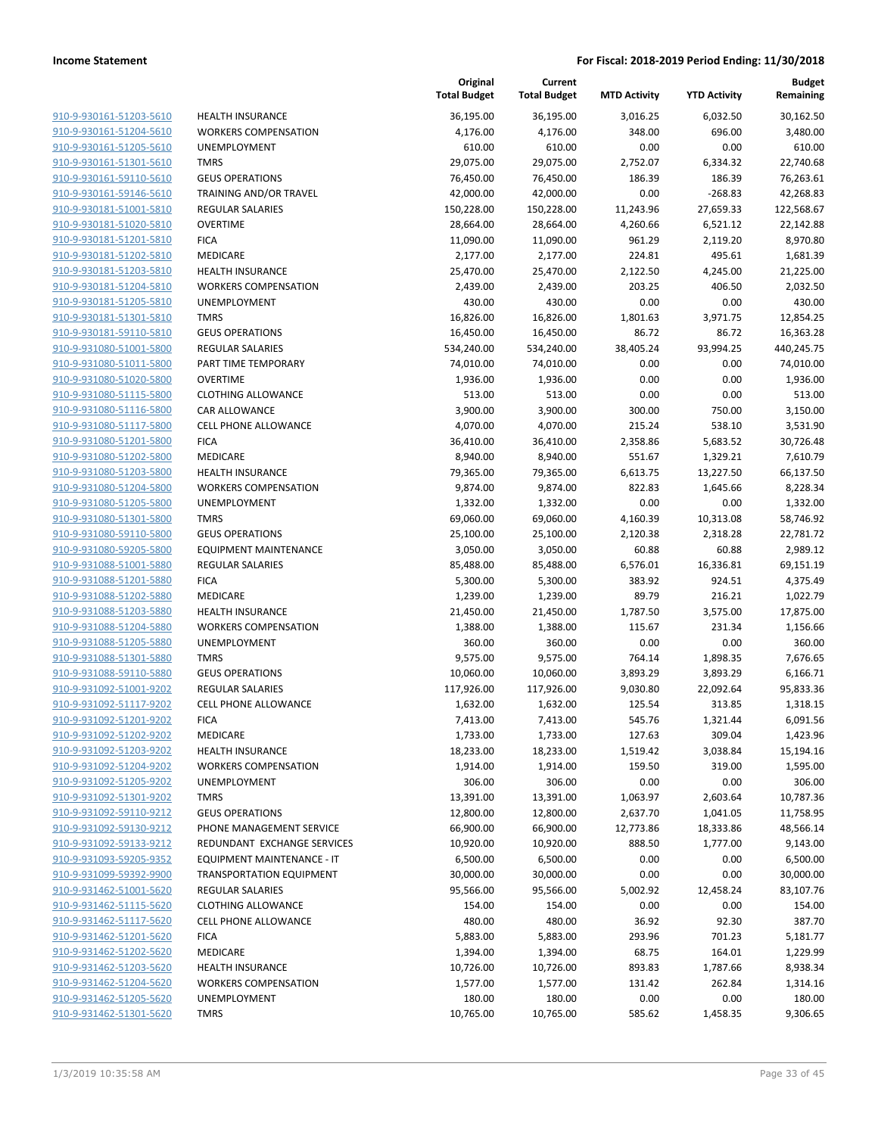**Current**

**Original**

**Budget Remaining**

| 910-9-930161-51203-5610        |
|--------------------------------|
| 910-9-930161-51204-5610        |
| 910-9-930161-51205-5610        |
| 910-9-930161-51301-5610        |
| 910-9-930161-59110-5610        |
| 910-9-930161-59146-5610        |
| 910-9-930181-51001-5810        |
| 910-9-930181-51020-5810        |
| 910-9-930181-51201-5810        |
| 910-9-930181-51202-5810        |
| 910-9-930181-51203-5810        |
| 910-9-930181-51204-5810        |
| 910-9-930181-51205-5810        |
| 910-9-930181-51301-5810        |
| 910-9-930181-59110-5810        |
| 910-9-931080-51001-5800        |
| 910-9-931080-51011-5800        |
| 910-9-931080-51020-5800        |
| 910-9-931080-51115-5800        |
| 910-9-931080-51116-5800        |
| 910-9-931080-51117-5800        |
| 910-9-931080-51201-5800        |
| 910-9-931080-51202-5800        |
| 910-9-931080-51203-5800        |
| 910-9-931080-51204-5800        |
| <u>910-9-931080-51205-5800</u> |
| 910-9-931080-51301-5800        |
| 910-9-931080-59110-5800        |
| 910-9-931080-59205-5800        |
| 910-9-931088-51001-5880        |
| 910-9-931088-51201-5880        |
| 910-9-931088-51202-5880        |
| 910-9-931088-51203-5880        |
| 910-9-931088-51204-5880        |
| 910-9-931088-51205-5880        |
| 910-9-931088-51301-5880        |
| 910-9-931088-59110-5880        |
| 910-9-931092-51001-9202        |
| 910-9-931092-51117-9202        |
| 910-9-931092-51201-9202        |
| <u>910-9-931092-51202-9202</u> |
| 910-9-931092-51203-9202        |
| 910-9-931092-51204-9202        |
| 910-9-931092-51205-9202        |
| 910-9-931092-51301-9202        |
| 910-9-931092-59110-9212        |
| 910-9-931092-59130-9212        |
| <u>910-9-931092-59133-9212</u> |
| 910-9-931093-59205-9352        |
| 910-9-931099-59392-9900        |
| <u>910-9-931462-51001-5620</u> |
| 910-9-931462-51115-5620        |
| 910-9-931462-51117-5620        |
| 910-9-931462-51201-5620        |
| 910-9-931462-51202-5620        |
| 910-9-931462-51203-5620        |
| 910-9-931462-51204-5620        |
| 910-9-931462-51205-5620        |
| 910-9-931462-51301-5620        |
|                                |

|                                                    |                                                        | <b>Total Budget</b>   | <b>Total Budget</b>   | <b>MTD Activity</b> | <b>YTD Activity</b> | Remaining             |
|----------------------------------------------------|--------------------------------------------------------|-----------------------|-----------------------|---------------------|---------------------|-----------------------|
| 910-9-930161-51203-5610                            | <b>HEALTH INSURANCE</b>                                | 36,195.00             | 36,195.00             | 3,016.25            | 6,032.50            | 30,162.50             |
| 910-9-930161-51204-5610                            | <b>WORKERS COMPENSATION</b>                            | 4,176.00              | 4,176.00              | 348.00              | 696.00              | 3,480.00              |
| 910-9-930161-51205-5610                            | UNEMPLOYMENT                                           | 610.00                | 610.00                | 0.00                | 0.00                | 610.00                |
| 910-9-930161-51301-5610                            | <b>TMRS</b>                                            | 29,075.00             | 29,075.00             | 2,752.07            | 6,334.32            | 22,740.68             |
| 910-9-930161-59110-5610                            | <b>GEUS OPERATIONS</b>                                 | 76,450.00             | 76,450.00             | 186.39              | 186.39              | 76,263.61             |
| 910-9-930161-59146-5610                            | TRAINING AND/OR TRAVEL                                 | 42,000.00             | 42,000.00             | 0.00                | $-268.83$           | 42,268.83             |
| 910-9-930181-51001-5810                            | <b>REGULAR SALARIES</b>                                | 150,228.00            | 150,228.00            | 11,243.96           | 27,659.33           | 122,568.67            |
| 910-9-930181-51020-5810                            | <b>OVERTIME</b>                                        | 28,664.00             | 28,664.00             | 4,260.66            | 6,521.12            | 22,142.88             |
| 910-9-930181-51201-5810                            | <b>FICA</b>                                            | 11,090.00             | 11,090.00             | 961.29              | 2,119.20            | 8,970.80              |
| 910-9-930181-51202-5810                            | MEDICARE                                               | 2,177.00              | 2,177.00              | 224.81              | 495.61              | 1,681.39              |
| 910-9-930181-51203-5810                            | <b>HEALTH INSURANCE</b>                                | 25,470.00             | 25,470.00             | 2,122.50            | 4,245.00            | 21,225.00             |
| 910-9-930181-51204-5810                            | <b>WORKERS COMPENSATION</b>                            | 2,439.00              | 2,439.00              | 203.25              | 406.50              | 2,032.50              |
| 910-9-930181-51205-5810                            | UNEMPLOYMENT                                           | 430.00                | 430.00                | 0.00                | 0.00                | 430.00                |
| 910-9-930181-51301-5810                            | <b>TMRS</b>                                            | 16,826.00             | 16,826.00             | 1,801.63            | 3,971.75            | 12,854.25             |
| 910-9-930181-59110-5810                            | <b>GEUS OPERATIONS</b>                                 | 16,450.00             | 16,450.00             | 86.72               | 86.72               | 16,363.28             |
| 910-9-931080-51001-5800                            | <b>REGULAR SALARIES</b>                                | 534,240.00            | 534,240.00            | 38,405.24           | 93,994.25           | 440,245.75            |
| 910-9-931080-51011-5800                            | PART TIME TEMPORARY                                    | 74,010.00             | 74,010.00             | 0.00                | 0.00                | 74,010.00             |
| 910-9-931080-51020-5800                            | <b>OVERTIME</b>                                        | 1,936.00              | 1,936.00              | 0.00                | 0.00                | 1,936.00              |
| 910-9-931080-51115-5800                            | <b>CLOTHING ALLOWANCE</b>                              | 513.00                | 513.00                | 0.00                | 0.00                | 513.00                |
| 910-9-931080-51116-5800                            | CAR ALLOWANCE                                          | 3,900.00              | 3,900.00              | 300.00              | 750.00              | 3,150.00              |
| 910-9-931080-51117-5800                            | CELL PHONE ALLOWANCE                                   | 4,070.00              | 4,070.00              | 215.24              | 538.10              | 3,531.90              |
| 910-9-931080-51201-5800                            | <b>FICA</b>                                            | 36,410.00             | 36,410.00             | 2,358.86            | 5,683.52            | 30,726.48             |
| 910-9-931080-51202-5800                            | MEDICARE                                               | 8,940.00              | 8,940.00              | 551.67              | 1,329.21            | 7,610.79              |
| 910-9-931080-51203-5800                            | <b>HEALTH INSURANCE</b>                                | 79,365.00             | 79,365.00             | 6,613.75            | 13,227.50           | 66,137.50             |
| 910-9-931080-51204-5800                            | <b>WORKERS COMPENSATION</b>                            | 9,874.00              | 9,874.00              | 822.83              | 1,645.66            | 8,228.34              |
| 910-9-931080-51205-5800                            | UNEMPLOYMENT                                           | 1,332.00              | 1,332.00              | 0.00                | 0.00                | 1,332.00              |
| 910-9-931080-51301-5800                            | <b>TMRS</b>                                            | 69,060.00             | 69,060.00             | 4,160.39            | 10,313.08           | 58,746.92             |
| 910-9-931080-59110-5800<br>910-9-931080-59205-5800 | <b>GEUS OPERATIONS</b><br><b>EQUIPMENT MAINTENANCE</b> | 25,100.00<br>3,050.00 | 25,100.00<br>3,050.00 | 2,120.38<br>60.88   | 2,318.28<br>60.88   | 22,781.72<br>2,989.12 |
| 910-9-931088-51001-5880                            | <b>REGULAR SALARIES</b>                                | 85,488.00             | 85,488.00             | 6,576.01            | 16,336.81           | 69,151.19             |
| 910-9-931088-51201-5880                            | <b>FICA</b>                                            | 5,300.00              | 5,300.00              | 383.92              | 924.51              | 4,375.49              |
| 910-9-931088-51202-5880                            | MEDICARE                                               | 1,239.00              | 1,239.00              | 89.79               | 216.21              | 1,022.79              |
| 910-9-931088-51203-5880                            | HEALTH INSURANCE                                       | 21,450.00             | 21,450.00             | 1,787.50            | 3,575.00            | 17,875.00             |
| 910-9-931088-51204-5880                            | <b>WORKERS COMPENSATION</b>                            | 1,388.00              | 1,388.00              | 115.67              | 231.34              | 1,156.66              |
| 910-9-931088-51205-5880                            | UNEMPLOYMENT                                           | 360.00                | 360.00                | 0.00                | 0.00                | 360.00                |
| 910-9-931088-51301-5880                            | <b>TMRS</b>                                            | 9,575.00              | 9,575.00              | 764.14              | 1,898.35            | 7,676.65              |
| 910-9-931088-59110-5880                            | <b>GEUS OPERATIONS</b>                                 | 10,060.00             | 10,060.00             | 3,893.29            | 3,893.29            | 6,166.71              |
| 910-9-931092-51001-9202                            | <b>REGULAR SALARIES</b>                                | 117,926.00            | 117,926.00            | 9,030.80            | 22,092.64           | 95,833.36             |
| 910-9-931092-51117-9202                            | <b>CELL PHONE ALLOWANCE</b>                            | 1,632.00              | 1,632.00              | 125.54              | 313.85              | 1,318.15              |
| 910-9-931092-51201-9202                            | <b>FICA</b>                                            | 7,413.00              | 7,413.00              | 545.76              | 1,321.44            | 6,091.56              |
| <u>910-9-931092-51202-9202</u>                     | MEDICARE                                               | 1,733.00              | 1,733.00              | 127.63              | 309.04              | 1,423.96              |
| 910-9-931092-51203-9202                            | <b>HEALTH INSURANCE</b>                                | 18,233.00             | 18,233.00             | 1,519.42            | 3,038.84            | 15,194.16             |
| 910-9-931092-51204-9202                            | <b>WORKERS COMPENSATION</b>                            | 1,914.00              | 1,914.00              | 159.50              | 319.00              | 1,595.00              |
| 910-9-931092-51205-9202                            | UNEMPLOYMENT                                           | 306.00                | 306.00                | 0.00                | 0.00                | 306.00                |
| 910-9-931092-51301-9202                            | <b>TMRS</b>                                            | 13,391.00             | 13,391.00             | 1,063.97            | 2,603.64            | 10,787.36             |
| 910-9-931092-59110-9212                            | <b>GEUS OPERATIONS</b>                                 | 12,800.00             | 12,800.00             | 2,637.70            | 1,041.05            | 11,758.95             |
| 910-9-931092-59130-9212                            | PHONE MANAGEMENT SERVICE                               | 66,900.00             | 66,900.00             | 12,773.86           | 18,333.86           | 48,566.14             |
| 910-9-931092-59133-9212                            | REDUNDANT EXCHANGE SERVICES                            | 10,920.00             | 10,920.00             | 888.50              | 1,777.00            | 9,143.00              |
| 910-9-931093-59205-9352                            | EQUIPMENT MAINTENANCE - IT                             | 6,500.00              | 6,500.00              | 0.00                | 0.00                | 6,500.00              |
| 910-9-931099-59392-9900                            | <b>TRANSPORTATION EQUIPMENT</b>                        | 30,000.00             | 30,000.00             | 0.00                | 0.00                | 30,000.00             |
| 910-9-931462-51001-5620                            | <b>REGULAR SALARIES</b>                                | 95,566.00             | 95,566.00             | 5,002.92            | 12,458.24           | 83,107.76             |
| 910-9-931462-51115-5620                            | <b>CLOTHING ALLOWANCE</b>                              | 154.00                | 154.00                | 0.00                | 0.00                | 154.00                |
| 910-9-931462-51117-5620                            | <b>CELL PHONE ALLOWANCE</b>                            | 480.00                | 480.00                | 36.92               | 92.30               | 387.70                |
| 910-9-931462-51201-5620                            | <b>FICA</b>                                            | 5,883.00              | 5,883.00              | 293.96              | 701.23              | 5,181.77              |
| 910-9-931462-51202-5620                            | MEDICARE                                               | 1,394.00              | 1,394.00              | 68.75               | 164.01              | 1,229.99              |
| 910-9-931462-51203-5620                            | <b>HEALTH INSURANCE</b>                                | 10,726.00             | 10,726.00             | 893.83              | 1,787.66            | 8,938.34              |
| 910-9-931462-51204-5620                            | <b>WORKERS COMPENSATION</b>                            | 1,577.00              | 1,577.00              | 131.42              | 262.84              | 1,314.16              |
| 910-9-931462-51205-5620                            | UNEMPLOYMENT                                           | 180.00                | 180.00                | 0.00                | 0.00                | 180.00                |
| 910-9-931462-51301-5620                            | <b>TMRS</b>                                            | 10,765.00             | 10,765.00             | 585.62              | 1,458.35            | 9,306.65              |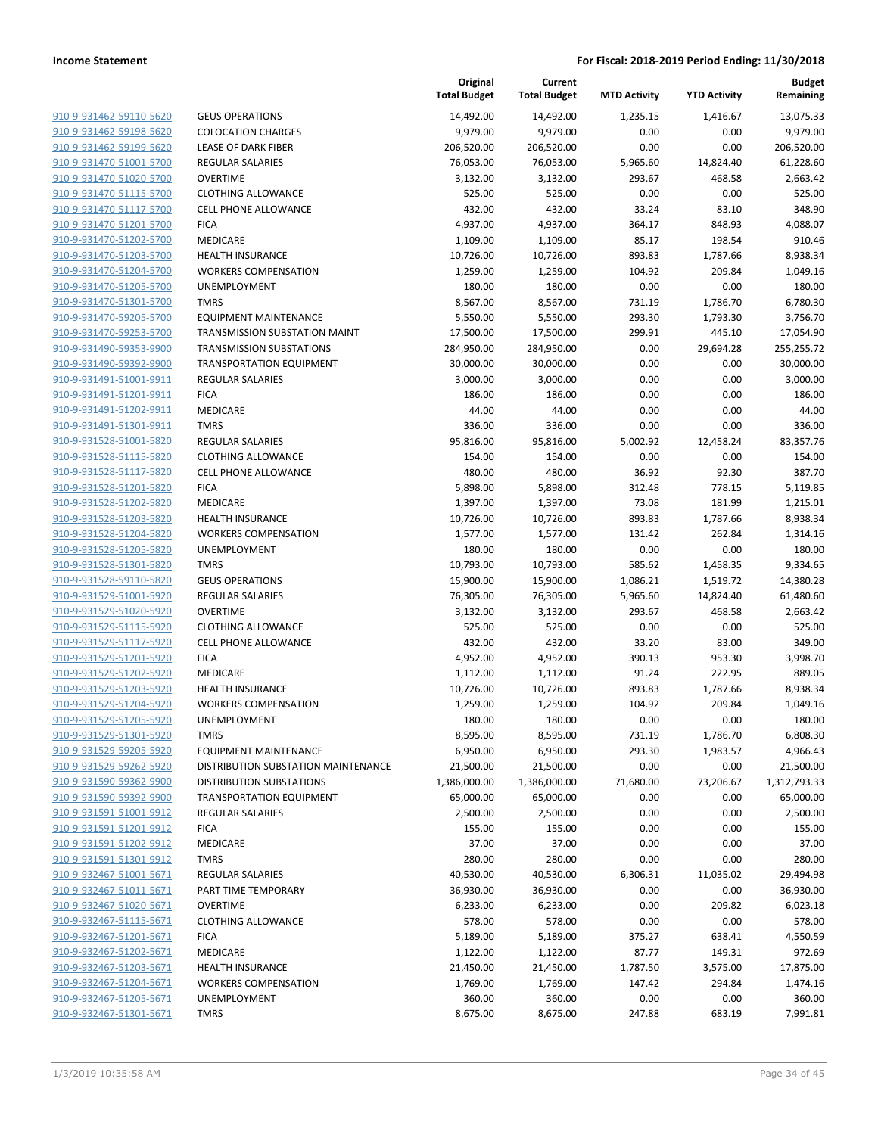|                                                    |                                                          | Original<br><b>Total Budget</b> | Current<br><b>Total Budget</b> | <b>MTD Activity</b> | <b>YTD Activity</b> | Budget<br>Remaining |
|----------------------------------------------------|----------------------------------------------------------|---------------------------------|--------------------------------|---------------------|---------------------|---------------------|
| 910-9-931462-59110-5620                            | <b>GEUS OPERATIONS</b>                                   | 14,492.00                       | 14,492.00                      | 1,235.15            | 1,416.67            | 13,075.33           |
| 910-9-931462-59198-5620                            | <b>COLOCATION CHARGES</b>                                | 9,979.00                        | 9,979.00                       | 0.00                | 0.00                | 9,979.00            |
| 910-9-931462-59199-5620                            | LEASE OF DARK FIBER                                      | 206,520.00                      | 206,520.00                     | 0.00                | 0.00                | 206,520.00          |
| 910-9-931470-51001-5700                            | <b>REGULAR SALARIES</b>                                  | 76,053.00                       | 76,053.00                      | 5,965.60            | 14,824.40           | 61,228.60           |
| 910-9-931470-51020-5700                            | <b>OVERTIME</b>                                          | 3,132.00                        | 3,132.00                       | 293.67              | 468.58              | 2,663.42            |
| 910-9-931470-51115-5700                            | <b>CLOTHING ALLOWANCE</b>                                | 525.00                          | 525.00                         | 0.00                | 0.00                | 525.00              |
| 910-9-931470-51117-5700                            | <b>CELL PHONE ALLOWANCE</b>                              | 432.00                          | 432.00                         | 33.24               | 83.10               | 348.90              |
| 910-9-931470-51201-5700                            | <b>FICA</b>                                              | 4,937.00                        | 4,937.00                       | 364.17              | 848.93              | 4,088.07            |
| 910-9-931470-51202-5700                            | MEDICARE                                                 | 1,109.00                        | 1,109.00                       | 85.17               | 198.54              | 910.46              |
| 910-9-931470-51203-5700                            | <b>HEALTH INSURANCE</b>                                  | 10,726.00                       | 10,726.00                      | 893.83              | 1,787.66            | 8,938.34            |
| 910-9-931470-51204-5700                            | <b>WORKERS COMPENSATION</b>                              | 1,259.00                        | 1,259.00                       | 104.92              | 209.84              | 1,049.16            |
| 910-9-931470-51205-5700                            | UNEMPLOYMENT                                             | 180.00                          | 180.00                         | 0.00                | 0.00                | 180.00              |
| 910-9-931470-51301-5700                            | <b>TMRS</b>                                              | 8,567.00                        | 8,567.00                       | 731.19              | 1,786.70            | 6,780.30            |
| 910-9-931470-59205-5700                            | <b>EQUIPMENT MAINTENANCE</b>                             | 5,550.00                        | 5,550.00                       | 293.30              | 1,793.30            | 3,756.70            |
| 910-9-931470-59253-5700                            | TRANSMISSION SUBSTATION MAINT                            | 17,500.00                       | 17,500.00                      | 299.91              | 445.10              | 17,054.90           |
| 910-9-931490-59353-9900                            | <b>TRANSMISSION SUBSTATIONS</b>                          | 284,950.00                      | 284,950.00                     | 0.00                | 29,694.28           | 255,255.72          |
| 910-9-931490-59392-9900                            | <b>TRANSPORTATION EQUIPMENT</b>                          | 30,000.00                       | 30,000.00                      | 0.00                | 0.00                | 30,000.00           |
| 910-9-931491-51001-9911                            | <b>REGULAR SALARIES</b>                                  | 3,000.00                        | 3,000.00                       | 0.00                | 0.00                | 3,000.00            |
| 910-9-931491-51201-9911                            | <b>FICA</b>                                              | 186.00                          | 186.00                         | 0.00                | 0.00                | 186.00              |
| 910-9-931491-51202-9911                            | MEDICARE                                                 | 44.00                           | 44.00                          | 0.00                | 0.00                | 44.00               |
| 910-9-931491-51301-9911                            | <b>TMRS</b>                                              | 336.00                          | 336.00                         | 0.00                | 0.00                | 336.00              |
| 910-9-931528-51001-5820                            | <b>REGULAR SALARIES</b>                                  | 95,816.00                       | 95,816.00                      | 5,002.92            | 12,458.24           | 83,357.76           |
| 910-9-931528-51115-5820                            | <b>CLOTHING ALLOWANCE</b>                                | 154.00                          | 154.00                         | 0.00                | 0.00                | 154.00              |
| 910-9-931528-51117-5820                            | <b>CELL PHONE ALLOWANCE</b>                              | 480.00                          | 480.00                         | 36.92               | 92.30               | 387.70              |
| 910-9-931528-51201-5820                            | <b>FICA</b>                                              | 5,898.00                        | 5,898.00                       | 312.48              | 778.15              | 5,119.85            |
| 910-9-931528-51202-5820                            | MEDICARE                                                 | 1,397.00                        | 1,397.00                       | 73.08               | 181.99              | 1,215.01            |
| 910-9-931528-51203-5820                            | <b>HEALTH INSURANCE</b>                                  | 10,726.00                       | 10,726.00                      | 893.83              | 1,787.66            | 8,938.34            |
| 910-9-931528-51204-5820                            | <b>WORKERS COMPENSATION</b>                              | 1,577.00                        | 1,577.00                       | 131.42              | 262.84              | 1,314.16            |
| 910-9-931528-51205-5820                            | UNEMPLOYMENT                                             | 180.00                          | 180.00                         | 0.00                | 0.00                | 180.00              |
| 910-9-931528-51301-5820                            | <b>TMRS</b>                                              | 10,793.00                       | 10,793.00                      | 585.62              | 1,458.35            | 9,334.65            |
| 910-9-931528-59110-5820                            | <b>GEUS OPERATIONS</b>                                   | 15,900.00                       | 15,900.00                      | 1,086.21            | 1,519.72            | 14,380.28           |
| 910-9-931529-51001-5920                            | <b>REGULAR SALARIES</b>                                  | 76,305.00                       | 76,305.00                      | 5,965.60            | 14,824.40           | 61,480.60           |
| 910-9-931529-51020-5920<br>910-9-931529-51115-5920 | <b>OVERTIME</b>                                          | 3,132.00                        | 3,132.00                       | 293.67              | 468.58              | 2,663.42<br>525.00  |
| 910-9-931529-51117-5920                            | <b>CLOTHING ALLOWANCE</b><br><b>CELL PHONE ALLOWANCE</b> | 525.00<br>432.00                | 525.00<br>432.00               | 0.00<br>33.20       | 0.00<br>83.00       | 349.00              |
| 910-9-931529-51201-5920                            | <b>FICA</b>                                              | 4,952.00                        | 4,952.00                       | 390.13              | 953.30              | 3,998.70            |
| 910-9-931529-51202-5920                            | MEDICARE                                                 | 1,112.00                        | 1,112.00                       | 91.24               | 222.95              | 889.05              |
| 910-9-931529-51203-5920                            | <b>HEALTH INSURANCE</b>                                  | 10,726.00                       | 10,726.00                      | 893.83              | 1,787.66            | 8,938.34            |
| 910-9-931529-51204-5920                            | <b>WORKERS COMPENSATION</b>                              | 1,259.00                        | 1,259.00                       | 104.92              | 209.84              | 1,049.16            |
| 910-9-931529-51205-5920                            | UNEMPLOYMENT                                             | 180.00                          | 180.00                         | 0.00                | 0.00                | 180.00              |
| 910-9-931529-51301-5920                            | <b>TMRS</b>                                              | 8,595.00                        | 8,595.00                       | 731.19              | 1,786.70            | 6,808.30            |
| 910-9-931529-59205-5920                            | <b>EQUIPMENT MAINTENANCE</b>                             | 6,950.00                        | 6,950.00                       | 293.30              | 1,983.57            | 4,966.43            |
| 910-9-931529-59262-5920                            | DISTRIBUTION SUBSTATION MAINTENANCE                      | 21,500.00                       | 21,500.00                      | 0.00                | 0.00                | 21,500.00           |
| 910-9-931590-59362-9900                            | <b>DISTRIBUTION SUBSTATIONS</b>                          | 1,386,000.00                    | 1,386,000.00                   | 71,680.00           | 73,206.67           | 1,312,793.33        |
| 910-9-931590-59392-9900                            | <b>TRANSPORTATION EQUIPMENT</b>                          | 65,000.00                       | 65,000.00                      | 0.00                | 0.00                | 65,000.00           |
| 910-9-931591-51001-9912                            | REGULAR SALARIES                                         | 2,500.00                        | 2,500.00                       | 0.00                | 0.00                | 2,500.00            |
| 910-9-931591-51201-9912                            | <b>FICA</b>                                              | 155.00                          | 155.00                         | 0.00                | 0.00                | 155.00              |
| 910-9-931591-51202-9912                            | MEDICARE                                                 | 37.00                           | 37.00                          | 0.00                | 0.00                | 37.00               |
| 910-9-931591-51301-9912                            | <b>TMRS</b>                                              | 280.00                          | 280.00                         | 0.00                | 0.00                | 280.00              |
| 910-9-932467-51001-5671                            | REGULAR SALARIES                                         | 40,530.00                       | 40,530.00                      | 6,306.31            | 11,035.02           | 29,494.98           |
| 910-9-932467-51011-5671                            | PART TIME TEMPORARY                                      | 36,930.00                       | 36,930.00                      | 0.00                | 0.00                | 36,930.00           |
| 910-9-932467-51020-5671                            | <b>OVERTIME</b>                                          | 6,233.00                        | 6,233.00                       | 0.00                | 209.82              | 6,023.18            |
| 910-9-932467-51115-5671                            | <b>CLOTHING ALLOWANCE</b>                                | 578.00                          | 578.00                         | 0.00                | 0.00                | 578.00              |
| 910-9-932467-51201-5671                            | <b>FICA</b>                                              | 5,189.00                        | 5,189.00                       | 375.27              | 638.41              | 4,550.59            |
| 910-9-932467-51202-5671                            | MEDICARE                                                 | 1,122.00                        | 1,122.00                       | 87.77               | 149.31              | 972.69              |
| 910-9-932467-51203-5671                            | <b>HEALTH INSURANCE</b>                                  | 21,450.00                       | 21,450.00                      | 1,787.50            | 3,575.00            | 17,875.00           |
| 910-9-932467-51204-5671                            | <b>WORKERS COMPENSATION</b>                              | 1,769.00                        | 1,769.00                       | 147.42              | 294.84              | 1,474.16            |
| 910-9-932467-51205-5671                            | UNEMPLOYMENT                                             | 360.00                          | 360.00                         | 0.00                | 0.00                | 360.00              |
| 910-9-932467-51301-5671                            | <b>TMRS</b>                                              | 8,675.00                        | 8,675.00                       | 247.88              | 683.19              | 7,991.81            |
|                                                    |                                                          |                                 |                                |                     |                     |                     |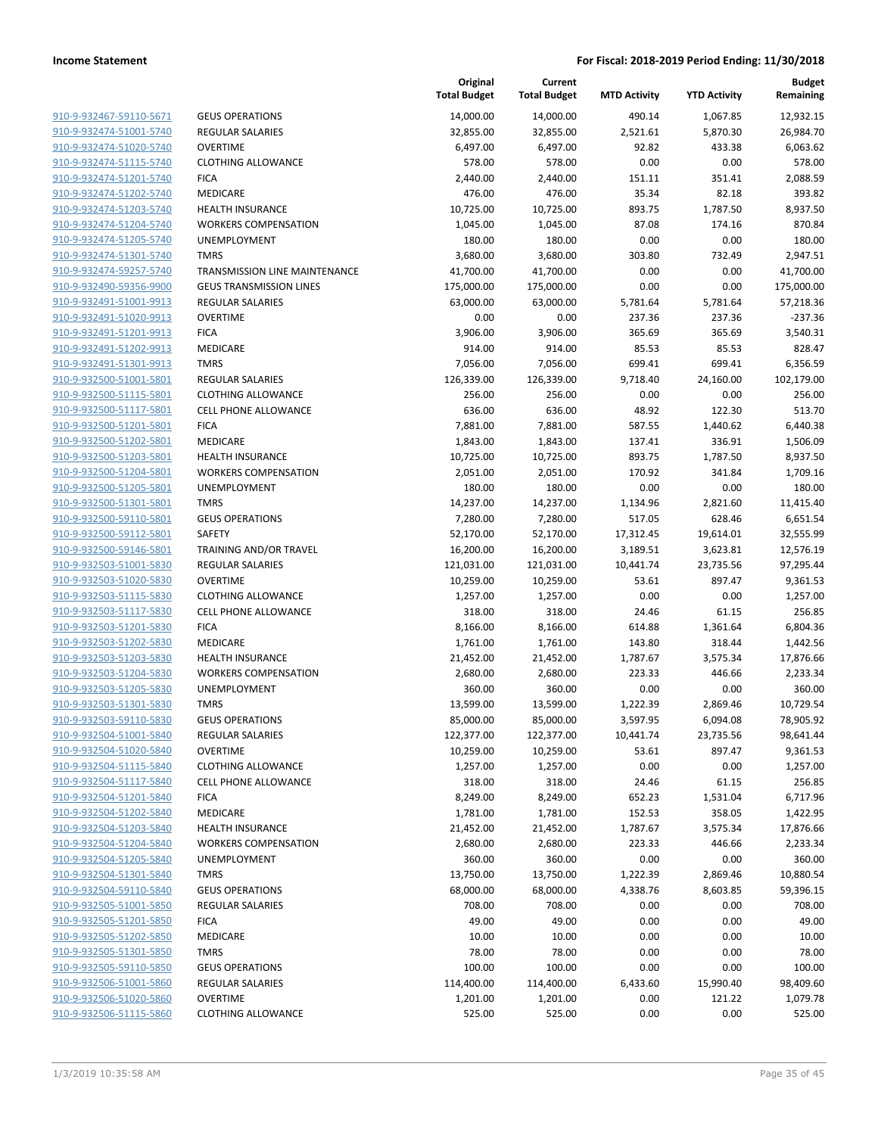| 910-9-932467-59110-5671                            | GEU                |
|----------------------------------------------------|--------------------|
| 910-9-932474-51001-5740                            | <b>REG</b>         |
| 910-9-932474-51020-5740                            | OVE                |
| 910-9-932474-51115-5740                            | CLO <sup>-</sup>   |
| 910-9-932474-51201-5740                            | <b>FICA</b>        |
| 910-9-932474-51202-5740                            | <b>MED</b>         |
| 910-9-932474-51203-5740                            | HEA                |
| 910-9-932474-51204-5740                            | WOR                |
| <u>910-9-932474-51205-5740</u>                     | <b>UNE</b>         |
| 910-9-932474-51301-5740                            | TMR                |
| 910-9-932474-59257-5740                            | TRAI               |
| 910-9-932490-59356-9900                            | GEU                |
| 910-9-932491-51001-9913                            | <b>REG</b>         |
| 910-9-932491-51020-9913                            | OVE                |
| 910-9-932491-51201-9913                            | <b>FICA</b>        |
| 910-9-932491-51202-9913                            | MED                |
| 910-9-932491-51301-9913                            | TMR                |
| 910-9-932500-51001-5801                            | <b>REG</b>         |
| 910-9-932500-51115-5801                            | CLO <sup>-</sup>   |
| <u>910-9-932500-51117-5801</u>                     | CELL               |
| 910-9-932500-51201-5801                            | <b>FICA</b>        |
| 910-9-932500-51202-5801                            | MED                |
| 910-9-932500-51203-5801                            | HEA                |
| <u>910-9-932500-51204-5801</u>                     | WOI                |
| 910-9-932500-51205-5801                            | UNE                |
| 910-9-932500-51301-5801                            | TMR                |
| 910-9-932500-59110-5801                            | GEU                |
| 910-9-932500-59112-5801                            | SAFE               |
| 910-9-932500-59146-5801                            | TRAI<br><b>REG</b> |
| 910-9-932503-51001-5830<br>910-9-932503-51020-5830 | <b>OVE</b>         |
| 910-9-932503-51115-5830                            | CLO <sup>-</sup>   |
| 910-9-932503-51117-5830                            | CELL               |
| <u>910-9-932503-51201-5830</u>                     | <b>FICA</b>        |
| 910-9-932503-51202-5830                            | MED                |
| 910-9-932503-51203-5830                            | <b>HEA</b>         |
| 910-9-932503-51204-5830                            | WOI                |
| 910-9-932503-51205-5830                            | <b>UNE</b>         |
| <u>910-9-932503-51301-5830</u>                     | <b>TMR</b>         |
| 910-9-932503-59110-5830                            | GEU                |
| 910-9-932504-51001-5840                            | <b>REG</b>         |
| 910-9-932504-51020-5840                            | OVE                |
| 910-9-932504-51115-5840                            | CLO <sup>-</sup>   |
| 910-9-932504-51117-5840                            | CELL               |
| 910-9-932504-51201-5840                            | FICA               |
| 910-9-932504-51202-5840                            | MED                |
| 910-9-932504-51203-5840                            | HEA                |
| 910-9-932504-51204-5840                            | wor                |
| 910-9-932504-51205-5840                            | UNE                |
| 910-9-932504-51301-5840                            | <b>TMR</b>         |
| 910-9-932504-59110-5840                            | GEU                |
| 910-9-932505-51001-5850                            | <b>REG</b>         |
| 910-9-932505-51201-5850                            | <b>FICA</b>        |
| 910-9-932505-51202-5850                            | MED                |
| 910-9-932505-51301-5850                            | TMR                |
| 910-9-932505-59110-5850                            | GEU                |
| 910-9-932506-51001-5860                            | REG                |
| 910-9-932506-51020-5860                            | OVE                |
| 910-9-932506-51115-5860                            | CLO <sup>-</sup>   |
|                                                    |                    |

|                         |                                      | Original<br><b>Total Budget</b> | Current<br><b>Total Budget</b> | <b>MTD Activity</b> | <b>YTD Activity</b> | <b>Budget</b><br>Remaining |
|-------------------------|--------------------------------------|---------------------------------|--------------------------------|---------------------|---------------------|----------------------------|
| 910-9-932467-59110-5671 | <b>GEUS OPERATIONS</b>               | 14,000.00                       | 14,000.00                      | 490.14              | 1,067.85            | 12,932.15                  |
| 910-9-932474-51001-5740 | <b>REGULAR SALARIES</b>              | 32,855.00                       | 32,855.00                      | 2,521.61            | 5,870.30            | 26,984.70                  |
| 910-9-932474-51020-5740 | <b>OVERTIME</b>                      | 6,497.00                        | 6,497.00                       | 92.82               | 433.38              | 6,063.62                   |
| 910-9-932474-51115-5740 | <b>CLOTHING ALLOWANCE</b>            | 578.00                          | 578.00                         | 0.00                | 0.00                | 578.00                     |
| 910-9-932474-51201-5740 | <b>FICA</b>                          | 2,440.00                        | 2,440.00                       | 151.11              | 351.41              | 2,088.59                   |
| 910-9-932474-51202-5740 | <b>MEDICARE</b>                      | 476.00                          | 476.00                         | 35.34               | 82.18               | 393.82                     |
| 910-9-932474-51203-5740 | <b>HEALTH INSURANCE</b>              | 10,725.00                       | 10,725.00                      | 893.75              | 1,787.50            | 8,937.50                   |
| 910-9-932474-51204-5740 | <b>WORKERS COMPENSATION</b>          | 1,045.00                        | 1,045.00                       | 87.08               | 174.16              | 870.84                     |
| 910-9-932474-51205-5740 | <b>UNEMPLOYMENT</b>                  | 180.00                          | 180.00                         | 0.00                | 0.00                | 180.00                     |
| 910-9-932474-51301-5740 | <b>TMRS</b>                          | 3,680.00                        | 3,680.00                       | 303.80              | 732.49              | 2,947.51                   |
| 910-9-932474-59257-5740 | <b>TRANSMISSION LINE MAINTENANCE</b> | 41,700.00                       | 41,700.00                      | 0.00                | 0.00                | 41,700.00                  |
| 910-9-932490-59356-9900 | <b>GEUS TRANSMISSION LINES</b>       | 175,000.00                      | 175,000.00                     | 0.00                | 0.00                | 175,000.00                 |
| 910-9-932491-51001-9913 | REGULAR SALARIES                     | 63,000.00                       | 63,000.00                      | 5,781.64            | 5,781.64            | 57,218.36                  |
| 910-9-932491-51020-9913 | <b>OVERTIME</b>                      | 0.00                            | 0.00                           | 237.36              | 237.36              | $-237.36$                  |
| 910-9-932491-51201-9913 | <b>FICA</b>                          | 3,906.00                        | 3,906.00                       | 365.69              | 365.69              | 3,540.31                   |
| 910-9-932491-51202-9913 | <b>MEDICARE</b>                      | 914.00                          | 914.00                         | 85.53               | 85.53               | 828.47                     |
| 910-9-932491-51301-9913 | <b>TMRS</b>                          | 7,056.00                        | 7,056.00                       | 699.41              | 699.41              | 6,356.59                   |
| 910-9-932500-51001-5801 | <b>REGULAR SALARIES</b>              | 126,339.00                      | 126,339.00                     | 9,718.40            | 24,160.00           | 102,179.00                 |
| 910-9-932500-51115-5801 | <b>CLOTHING ALLOWANCE</b>            | 256.00                          | 256.00                         | 0.00                | 0.00                | 256.00                     |
| 910-9-932500-51117-5801 | <b>CELL PHONE ALLOWANCE</b>          | 636.00                          | 636.00                         | 48.92               | 122.30              | 513.70                     |
| 910-9-932500-51201-5801 | <b>FICA</b>                          | 7,881.00                        | 7,881.00                       | 587.55              | 1,440.62            | 6,440.38                   |
| 910-9-932500-51202-5801 | MEDICARE                             | 1,843.00                        | 1,843.00                       | 137.41              | 336.91              | 1,506.09                   |
| 910-9-932500-51203-5801 | <b>HEALTH INSURANCE</b>              | 10,725.00                       | 10,725.00                      | 893.75              | 1,787.50            | 8,937.50                   |
| 910-9-932500-51204-5801 | <b>WORKERS COMPENSATION</b>          | 2,051.00                        | 2,051.00                       | 170.92              | 341.84              | 1,709.16                   |
| 910-9-932500-51205-5801 | <b>UNEMPLOYMENT</b>                  | 180.00                          | 180.00                         | 0.00                | 0.00                | 180.00                     |
| 910-9-932500-51301-5801 | <b>TMRS</b>                          | 14,237.00                       | 14,237.00                      | 1,134.96            | 2,821.60            | 11,415.40                  |
| 910-9-932500-59110-5801 | <b>GEUS OPERATIONS</b>               | 7,280.00                        | 7,280.00                       | 517.05              | 628.46              | 6,651.54                   |
| 910-9-932500-59112-5801 | SAFETY                               | 52,170.00                       | 52,170.00                      | 17,312.45           | 19,614.01           | 32,555.99                  |
| 910-9-932500-59146-5801 | TRAINING AND/OR TRAVEL               | 16,200.00                       | 16,200.00                      | 3,189.51            | 3,623.81            | 12,576.19                  |
| 910-9-932503-51001-5830 | REGULAR SALARIES                     | 121,031.00                      | 121,031.00                     | 10,441.74           | 23,735.56           | 97,295.44                  |
| 910-9-932503-51020-5830 | <b>OVERTIME</b>                      | 10,259.00                       | 10,259.00                      | 53.61               | 897.47              | 9,361.53                   |
| 910-9-932503-51115-5830 | <b>CLOTHING ALLOWANCE</b>            | 1,257.00                        | 1,257.00                       | 0.00                | 0.00                | 1,257.00                   |
| 910-9-932503-51117-5830 | CELL PHONE ALLOWANCE                 | 318.00                          | 318.00                         | 24.46               | 61.15               | 256.85                     |
| 910-9-932503-51201-5830 | <b>FICA</b>                          | 8,166.00                        | 8,166.00                       | 614.88              | 1,361.64            | 6,804.36                   |
| 910-9-932503-51202-5830 | MEDICARE                             | 1,761.00                        | 1,761.00                       | 143.80              | 318.44              | 1,442.56                   |
| 910-9-932503-51203-5830 | <b>HEALTH INSURANCE</b>              | 21,452.00                       | 21,452.00                      | 1,787.67            | 3,575.34            | 17,876.66                  |
| 910-9-932503-51204-5830 | <b>WORKERS COMPENSATION</b>          | 2,680.00                        | 2,680.00                       | 223.33              | 446.66              | 2,233.34                   |
| 910-9-932503-51205-5830 | UNEMPLOYMENT                         | 360.00                          | 360.00                         | 0.00                | 0.00                | 360.00                     |
| 910-9-932503-51301-5830 | <b>TMRS</b>                          | 13,599.00                       | 13,599.00                      | 1,222.39            | 2,869.46            | 10,729.54                  |
| 910-9-932503-59110-5830 | <b>GEUS OPERATIONS</b>               | 85,000.00                       | 85,000.00                      | 3,597.95            | 6,094.08            | 78,905.92                  |
| 910-9-932504-51001-5840 | <b>REGULAR SALARIES</b>              | 122,377.00                      | 122,377.00                     | 10,441.74           | 23,735.56           | 98,641.44                  |
| 910-9-932504-51020-5840 | <b>OVERTIME</b>                      | 10,259.00                       | 10,259.00                      | 53.61               | 897.47              | 9,361.53                   |
| 910-9-932504-51115-5840 | <b>CLOTHING ALLOWANCE</b>            | 1,257.00                        | 1,257.00                       | 0.00                | 0.00                | 1,257.00                   |
| 910-9-932504-51117-5840 | <b>CELL PHONE ALLOWANCE</b>          | 318.00                          | 318.00                         | 24.46               | 61.15               | 256.85                     |
| 910-9-932504-51201-5840 | <b>FICA</b>                          | 8,249.00                        | 8,249.00                       | 652.23              | 1,531.04            | 6,717.96                   |
| 910-9-932504-51202-5840 | MEDICARE                             | 1,781.00                        | 1,781.00                       | 152.53              | 358.05              | 1,422.95                   |
| 910-9-932504-51203-5840 | <b>HEALTH INSURANCE</b>              | 21,452.00                       | 21,452.00                      | 1,787.67            | 3,575.34            | 17,876.66                  |
| 910-9-932504-51204-5840 | <b>WORKERS COMPENSATION</b>          | 2,680.00                        | 2,680.00                       | 223.33              | 446.66              | 2,233.34                   |
| 910-9-932504-51205-5840 | UNEMPLOYMENT                         | 360.00                          | 360.00                         | 0.00                | 0.00                | 360.00                     |
| 910-9-932504-51301-5840 | <b>TMRS</b>                          | 13,750.00                       | 13,750.00                      | 1,222.39            | 2,869.46            | 10,880.54                  |
| 910-9-932504-59110-5840 | <b>GEUS OPERATIONS</b>               | 68,000.00                       | 68,000.00                      | 4,338.76            | 8,603.85            | 59,396.15                  |
| 910-9-932505-51001-5850 | REGULAR SALARIES                     | 708.00                          | 708.00                         | 0.00                | 0.00                | 708.00                     |
| 910-9-932505-51201-5850 | <b>FICA</b>                          | 49.00                           | 49.00                          | 0.00                | 0.00                | 49.00                      |
| 910-9-932505-51202-5850 | MEDICARE                             | 10.00                           | 10.00                          | 0.00                | 0.00                | 10.00                      |
| 910-9-932505-51301-5850 | <b>TMRS</b>                          | 78.00                           | 78.00                          | 0.00                | 0.00                | 78.00                      |
| 910-9-932505-59110-5850 | <b>GEUS OPERATIONS</b>               | 100.00                          | 100.00                         | 0.00                | 0.00                | 100.00                     |
| 910-9-932506-51001-5860 | REGULAR SALARIES                     | 114,400.00                      | 114,400.00                     | 6,433.60            | 15,990.40           | 98,409.60                  |
| 910-9-932506-51020-5860 | <b>OVERTIME</b>                      | 1,201.00                        | 1,201.00                       | 0.00                | 121.22              | 1,079.78                   |
| 910-9-932506-51115-5860 | <b>CLOTHING ALLOWANCE</b>            | 525.00                          | 525.00                         | 0.00                | 0.00                | 525.00                     |
|                         |                                      |                                 |                                |                     |                     |                            |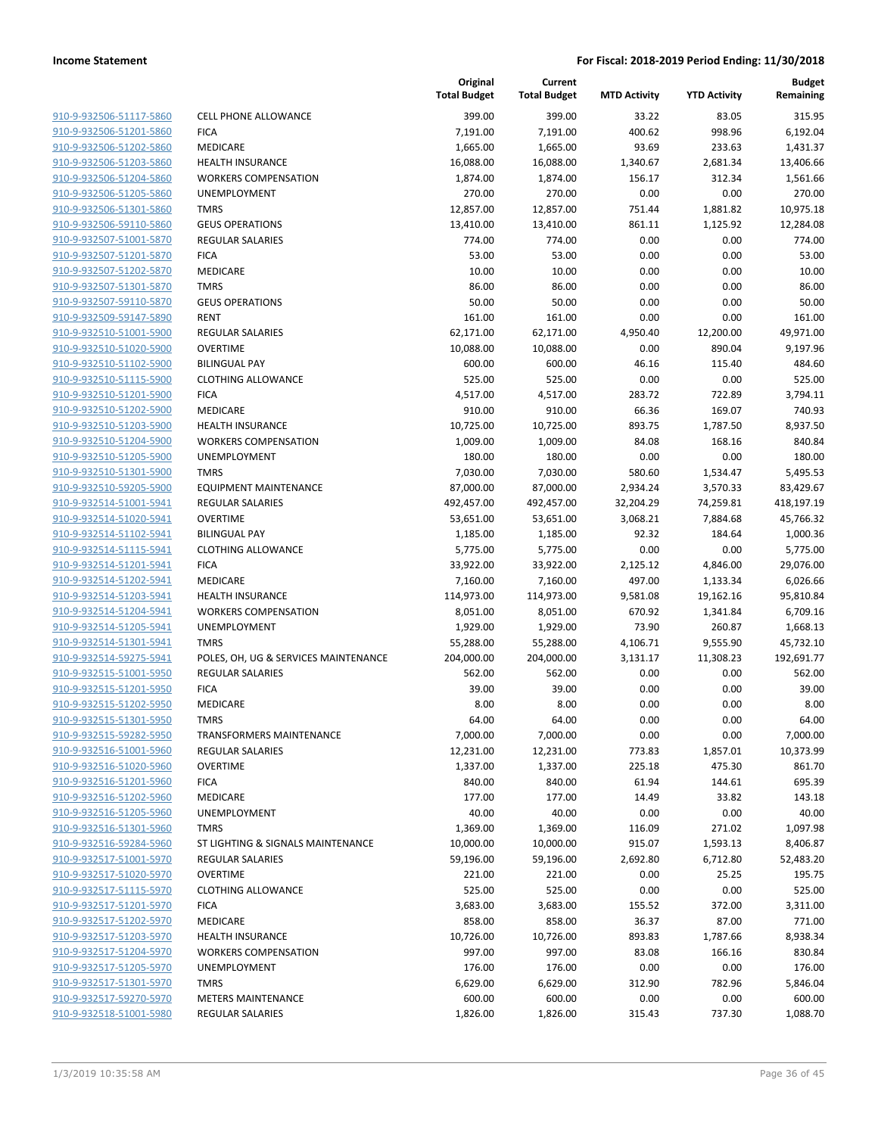| <u>910-9-932506-51117-5860</u> |
|--------------------------------|
| 910-9-932506-51201-5860        |
| 910-9-932506-51202-5860        |
| 910-9-932506-51203-5860        |
| 910-9-932506-51204-5860        |
| <u>910-9-932506-51205-5860</u> |
| 910-9-932506-51301-5860        |
| 910-9-932506-59110-5860        |
| 910-9-932507-51001-5870        |
| 910-9-932507-51201-5870        |
| <u>910-9-932507-51202-5870</u> |
| 910-9-932507-51301-5870        |
| 910-9-932507-59110-5870        |
|                                |
| 910-9-932509-59147-5890        |
| 910-9-932510-51001-5900        |
| <u>910-9-932510-51020-5900</u> |
| 910-9-932510-51102-5900        |
| 910-9-932510-51115-5900        |
| 910-9-932510-51201-5900        |
| 910-9-932510-51202-5900        |
| <u>910-9-932510-51203-5900</u> |
| 910-9-932510-51204-5900        |
| 910-9-932510-51205-5900        |
| 910-9-932510-51301-5900        |
| 910-9-932510-59205-5900        |
| 910-9-932514-51001-5941        |
| 910-9-932514-51020-5941        |
| 910-9-932514-51102-5941        |
| 910-9-932514-51115-5941        |
| 910-9-932514-51201-5941        |
| <u>910-9-932514-51202-5941</u> |
|                                |
| 910-9-932514-51203-5941        |
| 910-9-932514-51204-5941        |
| 910-9-932514-51205-5941        |
| 910-9-932514-51301-5941        |
| <u>910-9-932514-59275-5941</u> |
| 910-9-932515-51001-5950        |
| 910-9-932515-51201-5950        |
| 910-9-932515-51202-5950        |
| 910-9-932515-51301-5950        |
| 910-9-932515-59282-5950        |
| 910-9-932516-51001-5960        |
| 910-9-932516-51020-5960        |
| 910-9-932516-51201-5960        |
| 910-9-932516-51202-5960        |
| 910-9-932516-51205-5960        |
| 910-9-932516-51301-5960        |
| 910-9-932516-59284-5960        |
| 910-9-932517-51001-5970        |
| 910-9-932517-51020-5970        |
|                                |
| 910-9-932517-51115-5970        |
| 910-9-932517-51201-5970        |
| 910-9-932517-51202-5970        |
| 910-9-932517-51203-5970        |
| 910-9-932517-51204-5970        |
| 910-9-932517-51205-5970        |
| 910-9-932517-51301-5970        |
| 910-9-932517-59270-5970        |
| 910-9-932518-51001-5980        |
|                                |

|                         |                                      | Original<br><b>Total Budget</b> | Current<br><b>Total Budget</b> | <b>MTD Activity</b> | <b>YTD Activity</b> | <b>Budget</b><br>Remaining |
|-------------------------|--------------------------------------|---------------------------------|--------------------------------|---------------------|---------------------|----------------------------|
| 910-9-932506-51117-5860 | <b>CELL PHONE ALLOWANCE</b>          | 399.00                          | 399.00                         | 33.22               | 83.05               | 315.95                     |
| 910-9-932506-51201-5860 | <b>FICA</b>                          | 7,191.00                        | 7,191.00                       | 400.62              | 998.96              | 6,192.04                   |
| 910-9-932506-51202-5860 | <b>MEDICARE</b>                      | 1,665.00                        | 1,665.00                       | 93.69               | 233.63              | 1,431.37                   |
| 910-9-932506-51203-5860 | <b>HEALTH INSURANCE</b>              | 16,088.00                       | 16,088.00                      | 1,340.67            | 2,681.34            | 13,406.66                  |
| 910-9-932506-51204-5860 | <b>WORKERS COMPENSATION</b>          | 1,874.00                        | 1,874.00                       | 156.17              | 312.34              | 1,561.66                   |
| 910-9-932506-51205-5860 | UNEMPLOYMENT                         | 270.00                          | 270.00                         | 0.00                | 0.00                | 270.00                     |
| 910-9-932506-51301-5860 | <b>TMRS</b>                          | 12,857.00                       | 12,857.00                      | 751.44              | 1,881.82            | 10,975.18                  |
| 910-9-932506-59110-5860 | <b>GEUS OPERATIONS</b>               | 13,410.00                       | 13,410.00                      | 861.11              | 1,125.92            | 12,284.08                  |
| 910-9-932507-51001-5870 | <b>REGULAR SALARIES</b>              | 774.00                          | 774.00                         | 0.00                | 0.00                | 774.00                     |
| 910-9-932507-51201-5870 | <b>FICA</b>                          | 53.00                           | 53.00                          | 0.00                | 0.00                | 53.00                      |
| 910-9-932507-51202-5870 | MEDICARE                             | 10.00                           | 10.00                          | 0.00                | 0.00                | 10.00                      |
| 910-9-932507-51301-5870 | <b>TMRS</b>                          | 86.00                           | 86.00                          | 0.00                | 0.00                | 86.00                      |
| 910-9-932507-59110-5870 | <b>GEUS OPERATIONS</b>               | 50.00                           | 50.00                          | 0.00                | 0.00                | 50.00                      |
| 910-9-932509-59147-5890 | <b>RENT</b>                          | 161.00                          | 161.00                         | 0.00                | 0.00                | 161.00                     |
| 910-9-932510-51001-5900 | <b>REGULAR SALARIES</b>              | 62,171.00                       | 62,171.00                      | 4,950.40            | 12,200.00           | 49,971.00                  |
| 910-9-932510-51020-5900 | <b>OVERTIME</b>                      | 10,088.00                       | 10,088.00                      | 0.00                | 890.04              | 9,197.96                   |
| 910-9-932510-51102-5900 | <b>BILINGUAL PAY</b>                 | 600.00                          | 600.00                         | 46.16               | 115.40              | 484.60                     |
| 910-9-932510-51115-5900 | <b>CLOTHING ALLOWANCE</b>            | 525.00                          | 525.00                         | 0.00                | 0.00                | 525.00                     |
| 910-9-932510-51201-5900 | <b>FICA</b>                          | 4,517.00                        | 4,517.00                       | 283.72              | 722.89              | 3,794.11                   |
| 910-9-932510-51202-5900 | <b>MEDICARE</b>                      | 910.00                          | 910.00                         | 66.36               | 169.07              | 740.93                     |
| 910-9-932510-51203-5900 | <b>HEALTH INSURANCE</b>              | 10,725.00                       | 10,725.00                      | 893.75              | 1,787.50            | 8,937.50                   |
| 910-9-932510-51204-5900 | <b>WORKERS COMPENSATION</b>          | 1,009.00                        | 1,009.00                       | 84.08               | 168.16              | 840.84                     |
| 910-9-932510-51205-5900 | UNEMPLOYMENT                         | 180.00                          | 180.00                         | 0.00                | 0.00                | 180.00                     |
| 910-9-932510-51301-5900 | <b>TMRS</b>                          | 7,030.00                        | 7,030.00                       | 580.60              | 1,534.47            | 5,495.53                   |
| 910-9-932510-59205-5900 | <b>EQUIPMENT MAINTENANCE</b>         | 87,000.00                       | 87,000.00                      | 2,934.24            | 3,570.33            | 83,429.67                  |
| 910-9-932514-51001-5941 | <b>REGULAR SALARIES</b>              | 492,457.00                      | 492,457.00                     | 32,204.29           | 74,259.81           | 418,197.19                 |
| 910-9-932514-51020-5941 | <b>OVERTIME</b>                      | 53,651.00                       | 53,651.00                      | 3,068.21            | 7,884.68            | 45,766.32                  |
| 910-9-932514-51102-5941 | <b>BILINGUAL PAY</b>                 | 1,185.00                        | 1,185.00                       | 92.32               | 184.64              | 1,000.36                   |
| 910-9-932514-51115-5941 | <b>CLOTHING ALLOWANCE</b>            | 5,775.00                        | 5,775.00                       | 0.00                | 0.00                | 5,775.00                   |
| 910-9-932514-51201-5941 | <b>FICA</b>                          | 33,922.00                       | 33,922.00                      | 2,125.12            | 4,846.00            | 29,076.00                  |
| 910-9-932514-51202-5941 | MEDICARE                             | 7,160.00                        | 7,160.00                       | 497.00              | 1,133.34            | 6,026.66                   |
| 910-9-932514-51203-5941 | <b>HEALTH INSURANCE</b>              | 114,973.00                      | 114,973.00                     | 9,581.08            | 19,162.16           | 95,810.84                  |
| 910-9-932514-51204-5941 | <b>WORKERS COMPENSATION</b>          | 8,051.00                        | 8,051.00                       | 670.92              | 1,341.84            | 6,709.16                   |
| 910-9-932514-51205-5941 | UNEMPLOYMENT                         | 1,929.00                        | 1,929.00                       | 73.90               | 260.87              | 1,668.13                   |
| 910-9-932514-51301-5941 | <b>TMRS</b>                          | 55,288.00                       | 55,288.00                      | 4,106.71            | 9,555.90            | 45,732.10                  |
| 910-9-932514-59275-5941 | POLES, OH, UG & SERVICES MAINTENANCE | 204,000.00                      | 204,000.00                     | 3,131.17            | 11,308.23           | 192,691.77                 |
| 910-9-932515-51001-5950 | REGULAR SALARIES                     | 562.00                          | 562.00                         | 0.00                | 0.00                | 562.00                     |
| 910-9-932515-51201-5950 | <b>FICA</b>                          | 39.00                           | 39.00                          | 0.00                | 0.00                | 39.00                      |
| 910-9-932515-51202-5950 | MEDICARE                             | 8.00                            | 8.00                           | 0.00                | 0.00                | 8.00                       |
| 910-9-932515-51301-5950 | TMRS                                 | 64.00                           | 64.00                          | 0.00                | 0.00                | 64.00                      |
| 910-9-932515-59282-5950 | TRANSFORMERS MAINTENANCE             | 7,000.00                        | 7,000.00                       | 0.00                | 0.00                | 7,000.00                   |
| 910-9-932516-51001-5960 | <b>REGULAR SALARIES</b>              | 12,231.00                       | 12,231.00                      | 773.83              | 1,857.01            | 10,373.99                  |
| 910-9-932516-51020-5960 | <b>OVERTIME</b>                      | 1,337.00                        | 1,337.00                       | 225.18              | 475.30              | 861.70                     |
| 910-9-932516-51201-5960 | <b>FICA</b>                          | 840.00                          | 840.00                         | 61.94               | 144.61              | 695.39                     |
| 910-9-932516-51202-5960 | <b>MEDICARE</b>                      | 177.00                          | 177.00                         | 14.49               | 33.82               | 143.18                     |
| 910-9-932516-51205-5960 | <b>UNEMPLOYMENT</b>                  | 40.00                           | 40.00                          | 0.00                | 0.00                | 40.00                      |
| 910-9-932516-51301-5960 | <b>TMRS</b>                          | 1,369.00                        | 1,369.00                       | 116.09              | 271.02              | 1,097.98                   |
| 910-9-932516-59284-5960 | ST LIGHTING & SIGNALS MAINTENANCE    | 10,000.00                       | 10,000.00                      | 915.07              | 1,593.13            | 8,406.87                   |
| 910-9-932517-51001-5970 | <b>REGULAR SALARIES</b>              | 59,196.00                       | 59,196.00                      | 2,692.80            | 6,712.80            | 52,483.20                  |
| 910-9-932517-51020-5970 | <b>OVERTIME</b>                      | 221.00                          | 221.00                         | 0.00                | 25.25               | 195.75                     |
| 910-9-932517-51115-5970 | <b>CLOTHING ALLOWANCE</b>            | 525.00                          | 525.00                         | 0.00                | 0.00                | 525.00                     |
| 910-9-932517-51201-5970 | <b>FICA</b>                          | 3,683.00                        | 3,683.00                       | 155.52              | 372.00              | 3,311.00                   |
| 910-9-932517-51202-5970 | MEDICARE                             | 858.00                          | 858.00                         | 36.37               | 87.00               | 771.00                     |
| 910-9-932517-51203-5970 | <b>HEALTH INSURANCE</b>              | 10,726.00                       | 10,726.00                      | 893.83              | 1,787.66            | 8,938.34                   |
| 910-9-932517-51204-5970 | <b>WORKERS COMPENSATION</b>          | 997.00                          | 997.00                         | 83.08               | 166.16              | 830.84                     |
| 910-9-932517-51205-5970 | UNEMPLOYMENT                         | 176.00                          | 176.00                         | 0.00                | 0.00                | 176.00                     |
| 910-9-932517-51301-5970 | <b>TMRS</b>                          | 6,629.00                        | 6,629.00                       | 312.90              | 782.96              | 5,846.04                   |
| 910-9-932517-59270-5970 | <b>METERS MAINTENANCE</b>            | 600.00                          | 600.00                         | 0.00                | 0.00                | 600.00                     |
| 910-9-932518-51001-5980 | REGULAR SALARIES                     | 1,826.00                        | 1,826.00                       | 315.43              | 737.30              | 1,088.70                   |
|                         |                                      |                                 |                                |                     |                     |                            |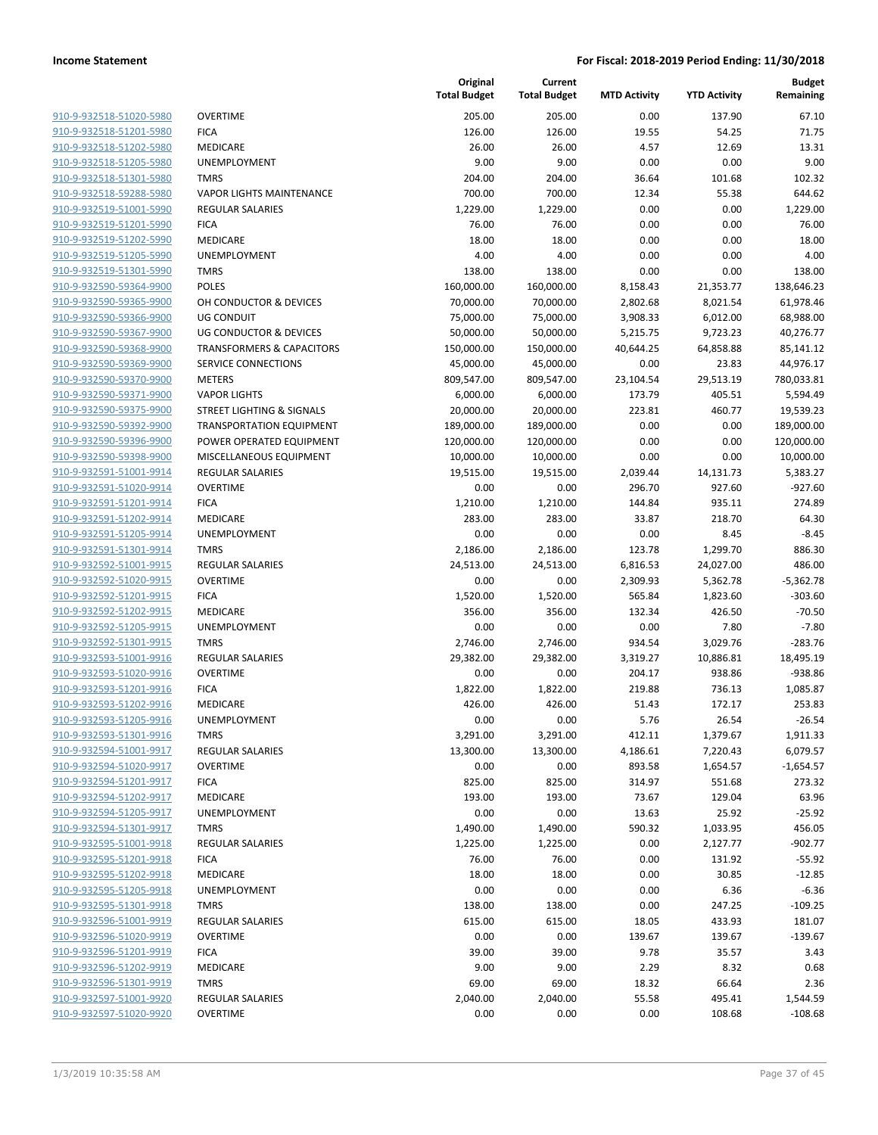| 910-9-932518-51020-5980        |
|--------------------------------|
| 910-9-932518-51201-5980        |
| 910-9-932518-51202-5980        |
| 910-9-932518-51205-5980        |
| 910-9-932518-51301-5980        |
| 910-9-932518-59288-5980        |
| 910-9-932519-51001-5990        |
| 910-9-932519-51201-5990        |
| 910-9-932519-51202-5990        |
| 910-9-932519-51205-5990        |
| 910-9-932519-51301-5990        |
| 910-9-932590-59364-9900        |
| 910-9-932590-59365-9900        |
| 910-9-932590-59366-9900        |
| 910-9-932590-59367-9900        |
| 910-9-932590-59368-9900        |
| 910-9-932590-59369-9900        |
| 910-9-932590-59370-9900        |
| 910-9-932590-59371-9900        |
| 910-9-932590-59375-9900        |
| 910-9-932590-59392-9900        |
| 910-9-932590-59396-9900        |
| 910-9-932590-59398-9900        |
| 910-9-932591-51001-9914        |
| 910-9-932591-51020-9914        |
| 910-9-932591-51201-9914        |
| 910-9-932591-51202-9914        |
| 910-9-932591-51205-9914        |
| 910-9-932591-51301-9914        |
| 910-9-932592-51001-9915        |
| 910-9-932592-51020-9915        |
| 910-9-932592-51201-9915        |
| 910-9-932592-51202-9915        |
| 910-9-932592-51205-9915        |
| 910-9-932592-51301-9915        |
| 910-9-932593-51001-9916        |
| 910-9-932593-51020-9916        |
| 910-9-932593-51201-9916        |
| 910-9-932593-51202-9916        |
| 910-9-932593-51205-9916        |
| 910-9-932593-51301-9916        |
| <u>910-9-932594-51001-9917</u> |
| 910-9-932594-51020-9917        |
| <u>910-9-932594-51201-9917</u> |
| 910-9-932594-51202-9917        |
| 910-9-932594-51205-9917        |
| 910-9-932594-51301-9917        |
| 910-9-932595-51001-9918        |
| 910-9-932595-51201-9918        |
| 910-9-932595-51202-9918        |
| 910-9-932595-51205-9918        |
| <u>910-9-932595-51301-9918</u> |
| <u>910-9-932596-51001-9919</u> |
| 910-9-932596-51020-9919        |
| 910-9-932596-51201-9919        |
| 910-9-932596-51202-9919        |
| <u>910-9-932596-51301-9919</u> |
| 910-9-932597-51001-9920        |
| 910-9-932597-51020-9920        |
|                                |

|                                                    |                                        | Original<br><b>Total Budget</b> | Current<br><b>Total Budget</b> | <b>MTD Activity</b> | <b>YTD Activity</b> | <b>Budget</b><br>Remaining |
|----------------------------------------------------|----------------------------------------|---------------------------------|--------------------------------|---------------------|---------------------|----------------------------|
|                                                    |                                        |                                 |                                |                     |                     |                            |
| 910-9-932518-51020-5980                            | <b>OVERTIME</b>                        | 205.00                          | 205.00                         | 0.00                | 137.90              | 67.10                      |
| 910-9-932518-51201-5980<br>910-9-932518-51202-5980 | <b>FICA</b>                            | 126.00                          | 126.00                         | 19.55<br>4.57       | 54.25               | 71.75                      |
| 910-9-932518-51205-5980                            | <b>MEDICARE</b><br><b>UNEMPLOYMENT</b> | 26.00<br>9.00                   | 26.00<br>9.00                  | 0.00                | 12.69<br>0.00       | 13.31<br>9.00              |
| 910-9-932518-51301-5980                            | <b>TMRS</b>                            | 204.00                          | 204.00                         | 36.64               | 101.68              | 102.32                     |
| 910-9-932518-59288-5980                            | <b>VAPOR LIGHTS MAINTENANCE</b>        | 700.00                          | 700.00                         | 12.34               | 55.38               | 644.62                     |
| 910-9-932519-51001-5990                            | <b>REGULAR SALARIES</b>                | 1,229.00                        | 1,229.00                       | 0.00                | 0.00                | 1,229.00                   |
| 910-9-932519-51201-5990                            | <b>FICA</b>                            | 76.00                           | 76.00                          | 0.00                | 0.00                | 76.00                      |
| 910-9-932519-51202-5990                            | <b>MEDICARE</b>                        | 18.00                           | 18.00                          | 0.00                | 0.00                | 18.00                      |
| 910-9-932519-51205-5990                            | UNEMPLOYMENT                           | 4.00                            | 4.00                           | 0.00                | 0.00                | 4.00                       |
| 910-9-932519-51301-5990                            | <b>TMRS</b>                            | 138.00                          | 138.00                         | 0.00                | 0.00                | 138.00                     |
| 910-9-932590-59364-9900                            | <b>POLES</b>                           | 160,000.00                      | 160,000.00                     | 8,158.43            | 21,353.77           | 138,646.23                 |
| 910-9-932590-59365-9900                            | OH CONDUCTOR & DEVICES                 | 70,000.00                       | 70,000.00                      | 2,802.68            | 8,021.54            | 61,978.46                  |
| 910-9-932590-59366-9900                            | <b>UG CONDUIT</b>                      | 75,000.00                       | 75,000.00                      | 3,908.33            | 6,012.00            | 68,988.00                  |
| 910-9-932590-59367-9900                            | <b>UG CONDUCTOR &amp; DEVICES</b>      | 50,000.00                       | 50,000.00                      | 5,215.75            | 9,723.23            | 40,276.77                  |
| 910-9-932590-59368-9900                            | <b>TRANSFORMERS &amp; CAPACITORS</b>   | 150,000.00                      | 150,000.00                     | 40,644.25           | 64,858.88           | 85,141.12                  |
| 910-9-932590-59369-9900                            | SERVICE CONNECTIONS                    | 45,000.00                       | 45,000.00                      | 0.00                | 23.83               | 44,976.17                  |
| 910-9-932590-59370-9900                            | <b>METERS</b>                          | 809,547.00                      | 809,547.00                     | 23,104.54           | 29,513.19           | 780,033.81                 |
| 910-9-932590-59371-9900                            | <b>VAPOR LIGHTS</b>                    | 6,000.00                        | 6,000.00                       | 173.79              | 405.51              | 5,594.49                   |
| 910-9-932590-59375-9900                            | <b>STREET LIGHTING &amp; SIGNALS</b>   | 20,000.00                       | 20,000.00                      | 223.81              | 460.77              | 19,539.23                  |
| 910-9-932590-59392-9900                            | <b>TRANSPORTATION EQUIPMENT</b>        | 189,000.00                      | 189,000.00                     | 0.00                | 0.00                | 189,000.00                 |
| 910-9-932590-59396-9900                            | POWER OPERATED EQUIPMENT               | 120,000.00                      | 120,000.00                     | 0.00                | 0.00                | 120,000.00                 |
| 910-9-932590-59398-9900                            | MISCELLANEOUS EQUIPMENT                | 10,000.00                       | 10,000.00                      | 0.00                | 0.00                | 10,000.00                  |
| 910-9-932591-51001-9914                            | <b>REGULAR SALARIES</b>                | 19,515.00                       | 19,515.00                      | 2,039.44            | 14,131.73           | 5,383.27                   |
| 910-9-932591-51020-9914                            | <b>OVERTIME</b>                        | 0.00                            | 0.00                           | 296.70              | 927.60              | $-927.60$                  |
| 910-9-932591-51201-9914                            | <b>FICA</b>                            | 1,210.00                        | 1,210.00                       | 144.84              | 935.11              | 274.89                     |
| 910-9-932591-51202-9914                            | MEDICARE                               | 283.00                          | 283.00                         | 33.87               | 218.70              | 64.30                      |
| 910-9-932591-51205-9914                            | UNEMPLOYMENT                           | 0.00                            | 0.00                           | 0.00                | 8.45                | $-8.45$                    |
| 910-9-932591-51301-9914                            | <b>TMRS</b>                            | 2,186.00                        | 2,186.00                       | 123.78              | 1,299.70            | 886.30                     |
| 910-9-932592-51001-9915                            | <b>REGULAR SALARIES</b>                | 24,513.00                       | 24,513.00                      | 6,816.53            | 24,027.00           | 486.00                     |
| 910-9-932592-51020-9915                            | <b>OVERTIME</b>                        | 0.00                            | 0.00                           | 2,309.93            | 5,362.78            | $-5,362.78$                |
| 910-9-932592-51201-9915                            | <b>FICA</b>                            | 1,520.00                        | 1,520.00                       | 565.84              | 1,823.60            | $-303.60$                  |
| 910-9-932592-51202-9915<br>910-9-932592-51205-9915 | MEDICARE<br><b>UNEMPLOYMENT</b>        | 356.00                          | 356.00                         | 132.34              | 426.50              | $-70.50$                   |
| 910-9-932592-51301-9915                            | <b>TMRS</b>                            | 0.00<br>2,746.00                | 0.00<br>2,746.00               | 0.00<br>934.54      | 7.80<br>3,029.76    | $-7.80$<br>$-283.76$       |
| 910-9-932593-51001-9916                            | <b>REGULAR SALARIES</b>                | 29,382.00                       | 29,382.00                      | 3,319.27            | 10,886.81           | 18,495.19                  |
| 910-9-932593-51020-9916                            | <b>OVERTIME</b>                        | 0.00                            | 0.00                           | 204.17              | 938.86              | $-938.86$                  |
| 910-9-932593-51201-9916                            | <b>FICA</b>                            | 1,822.00                        | 1,822.00                       | 219.88              | 736.13              | 1,085.87                   |
| 910-9-932593-51202-9916                            | <b>MEDICARE</b>                        | 426.00                          | 426.00                         | 51.43               | 172.17              | 253.83                     |
| 910-9-932593-51205-9916                            | UNEMPLOYMENT                           | 0.00                            | 0.00                           | 5.76                | 26.54               | -26.54                     |
| 910-9-932593-51301-9916                            | <b>TMRS</b>                            | 3,291.00                        | 3,291.00                       | 412.11              | 1,379.67            | 1,911.33                   |
| 910-9-932594-51001-9917                            | <b>REGULAR SALARIES</b>                | 13,300.00                       | 13,300.00                      | 4,186.61            | 7,220.43            | 6,079.57                   |
| 910-9-932594-51020-9917                            | <b>OVERTIME</b>                        | 0.00                            | 0.00                           | 893.58              | 1,654.57            | $-1,654.57$                |
| 910-9-932594-51201-9917                            | <b>FICA</b>                            | 825.00                          | 825.00                         | 314.97              | 551.68              | 273.32                     |
| 910-9-932594-51202-9917                            | MEDICARE                               | 193.00                          | 193.00                         | 73.67               | 129.04              | 63.96                      |
| 910-9-932594-51205-9917                            | UNEMPLOYMENT                           | 0.00                            | 0.00                           | 13.63               | 25.92               | $-25.92$                   |
| 910-9-932594-51301-9917                            | <b>TMRS</b>                            | 1,490.00                        | 1,490.00                       | 590.32              | 1,033.95            | 456.05                     |
| 910-9-932595-51001-9918                            | <b>REGULAR SALARIES</b>                | 1,225.00                        | 1,225.00                       | 0.00                | 2,127.77            | $-902.77$                  |
| 910-9-932595-51201-9918                            | <b>FICA</b>                            | 76.00                           | 76.00                          | 0.00                | 131.92              | $-55.92$                   |
| 910-9-932595-51202-9918                            | MEDICARE                               | 18.00                           | 18.00                          | 0.00                | 30.85               | $-12.85$                   |
| 910-9-932595-51205-9918                            | <b>UNEMPLOYMENT</b>                    | 0.00                            | 0.00                           | 0.00                | 6.36                | $-6.36$                    |
| 910-9-932595-51301-9918                            | <b>TMRS</b>                            | 138.00                          | 138.00                         | 0.00                | 247.25              | $-109.25$                  |
| 910-9-932596-51001-9919                            | <b>REGULAR SALARIES</b>                | 615.00                          | 615.00                         | 18.05               | 433.93              | 181.07                     |
| 910-9-932596-51020-9919                            | <b>OVERTIME</b>                        | 0.00                            | 0.00                           | 139.67              | 139.67              | $-139.67$                  |
| 910-9-932596-51201-9919                            | <b>FICA</b>                            | 39.00                           | 39.00                          | 9.78                | 35.57               | 3.43                       |
| 910-9-932596-51202-9919                            | MEDICARE                               | 9.00                            | 9.00                           | 2.29                | 8.32                | 0.68                       |
| 910-9-932596-51301-9919                            | <b>TMRS</b>                            | 69.00                           | 69.00                          | 18.32               | 66.64               | 2.36                       |
| 910-9-932597-51001-9920                            | <b>REGULAR SALARIES</b>                | 2,040.00                        | 2,040.00                       | 55.58               | 495.41              | 1,544.59                   |
| 910-9-932597-51020-9920                            | <b>OVERTIME</b>                        | 0.00                            | 0.00                           | 0.00                | 108.68              | $-108.68$                  |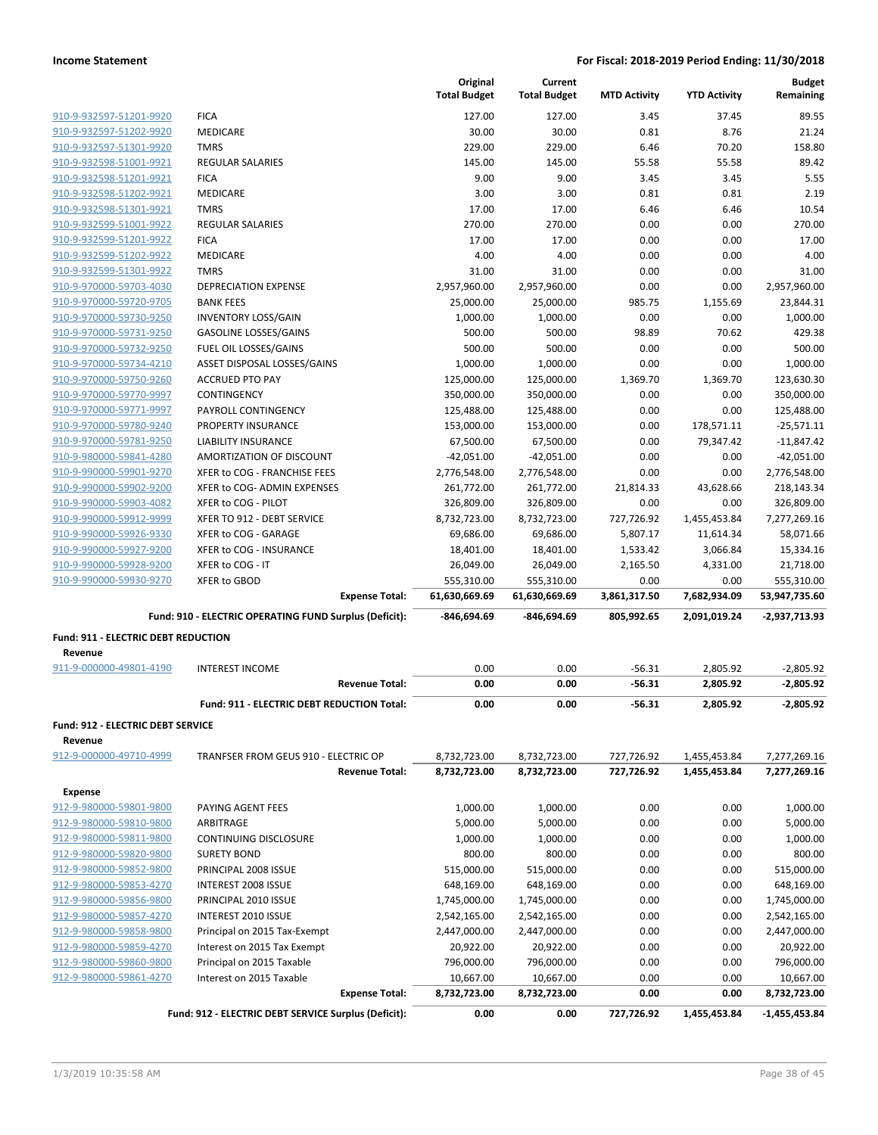|                                                    |                                                        | Original<br><b>Total Budget</b> | Current<br><b>Total Budget</b> | <b>MTD Activity</b> | <b>YTD Activity</b> | <b>Budget</b><br>Remaining |
|----------------------------------------------------|--------------------------------------------------------|---------------------------------|--------------------------------|---------------------|---------------------|----------------------------|
| 910-9-932597-51201-9920                            | <b>FICA</b>                                            | 127.00                          | 127.00                         | 3.45                | 37.45               | 89.55                      |
| 910-9-932597-51202-9920                            | <b>MEDICARE</b>                                        | 30.00                           | 30.00                          | 0.81                | 8.76                | 21.24                      |
| 910-9-932597-51301-9920                            | <b>TMRS</b>                                            | 229.00                          | 229.00                         | 6.46                | 70.20               | 158.80                     |
| 910-9-932598-51001-9921                            | <b>REGULAR SALARIES</b>                                | 145.00                          | 145.00                         | 55.58               | 55.58               | 89.42                      |
| 910-9-932598-51201-9921                            | <b>FICA</b>                                            | 9.00                            | 9.00                           | 3.45                | 3.45                | 5.55                       |
| 910-9-932598-51202-9921                            | MEDICARE                                               | 3.00                            | 3.00                           | 0.81                | 0.81                | 2.19                       |
| 910-9-932598-51301-9921                            | <b>TMRS</b>                                            | 17.00                           | 17.00                          | 6.46                | 6.46                | 10.54                      |
| 910-9-932599-51001-9922                            | <b>REGULAR SALARIES</b>                                | 270.00                          | 270.00                         | 0.00                | 0.00                | 270.00                     |
| 910-9-932599-51201-9922                            | <b>FICA</b>                                            | 17.00                           | 17.00                          | 0.00                | 0.00                | 17.00                      |
| 910-9-932599-51202-9922                            | <b>MEDICARE</b>                                        | 4.00                            | 4.00                           | 0.00                | 0.00                | 4.00                       |
| 910-9-932599-51301-9922                            | <b>TMRS</b>                                            | 31.00                           | 31.00                          | 0.00                | 0.00                | 31.00                      |
| 910-9-970000-59703-4030                            | <b>DEPRECIATION EXPENSE</b>                            | 2,957,960.00                    | 2,957,960.00                   | 0.00                | 0.00                | 2,957,960.00               |
| 910-9-970000-59720-9705                            | <b>BANK FEES</b>                                       | 25,000.00                       | 25,000.00                      | 985.75              | 1,155.69            | 23,844.31                  |
| 910-9-970000-59730-9250                            | <b>INVENTORY LOSS/GAIN</b>                             | 1,000.00                        | 1,000.00                       | 0.00                | 0.00                | 1,000.00                   |
| 910-9-970000-59731-9250                            | <b>GASOLINE LOSSES/GAINS</b>                           | 500.00                          | 500.00                         | 98.89               | 70.62               | 429.38                     |
| 910-9-970000-59732-9250                            | FUEL OIL LOSSES/GAINS                                  | 500.00                          | 500.00                         | 0.00                | 0.00                | 500.00                     |
| 910-9-970000-59734-4210                            | ASSET DISPOSAL LOSSES/GAINS                            | 1,000.00                        | 1,000.00                       | 0.00                | 0.00                | 1,000.00                   |
| 910-9-970000-59750-9260                            | <b>ACCRUED PTO PAY</b>                                 | 125,000.00                      | 125,000.00                     | 1,369.70            | 1,369.70            | 123,630.30                 |
| 910-9-970000-59770-9997                            | CONTINGENCY                                            | 350,000.00                      | 350,000.00                     | 0.00                | 0.00                | 350,000.00                 |
| 910-9-970000-59771-9997                            | PAYROLL CONTINGENCY                                    | 125,488.00                      | 125,488.00                     | 0.00                | 0.00                | 125,488.00                 |
| 910-9-970000-59780-9240                            | PROPERTY INSURANCE                                     | 153,000.00                      | 153,000.00                     | 0.00                | 178,571.11          | $-25,571.11$               |
| 910-9-970000-59781-9250                            | <b>LIABILITY INSURANCE</b>                             | 67,500.00                       | 67,500.00                      | 0.00                | 79,347.42           | $-11,847.42$               |
| 910-9-980000-59841-4280                            | AMORTIZATION OF DISCOUNT                               | $-42,051.00$                    | $-42,051.00$                   | 0.00                | 0.00                | $-42,051.00$               |
| 910-9-990000-59901-9270                            | XFER to COG - FRANCHISE FEES                           | 2,776,548.00                    | 2,776,548.00                   | 0.00                | 0.00                | 2,776,548.00               |
| 910-9-990000-59902-9200                            | XFER to COG- ADMIN EXPENSES                            | 261,772.00                      | 261,772.00                     | 21,814.33           | 43,628.66           | 218,143.34                 |
| 910-9-990000-59903-4082                            | XFER to COG - PILOT                                    | 326,809.00                      | 326,809.00                     | 0.00                | 0.00                | 326,809.00                 |
| 910-9-990000-59912-9999                            | XFER TO 912 - DEBT SERVICE                             | 8,732,723.00                    | 8,732,723.00                   | 727,726.92          | 1,455,453.84        | 7,277,269.16               |
| 910-9-990000-59926-9330                            | XFER to COG - GARAGE                                   | 69,686.00                       | 69,686.00                      | 5,807.17            | 11,614.34           | 58,071.66                  |
| 910-9-990000-59927-9200                            | XFER to COG - INSURANCE<br>XFER to COG - IT            | 18,401.00                       | 18,401.00                      | 1,533.42            | 3,066.84            | 15,334.16                  |
| 910-9-990000-59928-9200<br>910-9-990000-59930-9270 | <b>XFER to GBOD</b>                                    | 26,049.00<br>555,310.00         | 26,049.00                      | 2,165.50<br>0.00    | 4,331.00<br>0.00    | 21,718.00<br>555,310.00    |
|                                                    | <b>Expense Total:</b>                                  | 61,630,669.69                   | 555,310.00<br>61,630,669.69    | 3,861,317.50        | 7,682,934.09        | 53,947,735.60              |
|                                                    | Fund: 910 - ELECTRIC OPERATING FUND Surplus (Deficit): | -846,694.69                     | -846,694.69                    | 805,992.65          | 2,091,019.24        | -2,937,713.93              |
| <b>Fund: 911 - ELECTRIC DEBT REDUCTION</b>         |                                                        |                                 |                                |                     |                     |                            |
| Revenue                                            |                                                        |                                 |                                |                     |                     |                            |
| 911-9-000000-49801-4190                            | <b>INTEREST INCOME</b>                                 | 0.00                            | 0.00                           | $-56.31$            | 2,805.92            | $-2,805.92$                |
|                                                    | <b>Revenue Total:</b>                                  | 0.00                            | 0.00                           | $-56.31$            | 2,805.92            | $-2,805.92$                |
|                                                    | Fund: 911 - ELECTRIC DEBT REDUCTION Total:             | 0.00                            | 0.00                           | $-56.31$            | 2,805.92            | $-2,805.92$                |
| Fund: 912 - ELECTRIC DEBT SERVICE                  |                                                        |                                 |                                |                     |                     |                            |
| Revenue                                            |                                                        |                                 |                                |                     |                     |                            |
| 912-9-000000-49710-4999                            | TRANFSER FROM GEUS 910 - ELECTRIC OP                   | 8,732,723.00                    | 8,732,723.00                   | 727,726.92          | 1,455,453.84        | 7,277,269.16               |
|                                                    | <b>Revenue Total:</b>                                  | 8,732,723.00                    | 8,732,723.00                   | 727,726.92          | 1,455,453.84        | 7,277,269.16               |
| <b>Expense</b>                                     |                                                        |                                 |                                |                     |                     |                            |
| 912-9-980000-59801-9800                            | PAYING AGENT FEES                                      | 1,000.00                        | 1,000.00                       | 0.00                | 0.00                | 1,000.00                   |
| 912-9-980000-59810-9800                            | ARBITRAGE                                              | 5,000.00                        | 5,000.00                       | 0.00                | 0.00                | 5,000.00                   |
| 912-9-980000-59811-9800                            | CONTINUING DISCLOSURE                                  | 1,000.00                        | 1,000.00                       | 0.00                | 0.00                | 1,000.00                   |
| 912-9-980000-59820-9800                            | <b>SURETY BOND</b>                                     | 800.00                          | 800.00                         | 0.00                | 0.00                | 800.00                     |
| 912-9-980000-59852-9800                            | PRINCIPAL 2008 ISSUE                                   | 515,000.00                      | 515,000.00                     | 0.00                | 0.00                | 515,000.00                 |
| 912-9-980000-59853-4270                            | INTEREST 2008 ISSUE                                    | 648,169.00                      | 648,169.00                     | 0.00                | 0.00                | 648,169.00                 |
| 912-9-980000-59856-9800                            | PRINCIPAL 2010 ISSUE                                   | 1,745,000.00                    | 1,745,000.00                   | 0.00                | 0.00                | 1,745,000.00               |
| 912-9-980000-59857-4270                            | <b>INTEREST 2010 ISSUE</b>                             | 2,542,165.00                    | 2,542,165.00                   | 0.00                | 0.00                | 2,542,165.00               |
| 912-9-980000-59858-9800                            | Principal on 2015 Tax-Exempt                           | 2,447,000.00                    | 2,447,000.00                   | 0.00                | 0.00                | 2,447,000.00               |
| 912-9-980000-59859-4270                            | Interest on 2015 Tax Exempt                            | 20,922.00                       | 20,922.00                      | 0.00                | 0.00                | 20,922.00                  |
| 912-9-980000-59860-9800                            | Principal on 2015 Taxable                              | 796,000.00                      | 796,000.00                     | 0.00                | 0.00                | 796,000.00                 |
| 912-9-980000-59861-4270                            | Interest on 2015 Taxable                               | 10,667.00                       | 10,667.00                      | 0.00                | 0.00                | 10,667.00                  |
|                                                    | <b>Expense Total:</b>                                  | 8,732,723.00                    | 8,732,723.00                   | 0.00                | 0.00                | 8,732,723.00               |
|                                                    | Fund: 912 - ELECTRIC DEBT SERVICE Surplus (Deficit):   | 0.00                            | 0.00                           | 727,726.92          | 1,455,453.84        | -1,455,453.84              |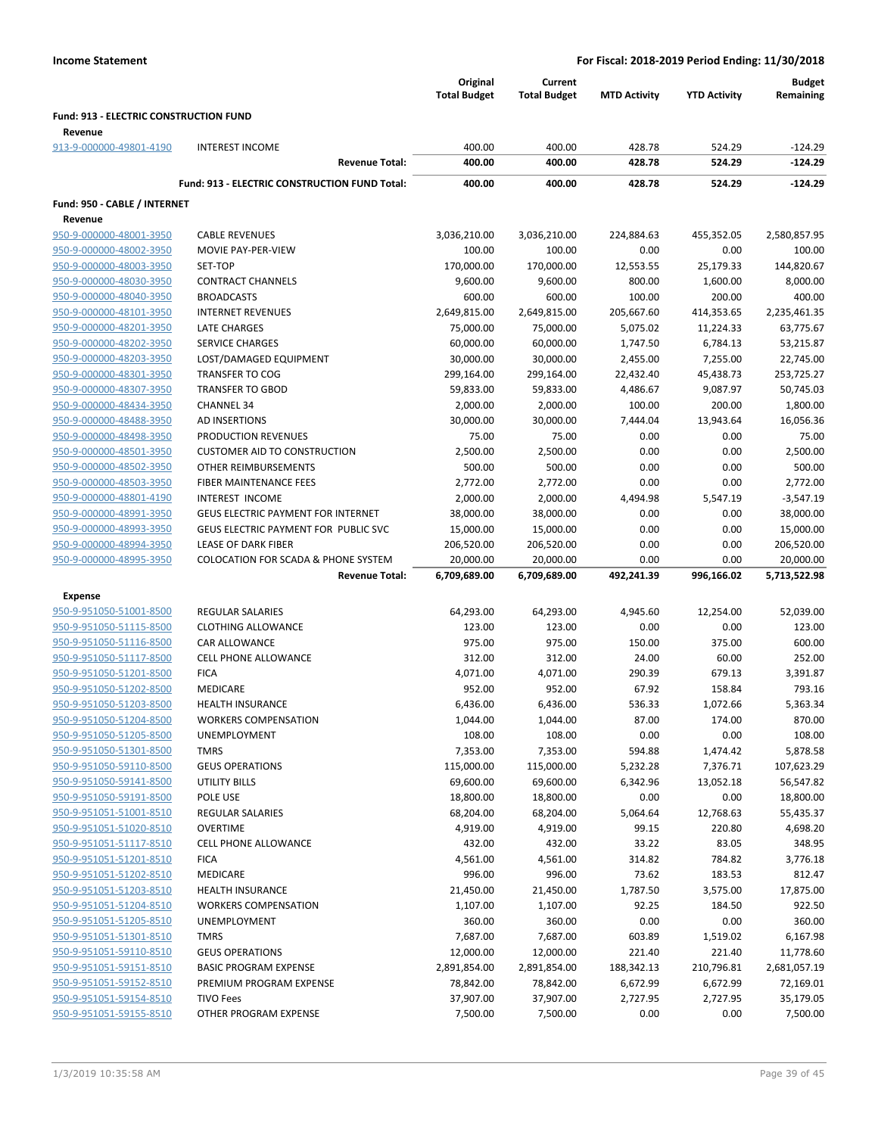|                                        |                                                      | Original<br><b>Total Budget</b> | Current<br><b>Total Budget</b> | <b>MTD Activity</b> | <b>YTD Activity</b> | <b>Budget</b><br>Remaining |
|----------------------------------------|------------------------------------------------------|---------------------------------|--------------------------------|---------------------|---------------------|----------------------------|
| Fund: 913 - ELECTRIC CONSTRUCTION FUND |                                                      |                                 |                                |                     |                     |                            |
| Revenue                                |                                                      |                                 |                                |                     |                     |                            |
| 913-9-000000-49801-4190                | <b>INTEREST INCOME</b>                               | 400.00                          | 400.00                         | 428.78              | 524.29              | $-124.29$                  |
|                                        | <b>Revenue Total:</b>                                | 400.00                          | 400.00                         | 428.78              | 524.29              | $-124.29$                  |
|                                        | <b>Fund: 913 - ELECTRIC CONSTRUCTION FUND Total:</b> | 400.00                          | 400.00                         | 428.78              | 524.29              | $-124.29$                  |
| Fund: 950 - CABLE / INTERNET           |                                                      |                                 |                                |                     |                     |                            |
| Revenue                                |                                                      |                                 |                                |                     |                     |                            |
| 950-9-000000-48001-3950                | <b>CABLE REVENUES</b>                                | 3,036,210.00                    | 3,036,210.00                   | 224,884.63          | 455,352.05          | 2,580,857.95               |
| 950-9-000000-48002-3950                | MOVIE PAY-PER-VIEW                                   | 100.00                          | 100.00                         | 0.00                | 0.00                | 100.00                     |
| 950-9-000000-48003-3950                | SET-TOP                                              | 170,000.00                      | 170,000.00                     | 12,553.55           | 25,179.33           | 144,820.67                 |
| 950-9-000000-48030-3950                | <b>CONTRACT CHANNELS</b>                             | 9,600.00                        | 9,600.00                       | 800.00              | 1,600.00            | 8,000.00                   |
| 950-9-000000-48040-3950                | <b>BROADCASTS</b>                                    | 600.00                          | 600.00                         | 100.00              | 200.00              | 400.00                     |
| 950-9-000000-48101-3950                | <b>INTERNET REVENUES</b>                             | 2,649,815.00                    | 2,649,815.00                   | 205,667.60          | 414,353.65          | 2,235,461.35               |
| 950-9-000000-48201-3950                | <b>LATE CHARGES</b>                                  | 75,000.00                       | 75,000.00                      | 5,075.02            | 11,224.33           | 63,775.67                  |
| 950-9-000000-48202-3950                | <b>SERVICE CHARGES</b>                               | 60,000.00                       | 60,000.00                      | 1,747.50            | 6,784.13            | 53,215.87                  |
| 950-9-000000-48203-3950                | LOST/DAMAGED EQUIPMENT                               | 30,000.00                       | 30,000.00                      | 2,455.00            | 7,255.00            | 22,745.00                  |
| 950-9-000000-48301-3950                | <b>TRANSFER TO COG</b>                               | 299,164.00                      | 299,164.00                     | 22,432.40           | 45,438.73           | 253,725.27                 |
| 950-9-000000-48307-3950                | <b>TRANSFER TO GBOD</b>                              | 59,833.00                       | 59,833.00                      | 4,486.67            | 9,087.97            | 50,745.03                  |
| 950-9-000000-48434-3950                | <b>CHANNEL 34</b>                                    | 2,000.00                        | 2,000.00                       | 100.00              | 200.00              | 1,800.00                   |
| 950-9-000000-48488-3950                | AD INSERTIONS                                        | 30,000.00                       | 30,000.00                      | 7,444.04            | 13,943.64           | 16,056.36                  |
| 950-9-000000-48498-3950                | PRODUCTION REVENUES                                  | 75.00                           | 75.00                          | 0.00                | 0.00                | 75.00                      |
| 950-9-000000-48501-3950                | <b>CUSTOMER AID TO CONSTRUCTION</b>                  | 2,500.00                        | 2,500.00                       | 0.00                | 0.00                | 2,500.00                   |
| 950-9-000000-48502-3950                | OTHER REIMBURSEMENTS                                 | 500.00                          | 500.00                         | 0.00                | 0.00                | 500.00                     |
| 950-9-000000-48503-3950                | <b>FIBER MAINTENANCE FEES</b>                        | 2,772.00                        | 2,772.00                       | 0.00                | 0.00                | 2,772.00                   |
| 950-9-000000-48801-4190                | INTEREST INCOME                                      | 2,000.00                        | 2,000.00                       | 4,494.98            | 5,547.19            | $-3,547.19$                |
| 950-9-000000-48991-3950                | <b>GEUS ELECTRIC PAYMENT FOR INTERNET</b>            | 38,000.00                       | 38,000.00                      | 0.00                | 0.00                | 38,000.00                  |
| 950-9-000000-48993-3950                | GEUS ELECTRIC PAYMENT FOR PUBLIC SVC                 | 15,000.00                       | 15,000.00                      | 0.00                | 0.00                | 15,000.00                  |
| 950-9-000000-48994-3950                | <b>LEASE OF DARK FIBER</b>                           | 206,520.00                      | 206,520.00                     | 0.00                | 0.00                | 206,520.00                 |
| 950-9-000000-48995-3950                | <b>COLOCATION FOR SCADA &amp; PHONE SYSTEM</b>       | 20,000.00                       | 20,000.00                      | 0.00                | 0.00                | 20,000.00                  |
|                                        | <b>Revenue Total:</b>                                | 6,709,689.00                    | 6,709,689.00                   | 492,241.39          | 996,166.02          | 5,713,522.98               |
| Expense                                |                                                      |                                 |                                |                     |                     |                            |
| 950-9-951050-51001-8500                | <b>REGULAR SALARIES</b>                              | 64,293.00                       | 64,293.00                      | 4,945.60            | 12,254.00           | 52,039.00                  |
| 950-9-951050-51115-8500                | <b>CLOTHING ALLOWANCE</b>                            | 123.00                          | 123.00                         | 0.00                | 0.00                | 123.00                     |
| 950-9-951050-51116-8500                | <b>CAR ALLOWANCE</b>                                 | 975.00                          | 975.00                         | 150.00              | 375.00              | 600.00                     |
| 950-9-951050-51117-8500                | <b>CELL PHONE ALLOWANCE</b>                          | 312.00                          | 312.00                         | 24.00               | 60.00               | 252.00                     |
| 950-9-951050-51201-8500                | <b>FICA</b>                                          | 4,071.00                        | 4,071.00                       | 290.39              | 679.13              | 3,391.87                   |
| 950-9-951050-51202-8500                | <b>MEDICARE</b>                                      | 952.00                          | 952.00                         | 67.92               | 158.84              | 793.16                     |
| 950-9-951050-51203-8500                | <b>HEALTH INSURANCE</b>                              | 6,436.00                        | 6,436.00                       | 536.33              | 1,072.66            | 5,363.34                   |
| 950-9-951050-51204-8500                | <b>WORKERS COMPENSATION</b>                          | 1,044.00                        | 1,044.00                       | 87.00               | 174.00              | 870.00                     |
| 950-9-951050-51205-8500                | <b>UNEMPLOYMENT</b>                                  | 108.00                          | 108.00                         | 0.00                | 0.00                | 108.00                     |
| 950-9-951050-51301-8500                | <b>TMRS</b>                                          | 7,353.00                        | 7,353.00                       | 594.88              | 1,474.42            | 5,878.58                   |
| 950-9-951050-59110-8500                | <b>GEUS OPERATIONS</b>                               | 115,000.00                      | 115,000.00                     | 5,232.28            | 7,376.71            | 107,623.29                 |
| 950-9-951050-59141-8500                | <b>UTILITY BILLS</b>                                 | 69,600.00                       | 69,600.00                      | 6,342.96            | 13,052.18           | 56,547.82                  |
| 950-9-951050-59191-8500                | POLE USE                                             | 18,800.00                       | 18,800.00                      | 0.00                | 0.00                | 18,800.00                  |
| 950-9-951051-51001-8510                | <b>REGULAR SALARIES</b>                              | 68,204.00                       | 68,204.00                      | 5,064.64            | 12,768.63           | 55,435.37                  |
| 950-9-951051-51020-8510                | <b>OVERTIME</b>                                      | 4,919.00                        | 4,919.00                       | 99.15               | 220.80              | 4,698.20                   |
| 950-9-951051-51117-8510                | <b>CELL PHONE ALLOWANCE</b>                          | 432.00                          | 432.00                         | 33.22               | 83.05               | 348.95                     |
| 950-9-951051-51201-8510                | <b>FICA</b>                                          | 4,561.00                        | 4,561.00                       | 314.82              | 784.82              | 3,776.18                   |
| 950-9-951051-51202-8510                | MEDICARE                                             | 996.00                          | 996.00                         | 73.62               | 183.53              | 812.47                     |
| 950-9-951051-51203-8510                | <b>HEALTH INSURANCE</b>                              | 21,450.00                       | 21,450.00                      | 1,787.50            | 3,575.00            | 17,875.00                  |
| 950-9-951051-51204-8510                | <b>WORKERS COMPENSATION</b>                          | 1,107.00                        | 1,107.00                       | 92.25               | 184.50              | 922.50                     |
| 950-9-951051-51205-8510                | UNEMPLOYMENT                                         | 360.00                          | 360.00                         | 0.00                | 0.00                | 360.00                     |
| 950-9-951051-51301-8510                | <b>TMRS</b>                                          | 7,687.00                        | 7,687.00                       | 603.89              | 1,519.02            | 6,167.98                   |
| 950-9-951051-59110-8510                | <b>GEUS OPERATIONS</b>                               | 12,000.00                       | 12,000.00                      | 221.40              | 221.40              | 11,778.60                  |
| 950-9-951051-59151-8510                | <b>BASIC PROGRAM EXPENSE</b>                         | 2,891,854.00                    | 2,891,854.00                   | 188,342.13          | 210,796.81          | 2,681,057.19               |
| 950-9-951051-59152-8510                | PREMIUM PROGRAM EXPENSE                              | 78,842.00                       | 78,842.00                      | 6,672.99            | 6,672.99            | 72,169.01                  |
| 950-9-951051-59154-8510                | <b>TIVO Fees</b>                                     | 37,907.00                       | 37,907.00                      | 2,727.95            | 2,727.95            | 35,179.05                  |
| 950-9-951051-59155-8510                | OTHER PROGRAM EXPENSE                                | 7,500.00                        | 7,500.00                       | 0.00                | 0.00                | 7,500.00                   |
|                                        |                                                      |                                 |                                |                     |                     |                            |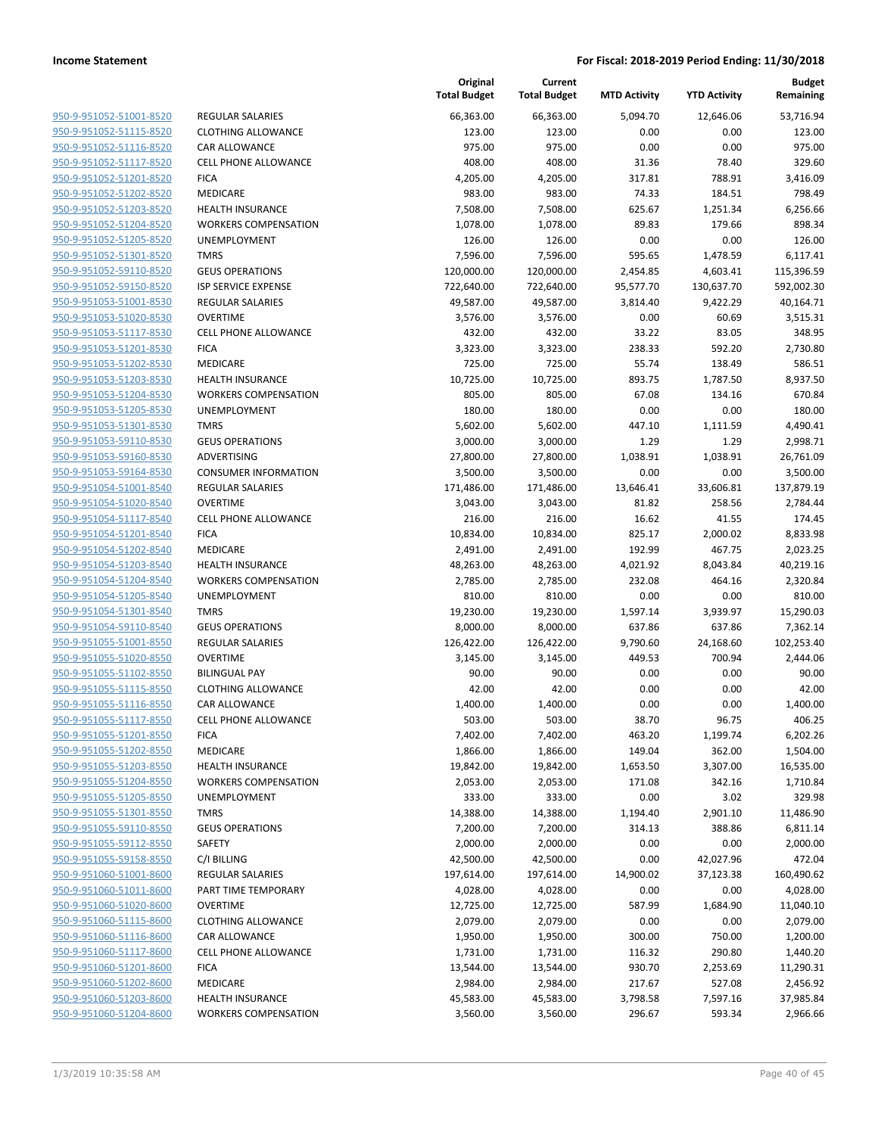|                                                    |                                     | Original<br><b>Total Budget</b> | Current<br><b>Total Budget</b> | <b>MTD Activity</b> | <b>YTD Activity</b> | <b>Budget</b><br>Remaining |
|----------------------------------------------------|-------------------------------------|---------------------------------|--------------------------------|---------------------|---------------------|----------------------------|
| 950-9-951052-51001-8520                            | <b>REGULAR SALARIES</b>             | 66,363.00                       | 66,363.00                      | 5,094.70            | 12,646.06           | 53,716.94                  |
| 950-9-951052-51115-8520                            | <b>CLOTHING ALLOWANCE</b>           | 123.00                          | 123.00                         | 0.00                | 0.00                | 123.00                     |
| 950-9-951052-51116-8520                            | <b>CAR ALLOWANCE</b>                | 975.00                          | 975.00                         | 0.00                | 0.00                | 975.00                     |
| 950-9-951052-51117-8520                            | <b>CELL PHONE ALLOWANCE</b>         | 408.00                          | 408.00                         | 31.36               | 78.40               | 329.60                     |
| 950-9-951052-51201-8520                            | <b>FICA</b>                         | 4,205.00                        | 4,205.00                       | 317.81              | 788.91              | 3,416.09                   |
| 950-9-951052-51202-8520                            | MEDICARE                            | 983.00                          | 983.00                         | 74.33               | 184.51              | 798.49                     |
| 950-9-951052-51203-8520                            | <b>HEALTH INSURANCE</b>             | 7,508.00                        | 7,508.00                       | 625.67              | 1,251.34            | 6,256.66                   |
| 950-9-951052-51204-8520                            | <b>WORKERS COMPENSATION</b>         | 1,078.00                        | 1,078.00                       | 89.83               | 179.66              | 898.34                     |
| 950-9-951052-51205-8520                            | <b>UNEMPLOYMENT</b>                 | 126.00                          | 126.00                         | 0.00                | 0.00                | 126.00                     |
| 950-9-951052-51301-8520                            | <b>TMRS</b>                         | 7,596.00                        | 7,596.00                       | 595.65              | 1,478.59            | 6,117.41                   |
| 950-9-951052-59110-8520                            | <b>GEUS OPERATIONS</b>              | 120,000.00                      | 120,000.00                     | 2,454.85            | 4,603.41            | 115,396.59                 |
| 950-9-951052-59150-8520                            | ISP SERVICE EXPENSE                 | 722,640.00                      | 722,640.00                     | 95,577.70           | 130,637.70          | 592,002.30                 |
| 950-9-951053-51001-8530                            | <b>REGULAR SALARIES</b>             | 49,587.00                       | 49,587.00                      | 3,814.40            | 9,422.29            | 40,164.71                  |
| 950-9-951053-51020-8530                            | <b>OVERTIME</b>                     | 3,576.00                        | 3,576.00                       | 0.00                | 60.69               | 3,515.31                   |
| 950-9-951053-51117-8530                            | <b>CELL PHONE ALLOWANCE</b>         | 432.00                          | 432.00                         | 33.22               | 83.05               | 348.95                     |
| 950-9-951053-51201-8530                            | <b>FICA</b>                         | 3,323.00                        | 3,323.00                       | 238.33              | 592.20              | 2,730.80                   |
| 950-9-951053-51202-8530                            | <b>MEDICARE</b>                     | 725.00                          | 725.00                         | 55.74               | 138.49              | 586.51                     |
| 950-9-951053-51203-8530                            | <b>HEALTH INSURANCE</b>             | 10,725.00                       | 10,725.00                      | 893.75              | 1,787.50            | 8,937.50                   |
| 950-9-951053-51204-8530                            | <b>WORKERS COMPENSATION</b>         | 805.00                          | 805.00                         | 67.08               | 134.16              | 670.84                     |
| 950-9-951053-51205-8530                            | UNEMPLOYMENT                        | 180.00                          | 180.00                         | 0.00                | 0.00                | 180.00                     |
| 950-9-951053-51301-8530                            | <b>TMRS</b>                         | 5,602.00                        | 5,602.00                       | 447.10              | 1,111.59            | 4,490.41                   |
| 950-9-951053-59110-8530                            | <b>GEUS OPERATIONS</b>              | 3,000.00                        | 3,000.00                       | 1.29                | 1.29                | 2,998.71                   |
| 950-9-951053-59160-8530                            | ADVERTISING                         | 27,800.00                       | 27,800.00                      | 1,038.91            | 1,038.91            | 26,761.09                  |
| 950-9-951053-59164-8530                            | <b>CONSUMER INFORMATION</b>         | 3,500.00                        | 3,500.00                       | 0.00                | 0.00                | 3,500.00                   |
| 950-9-951054-51001-8540                            | <b>REGULAR SALARIES</b>             | 171,486.00                      | 171,486.00                     | 13,646.41           | 33,606.81           | 137,879.19                 |
| 950-9-951054-51020-8540                            | <b>OVERTIME</b>                     | 3,043.00                        | 3,043.00                       | 81.82               | 258.56              | 2,784.44                   |
| 950-9-951054-51117-8540                            | <b>CELL PHONE ALLOWANCE</b>         | 216.00                          | 216.00                         | 16.62               | 41.55               | 174.45                     |
| 950-9-951054-51201-8540<br>950-9-951054-51202-8540 | <b>FICA</b>                         | 10,834.00                       | 10,834.00                      | 825.17<br>192.99    | 2,000.02            | 8,833.98                   |
| 950-9-951054-51203-8540                            | MEDICARE<br><b>HEALTH INSURANCE</b> | 2,491.00<br>48,263.00           | 2,491.00<br>48,263.00          | 4,021.92            | 467.75<br>8,043.84  | 2,023.25<br>40,219.16      |
| 950-9-951054-51204-8540                            | <b>WORKERS COMPENSATION</b>         | 2,785.00                        | 2,785.00                       | 232.08              | 464.16              | 2,320.84                   |
| 950-9-951054-51205-8540                            | UNEMPLOYMENT                        | 810.00                          | 810.00                         | 0.00                | 0.00                | 810.00                     |
| 950-9-951054-51301-8540                            | <b>TMRS</b>                         | 19,230.00                       | 19,230.00                      | 1,597.14            | 3,939.97            | 15,290.03                  |
| 950-9-951054-59110-8540                            | <b>GEUS OPERATIONS</b>              | 8,000.00                        | 8,000.00                       | 637.86              | 637.86              | 7,362.14                   |
| 950-9-951055-51001-8550                            | <b>REGULAR SALARIES</b>             | 126,422.00                      | 126,422.00                     | 9,790.60            | 24,168.60           | 102,253.40                 |
| 950-9-951055-51020-8550                            | <b>OVERTIME</b>                     | 3,145.00                        | 3,145.00                       | 449.53              | 700.94              | 2,444.06                   |
| 950-9-951055-51102-8550                            | <b>BILINGUAL PAY</b>                | 90.00                           | 90.00                          | 0.00                | 0.00                | 90.00                      |
| 950-9-951055-51115-8550                            | <b>CLOTHING ALLOWANCE</b>           | 42.00                           | 42.00                          | 0.00                | 0.00                | 42.00                      |
| 950-9-951055-51116-8550                            | <b>CAR ALLOWANCE</b>                | 1,400.00                        | 1,400.00                       | 0.00                | 0.00                | 1,400.00                   |
| 950-9-951055-51117-8550                            | <b>CELL PHONE ALLOWANCE</b>         | 503.00                          | 503.00                         | 38.70               | 96.75               | 406.25                     |
| 950-9-951055-51201-8550                            | <b>FICA</b>                         | 7,402.00                        | 7,402.00                       | 463.20              | 1,199.74            | 6,202.26                   |
| 950-9-951055-51202-8550                            | MEDICARE                            | 1,866.00                        | 1,866.00                       | 149.04              | 362.00              | 1,504.00                   |
| 950-9-951055-51203-8550                            | <b>HEALTH INSURANCE</b>             | 19,842.00                       | 19,842.00                      | 1,653.50            | 3,307.00            | 16,535.00                  |
| 950-9-951055-51204-8550                            | <b>WORKERS COMPENSATION</b>         | 2,053.00                        | 2,053.00                       | 171.08              | 342.16              | 1,710.84                   |
| 950-9-951055-51205-8550                            | <b>UNEMPLOYMENT</b>                 | 333.00                          | 333.00                         | 0.00                | 3.02                | 329.98                     |
| 950-9-951055-51301-8550                            | <b>TMRS</b>                         | 14,388.00                       | 14,388.00                      | 1,194.40            | 2,901.10            | 11,486.90                  |
| 950-9-951055-59110-8550                            | <b>GEUS OPERATIONS</b>              | 7,200.00                        | 7,200.00                       | 314.13              | 388.86              | 6,811.14                   |
| 950-9-951055-59112-8550                            | SAFETY                              | 2,000.00                        | 2,000.00                       | 0.00                | 0.00                | 2,000.00                   |
| 950-9-951055-59158-8550                            | C/I BILLING                         | 42,500.00                       | 42,500.00                      | 0.00                | 42,027.96           | 472.04                     |
| 950-9-951060-51001-8600                            | REGULAR SALARIES                    | 197,614.00                      | 197,614.00                     | 14,900.02           | 37,123.38           | 160,490.62                 |
| 950-9-951060-51011-8600                            | PART TIME TEMPORARY                 | 4,028.00                        | 4,028.00                       | 0.00                | 0.00                | 4,028.00                   |
| 950-9-951060-51020-8600                            | <b>OVERTIME</b>                     | 12,725.00                       | 12,725.00                      | 587.99              | 1,684.90            | 11,040.10                  |
| 950-9-951060-51115-8600                            | <b>CLOTHING ALLOWANCE</b>           | 2,079.00                        | 2,079.00                       | 0.00                | 0.00                | 2,079.00                   |
| 950-9-951060-51116-8600                            | CAR ALLOWANCE                       | 1,950.00                        | 1,950.00                       | 300.00              | 750.00              | 1,200.00                   |
| 950-9-951060-51117-8600                            | <b>CELL PHONE ALLOWANCE</b>         | 1,731.00                        | 1,731.00                       | 116.32              | 290.80              | 1,440.20                   |
| 950-9-951060-51201-8600                            | <b>FICA</b>                         | 13,544.00                       | 13,544.00                      | 930.70              | 2,253.69            | 11,290.31                  |
| 950-9-951060-51202-8600                            | MEDICARE                            | 2,984.00                        | 2,984.00                       | 217.67              | 527.08              | 2,456.92                   |
| 950-9-951060-51203-8600                            | <b>HEALTH INSURANCE</b>             | 45,583.00                       | 45,583.00                      | 3,798.58            | 7,597.16            | 37,985.84                  |
| 950-9-951060-51204-8600                            | <b>WORKERS COMPENSATION</b>         | 3,560.00                        | 3,560.00                       | 296.67              | 593.34              | 2,966.66                   |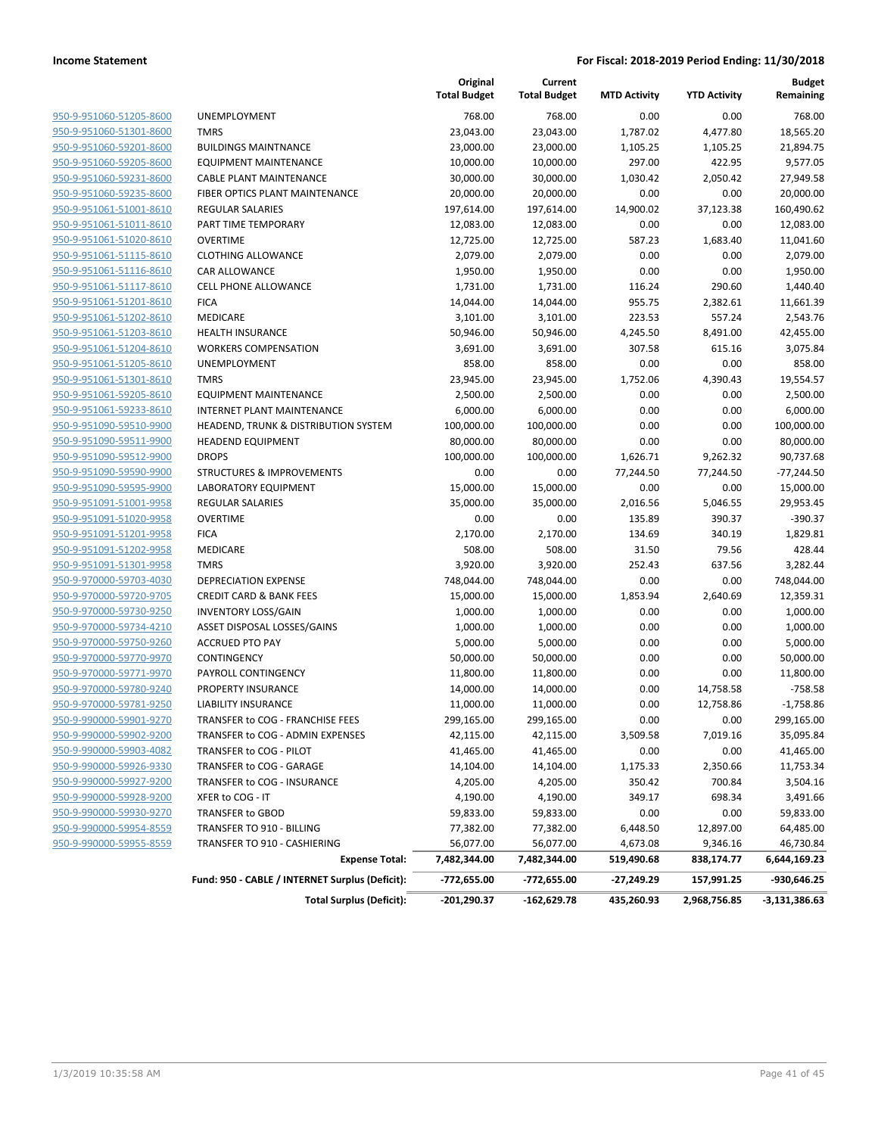|                                |                                                 | Original<br><b>Total Budget</b> | Current<br><b>Total Budget</b> | <b>MTD Activity</b> | <b>YTD Activity</b> | <b>Budget</b><br>Remaining |
|--------------------------------|-------------------------------------------------|---------------------------------|--------------------------------|---------------------|---------------------|----------------------------|
| 950-9-951060-51205-8600        | UNEMPLOYMENT                                    | 768.00                          | 768.00                         | 0.00                | 0.00                | 768.00                     |
| 950-9-951060-51301-8600        | <b>TMRS</b>                                     | 23,043.00                       | 23,043.00                      | 1,787.02            | 4,477.80            | 18,565.20                  |
| 950-9-951060-59201-8600        | <b>BUILDINGS MAINTNANCE</b>                     | 23,000.00                       | 23,000.00                      | 1,105.25            | 1,105.25            | 21,894.75                  |
| 950-9-951060-59205-8600        | <b>EQUIPMENT MAINTENANCE</b>                    | 10,000.00                       | 10,000.00                      | 297.00              | 422.95              | 9,577.05                   |
| 950-9-951060-59231-8600        | <b>CABLE PLANT MAINTENANCE</b>                  | 30,000.00                       | 30,000.00                      | 1,030.42            | 2,050.42            | 27,949.58                  |
| 950-9-951060-59235-8600        | FIBER OPTICS PLANT MAINTENANCE                  | 20,000.00                       | 20,000.00                      | 0.00                | 0.00                | 20,000.00                  |
| 950-9-951061-51001-8610        | <b>REGULAR SALARIES</b>                         | 197,614.00                      | 197,614.00                     | 14,900.02           | 37,123.38           | 160,490.62                 |
| 950-9-951061-51011-8610        | PART TIME TEMPORARY                             | 12,083.00                       | 12,083.00                      | 0.00                | 0.00                | 12,083.00                  |
| 950-9-951061-51020-8610        | <b>OVERTIME</b>                                 | 12,725.00                       | 12,725.00                      | 587.23              | 1,683.40            | 11,041.60                  |
| 950-9-951061-51115-8610        | <b>CLOTHING ALLOWANCE</b>                       | 2,079.00                        | 2,079.00                       | 0.00                | 0.00                | 2,079.00                   |
| 950-9-951061-51116-8610        | <b>CAR ALLOWANCE</b>                            | 1,950.00                        | 1,950.00                       | 0.00                | 0.00                | 1,950.00                   |
| 950-9-951061-51117-8610        | <b>CELL PHONE ALLOWANCE</b>                     | 1,731.00                        | 1,731.00                       | 116.24              | 290.60              | 1,440.40                   |
| 950-9-951061-51201-8610        | <b>FICA</b>                                     | 14,044.00                       | 14,044.00                      | 955.75              | 2,382.61            | 11,661.39                  |
| 950-9-951061-51202-8610        | <b>MEDICARE</b>                                 | 3,101.00                        | 3,101.00                       | 223.53              | 557.24              | 2,543.76                   |
| 950-9-951061-51203-8610        | <b>HEALTH INSURANCE</b>                         | 50,946.00                       | 50,946.00                      | 4,245.50            | 8,491.00            | 42,455.00                  |
| 950-9-951061-51204-8610        | <b>WORKERS COMPENSATION</b>                     | 3,691.00                        | 3,691.00                       | 307.58              | 615.16              | 3,075.84                   |
| 950-9-951061-51205-8610        | UNEMPLOYMENT                                    | 858.00                          | 858.00                         | 0.00                | 0.00                | 858.00                     |
| 950-9-951061-51301-8610        | <b>TMRS</b>                                     | 23,945.00                       | 23,945.00                      | 1,752.06            | 4,390.43            | 19,554.57                  |
| 950-9-951061-59205-8610        | <b>EQUIPMENT MAINTENANCE</b>                    | 2,500.00                        | 2,500.00                       | 0.00                | 0.00                | 2,500.00                   |
| 950-9-951061-59233-8610        | INTERNET PLANT MAINTENANCE                      | 6,000.00                        | 6,000.00                       | 0.00                | 0.00                | 6,000.00                   |
| 950-9-951090-59510-9900        | HEADEND, TRUNK & DISTRIBUTION SYSTEM            | 100,000.00                      | 100,000.00                     | 0.00                | 0.00                | 100,000.00                 |
| 950-9-951090-59511-9900        | <b>HEADEND EQUIPMENT</b>                        | 80,000.00                       | 80,000.00                      | 0.00                | 0.00                | 80,000.00                  |
| 950-9-951090-59512-9900        | <b>DROPS</b>                                    | 100,000.00                      | 100,000.00                     | 1,626.71            | 9,262.32            | 90,737.68                  |
| 950-9-951090-59590-9900        | <b>STRUCTURES &amp; IMPROVEMENTS</b>            | 0.00                            | 0.00                           | 77,244.50           | 77,244.50           | $-77,244.50$               |
| 950-9-951090-59595-9900        | LABORATORY EQUIPMENT                            | 15,000.00                       | 15,000.00                      | 0.00                | 0.00                | 15,000.00                  |
| 950-9-951091-51001-9958        | <b>REGULAR SALARIES</b>                         | 35,000.00                       | 35,000.00                      | 2,016.56            | 5,046.55            | 29,953.45                  |
| 950-9-951091-51020-9958        | <b>OVERTIME</b>                                 | 0.00                            | 0.00                           | 135.89              | 390.37              | $-390.37$                  |
| 950-9-951091-51201-9958        | <b>FICA</b>                                     | 2,170.00                        | 2,170.00                       | 134.69              | 340.19              | 1,829.81                   |
| 950-9-951091-51202-9958        | <b>MEDICARE</b>                                 | 508.00                          | 508.00                         | 31.50               | 79.56               | 428.44                     |
| 950-9-951091-51301-9958        | <b>TMRS</b>                                     | 3,920.00                        | 3,920.00                       | 252.43              | 637.56              | 3,282.44                   |
| 950-9-970000-59703-4030        | <b>DEPRECIATION EXPENSE</b>                     | 748,044.00                      | 748,044.00                     | 0.00                | 0.00                | 748,044.00                 |
| 950-9-970000-59720-9705        | <b>CREDIT CARD &amp; BANK FEES</b>              | 15,000.00                       | 15,000.00                      | 1,853.94            | 2,640.69            | 12,359.31                  |
| 950-9-970000-59730-9250        | <b>INVENTORY LOSS/GAIN</b>                      | 1,000.00                        | 1,000.00                       | 0.00                | 0.00                | 1,000.00                   |
| 950-9-970000-59734-4210        | ASSET DISPOSAL LOSSES/GAINS                     | 1,000.00                        | 1,000.00                       | 0.00                | 0.00                | 1,000.00                   |
| 950-9-970000-59750-9260        | <b>ACCRUED PTO PAY</b>                          | 5,000.00                        | 5,000.00                       | 0.00                | 0.00                | 5,000.00                   |
| 950-9-970000-59770-9970        | CONTINGENCY                                     | 50,000.00                       | 50,000.00                      | 0.00                | 0.00                | 50,000.00                  |
| 950-9-970000-59771-9970        | PAYROLL CONTINGENCY                             | 11,800.00                       | 11,800.00                      | 0.00                | 0.00                | 11,800.00                  |
| 950-9-970000-59780-9240        | <b>PROPERTY INSURANCE</b>                       | 14,000.00                       | 14,000.00                      | 0.00                | 14,758.58           | $-758.58$                  |
| 950-9-970000-59781-9250        | <b>LIABILITY INSURANCE</b>                      | 11,000.00                       | 11,000.00                      | 0.00                | 12,758.86           | $-1,758.86$                |
| <u>950-9-990000-59901-9270</u> | TRANSFER to COG - FRANCHISE FEES                | 299,165.00                      | 299,165.00                     | 0.00                | 0.00                | 299,165.00                 |
| 950-9-990000-59902-9200        | TRANSFER to COG - ADMIN EXPENSES                | 42,115.00                       | 42,115.00                      | 3,509.58            | 7,019.16            | 35,095.84                  |
| 950-9-990000-59903-4082        | TRANSFER to COG - PILOT                         | 41,465.00                       | 41,465.00                      | 0.00                | 0.00                | 41,465.00                  |
| 950-9-990000-59926-9330        | TRANSFER to COG - GARAGE                        | 14,104.00                       | 14,104.00                      | 1,175.33            | 2,350.66            | 11,753.34                  |
| 950-9-990000-59927-9200        | TRANSFER to COG - INSURANCE                     | 4,205.00                        | 4,205.00                       | 350.42              | 700.84              | 3,504.16                   |
| 950-9-990000-59928-9200        | XFER to COG - IT                                | 4,190.00                        | 4,190.00                       | 349.17              | 698.34              | 3,491.66                   |
| 950-9-990000-59930-9270        | TRANSFER to GBOD                                | 59,833.00                       | 59,833.00                      | 0.00                | 0.00                | 59,833.00                  |
| 950-9-990000-59954-8559        | TRANSFER TO 910 - BILLING                       | 77,382.00                       | 77,382.00                      | 6,448.50            | 12,897.00           | 64,485.00                  |
| 950-9-990000-59955-8559        | TRANSFER TO 910 - CASHIERING                    | 56,077.00                       | 56,077.00                      | 4,673.08            | 9,346.16            | 46,730.84                  |
|                                | <b>Expense Total:</b>                           | 7,482,344.00                    | 7,482,344.00                   | 519,490.68          | 838,174.77          | 6,644,169.23               |
|                                | Fund: 950 - CABLE / INTERNET Surplus (Deficit): | -772,655.00                     | -772,655.00                    | -27,249.29          | 157,991.25          | -930,646.25                |
|                                | <b>Total Surplus (Deficit):</b>                 | -201,290.37                     | $-162,629.78$                  | 435,260.93          | 2,968,756.85        | -3,131,386.63              |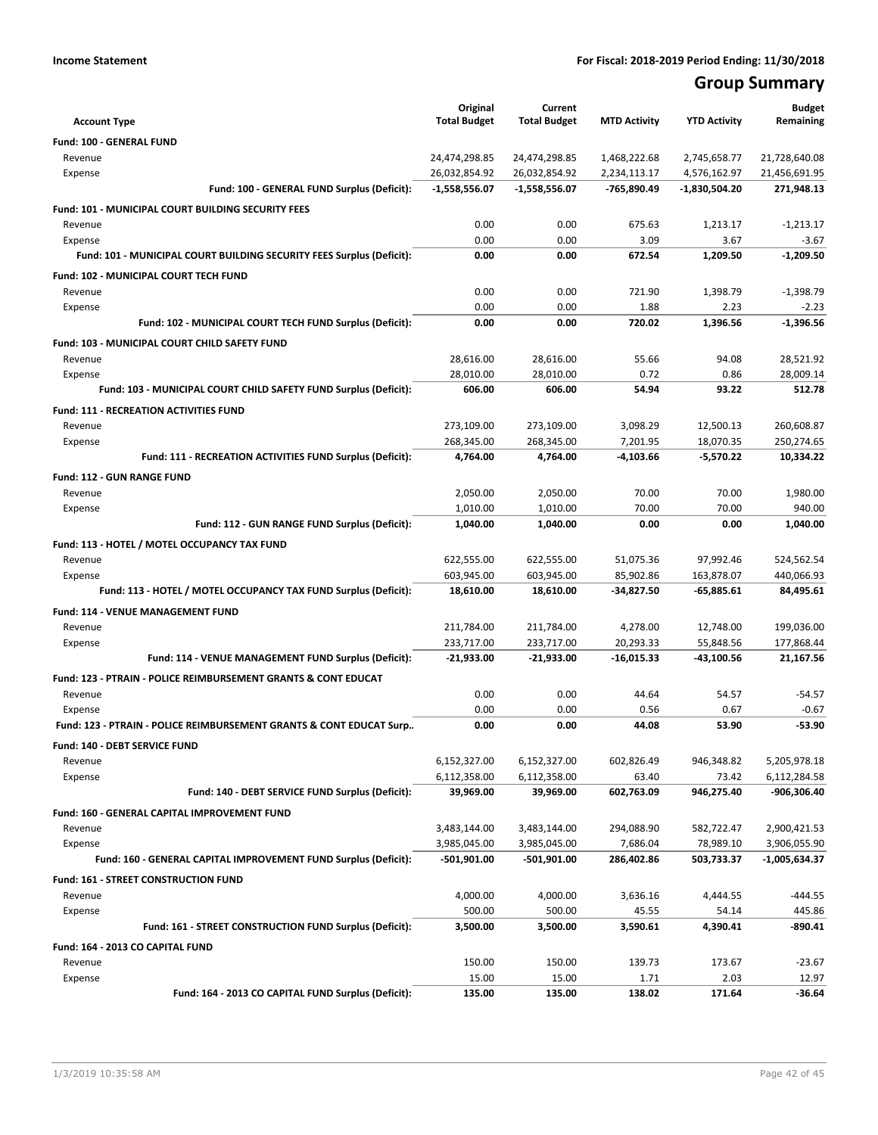# **Group Summary**

| <b>Account Type</b>                                                       | Original<br><b>Total Budget</b> | Current<br><b>Total Budget</b> | <b>MTD Activity</b> | <b>YTD Activity</b> | <b>Budget</b><br>Remaining |
|---------------------------------------------------------------------------|---------------------------------|--------------------------------|---------------------|---------------------|----------------------------|
| Fund: 100 - GENERAL FUND                                                  |                                 |                                |                     |                     |                            |
| Revenue                                                                   | 24,474,298.85                   | 24,474,298.85                  | 1,468,222.68        | 2,745,658.77        | 21,728,640.08              |
| Expense                                                                   | 26,032,854.92                   | 26,032,854.92                  | 2,234,113.17        | 4,576,162.97        | 21,456,691.95              |
| Fund: 100 - GENERAL FUND Surplus (Deficit):                               | $-1,558,556.07$                 | $-1,558,556.07$                | -765,890.49         | -1,830,504.20       | 271,948.13                 |
| <b>Fund: 101 - MUNICIPAL COURT BUILDING SECURITY FEES</b>                 |                                 |                                |                     |                     |                            |
| Revenue                                                                   | 0.00                            | 0.00                           | 675.63              | 1,213.17            | $-1,213.17$                |
| Expense                                                                   | 0.00                            | 0.00                           | 3.09                | 3.67                | $-3.67$                    |
| Fund: 101 - MUNICIPAL COURT BUILDING SECURITY FEES Surplus (Deficit):     | 0.00                            | 0.00                           | 672.54              | 1,209.50            | $-1,209.50$                |
| Fund: 102 - MUNICIPAL COURT TECH FUND                                     |                                 |                                |                     |                     |                            |
| Revenue                                                                   | 0.00                            | 0.00                           | 721.90              | 1.398.79            | $-1,398.79$                |
| Expense                                                                   | 0.00                            | 0.00                           | 1.88                | 2.23                | $-2.23$                    |
| Fund: 102 - MUNICIPAL COURT TECH FUND Surplus (Deficit):                  | 0.00                            | 0.00                           | 720.02              | 1,396.56            | $-1,396.56$                |
| Fund: 103 - MUNICIPAL COURT CHILD SAFETY FUND                             |                                 |                                |                     |                     |                            |
| Revenue                                                                   | 28,616.00                       | 28,616.00                      | 55.66               | 94.08               | 28,521.92                  |
| Expense                                                                   | 28.010.00                       | 28,010.00                      | 0.72                | 0.86                | 28,009.14                  |
| Fund: 103 - MUNICIPAL COURT CHILD SAFETY FUND Surplus (Deficit):          | 606.00                          | 606.00                         | 54.94               | 93.22               | 512.78                     |
| <b>Fund: 111 - RECREATION ACTIVITIES FUND</b>                             |                                 |                                |                     |                     |                            |
| Revenue                                                                   | 273,109.00                      | 273,109.00                     | 3,098.29            | 12,500.13           | 260,608.87                 |
| Expense                                                                   | 268,345.00                      | 268,345.00                     | 7,201.95            | 18,070.35           | 250,274.65                 |
| Fund: 111 - RECREATION ACTIVITIES FUND Surplus (Deficit):                 | 4,764.00                        | 4.764.00                       | $-4,103.66$         | $-5,570.22$         | 10,334.22                  |
| <b>Fund: 112 - GUN RANGE FUND</b>                                         |                                 |                                |                     |                     |                            |
| Revenue                                                                   | 2,050.00                        | 2,050.00                       | 70.00               | 70.00               | 1,980.00                   |
| Expense                                                                   | 1,010.00                        | 1,010.00                       | 70.00               | 70.00               | 940.00                     |
| Fund: 112 - GUN RANGE FUND Surplus (Deficit):                             | 1,040.00                        | 1,040.00                       | 0.00                | 0.00                | 1,040.00                   |
| Fund: 113 - HOTEL / MOTEL OCCUPANCY TAX FUND                              |                                 |                                |                     |                     |                            |
| Revenue                                                                   | 622,555.00                      | 622,555.00                     | 51,075.36           | 97,992.46           | 524,562.54                 |
| Expense                                                                   | 603,945.00                      | 603,945.00                     | 85,902.86           | 163,878.07          | 440,066.93                 |
| Fund: 113 - HOTEL / MOTEL OCCUPANCY TAX FUND Surplus (Deficit):           | 18,610.00                       | 18,610.00                      | $-34,827.50$        | -65,885.61          | 84,495.61                  |
| Fund: 114 - VENUE MANAGEMENT FUND                                         |                                 |                                |                     |                     |                            |
| Revenue                                                                   | 211,784.00                      | 211,784.00                     | 4,278.00            | 12,748.00           | 199,036.00                 |
| Expense                                                                   | 233,717.00                      | 233,717.00                     | 20,293.33           | 55,848.56           | 177,868.44                 |
| Fund: 114 - VENUE MANAGEMENT FUND Surplus (Deficit):                      | $-21,933.00$                    | $-21,933.00$                   | $-16,015.33$        | -43,100.56          | 21,167.56                  |
| <b>Fund: 123 - PTRAIN - POLICE REIMBURSEMENT GRANTS &amp; CONT EDUCAT</b> |                                 |                                |                     |                     |                            |
| Revenue                                                                   | 0.00                            | 0.00                           | 44.64               | 54.57               | $-54.57$                   |
| Expense                                                                   | 0.00                            | 0.00                           | 0.56                | 0.67                | $-0.67$                    |
| Fund: 123 - PTRAIN - POLICE REIMBURSEMENT GRANTS & CONT EDUCAT Surp       | 0.00                            | 0.00                           | 44.08               | 53.90               | $-53.90$                   |
| Fund: 140 - DEBT SERVICE FUND                                             |                                 |                                |                     |                     |                            |
| Revenue                                                                   | 6,152,327.00                    | 6,152,327.00                   | 602,826.49          | 946,348.82          | 5,205,978.18               |
| Expense                                                                   | 6,112,358.00                    | 6,112,358.00                   | 63.40               | 73.42               | 6,112,284.58               |
| Fund: 140 - DEBT SERVICE FUND Surplus (Deficit):                          | 39,969.00                       | 39,969.00                      | 602,763.09          | 946,275.40          | -906,306.40                |
| Fund: 160 - GENERAL CAPITAL IMPROVEMENT FUND                              |                                 |                                |                     |                     |                            |
| Revenue                                                                   | 3,483,144.00                    | 3,483,144.00                   | 294,088.90          | 582,722.47          | 2,900,421.53               |
| Expense                                                                   | 3,985,045.00                    | 3,985,045.00                   | 7,686.04            | 78,989.10           | 3,906,055.90               |
| Fund: 160 - GENERAL CAPITAL IMPROVEMENT FUND Surplus (Deficit):           | -501,901.00                     | -501,901.00                    | 286,402.86          | 503,733.37          | -1,005,634.37              |
| Fund: 161 - STREET CONSTRUCTION FUND                                      |                                 |                                |                     |                     |                            |
| Revenue                                                                   | 4,000.00                        | 4,000.00                       | 3,636.16            | 4,444.55            | $-444.55$                  |
| Expense                                                                   | 500.00                          | 500.00                         | 45.55               | 54.14               | 445.86                     |
| Fund: 161 - STREET CONSTRUCTION FUND Surplus (Deficit):                   | 3,500.00                        | 3,500.00                       | 3,590.61            | 4,390.41            | $-890.41$                  |
| Fund: 164 - 2013 CO CAPITAL FUND                                          |                                 |                                |                     |                     |                            |
| Revenue                                                                   | 150.00                          | 150.00                         | 139.73              | 173.67              | $-23.67$                   |
| Expense                                                                   | 15.00                           | 15.00                          | 1.71                | 2.03                | 12.97                      |
| Fund: 164 - 2013 CO CAPITAL FUND Surplus (Deficit):                       | 135.00                          | 135.00                         | 138.02              | 171.64              | $-36.64$                   |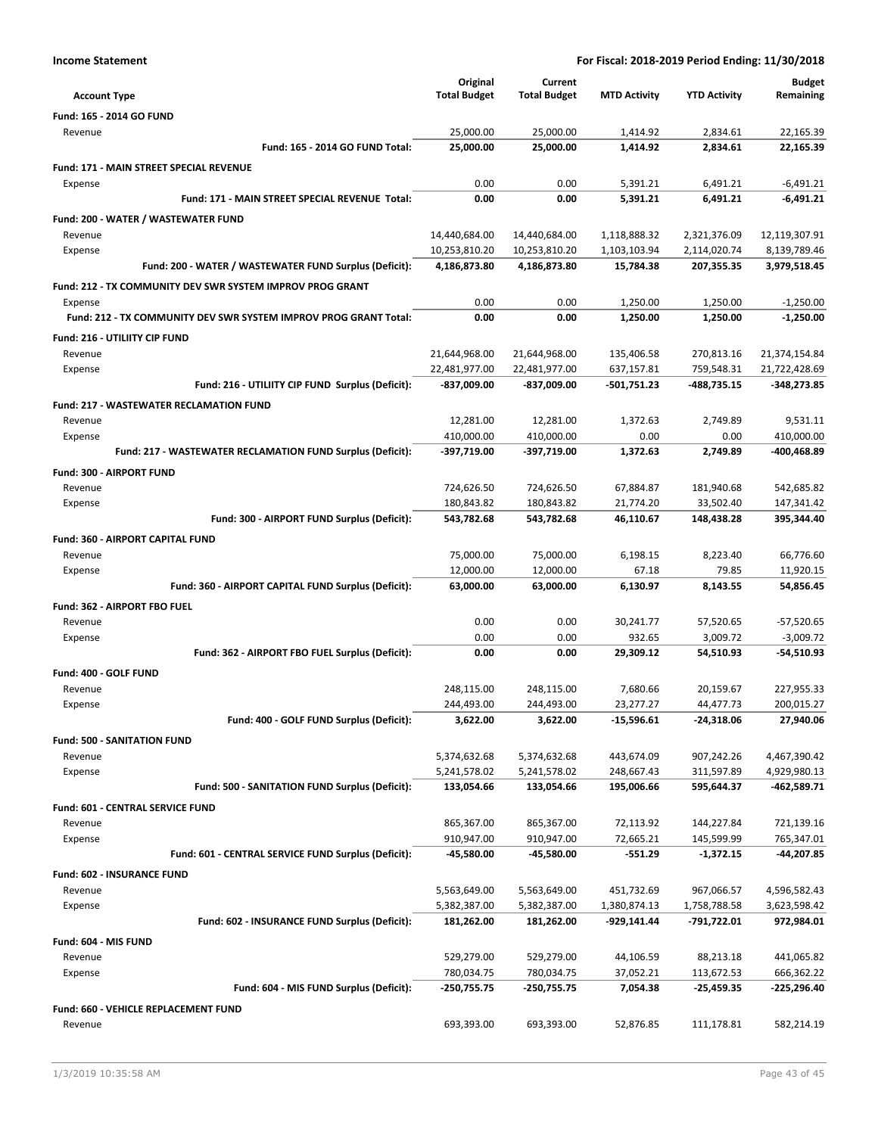| For Fiscal: 2018-2019 Period Ending: 11/30/2018 |  |
|-------------------------------------------------|--|
|-------------------------------------------------|--|

| <b>Income Statement</b>                                          | For Fiscal: 2018-2019 Period Ending: 11/30/2018 |                              |                          |                           |                              |
|------------------------------------------------------------------|-------------------------------------------------|------------------------------|--------------------------|---------------------------|------------------------------|
|                                                                  | Original                                        | Current                      |                          |                           | Budget                       |
| <b>Account Type</b>                                              | <b>Total Budget</b>                             | <b>Total Budget</b>          | <b>MTD Activity</b>      | <b>YTD Activity</b>       | Remaining                    |
| Fund: 165 - 2014 GO FUND                                         |                                                 |                              |                          |                           |                              |
| Revenue                                                          | 25,000.00                                       | 25,000.00                    | 1,414.92                 | 2,834.61                  | 22,165.39                    |
| Fund: 165 - 2014 GO FUND Total:                                  | 25,000.00                                       | 25,000.00                    | 1,414.92                 | 2,834.61                  | 22,165.39                    |
| Fund: 171 - MAIN STREET SPECIAL REVENUE                          |                                                 |                              |                          |                           |                              |
| Expense                                                          | 0.00                                            | 0.00                         | 5,391.21                 | 6,491.21                  | $-6,491.21$                  |
| Fund: 171 - MAIN STREET SPECIAL REVENUE Total:                   | 0.00                                            | 0.00                         | 5,391.21                 | 6,491.21                  | $-6,491.21$                  |
| Fund: 200 - WATER / WASTEWATER FUND                              |                                                 |                              |                          |                           |                              |
| Revenue                                                          | 14,440,684.00                                   | 14,440,684.00                | 1,118,888.32             | 2,321,376.09              | 12,119,307.91                |
| Expense                                                          | 10,253,810.20                                   | 10,253,810.20                | 1,103,103.94             | 2,114,020.74              | 8,139,789.46                 |
| Fund: 200 - WATER / WASTEWATER FUND Surplus (Deficit):           | 4,186,873.80                                    | 4,186,873.80                 | 15,784.38                | 207,355.35                | 3,979,518.45                 |
| Fund: 212 - TX COMMUNITY DEV SWR SYSTEM IMPROV PROG GRANT        |                                                 |                              |                          |                           |                              |
| Expense                                                          | 0.00                                            | 0.00                         | 1,250.00                 | 1,250.00                  | $-1,250.00$                  |
| Fund: 212 - TX COMMUNITY DEV SWR SYSTEM IMPROV PROG GRANT Total: | 0.00                                            | 0.00                         | 1,250.00                 | 1,250.00                  | $-1,250.00$                  |
| Fund: 216 - UTILIITY CIP FUND                                    |                                                 |                              |                          |                           |                              |
| Revenue                                                          | 21,644,968.00                                   | 21,644,968.00                | 135,406.58<br>637,157.81 | 270,813.16                | 21,374,154.84                |
| Expense<br>Fund: 216 - UTILIITY CIP FUND Surplus (Deficit):      | 22,481,977.00<br>-837,009.00                    | 22,481,977.00<br>-837,009.00 | -501,751.23              | 759,548.31<br>-488,735.15 | 21,722,428.69<br>-348,273.85 |
|                                                                  |                                                 |                              |                          |                           |                              |
| <b>Fund: 217 - WASTEWATER RECLAMATION FUND</b><br>Revenue        | 12,281.00                                       | 12,281.00                    | 1,372.63                 | 2,749.89                  | 9,531.11                     |
| Expense                                                          | 410,000.00                                      | 410,000.00                   | 0.00                     | 0.00                      | 410,000.00                   |
| Fund: 217 - WASTEWATER RECLAMATION FUND Surplus (Deficit):       | -397,719.00                                     | -397,719.00                  | 1,372.63                 | 2,749.89                  | -400,468.89                  |
| Fund: 300 - AIRPORT FUND                                         |                                                 |                              |                          |                           |                              |
| Revenue                                                          | 724,626.50                                      | 724,626.50                   | 67,884.87                | 181,940.68                | 542,685.82                   |
| Expense                                                          | 180,843.82                                      | 180,843.82                   | 21,774.20                | 33,502.40                 | 147,341.42                   |
| Fund: 300 - AIRPORT FUND Surplus (Deficit):                      | 543,782.68                                      | 543,782.68                   | 46,110.67                | 148,438.28                | 395,344.40                   |
| Fund: 360 - AIRPORT CAPITAL FUND                                 |                                                 |                              |                          |                           |                              |
| Revenue                                                          | 75,000.00                                       | 75,000.00                    | 6,198.15                 | 8,223.40                  | 66,776.60                    |
| Expense                                                          | 12,000.00                                       | 12,000.00                    | 67.18                    | 79.85                     | 11,920.15                    |
| Fund: 360 - AIRPORT CAPITAL FUND Surplus (Deficit):              | 63,000.00                                       | 63,000.00                    | 6,130.97                 | 8,143.55                  | 54,856.45                    |
| Fund: 362 - AIRPORT FBO FUEL                                     |                                                 |                              |                          |                           |                              |
| Revenue                                                          | 0.00                                            | 0.00                         | 30,241.77                | 57,520.65                 | -57,520.65                   |
| Expense                                                          | 0.00                                            | 0.00                         | 932.65                   | 3,009.72                  | $-3,009.72$                  |
| Fund: 362 - AIRPORT FBO FUEL Surplus (Deficit):                  | 0.00                                            | 0.00                         | 29,309.12                | 54,510.93                 | $-54,510.93$                 |
| Fund: 400 - GOLF FUND                                            |                                                 |                              |                          |                           |                              |
| Revenue                                                          | 248,115.00                                      | 248,115.00                   | 7.680.66                 | 20,159.67                 | 227,955.33                   |
| Expense                                                          | 244,493.00                                      | 244,493.00                   | 23,277.27                | 44,477.73                 | 200,015.27                   |
| Fund: 400 - GOLF FUND Surplus (Deficit):                         | 3,622.00                                        | 3,622.00                     | $-15,596.61$             | $-24,318.06$              | 27,940.06                    |
| <b>Fund: 500 - SANITATION FUND</b>                               |                                                 |                              |                          |                           |                              |
| Revenue                                                          | 5,374,632.68                                    | 5,374,632.68                 | 443,674.09               | 907,242.26                | 4,467,390.42                 |
| Expense<br>Fund: 500 - SANITATION FUND Surplus (Deficit):        | 5,241,578.02<br>133,054.66                      | 5,241,578.02<br>133,054.66   | 248,667.43<br>195,006.66 | 311,597.89<br>595,644.37  | 4,929,980.13<br>-462,589.71  |
|                                                                  |                                                 |                              |                          |                           |                              |
| Fund: 601 - CENTRAL SERVICE FUND<br>Revenue                      | 865,367.00                                      | 865,367.00                   | 72,113.92                | 144,227.84                | 721,139.16                   |
| Expense                                                          | 910,947.00                                      | 910,947.00                   | 72,665.21                | 145,599.99                | 765,347.01                   |
| Fund: 601 - CENTRAL SERVICE FUND Surplus (Deficit):              | -45,580.00                                      | -45,580.00                   | $-551.29$                | -1,372.15                 | -44,207.85                   |
| Fund: 602 - INSURANCE FUND                                       |                                                 |                              |                          |                           |                              |
| Revenue                                                          | 5,563,649.00                                    | 5,563,649.00                 | 451,732.69               | 967,066.57                | 4,596,582.43                 |
| Expense                                                          | 5,382,387.00                                    | 5,382,387.00                 | 1,380,874.13             | 1,758,788.58              | 3,623,598.42                 |
| Fund: 602 - INSURANCE FUND Surplus (Deficit):                    | 181,262.00                                      | 181,262.00                   | -929,141.44              | -791,722.01               | 972,984.01                   |
| Fund: 604 - MIS FUND                                             |                                                 |                              |                          |                           |                              |
| Revenue                                                          | 529,279.00                                      | 529,279.00                   | 44,106.59                | 88,213.18                 | 441,065.82                   |
| Expense                                                          | 780,034.75                                      | 780,034.75                   | 37,052.21                | 113,672.53                | 666,362.22                   |
| Fund: 604 - MIS FUND Surplus (Deficit):                          | $-250,755.75$                                   | -250,755.75                  | 7,054.38                 | -25,459.35                | -225,296.40                  |
| Fund: 660 - VEHICLE REPLACEMENT FUND                             |                                                 |                              |                          |                           |                              |
| Revenue                                                          | 693,393.00                                      | 693,393.00                   | 52,876.85                | 111,178.81                | 582,214.19                   |
|                                                                  |                                                 |                              |                          |                           |                              |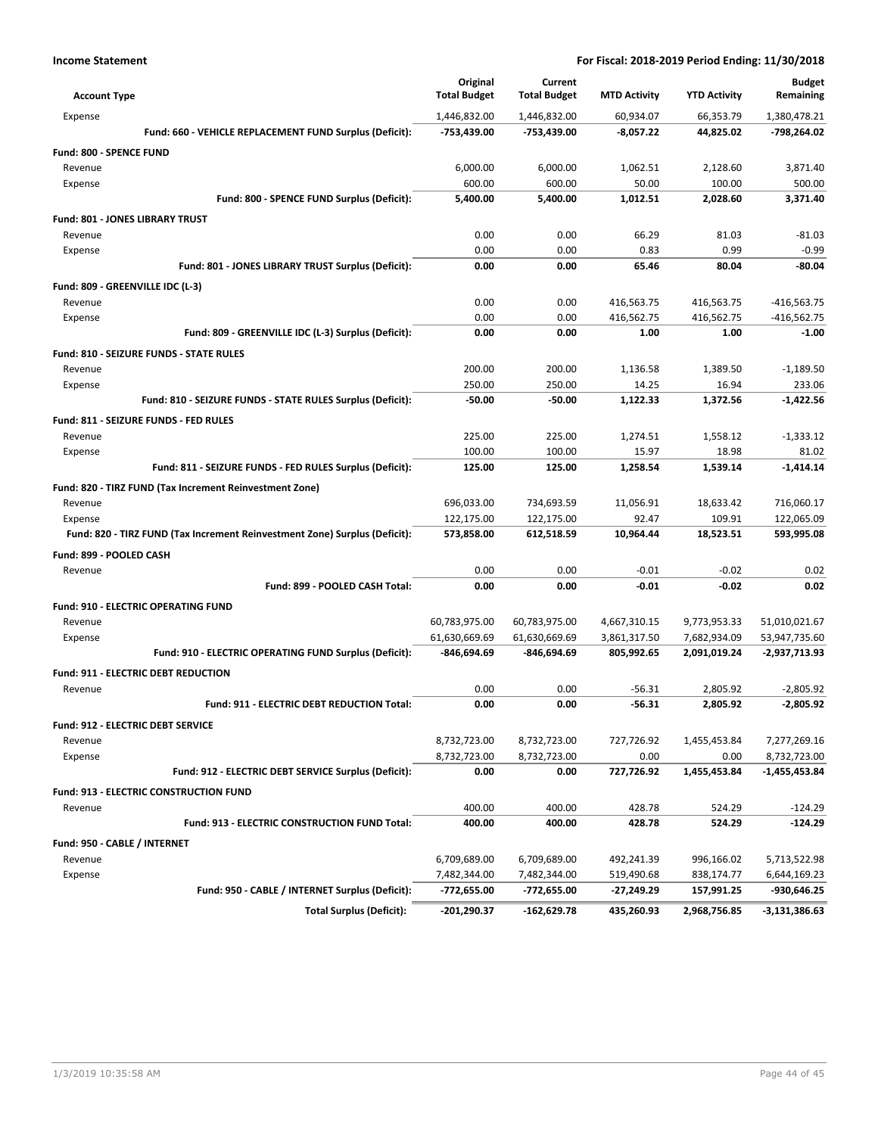| <b>Account Type</b>                                                        | Original<br><b>Total Budget</b> | Current<br><b>Total Budget</b> | <b>MTD Activity</b>        | <b>YTD Activity</b>          | <b>Budget</b><br>Remaining     |
|----------------------------------------------------------------------------|---------------------------------|--------------------------------|----------------------------|------------------------------|--------------------------------|
| Expense                                                                    | 1,446,832.00                    | 1,446,832.00                   | 60,934.07                  | 66,353.79                    | 1,380,478.21                   |
| Fund: 660 - VEHICLE REPLACEMENT FUND Surplus (Deficit):                    | -753,439.00                     | -753,439.00                    | $-8,057.22$                | 44,825.02                    | -798,264.02                    |
| Fund: 800 - SPENCE FUND                                                    |                                 |                                |                            |                              |                                |
| Revenue                                                                    | 6,000.00                        | 6,000.00                       | 1,062.51                   | 2,128.60                     | 3.871.40                       |
| Expense                                                                    | 600.00                          | 600.00                         | 50.00                      | 100.00                       | 500.00                         |
| Fund: 800 - SPENCE FUND Surplus (Deficit):                                 | 5,400.00                        | 5,400.00                       | 1,012.51                   | 2,028.60                     | 3,371.40                       |
| <b>Fund: 801 - JONES LIBRARY TRUST</b>                                     |                                 |                                |                            |                              |                                |
| Revenue                                                                    | 0.00                            | 0.00                           | 66.29                      | 81.03                        | $-81.03$                       |
| Expense                                                                    | 0.00                            | 0.00                           | 0.83                       | 0.99                         | $-0.99$                        |
| Fund: 801 - JONES LIBRARY TRUST Surplus (Deficit):                         | 0.00                            | 0.00                           | 65.46                      | 80.04                        | $-80.04$                       |
| Fund: 809 - GREENVILLE IDC (L-3)                                           |                                 |                                |                            |                              |                                |
| Revenue                                                                    | 0.00                            | 0.00                           | 416,563.75                 | 416,563.75                   | $-416,563.75$                  |
| Expense                                                                    | 0.00                            | 0.00                           | 416,562.75                 | 416,562.75                   | $-416,562.75$                  |
| Fund: 809 - GREENVILLE IDC (L-3) Surplus (Deficit):                        | 0.00                            | 0.00                           | 1.00                       | 1.00                         | $-1.00$                        |
| <b>Fund: 810 - SEIZURE FUNDS - STATE RULES</b>                             |                                 |                                |                            |                              |                                |
| Revenue                                                                    | 200.00                          | 200.00                         | 1,136.58                   | 1,389.50                     | $-1,189.50$                    |
| Expense                                                                    | 250.00                          | 250.00                         | 14.25                      | 16.94                        | 233.06                         |
| Fund: 810 - SEIZURE FUNDS - STATE RULES Surplus (Deficit):                 | -50.00                          | $-50.00$                       | 1,122.33                   | 1,372.56                     | $-1.422.56$                    |
| Fund: 811 - SEIZURE FUNDS - FED RULES                                      |                                 |                                |                            |                              |                                |
| Revenue                                                                    | 225.00                          | 225.00                         | 1,274.51                   | 1,558.12                     | $-1,333.12$                    |
| Expense                                                                    | 100.00                          | 100.00                         | 15.97                      | 18.98                        | 81.02                          |
| Fund: 811 - SEIZURE FUNDS - FED RULES Surplus (Deficit):                   | 125.00                          | 125.00                         | 1,258.54                   | 1,539.14                     | $-1,414.14$                    |
| Fund: 820 - TIRZ FUND (Tax Increment Reinvestment Zone)                    |                                 |                                |                            |                              |                                |
| Revenue                                                                    | 696,033.00                      | 734,693.59                     | 11,056.91                  | 18,633.42                    | 716,060.17                     |
| Expense                                                                    | 122,175.00                      | 122,175.00                     | 92.47                      | 109.91                       | 122,065.09                     |
| Fund: 820 - TIRZ FUND (Tax Increment Reinvestment Zone) Surplus (Deficit): | 573,858.00                      | 612,518.59                     | 10,964.44                  | 18,523.51                    | 593,995.08                     |
|                                                                            |                                 |                                |                            |                              |                                |
| Fund: 899 - POOLED CASH<br>Revenue                                         | 0.00                            | 0.00                           | $-0.01$                    | $-0.02$                      | 0.02                           |
| Fund: 899 - POOLED CASH Total:                                             | 0.00                            | 0.00                           | $-0.01$                    | $-0.02$                      | 0.02                           |
|                                                                            |                                 |                                |                            |                              |                                |
| <b>Fund: 910 - ELECTRIC OPERATING FUND</b>                                 |                                 |                                |                            |                              |                                |
| Revenue                                                                    | 60,783,975.00<br>61.630.669.69  | 60,783,975.00                  | 4,667,310.15               | 9,773,953.33                 | 51,010,021.67                  |
| Expense<br>Fund: 910 - ELECTRIC OPERATING FUND Surplus (Deficit):          | -846,694.69                     | 61,630,669.69<br>-846,694.69   | 3,861,317.50<br>805,992.65 | 7,682,934.09<br>2,091,019.24 | 53,947,735.60<br>-2,937,713.93 |
|                                                                            |                                 |                                |                            |                              |                                |
| Fund: 911 - ELECTRIC DEBT REDUCTION                                        |                                 |                                |                            |                              |                                |
| Revenue                                                                    | 0.00                            | 0.00                           | $-56.31$                   | 2,805.92                     | $-2,805.92$                    |
| Fund: 911 - ELECTRIC DEBT REDUCTION Total:                                 | 0.00                            | 0.00                           | $-56.31$                   | 2,805.92                     | $-2,805.92$                    |
| Fund: 912 - ELECTRIC DEBT SERVICE                                          |                                 |                                |                            |                              |                                |
| Revenue                                                                    | 8,732,723.00                    | 8,732,723.00                   | 727,726.92                 | 1,455,453.84                 | 7,277,269.16                   |
| Expense                                                                    | 8,732,723.00                    | 8,732,723.00                   | 0.00                       | 0.00                         | 8,732,723.00                   |
| Fund: 912 - ELECTRIC DEBT SERVICE Surplus (Deficit):                       | 0.00                            | 0.00                           | 727,726.92                 | 1,455,453.84                 | -1,455,453.84                  |
| Fund: 913 - ELECTRIC CONSTRUCTION FUND                                     |                                 |                                |                            |                              |                                |
| Revenue                                                                    | 400.00                          | 400.00                         | 428.78                     | 524.29                       | $-124.29$                      |
| Fund: 913 - ELECTRIC CONSTRUCTION FUND Total:                              | 400.00                          | 400.00                         | 428.78                     | 524.29                       | $-124.29$                      |
| Fund: 950 - CABLE / INTERNET                                               |                                 |                                |                            |                              |                                |
| Revenue                                                                    | 6,709,689.00                    | 6,709,689.00                   | 492,241.39                 | 996,166.02                   | 5,713,522.98                   |
| Expense                                                                    | 7,482,344.00                    | 7,482,344.00                   | 519,490.68                 | 838,174.77                   | 6,644,169.23                   |
| Fund: 950 - CABLE / INTERNET Surplus (Deficit):                            | -772,655.00                     | -772,655.00                    | -27,249.29                 | 157,991.25                   | -930,646.25                    |
| <b>Total Surplus (Deficit):</b>                                            | $-201,290.37$                   | -162,629.78                    | 435,260.93                 | 2,968,756.85                 | $-3,131,386.63$                |